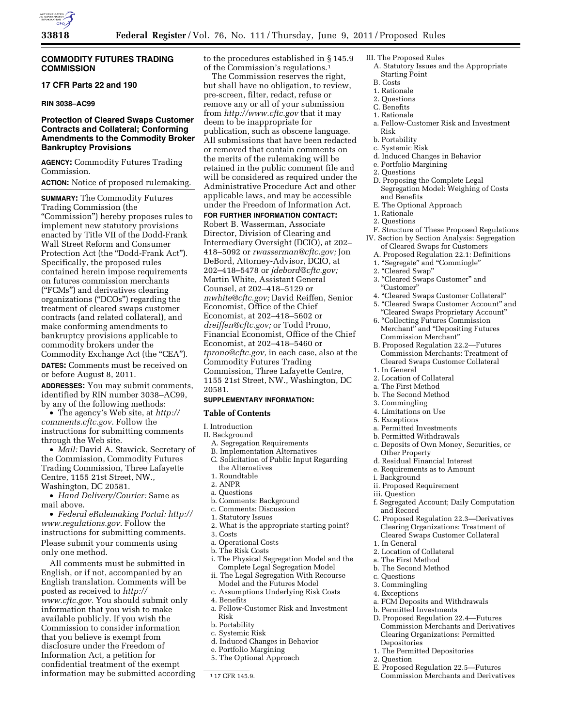

# **COMMODITY FUTURES TRADING COMMISSION**

## **17 CFR Parts 22 and 190**

#### **RIN 3038–AC99**

# **Protection of Cleared Swaps Customer Contracts and Collateral; Conforming Amendments to the Commodity Broker Bankruptcy Provisions**

**AGENCY:** Commodity Futures Trading Commission.

**ACTION:** Notice of proposed rulemaking.

**SUMMARY:** The Commodity Futures Trading Commission (the ''Commission'') hereby proposes rules to implement new statutory provisions enacted by Title VII of the Dodd-Frank Wall Street Reform and Consumer Protection Act (the "Dodd-Frank Act"). Specifically, the proposed rules contained herein impose requirements on futures commission merchants (''FCMs'') and derivatives clearing organizations (''DCOs'') regarding the treatment of cleared swaps customer contracts (and related collateral), and make conforming amendments to bankruptcy provisions applicable to commodity brokers under the Commodity Exchange Act (the "CEA").

**DATES:** Comments must be received on or before August 8, 2011.

**ADDRESSES:** You may submit comments, identified by RIN number 3038–AC99, by any of the following methods:

• The agency's Web site, at *[http://](http://comments.cftc.gov)  [comments.cftc.gov.](http://comments.cftc.gov)* Follow the instructions for submitting comments through the Web site.

• *Mail:* David A. Stawick, Secretary of the Commission, Commodity Futures Trading Commission, Three Lafayette Centre, 1155 21st Street, NW., Washington, DC 20581.

• *Hand Delivery/Courier:* Same as mail above.

• *Federal eRulemaking Portal: [http://](http://www.regulations.gov)  [www.regulations.gov.](http://www.regulations.gov)* Follow the instructions for submitting comments. Please submit your comments using only one method.

All comments must be submitted in English, or if not, accompanied by an English translation. Comments will be posted as received to *[http://](http://www.cftc.gov) [www.cftc.gov.](http://www.cftc.gov)* You should submit only information that you wish to make available publicly. If you wish the Commission to consider information that you believe is exempt from disclosure under the Freedom of Information Act, a petition for confidential treatment of the exempt information may be submitted according to the procedures established in § 145.9 of the Commission's regulations.1

# The Commission reserves the right, but shall have no obligation, to review, pre-screen, filter, redact, refuse or remove any or all of your submission from *<http://www.cftc.gov>* that it may deem to be inappropriate for publication, such as obscene language. All submissions that have been redacted or removed that contain comments on the merits of the rulemaking will be retained in the public comment file and will be considered as required under the Administrative Procedure Act and other applicable laws, and may be accessible under the Freedom of Information Act.

**FOR FURTHER INFORMATION CONTACT:** 

Robert B. Wasserman, Associate Director, Division of Clearing and Intermediary Oversight (DCIO), at 202– 418–5092 or *[rwasserman@cftc.gov;](mailto:rwasserman@cftc.gov)* Jon DeBord, Attorney-Advisor, DCIO, at 202–418–5478 or *[jdebord@cftc.gov;](mailto:jdebord@cftc.gov)*  Martin White, Assistant General Counsel, at 202–418–5129 or *[mwhite@cftc.gov;](mailto:mwhite@cftc.gov)* David Reiffen, Senior Economist, Office of the Chief Economist, at 202–418–5602 or *[dreiffen@cftc.gov;](mailto:dreiffen@cftc.gov)* or Todd Prono, Financial Economist, Office of the Chief Economist, at 202–418–5460 or *[tprono@cftc.gov,](mailto:tprono@cftc.gov)* in each case, also at the Commodity Futures Trading Commission, Three Lafayette Centre, 1155 21st Street, NW., Washington, DC 20581.

# **SUPPLEMENTARY INFORMATION:**

#### **Table of Contents**

- I. Introduction
- II. Background
	- A. Segregation Requirements
	- B. Implementation Alternatives<br>C. Solicitation of Public Input R
	- Solicitation of Public Input Regarding the Alternatives
	- 1. Roundtable
	- 2. ANPR
	- a. Questions
	- b. Comments: Background
	- c. Comments: Discussion
	- 1. Statutory Issues
	- 2. What is the appropriate starting point? 3. Costs
	-
	- a. Operational Costs b. The Risk Costs
	-
	- i. The Physical Segregation Model and the Complete Legal Segregation Model
	- ii. The Legal Segregation With Recourse Model and the Futures Model
	- c. Assumptions Underlying Risk Costs
	- 4. Benefits
	- a. Fellow-Customer Risk and Investment Risk
	- b. Portability
	- c. Systemic Risk
	- d. Induced Changes in Behavior
	- e. Portfolio Margining
	- 5. The Optional Approach

1 17 CFR 145.9.

- III. The Proposed Rules
	- A. Statutory Issues and the Appropriate Starting Point
- B. Costs 1. Rationale
- 2. Questions
- C. Benefits
- 1. Rationale
- a. Fellow-Customer Risk and Investment Risk
- b. Portability
- c. Systemic Risk
- d. Induced Changes in Behavior
- e. Portfolio Margining
- 2. Questions
- D. Proposing the Complete Legal Segregation Model: Weighing of Costs and Benefits
- E. The Optional Approach
- 1. Rationale
- 2. Questions
- F. Structure of These Proposed Regulations IV. Section by Section Analysis: Segregation
	- of Cleared Swaps for Customers A. Proposed Regulation 22.1: Definitions
	- 1. ''Segregate'' and ''Commingle''
	- 2. "Cleared Swap'
	- 3. ''Cleared Swaps Customer'' and ''Customer''
	- 4. ''Cleared Swaps Customer Collateral''
	- 5. ''Cleared Swaps Customer Account'' and ''Cleared Swaps Proprietary Account''
	- 6. ''Collecting Futures Commission Merchant'' and ''Depositing Futures Commission Merchant''
	- B. Proposed Regulation 22.2—Futures Commission Merchants: Treatment of Cleared Swaps Customer Collateral
	- 1. In General
	- 2. Location of Collateral
	- a. The First Method
	- b. The Second Method
	- 3. Commingling
	- 4. Limitations on Use
	- 5. Exceptions
	- a. Permitted Investments
	- b. Permitted Withdrawals
	- c. Deposits of Own Money, Securities, or Other Property
	- d. Residual Financial Interest
	- e. Requirements as to Amount
- i. Background
- ii. Proposed Requirement
- iii. Question
- f. Segregated Account; Daily Computation and Record
- C. Proposed Regulation 22.3—Derivatives Clearing Organizations: Treatment of Cleared Swaps Customer Collateral
- 1. In General
- 2. Location of Collateral
- a. The First Method
- b. The Second Method
- c. Questions
- 3. Commingling
- 4. Exceptions

Depositories

2. Question

a. FCM Deposits and Withdrawals

1. The Permitted Depositories

E. Proposed Regulation 22.5—Futures Commission Merchants and Derivatives

Commission Merchants and Derivatives Clearing Organizations: Permitted

b. Permitted Investments D. Proposed Regulation 22.4—Futures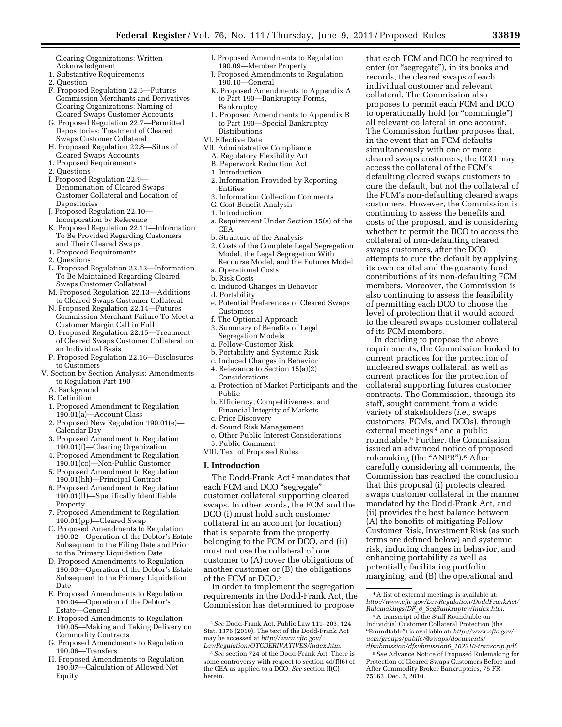Clearing Organizations: Written Acknowledgment

- 1. Substantive Requirements
- 2. Question
- F. Proposed Regulation 22.6—Futures Commission Merchants and Derivatives Clearing Organizations: Naming of Cleared Swaps Customer Accounts
- G. Proposed Regulation 22.7—Permitted Depositories: Treatment of Cleared Swaps Customer Collateral
- H. Proposed Regulation 22.8—Situs of Cleared Swaps Accounts
- 1. Proposed Requirements
- 2. Questions
- I. Proposed Regulation 22.9— Denomination of Cleared Swaps Customer Collateral and Location of Depositories
- J. Proposed Regulation 22.10— Incorporation by Reference
- K. Proposed Regulation 22.11—Information To Be Provided Regarding Customers and Their Cleared Swaps
- 1. Proposed Requirements
- 2. Questions
- L. Proposed Regulation 22.12—Information To Be Maintained Regarding Cleared Swaps Customer Collateral
- M. Proposed Regulation 22.13—Additions to Cleared Swaps Customer Collateral
- N. Proposed Regulation 22.14—Futures Commission Merchant Failure To Meet a Customer Margin Call in Full
- O. Proposed Regulation 22.15—Treatment of Cleared Swaps Customer Collateral on an Individual Basis
- P. Proposed Regulation 22.16—Disclosures to Customers
- V. Section by Section Analysis: Amendments to Regulation Part 190
	- A. Background
	- B. Definition
	- 1. Proposed Amendment to Regulation 190.01(a)—Account Class
	- 2. Proposed New Regulation 190.01(e)— Calendar Day
	- 3. Proposed Amendment to Regulation 190.01(f)—Clearing Organization
	- 4. Proposed Amendment to Regulation 190.01(cc)—Non-Public Customer
	- 5. Proposed Amendment to Regulation 190.01(hh)—Principal Contract
	- 6. Proposed Amendment to Regulation 190.01(ll)—Specifically Identifiable Property
	- 7. Proposed Amendment to Regulation 190.01(pp)—Cleared Swap
	- C. Proposed Amendments to Regulation 190.02—Operation of the Debtor's Estate Subsequent to the Filing Date and Prior to the Primary Liquidation Date
	- D. Proposed Amendments to Regulation 190.03—Operation of the Debtor's Estate Subsequent to the Primary Liquidation Date
	- E. Proposed Amendments to Regulation 190.04—Operation of the Debtor's Estate—General
	- F. Proposed Amendments to Regulation 190.05—Making and Taking Delivery on Commodity Contracts
	- G. Proposed Amendments to Regulation 190.06—Transfers
	- H. Proposed Amendments to Regulation 190.07—Calculation of Allowed Net Equity
- I. Proposed Amendments to Regulation 190.09—Member Property
- J. Proposed Amendments to Regulation 190.10—General
- K. Proposed Amendments to Appendix A to Part 190—Bankruptcy Forms, Bankruptcy
- L. Proposed Amendments to Appendix B to Part 190—Special Bankruptcy Distributions
- VI. Effective Date
- VII. Administrative Compliance
- A. Regulatory Flexibility Act
- B. Paperwork Reduction Act
- 1. Introduction
- 2. Information Provided by Reporting Entities
- 3. Information Collection Comments
- C. Cost-Benefit Analysis
- 1. Introduction
- a. Requirement Under Section 15(a) of the **CEA**
- b. Structure of the Analysis
- 2. Costs of the Complete Legal Segregation Model, the Legal Segregation With Recourse Model, and the Futures Model a. Operational Costs
- b. Risk Costs
- c. Induced Changes in Behavior
- d. Portability
- e. Potential Preferences of Cleared Swaps Customers
- f. The Optional Approach
- 3. Summary of Benefits of Legal Segregation Models
- a. Fellow-Customer Risk
- b. Portability and Systemic Risk
- c. Induced Changes in Behavior
- 4. Relevance to Section 15(a)(2) Considerations
- a. Protection of Market Participants and the Public
- b. Efficiency, Competitiveness, and Financial Integrity of Markets
- c. Price Discovery
- d. Sound Risk Management
- e. Other Public Interest Considerations
- 5. Public Comment
- VIII. Text of Proposed Rules

#### **I. Introduction**

The Dodd-Frank Act 2 mandates that each FCM and DCO "segregate" customer collateral supporting cleared swaps. In other words, the FCM and the DCO (i) must hold such customer collateral in an account (or location) that is separate from the property belonging to the FCM or DCO, and (ii) must not use the collateral of one customer to (A) cover the obligations of another customer or (B) the obligations of the FCM or DCO.3

In order to implement the segregation requirements in the Dodd-Frank Act, the Commission has determined to propose

that each FCM and DCO be required to enter (or "segregate"), in its books and records, the cleared swaps of each individual customer and relevant collateral. The Commission also proposes to permit each FCM and DCO to operationally hold (or "commingle") all relevant collateral in one account. The Commission further proposes that, in the event that an FCM defaults simultaneously with one or more cleared swaps customers, the DCO may access the collateral of the FCM's defaulting cleared swaps customers to cure the default, but not the collateral of the FCM's non-defaulting cleared swaps customers. However, the Commission is continuing to assess the benefits and costs of the proposal, and is considering whether to permit the DCO to access the collateral of non-defaulting cleared swaps customers, after the DCO attempts to cure the default by applying its own capital and the guaranty fund contributions of its non-defaulting FCM members. Moreover, the Commission is also continuing to assess the feasibility of permitting each DCO to choose the level of protection that it would accord to the cleared swaps customer collateral of its FCM members.

In deciding to propose the above requirements, the Commission looked to current practices for the protection of uncleared swaps collateral, as well as current practices for the protection of collateral supporting futures customer contracts. The Commission, through its staff, sought comment from a wide variety of stakeholders (*i.e.,* swaps customers, FCMs, and DCOs), through external meetings 4 and a public roundtable.5 Further, the Commission issued an advanced notice of proposed rulemaking (the "ANPR").<sup>6</sup> After carefully considering all comments, the Commission has reached the conclusion that this proposal (i) protects cleared swaps customer collateral in the manner mandated by the Dodd-Frank Act, and (ii) provides the best balance between (A) the benefits of mitigating Fellow-Customer Risk, Investment Risk (as such terms are defined below) and systemic risk, inducing changes in behavior, and enhancing portability as well as potentially facilitating portfolio margining, and (B) the operational and

<sup>2</sup>*See* Dodd-Frank Act, Public Law 111–203, 124 Stat. 1376 (2010). The text of the Dodd-Frank Act may be accessed at *[http://www.cftc.gov/](http://www.cftc.gov/LawRegulation/OTCDERIVATIVES/index.htm) [LawRegulation/OTCDERIVATIVES/index.htm](http://www.cftc.gov/LawRegulation/OTCDERIVATIVES/index.htm)*.

<sup>3</sup>*See* section 724 of the Dodd-Frank Act. There is some controversy with respect to section 4d(f)(6) of the CEA as applied to a DCO. *See* section II(C) herein.

<sup>4</sup>A list of external meetings is available at: *[http://www.cftc.gov/LawRegulation/DoddFrankAct/](http://www.cftc.gov/LawRegulation/DoddFrankAct/Rulemakings/DF_6_SegBankruptcy/index.htm) Rulemakings/DF*\_*6*\_*[SegBankruptcy/index.htm](http://www.cftc.gov/LawRegulation/DoddFrankAct/Rulemakings/DF_6_SegBankruptcy/index.htm)*.

<sup>5</sup>A transcript of the Staff Roundtable on Individual Customer Collateral Protection (the ''Roundtable'') is available at: *[http://www.cftc.gov/](http://www.cftc.gov) [ucm/groups/public/@swaps/documents/](http://www.cftc.gov/ucm/groups/public/@swaps/documents/dfsubmission/dfsubmission6_102210-transcrip.pdf) dfsubmission/dfsubmission6*\_*102210-transcrip.pdf*.

<sup>6</sup>*See* Advance Notice of Proposed Rulemaking for Protection of Cleared Swaps Customers Before and After Commodity Broker Bankruptcies, 75 FR 75162, Dec. 2, 2010.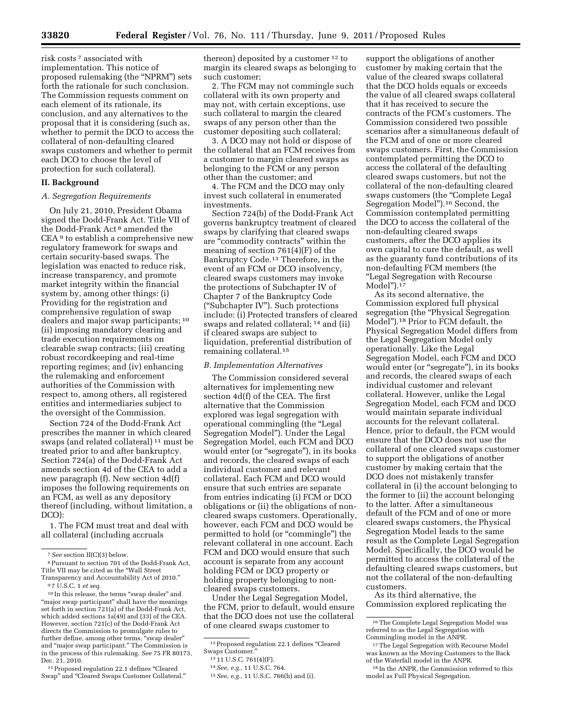risk costs 7 associated with implementation. This notice of proposed rulemaking (the ''NPRM'') sets forth the rationale for such conclusion. The Commission requests comment on each element of its rationale, its conclusion, and any alternatives to the proposal that it is considering (such as, whether to permit the DCO to access the collateral of non-defaulting cleared swaps customers and whether to permit each DCO to choose the level of protection for such collateral).

## **II. Background**

#### *A. Segregation Requirements*

On July 21, 2010, President Obama signed the Dodd-Frank Act. Title VII of the Dodd-Frank Act 8 amended the CEA 9 to establish a comprehensive new regulatory framework for swaps and certain security-based swaps. The legislation was enacted to reduce risk, increase transparency, and promote market integrity within the financial system by, among other things: (i) Providing for the registration and comprehensive regulation of swap dealers and major swap participants; 10 (ii) imposing mandatory clearing and trade execution requirements on clearable swap contracts; (iii) creating robust recordkeeping and real-time reporting regimes; and (iv) enhancing the rulemaking and enforcement authorities of the Commission with respect to, among others, all registered entities and intermediaries subject to the oversight of the Commission.

Section 724 of the Dodd-Frank Act prescribes the manner in which cleared swaps (and related collateral) 11 must be treated prior to and after bankruptcy. Section 724(a) of the Dodd-Frank Act amends section 4d of the CEA to add a new paragraph (f). New section 4d(f) imposes the following requirements on an FCM, as well as any depository thereof (including, without limitation, a DCO):

1. The FCM must treat and deal with all collateral (including accruals

11Proposed regulation 22.1 defines ''Cleared Swap'' and ''Cleared Swaps Customer Collateral.''

thereon) deposited by a customer 12 to margin its cleared swaps as belonging to such customer;

2. The FCM may not commingle such collateral with its own property and may not, with certain exceptions, use such collateral to margin the cleared swaps of any person other than the customer depositing such collateral;

3. A DCO may not hold or dispose of the collateral that an FCM receives from a customer to margin cleared swaps as belonging to the FCM or any person other than the customer; and

4. The FCM and the DCO may only invest such collateral in enumerated investments.

Section 724(b) of the Dodd-Frank Act governs bankruptcy treatment of cleared swaps by clarifying that cleared swaps are ''commodity contracts'' within the meaning of section 761(4)(F) of the Bankruptcy Code.13 Therefore, in the event of an FCM or DCO insolvency, cleared swaps customers may invoke the protections of Subchapter IV of Chapter 7 of the Bankruptcy Code (''Subchapter IV''). Such protections include: (i) Protected transfers of cleared swaps and related collateral; 14 and (ii) if cleared swaps are subject to liquidation, preferential distribution of remaining collateral.15

#### *B. Implementation Alternatives*

The Commission considered several alternatives for implementing new section 4d(f) of the CEA. The first alternative that the Commission explored was legal segregation with operational commingling (the ''Legal Segregation Model''). Under the Legal Segregation Model, each FCM and DCO would enter (or "segregate"), in its books and records, the cleared swaps of each individual customer and relevant collateral. Each FCM and DCO would ensure that such entries are separate from entries indicating (i) FCM or DCO obligations or (ii) the obligations of noncleared swaps customers. Operationally, however, each FCM and DCO would be permitted to hold (or ''commingle'') the relevant collateral in one account. Each FCM and DCO would ensure that such account is separate from any account holding FCM or DCO property or holding property belonging to noncleared swaps customers.

Under the Legal Segregation Model, the FCM, prior to default, would ensure that the DCO does not use the collateral of one cleared swaps customer to

support the obligations of another customer by making certain that the value of the cleared swaps collateral that the DCO holds equals or exceeds the value of all cleared swaps collateral that it has received to secure the contracts of the FCM's customers. The Commission considered two possible scenarios after a simultaneous default of the FCM and of one or more cleared swaps customers. First, the Commission contemplated permitting the DCO to access the collateral of the defaulting cleared swaps customers, but not the collateral of the non-defaulting cleared swaps customers (the "Complete Legal Segregation Model'').16 Second, the Commission contemplated permitting the DCO to access the collateral of the non-defaulting cleared swaps customers, after the DCO applies its own capital to cure the default, as well as the guaranty fund contributions of its non-defaulting FCM members (the ''Legal Segregation with Recourse Model'').17

As its second alternative, the Commission explored full physical segregation (the ''Physical Segregation Model'').18 Prior to FCM default, the Physical Segregation Model differs from the Legal Segregation Model only operationally. Like the Legal Segregation Model, each FCM and DCO would enter (or "segregate"), in its books and records, the cleared swaps of each individual customer and relevant collateral. However, unlike the Legal Segregation Model, each FCM and DCO would maintain separate individual accounts for the relevant collateral. Hence, prior to default, the FCM would ensure that the DCO does not use the collateral of one cleared swaps customer to support the obligations of another customer by making certain that the DCO does not mistakenly transfer collateral in (i) the account belonging to the former to (ii) the account belonging to the latter. After a simultaneous default of the FCM and of one or more cleared swaps customers, the Physical Segregation Model leads to the same result as the Complete Legal Segregation Model. Specifically, the DCO would be permitted to access the collateral of the defaulting cleared swaps customers, but not the collateral of the non-defaulting customers.

As its third alternative, the Commission explored replicating the

<sup>7</sup>*See* section II(C)(3) below.

<sup>8</sup>Pursuant to section 701 of the Dodd-Frank Act, Title VII may be cited as the ''Wall Street Transparency and Accountability Act of 2010.''

<sup>9</sup> 7 U.S.C. 1 *et seq.* 

 $^{\rm 10}\!$  In this release, the terms "swap dealer" and "major swap participant" shall have the meanings set forth in section 721(a) of the Dodd-Frank Act, which added sections 1a(49) and (33) of the CEA. However, section 721(c) of the Dodd-Frank Act directs the Commission to promulgate rules to further define, among other terms, ''swap dealer'' and ''major swap participant.'' The Commission is in the process of this rulemaking. *See* 75 FR 80173, Dec. 21, 2010.

<sup>12</sup>Proposed regulation 22.1 defines ''Cleared Swaps Customer.''

<sup>13</sup> 11 U.S.C. 761(4)(F).

<sup>14</sup>*See, e.g.,* 11 U.S.C. 764.

<sup>15</sup>*See, e.g.,* 11 U.S.C. 766(h) and (i).

<sup>16</sup>The Complete Legal Segregation Model was referred to as the Legal Segregation with Commingling model in the ANPR.

<sup>17</sup>The Legal Segregation with Recourse Model was known as the Moving Customers to the Back of the Waterfall model in the ANPR.

<sup>18</sup> In the ANPR, the Commission referred to this model as Full Physical Segregation.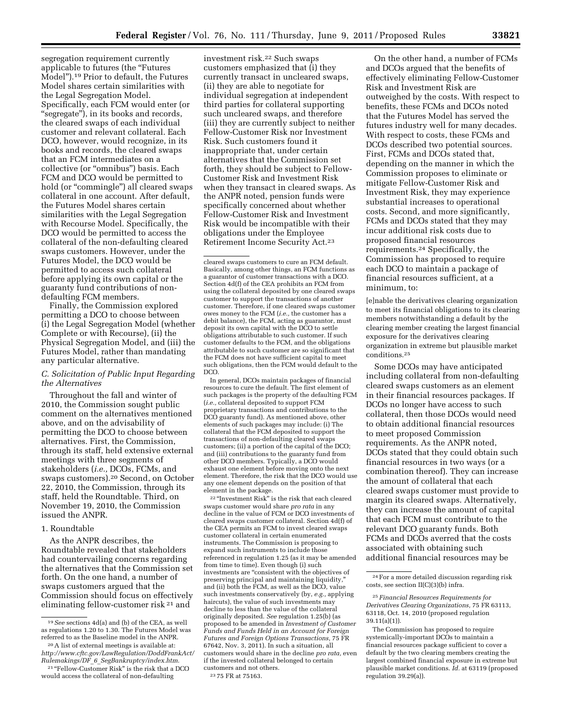segregation requirement currently applicable to futures (the ''Futures Model'').19 Prior to default, the Futures Model shares certain similarities with the Legal Segregation Model. Specifically, each FCM would enter (or "segregate"), in its books and records, the cleared swaps of each individual customer and relevant collateral. Each DCO, however, would recognize, in its books and records, the cleared swaps that an FCM intermediates on a collective (or ''omnibus'') basis. Each FCM and DCO would be permitted to hold (or "commingle") all cleared swaps collateral in one account. After default, the Futures Model shares certain similarities with the Legal Segregation with Recourse Model. Specifically, the DCO would be permitted to access the collateral of the non-defaulting cleared swaps customers. However, under the Futures Model, the DCO would be permitted to access such collateral before applying its own capital or the guaranty fund contributions of nondefaulting FCM members.

Finally, the Commission explored permitting a DCO to choose between (i) the Legal Segregation Model (whether Complete or with Recourse), (ii) the Physical Segregation Model, and (iii) the Futures Model, rather than mandating any particular alternative.

## *C. Solicitation of Public Input Regarding the Alternatives*

Throughout the fall and winter of 2010, the Commission sought public comment on the alternatives mentioned above, and on the advisability of permitting the DCO to choose between alternatives. First, the Commission, through its staff, held extensive external meetings with three segments of stakeholders (*i.e.,* DCOs, FCMs, and swaps customers).20 Second, on October 22, 2010, the Commission, through its staff, held the Roundtable. Third, on November 19, 2010, the Commission issued the ANPR.

# 1. Roundtable

As the ANPR describes, the Roundtable revealed that stakeholders had countervailing concerns regarding the alternatives that the Commission set forth. On the one hand, a number of swaps customers argued that the Commission should focus on effectively eliminating fellow-customer risk 21 and

investment risk.22 Such swaps customers emphasized that (i) they currently transact in uncleared swaps, (ii) they are able to negotiate for individual segregation at independent third parties for collateral supporting such uncleared swaps, and therefore (iii) they are currently subject to neither Fellow-Customer Risk nor Investment Risk. Such customers found it inappropriate that, under certain alternatives that the Commission set forth, they should be subject to Fellow-Customer Risk and Investment Risk when they transact in cleared swaps. As the ANPR noted, pension funds were specifically concerned about whether Fellow-Customer Risk and Investment Risk would be incompatible with their obligations under the Employee Retirement Income Security Act.23

cleared swaps customers to cure an FCM default. Basically, among other things, an FCM functions as a guarantor of customer transactions with a DCO. Section 4d(f) of the CEA prohibits an FCM from using the collateral deposited by one cleared swaps customer to support the transactions of another customer. Therefore, if one cleared swaps customer owes money to the FCM (*i.e.,* the customer has a debit balance), the FCM, acting as guarantor, must deposit its own capital with the DCO to settle obligations attributable to such customer. If such customer defaults to the FCM, and the obligations attributable to such customer are so significant that the FCM does not have sufficient capital to meet such obligations, then the FCM would default to the DCO.

In general, DCOs maintain packages of financial resources to cure the default. The first element of such packages is the property of the defaulting FCM (*i.e.,* collateral deposited to support FCM proprietary transactions and contributions to the DCO guaranty fund). As mentioned above, other elements of such packages may include: (i) The collateral that the FCM deposited to support the transactions of non-defaulting cleared swaps customers; (ii) a portion of the capital of the DCO; and (iii) contributions to the guaranty fund from other DCO members. Typically, a DCO would exhaust one element before moving onto the next element. Therefore, the risk that the DCO would use any one element depends on the position of that element in the package.

<sup>22</sup> "Investment Risk" is the risk that each cleared swaps customer would share *pro rata* in any decline in the value of FCM or DCO investments of cleared swaps customer collateral. Section 4d(f) of the CEA permits an FCM to invest cleared swaps customer collateral in certain enumerated instruments. The Commission is proposing to expand such instruments to include those referenced in regulation 1.25 (as it may be amended from time to time). Even though (i) such investments are ''consistent with the objectives of preserving principal and maintaining liquidity,'' and (ii) both the FCM, as well as the DCO, value such investments conservatively (by, *e.g.,* applying haircuts), the value of such investments may decline to less than the value of the collateral originally deposited. *See* regulation 1.25(b) (as proposed to be amended in *Investment of Customer Funds and Funds Held in an Account for Foreign Futures and Foreign Options Transactions,* 75 FR 67642, Nov. 3, 2011). In such a situation, all customers would share in the decline *pro rata,* even if the invested collateral belonged to certain customers and not others. 23 75 FR at 75163.

On the other hand, a number of FCMs and DCOs argued that the benefits of effectively eliminating Fellow-Customer Risk and Investment Risk are outweighed by the costs. With respect to benefits, these FCMs and DCOs noted that the Futures Model has served the futures industry well for many decades. With respect to costs, these FCMs and DCOs described two potential sources. First, FCMs and DCOs stated that, depending on the manner in which the Commission proposes to eliminate or mitigate Fellow-Customer Risk and Investment Risk, they may experience substantial increases to operational costs. Second, and more significantly, FCMs and DCOs stated that they may incur additional risk costs due to proposed financial resources requirements.24 Specifically, the Commission has proposed to require each DCO to maintain a package of financial resources sufficient, at a minimum, to:

[e]nable the derivatives clearing organization to meet its financial obligations to its clearing members notwithstanding a default by the clearing member creating the largest financial exposure for the derivatives clearing organization in extreme but plausible market conditions.25

Some DCOs may have anticipated including collateral from non-defaulting cleared swaps customers as an element in their financial resources packages. If DCOs no longer have access to such collateral, then those DCOs would need to obtain additional financial resources to meet proposed Commission requirements. As the ANPR noted, DCOs stated that they could obtain such financial resources in two ways (or a combination thereof). They can increase the amount of collateral that each cleared swaps customer must provide to margin its cleared swaps. Alternatively, they can increase the amount of capital that each FCM must contribute to the relevant DCO guaranty funds. Both FCMs and DCOs averred that the costs associated with obtaining such additional financial resources may be

<sup>19</sup>*See* sections 4d(a) and (b) of the CEA, as well as regulations 1.20 to 1.30. The Futures Model was referred to as the Baseline model in the ANPR.

<sup>20</sup>A list of external meetings is available at: *[http://www.cftc.gov/LawRegulation/DoddFrankAct/](http://www.cftc.gov/LawRegulation/DoddFrankAct/Rulemakings/DF_6_SegBankruptcy/index.htm)  Rulemakings/DF*\_*6*\_*[SegBankruptcy/index.htm](http://www.cftc.gov/LawRegulation/DoddFrankAct/Rulemakings/DF_6_SegBankruptcy/index.htm)*.

<sup>&</sup>lt;sup>21</sup> "Fellow-Customer Risk" is the risk that a DCO would access the collateral of non-defaulting

<sup>24</sup>For a more detailed discussion regarding risk costs, see section II(C)(3)(b) infra.

<sup>25</sup>*Financial Resources Requirements for Derivatives Clearing Organizations,* 75 FR 63113, 63118, Oct. 14, 2010 (proposed regulation 39.11(a)(1)).

The Commission has proposed to require systemically-important DCOs to maintain a financial resources package sufficient to cover a default by the two clearing members creating the largest combined financial exposure in extreme but plausible market conditions. *Id.* at 63119 (proposed regulation 39.29(a)).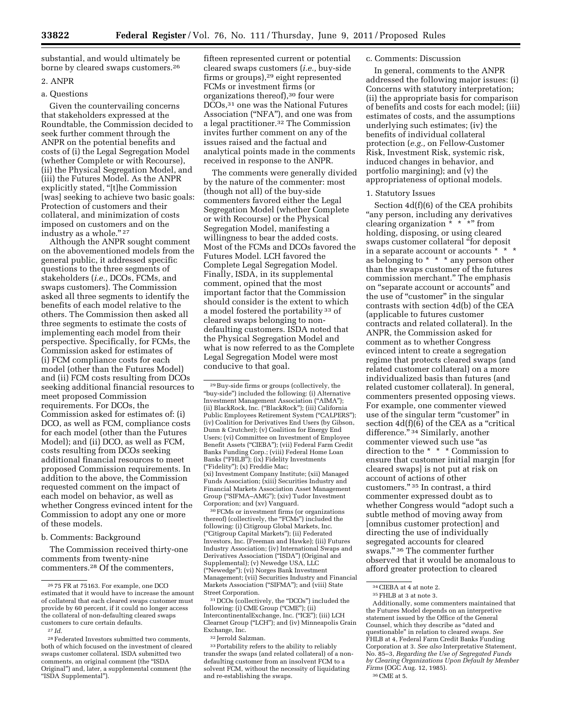substantial, and would ultimately be borne by cleared swaps customers.26

# 2. ANPR

# a. Questions

Given the countervailing concerns that stakeholders expressed at the Roundtable, the Commission decided to seek further comment through the ANPR on the potential benefits and costs of (i) the Legal Segregation Model (whether Complete or with Recourse), (ii) the Physical Segregation Model, and (iii) the Futures Model. As the ANPR explicitly stated, "[t]he Commission [was] seeking to achieve two basic goals: Protection of customers and their collateral, and minimization of costs imposed on customers and on the industry as a whole."<sup>27</sup>

Although the ANPR sought comment on the abovementioned models from the general public, it addressed specific questions to the three segments of stakeholders (*i.e.,* DCOs, FCMs, and swaps customers). The Commission asked all three segments to identify the benefits of each model relative to the others. The Commission then asked all three segments to estimate the costs of implementing each model from their perspective. Specifically, for FCMs, the Commission asked for estimates of (i) FCM compliance costs for each model (other than the Futures Model) and (ii) FCM costs resulting from DCOs seeking additional financial resources to meet proposed Commission requirements. For DCOs, the Commission asked for estimates of: (i) DCO, as well as FCM, compliance costs for each model (other than the Futures Model); and (ii) DCO, as well as FCM, costs resulting from DCOs seeking additional financial resources to meet proposed Commission requirements. In addition to the above, the Commission requested comment on the impact of each model on behavior, as well as whether Congress evinced intent for the Commission to adopt any one or more of these models.

#### b. Comments: Background

The Commission received thirty-one comments from twenty-nine commenters.28 Of the commenters,

fifteen represented current or potential cleared swaps customers (*i.e.,* buy-side firms or groups),29 eight represented FCMs or investment firms (or organizations thereof),30 four were DCOs,31 one was the National Futures Association (''NFA''), and one was from a legal practitioner.32 The Commission invites further comment on any of the issues raised and the factual and analytical points made in the comments received in response to the ANPR.

The comments were generally divided by the nature of the commenter: most (though not all) of the buy-side commenters favored either the Legal Segregation Model (whether Complete or with Recourse) or the Physical Segregation Model, manifesting a willingness to bear the added costs. Most of the FCMs and DCOs favored the Futures Model. LCH favored the Complete Legal Segregation Model. Finally, ISDA, in its supplemental comment, opined that the most important factor that the Commission should consider is the extent to which a model fostered the portability 33 of cleared swaps belonging to nondefaulting customers. ISDA noted that the Physical Segregation Model and what is now referred to as the Complete Legal Segregation Model were most conducive to that goal.

30FCMs or investment firms (or organizations thereof) (collectively, the "FCMs") included the following: (i) Citigroup Global Markets, Inc. (''Citigroup Capital Markets''); (ii) Federated Investors, Inc. (Freeman and Hawke); (iii) Futures Industry Association; (iv) International Swaps and Derivatives Association ("ISDA") (Original and Supplemental); (v) Newedge USA, LLC (''Newedge''); (vi) Norges Bank Investment Management; (vii) Securities Industry and Financial Markets Association (''SIFMA''); and (viii) State Street Corporation.

31 DCOs (collectively, the ''DCOs'') included the following: (i) CME Group ("CME"); (ii) IntercontinentalExchange, Inc. (''ICE''); (iii) LCH Clearnet Group (''LCH''); and (iv) Minneapolis Grain Exchange, Inc.

32 Jerrold Salzman.

33 Portability refers to the ability to reliably transfer the swaps (and related collateral) of a nondefaulting customer from an insolvent FCM to a solvent FCM, without the necessity of liquidating and re-establishing the swaps.

## c. Comments: Discussion

In general, comments to the ANPR addressed the following major issues: (i) Concerns with statutory interpretation; (ii) the appropriate basis for comparison of benefits and costs for each model; (iii) estimates of costs, and the assumptions underlying such estimates; (iv) the benefits of individual collateral protection (*e.g.,* on Fellow-Customer Risk, Investment Risk, systemic risk, induced changes in behavior, and portfolio margining); and (v) the appropriateness of optional models.

#### 1. Statutory Issues

Section 4d(f)(6) of the CEA prohibits "any person, including any derivatives clearing organization  $\check{f}$  \* \* \*" from holding, disposing, or using cleared swaps customer collateral ''for deposit in a separate account or accounts \* \* \* as belonging to \* \* \* any person other than the swaps customer of the futures commission merchant.'' The emphasis on ''separate account or accounts'' and the use of "customer" in the singular contrasts with section 4d(b) of the CEA (applicable to futures customer contracts and related collateral). In the ANPR, the Commission asked for comment as to whether Congress evinced intent to create a segregation regime that protects cleared swaps (and related customer collateral) on a more individualized basis than futures (and related customer collateral). In general, commenters presented opposing views. For example, one commenter viewed use of the singular term "customer" in section  $4d(f)(6)$  of the CEA as a "critical" difference." 34 Similarly, another commenter viewed such use ''as direction to the \* \* \* Commission to ensure that customer initial margin [for cleared swaps] is not put at risk on account of actions of other customers.'' 35 In contrast, a third commenter expressed doubt as to whether Congress would "adopt such a subtle method of moving away from [omnibus customer protection] and directing the use of individually segregated accounts for cleared swaps.'' 36 The commenter further observed that it would be anomalous to afford greater protection to cleared

Additionally, some commenters maintained that the Futures Model depends on an interpretive statement issued by the Office of the General Counsel, which they describe as ''dated and questionable'' in relation to cleared swaps. *See*  FHLB at 4, Federal Farm Credit Banks Funding Corporation at 3. *See also* Interpretative Statement, No. 85–3, *Regarding the Use of Segregated Funds by Clearing Organizations Upon Default by Member Firms* (OGC Aug. 12, 1985). 36CME at 5.

<sup>26</sup> 75 FR at 75163. For example, one DCO estimated that it would have to increase the amount of collateral that each cleared swaps customer must provide by 60 percent, if it could no longer access the collateral of non-defaulting cleared swaps customers to cure certain defaults.

<sup>27</sup> *Id*.

<sup>28</sup>Federated Investors submitted two comments, both of which focused on the investment of cleared swaps customer collateral. ISDA submitted two comments, an original comment (the ''ISDA Original'') and, later, a supplemental comment (the ''ISDA Supplemental'').

<sup>29</sup>Buy-side firms or groups (collectively, the ''buy-side'') included the following: (i) Alternative Investment Management Association (''AIMA''); (ii) BlackRock, Inc. (''BlackRock''); (iii) California Public Employees Retirement System (''CALPERS''); (iv) Coalition for Derivatives End Users (by Gibson, Dunn & Crutcher); (v) Coalition for Energy End Users; (vi) Committee on Investment of Employee Benefit Assets (''CIEBA''); (vii) Federal Farm Credit Banks Funding Corp.; (viii) Federal Home Loan Banks ("FHLB"); (ix) Fidelity Investments (''Fidelity''); (x) Freddie Mac; (xi) Investment Company Institute; (xii) Managed Funds Association; (xiii) Securities Industry and Financial Markets Association Asset Management Group (''SIFMA–AMG''); (xiv) Tudor Investment Corporation; and (xv) Vanguard.

 $34$  CIEBA at 4 at note 2.<br> $35$  FHLB at 3 at note 3.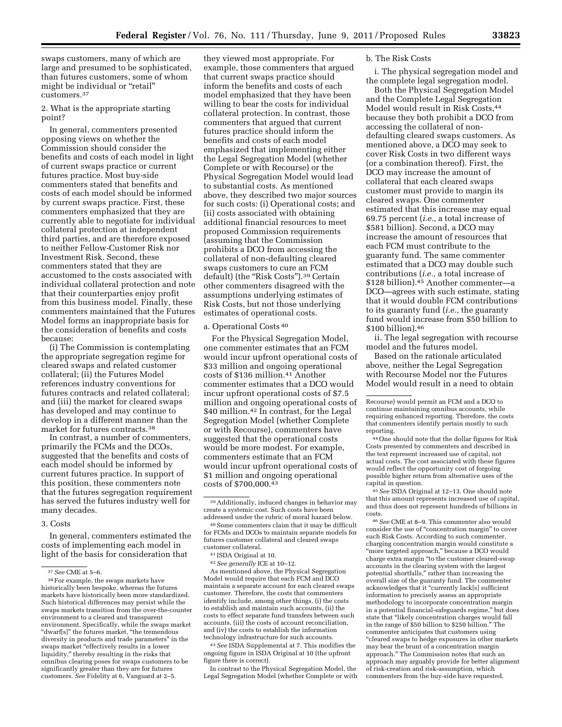swaps customers, many of which are large and presumed to be sophisticated, than futures customers, some of whom might be individual or "retail" customers.37

2. What is the appropriate starting point?

In general, commenters presented opposing views on whether the Commission should consider the benefits and costs of each model in light of current swaps practice or current futures practice. Most buy-side commenters stated that benefits and costs of each model should be informed by current swaps practice. First, these commenters emphasized that they are currently able to negotiate for individual collateral protection at independent third parties, and are therefore exposed to neither Fellow-Customer Risk nor Investment Risk. Second, these commenters stated that they are accustomed to the costs associated with individual collateral protection and note that their counterparties enjoy profit from this business model. Finally, these commenters maintained that the Futures Model forms an inappropriate basis for the consideration of benefits and costs because:

(i) The Commission is contemplating the appropriate segregation regime for cleared swaps and related customer collateral; (ii) the Futures Model references industry conventions for futures contracts and related collateral; and (iii) the market for cleared swaps has developed and may continue to develop in a different manner than the market for futures contracts.38

In contrast, a number of commenters, primarily the FCMs and the DCOs, suggested that the benefits and costs of each model should be informed by current futures practice. In support of this position, these commenters note that the futures segregation requirement has served the futures industry well for many decades.

## 3. Costs

In general, commenters estimated the costs of implementing each model in light of the basis for consideration that

they viewed most appropriate. For example, those commenters that argued that current swaps practice should inform the benefits and costs of each model emphasized that they have been willing to bear the costs for individual collateral protection. In contrast, those commenters that argued that current futures practice should inform the benefits and costs of each model emphasized that implementing either the Legal Segregation Model (whether Complete or with Recourse) or the Physical Segregation Model would lead to substantial costs. As mentioned above, they described two major sources for such costs: (i) Operational costs; and (ii) costs associated with obtaining additional financial resources to meet proposed Commission requirements (assuming that the Commission prohibits a DCO from accessing the collateral of non-defaulting cleared swaps customers to cure an FCM default) (the "Risk Costs").<sup>39</sup> Certain other commenters disagreed with the assumptions underlying estimates of Risk Costs, but not those underlying estimates of operational costs.

# a. Operational Costs 40

For the Physical Segregation Model, one commenter estimates that an FCM would incur upfront operational costs of \$33 million and ongoing operational costs of \$136 million.41 Another commenter estimates that a DCO would incur upfront operational costs of \$7.5 million and ongoing operational costs of \$40 million.<sup>42</sup> In contrast, for the Legal Segregation Model (whether Complete or with Recourse), commenters have suggested that the operational costs would be more modest. For example, commenters estimate that an FCM would incur upfront operational costs of \$1 million and ongoing operational costs of \$700,000.43

As mentioned above, the Physical Segregation Model would require that each FCM and DCO maintain a separate account for each cleared swaps customer. Therefore, the costs that commenters identify include, among other things, (i) the costs to establish and maintain such accounts, (ii) the costs to effect separate fund transfers between such accounts, (iii) the costs of account reconciliation, and (iv) the costs to establish the information technology infrastructure for such accounts.

43*See* ISDA Supplemental at 7. This modifies the ongoing figure in ISDA Original at 10 (the upfront figure there is correct).

In contrast to the Physical Segregation Model, the Legal Segregation Model (whether Complete or with

#### b. The Risk Costs

i. The physical segregation model and the complete legal segregation model.

Both the Physical Segregation Model and the Complete Legal Segregation Model would result in Risk Costs, 44 because they both prohibit a DCO from accessing the collateral of nondefaulting cleared swaps customers. As mentioned above, a DCO may seek to cover Risk Costs in two different ways (or a combination thereof). First, the DCO may increase the amount of collateral that each cleared swaps customer must provide to margin its cleared swaps. One commenter estimated that this increase may equal 69.75 percent (*i.e.,* a total increase of \$581 billion). Second, a DCO may increase the amount of resources that each FCM must contribute to the guaranty fund. The same commenter estimated that a DCO may double such contributions (*i.e.,* a total increase of \$128 billion).45 Another commenter—a DCO—agrees with such estimate, stating that it would double FCM contributions to its guaranty fund (*i.e.,* the guaranty fund would increase from \$50 billion to \$100 billion).46

ii. The legal segregation with recourse model and the futures model.

Based on the rationale articulated above, neither the Legal Segregation with Recourse Model nor the Futures Model would result in a need to obtain

44One should note that the dollar figures for Risk Costs presented by commenters and described in the text represent increased use of capital, not actual costs. The cost associated with these figures would reflect the opportunity cost of forgoing possible higher return from alternative uses of the capital in question.

45*See* ISDA Original at 12–13. One should note that this amount represents increased use of capital, and thus does not represent hundreds of billions in costs.

46*See* CME at 8–9. This commenter also would consider the use of ''concentration margin'' to cover such Risk Costs. According to such commenter, charging concentration margin would constitute a ''more targeted approach,'' because a DCO would charge extra margin ''to the customer cleared-swap accounts in the clearing system with the largest potential shortfalls,'' rather than increasing the overall size of the guaranty fund. The commenter acknowledges that it ''currently lack[s] sufficient information to precisely assess an appropriate methodology to incorporate concentration margin in a potential financial-safeguards regime,'' but does state that "likely concentration charges would fall in the range of \$50 billion to \$250 billion.'' The commenter anticipates that customers using ''cleared swaps to hedge exposures in other markets may bear the brunt of a concentration margin approach.'' The Commission notes that such an approach may arguably provide for better alignment of risk-creation and risk-assumption, which commenters from the buy-side have requested.

<sup>37</sup>*See* CME at 5–6.

<sup>38</sup>For example, the swaps markets have historically been bespoke, whereas the futures markets have historically been more standardized. Such historical differences may persist while the swaps markets transition from the over-the-counter environment to a cleared and transparent environment. Specifically, while the swaps market "dwarf[s]" the futures market, "the tremendous diversity in products and trade parameters'' in the swaps market ''effectively results in a lower liquidity,'' thereby resulting in the risks that omnibus clearing poses for swaps customers to be significantly greater than they are for futures customers. *See* Fidelity at 6, Vanguard at 2–5.

<sup>39</sup>Additionally, induced changes in behavior may create a systemic cost. Such costs have been addressed under the rubric of moral hazard below.

<sup>40</sup>Some commenters claim that it may be difficult for FCMs and DCOs to maintain separate models for futures customer collateral and cleared swaps customer collateral.

<sup>41</sup> ISDA Original at 10.

<sup>42</sup>*See generally* ICE at 10–12.

Recourse) would permit an FCM and a DCO to continue maintaining omnibus accounts, while requiring enhanced reporting. Therefore, the costs that commenters identify pertain mostly to such reporting.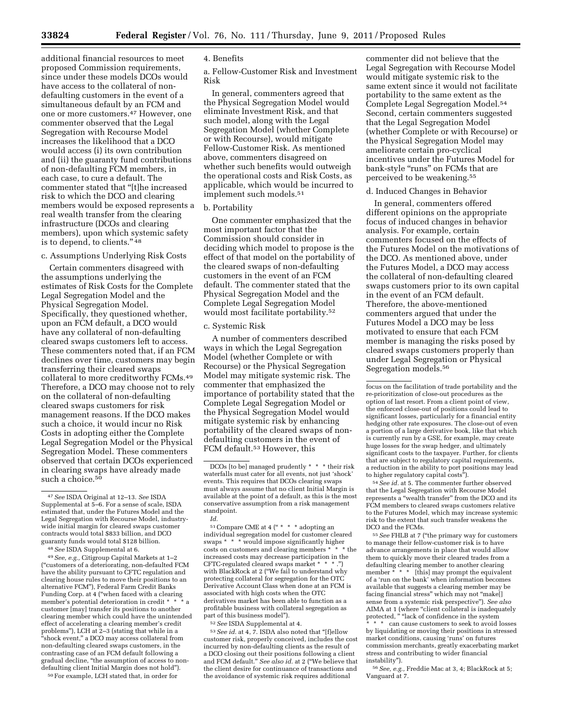additional financial resources to meet proposed Commission requirements, since under these models DCOs would have access to the collateral of nondefaulting customers in the event of a simultaneous default by an FCM and one or more customers.47 However, one commenter observed that the Legal Segregation with Recourse Model increases the likelihood that a DCO would access (i) its own contribution and (ii) the guaranty fund contributions of non-defaulting FCM members, in each case, to cure a default. The commenter stated that ''[t]he increased risk to which the DCO and clearing members would be exposed represents a real wealth transfer from the clearing infrastructure (DCOs and clearing members), upon which systemic safety is to depend, to clients.'' 48

# c. Assumptions Underlying Risk Costs

Certain commenters disagreed with the assumptions underlying the estimates of Risk Costs for the Complete Legal Segregation Model and the Physical Segregation Model. Specifically, they questioned whether, upon an FCM default, a DCO would have any collateral of non-defaulting cleared swaps customers left to access. These commenters noted that, if an FCM declines over time, customers may begin transferring their cleared swaps collateral to more creditworthy FCMs.49 Therefore, a DCO may choose not to rely on the collateral of non-defaulting cleared swaps customers for risk management reasons. If the DCO makes such a choice, it would incur no Risk Costs in adopting either the Complete Legal Segregation Model or the Physical Segregation Model. These commenters observed that certain DCOs experienced in clearing swaps have already made such a choice.<sup>50</sup>

48*See* ISDA Supplemental at 6.

49*See, e.g.,* Citigroup Capital Markets at 1–2 (''customers of a deteriorating, non-defaulted FCM have the ability pursuant to CFTC regulation and clearing house rules to move their positions to an<br>alternative FCM"), Federal Farm Credit Banks alternative FCM''), Federal Farm Credit Banks Funding Corp. at 4 (''when faced with a clearing member's potential deterioration in credit \* \* \* a customer [may] transfer its positions to another clearing member which could have the unintended effect of accelerating a clearing member's credit problems''), LCH at 2–3 (stating that while in a ''shock event,'' a DCO may access collateral from non-defaulting cleared swaps customers, in the contrasting case of an FCM default following a gradual decline, ''the assumption of access to nondefaulting client Initial Margin does not hold'').

50For example, LCH stated that, in order for

## 4. Benefits

a. Fellow-Customer Risk and Investment Risk

In general, commenters agreed that the Physical Segregation Model would eliminate Investment Risk, and that such model, along with the Legal Segregation Model (whether Complete or with Recourse), would mitigate Fellow-Customer Risk. As mentioned above, commenters disagreed on whether such benefits would outweigh the operational costs and Risk Costs, as applicable, which would be incurred to implement such models.51

#### b. Portability

One commenter emphasized that the most important factor that the Commission should consider in deciding which model to propose is the effect of that model on the portability of the cleared swaps of non-defaulting customers in the event of an FCM default. The commenter stated that the Physical Segregation Model and the Complete Legal Segregation Model would most facilitate portability.52

## c. Systemic Risk

A number of commenters described ways in which the Legal Segregation Model (whether Complete or with Recourse) or the Physical Segregation Model may mitigate systemic risk. The commenter that emphasized the importance of portability stated that the Complete Legal Segregation Model or the Physical Segregation Model would mitigate systemic risk by enhancing portability of the cleared swaps of nondefaulting customers in the event of FCM default.<sup>53</sup> However, this

<sup>51</sup> Compare CME at 4 (" \* \* \* adopting an individual segregation model for customer cleared swaps \* \* \* would impose significantly higher costs on customers and clearing members \* \* \* the increased costs may decrease participation in the CFTC-regulated cleared swaps market \* \* \* with BlackRock at 2 (''We fail to understand why protecting collateral for segregation for the OTC Derivative Account Class when done at an FCM is associated with high costs when the OTC derivatives market has been able to function as a profitable business with collateral segregation as part of this business model'').

52*See* ISDA Supplemental at 4.

<sup>53</sup> See id. at 4, 7. ISDA also noted that "[f]ellow customer risk, properly conceived, includes the cost incurred by non-defaulting clients as the result of a DCO closing out their positions following a client and FCM default.'' *See also id.* at 2 (''We believe that the client desire for continuance of transactions and the avoidance of systemic risk requires additional

commenter did not believe that the Legal Segregation with Recourse Model would mitigate systemic risk to the same extent since it would not facilitate portability to the same extent as the Complete Legal Segregation Model.54 Second, certain commenters suggested that the Legal Segregation Model (whether Complete or with Recourse) or the Physical Segregation Model may ameliorate certain pro-cyclical incentives under the Futures Model for bank-style "runs" on FCMs that are perceived to be weakening.55

# d. Induced Changes in Behavior

In general, commenters offered different opinions on the appropriate focus of induced changes in behavior analysis. For example, certain commenters focused on the effects of the Futures Model on the motivations of the DCO. As mentioned above, under the Futures Model, a DCO may access the collateral of non-defaulting cleared swaps customers prior to its own capital in the event of an FCM default. Therefore, the above-mentioned commenters argued that under the Futures Model a DCO may be less motivated to ensure that each FCM member is managing the risks posed by cleared swaps customers properly than under Legal Segregation or Physical Segregation models.<sup>56</sup>

54*See id.* at 5. The commenter further observed that the Legal Segregation with Recourse Model represents a "wealth transfer" from the DCO and its FCM members to cleared swaps customers relative to the Futures Model, which may increase systemic risk to the extent that such transfer weakens the DCO and the FCMs.

55*See* FHLB at 7 (''the primary way for customers to manage their fellow-customer risk is to have advance arrangements in place that would allow them to quickly move their cleared trades from a defaulting clearing member to another clearing member \* \* \* [this] may prompt the equivalent of a 'run on the bank' when information becomes available that suggests a clearing member may be facing financial stress" which may not "make[] sense from a systemic risk perspective''). *See also*  AIMA at 1 (where "client collateral is inadequately protected, " "lack of confidence in the system can cause customers to seek to avoid losses by liquidating or moving their positions in stressed

market conditions, causing 'runs' on futures commission merchants, greatly exacerbating market stress and contributing to wider financial instability'').

56*See, e.g.,* Freddie Mac at 3, 4; BlackRock at 5; Vanguard at 7.

<sup>47</sup>*See* ISDA Original at 12–13. *See* ISDA Supplemental at 5–6. For a sense of scale, ISDA estimated that, under the Futures Model and the Legal Segregation with Recourse Model, industrywide initial margin for cleared swaps customer contracts would total \$833 billion, and DCO guaranty funds would total \$128 billion.

DCOs [to be] managed prudently \* \* \* their risk waterfalls must cater for all events, not just 'shock' events. This requires that DCOs clearing swaps must always assume that no client Initial Margin is available at the point of a default, as this is the most conservative assumption from a risk management standpoint.

*Id.* 

focus on the facilitation of trade portability and the re-prioritization of close-out procedures as the option of last resort. From a client point of view, the enforced close-out of positions could lead to significant losses, particularly for a financial entity hedging other rate exposures. The close-out of even a portion of a large derivative book, like that which is currently run by a GSE, for example, may create huge losses for the swap hedger, and ultimately significant costs to the taxpayer. Further, for clients that are subject to regulatory capital requirements, a reduction in the ability to port positions may lead to higher regulatory capital costs'').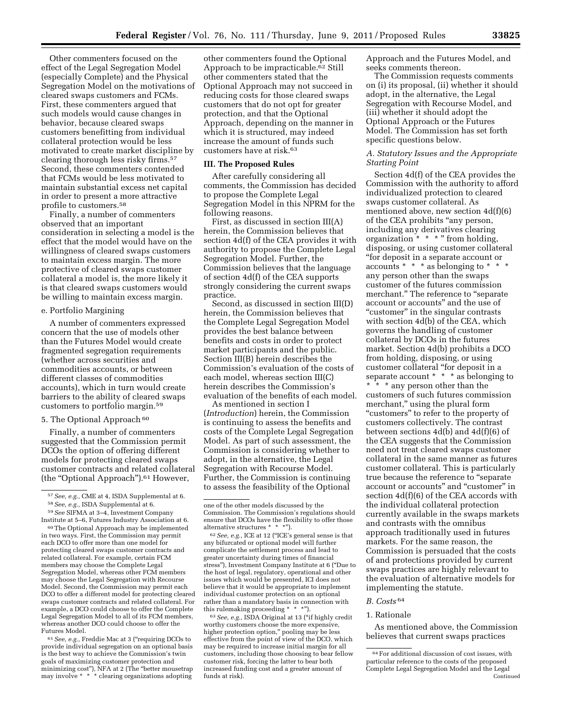Other commenters focused on the effect of the Legal Segregation Model (especially Complete) and the Physical Segregation Model on the motivations of cleared swaps customers and FCMs. First, these commenters argued that such models would cause changes in behavior, because cleared swaps customers benefitting from individual collateral protection would be less motivated to create market discipline by clearing thorough less risky firms.57 Second, these commenters contended that FCMs would be less motivated to maintain substantial excess net capital in order to present a more attractive profile to customers.58

Finally, a number of commenters observed that an important consideration in selecting a model is the effect that the model would have on the willingness of cleared swaps customers to maintain excess margin. The more protective of cleared swaps customer collateral a model is, the more likely it is that cleared swaps customers would be willing to maintain excess margin.

#### e. Portfolio Margining

A number of commenters expressed concern that the use of models other than the Futures Model would create fragmented segregation requirements (whether across securities and commodities accounts, or between different classes of commodities accounts), which in turn would create barriers to the ability of cleared swaps customers to portfolio margin.59

# 5. The Optional Approach<sup>60</sup>

Finally, a number of commenters suggested that the Commission permit DCOs the option of offering different models for protecting cleared swaps customer contracts and related collateral (the "Optional Approach").<sup>61</sup> However,

59*See* SIFMA at 3–4, Investment Company Institute at 5–6, Futures Industry Association at 6. 60The Optional Approach may be implemented in two ways. First, the Commission may permit each DCO to offer more than one model for protecting cleared swaps customer contracts and related collateral. For example, certain FCM members may choose the Complete Legal Segregation Model, whereas other FCM members may choose the Legal Segregation with Recourse Model. Second, the Commission may permit each DCO to offer a different model for protecting cleared swaps customer contracts and related collateral. For example, a DCO could choose to offer the Complete Legal Segregation Model to all of its FCM members, whereas another DCO could choose to offer the

61*See, e.g.,* Freddie Mac at 3 (''requiring DCOs to provide individual segregation on an optional basis is the best way to achieve the Commission's twin goals of maximizing customer protection and minimizing cost''), NFA at 2 (The ''better mousetrap may involve \* \* \* clearing organizations adopting

Futures Model.

other commenters found the Optional Approach to be impracticable.62 Still other commenters stated that the Optional Approach may not succeed in reducing costs for those cleared swaps customers that do not opt for greater protection, and that the Optional Approach, depending on the manner in which it is structured, may indeed increase the amount of funds such customers have at risk.63

#### **III. The Proposed Rules**

After carefully considering all comments, the Commission has decided to propose the Complete Legal Segregation Model in this NPRM for the following reasons.

First, as discussed in section III(A) herein, the Commission believes that section 4d(f) of the CEA provides it with authority to propose the Complete Legal Segregation Model. Further, the Commission believes that the language of section 4d(f) of the CEA supports strongly considering the current swaps practice.

Second, as discussed in section III(D) herein, the Commission believes that the Complete Legal Segregation Model provides the best balance between benefits and costs in order to protect market participants and the public. Section III(B) herein describes the Commission's evaluation of the costs of each model, whereas section III(C) herein describes the Commission's evaluation of the benefits of each model.

As mentioned in section I (*Introduction*) herein, the Commission is continuing to assess the benefits and costs of the Complete Legal Segregation Model. As part of such assessment, the Commission is considering whether to adopt, in the alternative, the Legal Segregation with Recourse Model. Further, the Commission is continuing to assess the feasibility of the Optional

<sup>63</sup> See, e.g., ISDA Original at 13 ("if highly credit worthy customers choose the more expensive, higher protection option,'' pooling may be less effective from the point of view of the DCO, which may be required to increase initial margin for all customers, including those choosing to bear fellow customer risk, forcing the latter to bear both increased funding cost and a greater amount of funds at risk).

Approach and the Futures Model, and seeks comments thereon.

The Commission requests comments on (i) its proposal, (ii) whether it should adopt, in the alternative, the Legal Segregation with Recourse Model, and (iii) whether it should adopt the Optional Approach or the Futures Model. The Commission has set forth specific questions below.

## *A. Statutory Issues and the Appropriate Starting Point*

Section 4d(f) of the CEA provides the Commission with the authority to afford individualized protection to cleared swaps customer collateral. As mentioned above, new section 4d(f)(6) of the CEA prohibits ''any person, including any derivatives clearing organization \* \* \* '' from holding, disposing, or using customer collateral ''for deposit in a separate account or accounts  $* * *$  as belonging to  $*$ any person other than the swaps customer of the futures commission merchant.'' The reference to ''separate account or accounts'' and the use of "customer" in the singular contrasts with section 4d(b) of the CEA, which governs the handling of customer collateral by DCOs in the futures market. Section 4d(b) prohibits a DCO from holding, disposing, or using customer collateral ''for deposit in a separate account \* \* \* as belonging to \* \* \* any person other than the customers of such futures commission merchant," using the plural form ''customers'' to refer to the property of customers collectively. The contrast between sections 4d(b) and 4d(f)(6) of the CEA suggests that the Commission need not treat cleared swaps customer collateral in the same manner as futures customer collateral. This is particularly true because the reference to ''separate account or accounts'' and ''customer'' in section 4d(f)(6) of the CEA accords with the individual collateral protection currently available in the swaps markets and contrasts with the omnibus approach traditionally used in futures markets. For the same reason, the Commission is persuaded that the costs of and protections provided by current swaps practices are highly relevant to the evaluation of alternative models for implementing the statute.

# *B. Costs* 64

#### 1. Rationale

As mentioned above, the Commission believes that current swaps practices

<sup>57</sup>*See, e.g.,* CME at 4, ISDA Supplemental at 6. 58*See, e.g.,* ISDA Supplemental at 6.

one of the other models discussed by the Commission. The Commission's regulations should ensure that DCOs have the flexibility to offer those alternative structures \* \* \*").

<sup>62</sup>*See, e.g.,* ICE at 12 (''ICE's general sense is that any bifurcated or optional model will further complicate the settlement process and lead to greater uncertainty during times of financial stress''), Investment Company Institute at 6 (''Due to the host of legal, regulatory, operational and other issues which would be presented, ICI does not believe that it would be appropriate to implement individual customer protection on an optional rather than a mandatory basis in connection with this rulemaking proceeding \* \* \*'').

<sup>64</sup>For additional discussion of cost issues, with particular reference to the costs of the proposed Complete Legal Segregation Model and the Legal Continued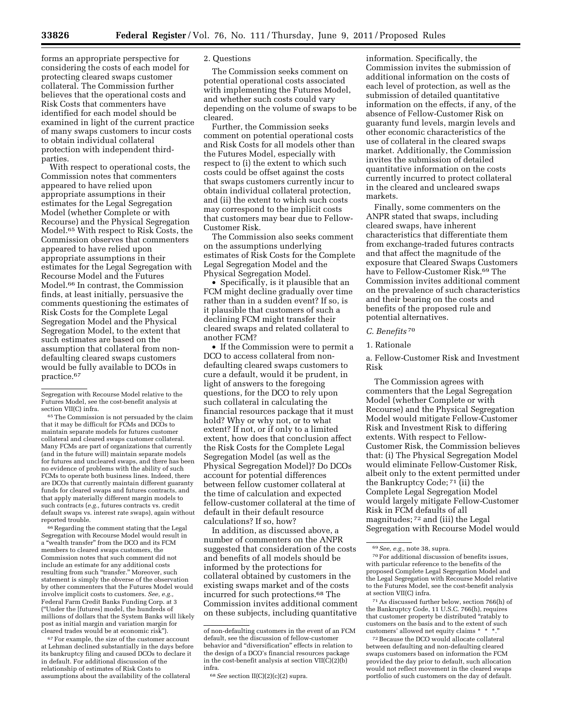forms an appropriate perspective for considering the costs of each model for protecting cleared swaps customer collateral. The Commission further believes that the operational costs and Risk Costs that commenters have identified for each model should be examined in light of the current practice of many swaps customers to incur costs to obtain individual collateral protection with independent thirdparties.

With respect to operational costs, the Commission notes that commenters appeared to have relied upon appropriate assumptions in their estimates for the Legal Segregation Model (whether Complete or with Recourse) and the Physical Segregation Model.65 With respect to Risk Costs, the Commission observes that commenters appeared to have relied upon appropriate assumptions in their estimates for the Legal Segregation with Recourse Model and the Futures Model.66 In contrast, the Commission finds, at least initially, persuasive the comments questioning the estimates of Risk Costs for the Complete Legal Segregation Model and the Physical Segregation Model, to the extent that such estimates are based on the assumption that collateral from nondefaulting cleared swaps customers would be fully available to DCOs in practice.67

Segregation with Recourse Model relative to the Futures Model, see the cost-benefit analysis at section VII(C) infra.

65The Commission is not persuaded by the claim that it may be difficult for FCMs and DCOs to maintain separate models for futures customer collateral and cleared swaps customer collateral. Many FCMs are part of organizations that currently (and in the future will) maintain separate models for futures and uncleared swaps, and there has been no evidence of problems with the ability of such FCMs to operate both business lines. Indeed, there are DCOs that currently maintain different guaranty funds for cleared swaps and futures contracts, and that apply materially different margin models to such contracts (*e.g.,* futures contracts vs. credit default swaps vs. interest rate swaps), again without reported trouble.

<sup>66</sup> Regarding the comment stating that the Legal Segregation with Recourse Model would result in a ''wealth transfer'' from the DCO and its FCM members to cleared swaps customers, the Commission notes that such comment did not include an estimate for any additional costs resulting from such "transfer." Moreover, such statement is simply the obverse of the observation by other commenters that the Futures Model would involve implicit costs to customers. See, e.g. Federal Farm Credit Banks Funding Corp. at 3 (''Under the [futures] model, the hundreds of millions of dollars that the System Banks will likely post as initial margin and variation margin for cleared trades would be at economic risk'').

67For example, the size of the customer account at Lehman declined substantially in the days before its bankruptcy filing and caused DCOs to declare it in default. For additional discussion of the relationship of estimates of Risk Costs to assumptions about the availability of the collateral

## 2. Questions

The Commission seeks comment on potential operational costs associated with implementing the Futures Model, and whether such costs could vary depending on the volume of swaps to be cleared.

Further, the Commission seeks comment on potential operational costs and Risk Costs for all models other than the Futures Model, especially with respect to (i) the extent to which such costs could be offset against the costs that swaps customers currently incur to obtain individual collateral protection, and (ii) the extent to which such costs may correspond to the implicit costs that customers may bear due to Fellow-Customer Risk.

The Commission also seeks comment on the assumptions underlying estimates of Risk Costs for the Complete Legal Segregation Model and the Physical Segregation Model.

• Specifically, is it plausible that an FCM might decline gradually over time rather than in a sudden event? If so, is it plausible that customers of such a declining FCM might transfer their cleared swaps and related collateral to another FCM?

• If the Commission were to permit a DCO to access collateral from nondefaulting cleared swaps customers to cure a default, would it be prudent, in light of answers to the foregoing questions, for the DCO to rely upon such collateral in calculating the financial resources package that it must hold? Why or why not, or to what extent? If not, or if only to a limited extent, how does that conclusion affect the Risk Costs for the Complete Legal Segregation Model (as well as the Physical Segregation Model)? Do DCOs account for potential differences between fellow customer collateral at the time of calculation and expected fellow-customer collateral at the time of default in their default resource calculations? If so, how?

In addition, as discussed above, a number of commenters on the ANPR suggested that consideration of the costs and benefits of all models should be informed by the protections for collateral obtained by customers in the existing swaps market and of the costs incurred for such protections.68 The Commission invites additional comment on these subjects, including quantitative

information. Specifically, the Commission invites the submission of additional information on the costs of each level of protection, as well as the submission of detailed quantitative information on the effects, if any, of the absence of Fellow-Customer Risk on guaranty fund levels, margin levels and other economic characteristics of the use of collateral in the cleared swaps market. Additionally, the Commission invites the submission of detailed quantitative information on the costs currently incurred to protect collateral in the cleared and uncleared swaps markets.

Finally, some commenters on the ANPR stated that swaps, including cleared swaps, have inherent characteristics that differentiate them from exchange-traded futures contracts and that affect the magnitude of the exposure that Cleared Swaps Customers have to Fellow-Customer Risk.69 The Commission invites additional comment on the prevalence of such characteristics and their bearing on the costs and benefits of the proposed rule and potential alternatives.

#### *C. Benefits* 70

#### 1. Rationale

a. Fellow-Customer Risk and Investment Risk

The Commission agrees with commenters that the Legal Segregation Model (whether Complete or with Recourse) and the Physical Segregation Model would mitigate Fellow-Customer Risk and Investment Risk to differing extents. With respect to Fellow-Customer Risk, the Commission believes that: (i) The Physical Segregation Model would eliminate Fellow-Customer Risk, albeit only to the extent permitted under the Bankruptcy Code; 71 (ii) the Complete Legal Segregation Model would largely mitigate Fellow-Customer Risk in FCM defaults of all magnitudes; 72 and (iii) the Legal Segregation with Recourse Model would

71As discussed further below, section 766(h) of the Bankruptcy Code, 11 U.S.C. 766(h), requires that customer property be distributed "ratably to customers on the basis and to the extent of such customers' allowed net equity claims \* \* \*.

72Because the DCO would allocate collateral between defaulting and non-defaulting cleared swaps customers based on information the FCM provided the day prior to default, such allocation would not reflect movement in the cleared swaps portfolio of such customers on the day of default.

of non-defaulting customers in the event of an FCM default, see the discussion of fellow-customer behavior and ''diversification'' effects in relation to the design of a DCO's financial resources package in the cost-benefit analysis at section  $VII(\bar{C})(2)(\bar{b})$ infra.

<sup>68</sup>*See* section II(C)(2)(c)(2) supra.

<sup>69</sup>*See, e.g.,* note 38, supra.

<sup>70</sup>For additional discussion of benefits issues, with particular reference to the benefits of the proposed Complete Legal Segregation Model and the Legal Segregation with Recourse Model relative to the Futures Model, see the cost-benefit analysis at section VII(C) infra.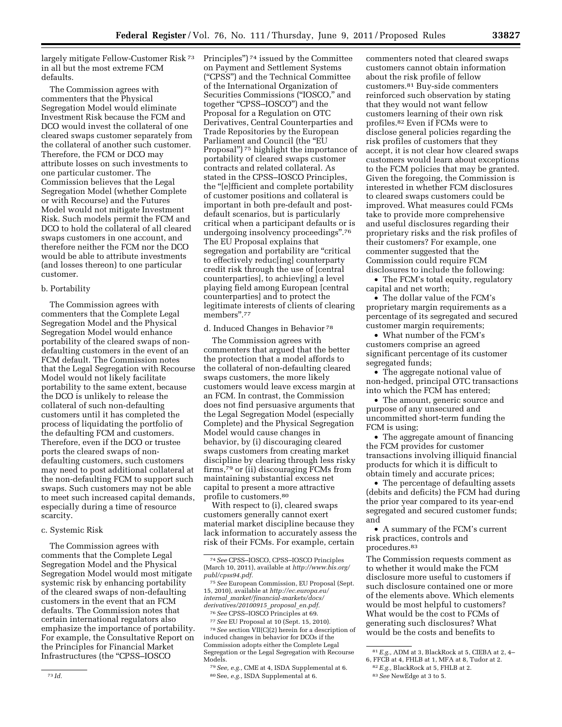largely mitigate Fellow-Customer Risk 73 in all but the most extreme FCM defaults.

The Commission agrees with commenters that the Physical Segregation Model would eliminate Investment Risk because the FCM and DCO would invest the collateral of one cleared swaps customer separately from the collateral of another such customer. Therefore, the FCM or DCO may attribute losses on such investments to one particular customer. The Commission believes that the Legal Segregation Model (whether Complete or with Recourse) and the Futures Model would not mitigate Investment Risk. Such models permit the FCM and DCO to hold the collateral of all cleared swaps customers in one account, and therefore neither the FCM nor the DCO would be able to attribute investments (and losses thereon) to one particular customer.

## b. Portability

The Commission agrees with commenters that the Complete Legal Segregation Model and the Physical Segregation Model would enhance portability of the cleared swaps of nondefaulting customers in the event of an FCM default. The Commission notes that the Legal Segregation with Recourse Model would not likely facilitate portability to the same extent, because the DCO is unlikely to release the collateral of such non-defaulting customers until it has completed the process of liquidating the portfolio of the defaulting FCM and customers. Therefore, even if the DCO or trustee ports the cleared swaps of nondefaulting customers, such customers may need to post additional collateral at the non-defaulting FCM to support such swaps. Such customers may not be able to meet such increased capital demands, especially during a time of resource scarcity.

## c. Systemic Risk

The Commission agrees with comments that the Complete Legal Segregation Model and the Physical Segregation Model would most mitigate systemic risk by enhancing portability of the cleared swaps of non-defaulting customers in the event that an FCM defaults. The Commission notes that certain international regulators also emphasize the importance of portability. For example, the Consultative Report on the Principles for Financial Market Infrastructures (the ''CPSS–IOSCO

Principles'') 74 issued by the Committee on Payment and Settlement Systems (''CPSS'') and the Technical Committee of the International Organization of Securities Commissions (''IOSCO,'' and together ''CPSS–IOSCO'') and the Proposal for a Regulation on OTC Derivatives, Central Counterparties and Trade Repositories by the European Parliament and Council (the "EU Proposal'') 75 highlight the importance of portability of cleared swaps customer contracts and related collateral. As stated in the CPSS–IOSCO Principles, the ''[e]fficient and complete portability of customer positions and collateral is important in both pre-default and postdefault scenarios, but is particularly critical when a participant defaults or is undergoing insolvency proceedings''.76 The EU Proposal explains that segregation and portability are "critical to effectively reduc[ing] counterparty credit risk through the use of [central counterparties], to achiev[ing] a level playing field among European [central counterparties] and to protect the legitimate interests of clients of clearing members''.77

#### d. Induced Changes in Behavior 78

The Commission agrees with commenters that argued that the better the protection that a model affords to the collateral of non-defaulting cleared swaps customers, the more likely customers would leave excess margin at an FCM. In contrast, the Commission does not find persuasive arguments that the Legal Segregation Model (especially Complete) and the Physical Segregation Model would cause changes in behavior, by (i) discouraging cleared swaps customers from creating market discipline by clearing through less risky firms,79 or (ii) discouraging FCMs from maintaining substantial excess net capital to present a more attractive profile to customers.80

With respect to (i), cleared swaps customers generally cannot exert material market discipline because they lack information to accurately assess the risk of their FCMs. For example, certain

77*See* EU Proposal at 10 (Sept. 15, 2010). 78*See* section VII(C)(2) herein for a description of induced changes in behavior for DCOs if the Commission adopts either the Complete Legal Segregation or the Legal Segregation with Recourse Models.

79*See, e.g.,* CME at 4, ISDA Supplemental at 6. 80See, *e.g.,* ISDA Supplemental at 6.

commenters noted that cleared swaps customers cannot obtain information about the risk profile of fellow customers.81 Buy-side commenters reinforced such observation by stating that they would not want fellow customers learning of their own risk profiles.82 Even if FCMs were to disclose general policies regarding the risk profiles of customers that they accept, it is not clear how cleared swaps customers would learn about exceptions to the FCM policies that may be granted. Given the foregoing, the Commission is interested in whether FCM disclosures to cleared swaps customers could be improved. What measures could FCMs take to provide more comprehensive and useful disclosures regarding their proprietary risks and the risk profiles of their customers? For example, one commenter suggested that the Commission could require FCM disclosures to include the following:

• The FCM's total equity, regulatory capital and net worth;

• The dollar value of the FCM's proprietary margin requirements as a percentage of its segregated and secured customer margin requirements;

• What number of the FCM's customers comprise an agreed significant percentage of its customer segregated funds;

• The aggregate notional value of non-hedged, principal OTC transactions into which the FCM has entered;

• The amount, generic source and purpose of any unsecured and uncommitted short-term funding the FCM is using;

• The aggregate amount of financing the FCM provides for customer transactions involving illiquid financial products for which it is difficult to obtain timely and accurate prices;

• The percentage of defaulting assets (debits and deficits) the FCM had during the prior year compared to its year-end segregated and secured customer funds; and

• A summary of the FCM's current risk practices, controls and procedures.83

The Commission requests comment as to whether it would make the FCM disclosure more useful to customers if such disclosure contained one or more of the elements above. Which elements would be most helpful to customers? What would be the cost to FCMs of generating such disclosures? What would be the costs and benefits to

<sup>74</sup>*See* CPSS–IOSCO, CPSS–IOSCO Principles (March 10, 2011), available at *[http://www.bis.org/](http://www.bis.org/publ/cpss94.pdf) [publ/cpss94.pdf.](http://www.bis.org/publ/cpss94.pdf)* 

<sup>75</sup>*See* European Commission, EU Proposal (Sept. 15, 2010), available at *[http://ec.europa.eu/](http://ec.europa.eu/internal_market/financial-markets/docs/derivatives/20100915_proposal_en.pdf) internal*\_*[market/financial-markets/docs/](http://ec.europa.eu/internal_market/financial-markets/docs/derivatives/20100915_proposal_en.pdf) [derivatives/20100915](http://ec.europa.eu/internal_market/financial-markets/docs/derivatives/20100915_proposal_en.pdf)*\_*proposal*\_*en.pdf.* 

<sup>76</sup>*See* CPSS–IOSCO Principles at 69.

<sup>81</sup>*E.g.,* ADM at 3, BlackRock at 5, CIEBA at 2, 4–

<sup>6,</sup> FFCB at 4, FHLB at 1, MFA at 8, Tudor at 2.

<sup>82</sup>*E.g.,* BlackRock at 5, FHLB at 2.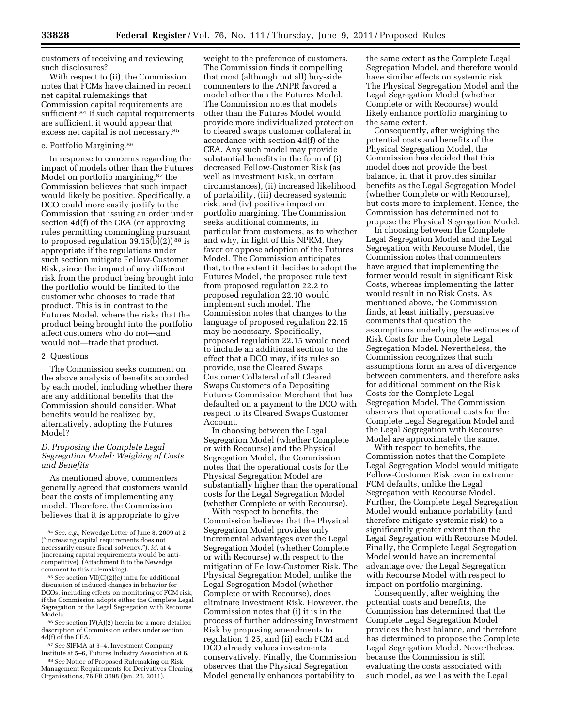customers of receiving and reviewing such disclosures?

With respect to (ii), the Commission notes that FCMs have claimed in recent net capital rulemakings that Commission capital requirements are sufficient.<sup>84</sup> If such capital requirements are sufficient, it would appear that excess net capital is not necessary.85

#### e. Portfolio Margining.86

In response to concerns regarding the impact of models other than the Futures Model on portfolio margining,<sup>87</sup> the Commission believes that such impact would likely be positive. Specifically, a DCO could more easily justify to the Commission that issuing an order under section 4d(f) of the CEA (or approving rules permitting commingling pursuant to proposed regulation  $39.15(b)(2)$ <sup>88</sup> is appropriate if the regulations under such section mitigate Fellow-Customer Risk, since the impact of any different risk from the product being brought into the portfolio would be limited to the customer who chooses to trade that product. This is in contrast to the Futures Model, where the risks that the product being brought into the portfolio affect customers who do not—and would not—trade that product.

#### 2. Questions

The Commission seeks comment on the above analysis of benefits accorded by each model, including whether there are any additional benefits that the Commission should consider. What benefits would be realized by, alternatively, adopting the Futures Model?

## *D. Proposing the Complete Legal Segregation Model: Weighing of Costs and Benefits*

As mentioned above, commenters generally agreed that customers would bear the costs of implementing any model. Therefore, the Commission believes that it is appropriate to give

86*See* section IV(A)(2) herein for a more detailed description of Commission orders under section 4d(f) of the CEA.

87*See* SIFMA at 3–4, Investment Company Institute at 5–6, Futures Industry Association at 6.

88*See* Notice of Proposed Rulemaking on Risk Management Requirements for Derivatives Clearing Organizations, 76 FR 3698 (Jan. 20, 2011).

weight to the preference of customers. The Commission finds it compelling that most (although not all) buy-side commenters to the ANPR favored a model other than the Futures Model. The Commission notes that models other than the Futures Model would provide more individualized protection to cleared swaps customer collateral in accordance with section 4d(f) of the CEA. Any such model may provide substantial benefits in the form of (i) decreased Fellow-Customer Risk (as well as Investment Risk, in certain circumstances), (ii) increased likelihood of portability, (iii) decreased systemic risk, and (iv) positive impact on portfolio margining. The Commission seeks additional comments, in particular from customers, as to whether and why, in light of this NPRM, they favor or oppose adoption of the Futures Model. The Commission anticipates that, to the extent it decides to adopt the Futures Model, the proposed rule text from proposed regulation 22.2 to proposed regulation 22.10 would implement such model. The Commission notes that changes to the language of proposed regulation 22.15 may be necessary. Specifically, proposed regulation 22.15 would need to include an additional section to the effect that a DCO may, if its rules so provide, use the Cleared Swaps Customer Collateral of all Cleared Swaps Customers of a Depositing Futures Commission Merchant that has defaulted on a payment to the DCO with respect to its Cleared Swaps Customer Account.

In choosing between the Legal Segregation Model (whether Complete or with Recourse) and the Physical Segregation Model, the Commission notes that the operational costs for the Physical Segregation Model are substantially higher than the operational costs for the Legal Segregation Model (whether Complete or with Recourse).

With respect to benefits, the Commission believes that the Physical Segregation Model provides only incremental advantages over the Legal Segregation Model (whether Complete or with Recourse) with respect to the mitigation of Fellow-Customer Risk. The Physical Segregation Model, unlike the Legal Segregation Model (whether Complete or with Recourse), does eliminate Investment Risk. However, the Commission notes that (i) it is in the process of further addressing Investment Risk by proposing amendments to regulation 1.25, and (ii) each FCM and DCO already values investments conservatively. Finally, the Commission observes that the Physical Segregation Model generally enhances portability to

the same extent as the Complete Legal Segregation Model, and therefore would have similar effects on systemic risk. The Physical Segregation Model and the Legal Segregation Model (whether Complete or with Recourse) would likely enhance portfolio margining to the same extent.

Consequently, after weighing the potential costs and benefits of the Physical Segregation Model, the Commission has decided that this model does not provide the best balance, in that it provides similar benefits as the Legal Segregation Model (whether Complete or with Recourse), but costs more to implement. Hence, the Commission has determined not to propose the Physical Segregation Model.

In choosing between the Complete Legal Segregation Model and the Legal Segregation with Recourse Model, the Commission notes that commenters have argued that implementing the former would result in significant Risk Costs, whereas implementing the latter would result in no Risk Costs. As mentioned above, the Commission finds, at least initially, persuasive comments that question the assumptions underlying the estimates of Risk Costs for the Complete Legal Segregation Model. Nevertheless, the Commission recognizes that such assumptions form an area of divergence between commenters, and therefore asks for additional comment on the Risk Costs for the Complete Legal Segregation Model. The Commission observes that operational costs for the Complete Legal Segregation Model and the Legal Segregation with Recourse Model are approximately the same.

With respect to benefits, the Commission notes that the Complete Legal Segregation Model would mitigate Fellow-Customer Risk even in extreme FCM defaults, unlike the Legal Segregation with Recourse Model. Further, the Complete Legal Segregation Model would enhance portability (and therefore mitigate systemic risk) to a significantly greater extent than the Legal Segregation with Recourse Model. Finally, the Complete Legal Segregation Model would have an incremental advantage over the Legal Segregation with Recourse Model with respect to impact on portfolio margining.

Consequently, after weighing the potential costs and benefits, the Commission has determined that the Complete Legal Segregation Model provides the best balance, and therefore has determined to propose the Complete Legal Segregation Model. Nevertheless, because the Commission is still evaluating the costs associated with such model, as well as with the Legal

<sup>84</sup>*See, e.g.,* Newedge Letter of June 8, 2009 at 2 (''increasing capital requirements does not necessarily ensure fiscal solvency.''), *id.* at 4 (increasing capital requirements would be anticompetitive). (Attachment B to the Newedge comment to this rulemaking).

<sup>85</sup>*See* section VII(C)(2)(c) infra for additional discussion of induced changes in behavior for DCOs, including effects on monitoring of FCM risk, if the Commission adopts either the Complete Legal Segregation or the Legal Segregation with Recourse Models.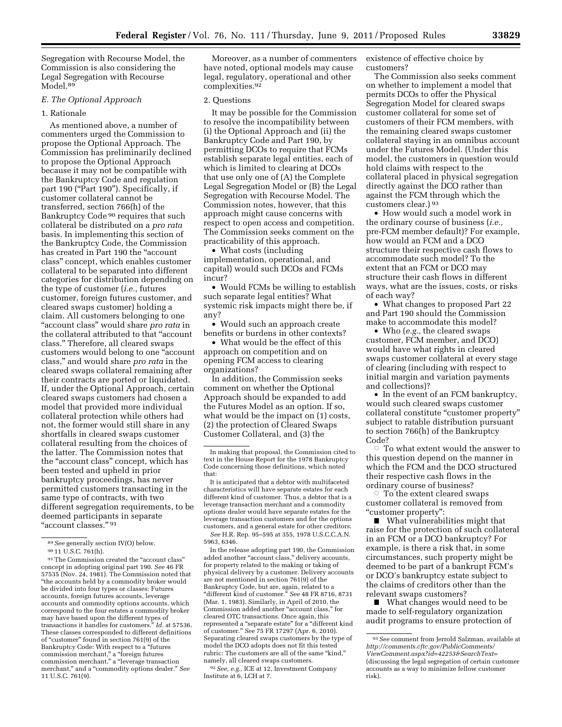Segregation with Recourse Model, the Commission is also considering the Legal Segregation with Recourse Model.<sup>89</sup>

## *E. The Optional Approach*

#### 1. Rationale

As mentioned above, a number of commenters urged the Commission to propose the Optional Approach. The Commission has preliminarily declined to propose the Optional Approach because it may not be compatible with the Bankruptcy Code and regulation part 190 ("Part 190"). Specifically, if customer collateral cannot be transferred, section 766(h) of the Bankruptcy Code 90 requires that such collateral be distributed on a *pro rata*  basis. In implementing this section of the Bankruptcy Code, the Commission has created in Part 190 the "account class'' concept, which enables customer collateral to be separated into different categories for distribution depending on the type of customer (*i.e.,* futures customer, foreign futures customer, and cleared swaps customer) holding a claim. All customers belonging to one ''account class'' would share *pro rata* in the collateral attributed to that ''account class.'' Therefore, all cleared swaps customers would belong to one ''account class,'' and would share *pro rata* in the cleared swaps collateral remaining after their contracts are ported or liquidated. If, under the Optional Approach, certain cleared swaps customers had chosen a model that provided more individual collateral protection while others had not, the former would still share in any shortfalls in cleared swaps customer collateral resulting from the choices of the latter. The Commission notes that the ''account class'' concept, which has been tested and upheld in prior bankruptcy proceedings, has never permitted customers transacting in the same type of contracts, with two different segregation requirements, to be deemed participants in separate "account classes." 91

89*See* generally section IV(O) below.

91The Commission created the ''account class'' concept in adopting original part 190. *See* 46 FR 57535 (Nov. 24, 1981). The Commission noted that ''the accounts held by a commodity broker would be divided into four types or classes: Futures accounts, foreign futures accounts, leverage accounts and commodity options accounts, which correspond to the four estates a commodity broker may have based upon the different types of transactions it handles for customers.'' *Id.* at 57536. These classes corresponded to different definitions of "customer" found in section 761(9) of the Bankruptcy Code: With respect to a ''futures commission merchant,'' a ''foreign futures commission merchant,'' a ''leverage transaction merchant,'' and a ''commodity options dealer.'' *See*  11 U.S.C. 761(9).

Moreover, as a number of commenters have noted, optional models may cause legal, regulatory, operational and other complexities.92

#### 2. Questions

It may be possible for the Commission to resolve the incompatibility between (i) the Optional Approach and (ii) the Bankruptcy Code and Part 190, by permitting DCOs to require that FCMs establish separate legal entities, each of which is limited to clearing at DCOs that use only one of (A) the Complete Legal Segregation Model or (B) the Legal Segregation with Recourse Model. The Commission notes, however, that this approach might cause concerns with respect to open access and competition. The Commission seeks comment on the practicability of this approach.

• What costs (including implementation, operational, and capital) would such DCOs and FCMs incur?

• Would FCMs be willing to establish such separate legal entities? What systemic risk impacts might there be, if any?

• Would such an approach create benefits or burdens in other contexts?

• What would be the effect of this approach on competition and on opening FCM access to clearing organizations?

In addition, the Commission seeks comment on whether the Optional Approach should be expanded to add the Futures Model as an option. If so, what would be the impact on (1) costs, (2) the protection of Cleared Swaps Customer Collateral, and (3) the

In the release adopting part 190, the Commission added another "account class," delivery accounts, for property related to the making or taking of physical delivery by a customer. Delivery accounts are not mentioned in section 761(9) of the Bankruptcy Code, but are, again, related to a ''different kind of customer.'' *See* 48 FR 8716, 8731 (Mar. 1, 1983). Similarly, in April of 2010, the Commission added another ''account class,'' for cleared OTC transactions. Once again, this represented a "separate estate" for a "different kind of customer.'' *See* 75 FR 17297 (Apr. 6, 2010). Separating cleared swaps customers by the type of model the DCO adopts does not fit this tested rubric: The customers are all of the same "kind," namely, all cleared swaps customers.

92*See, e.g.,* ICE at 12, Investment Company Institute at 6, LCH at 7.

existence of effective choice by customers?

The Commission also seeks comment on whether to implement a model that permits DCOs to offer the Physical Segregation Model for cleared swaps customer collateral for some set of customers of their FCM members, with the remaining cleared swaps customer collateral staying in an omnibus account under the Futures Model. (Under this model, the customers in question would hold claims with respect to the collateral placed in physical segregation directly against the DCO rather than against the FCM through which the customers clear.) 93

• How would such a model work in the ordinary course of business (*i.e.,*  pre-FCM member default)? For example, how would an FCM and a DCO structure their respective cash flows to accommodate such model? To the extent that an FCM or DCO may structure their cash flows in different ways, what are the issues, costs, or risks of each way?

• What changes to proposed Part 22 and Part 190 should the Commission make to accommodate this model?

• Who (*e.g.,* the cleared swaps customer, FCM member, and DCO) would have what rights in cleared swaps customer collateral at every stage of clearing (including with respect to initial margin and variation payments and collections)?

• In the event of an FCM bankruptcy, would such cleared swaps customer collateral constitute ''customer property'' subject to ratable distribution pursuant to section 766(h) of the Bankruptcy Code?

 $\circ$  To what extent would the answer to this question depend on the manner in which the FCM and the DCO structured their respective cash flows in the ordinary course of business?

 $\circ$  To the extent cleared swaps customer collateral is removed from ''customer property'':

 $\blacksquare$  What vulnerabilities might that raise for the protection of such collateral in an FCM or a DCO bankruptcy? For example, is there a risk that, in some circumstances, such property might be deemed to be part of a bankrupt FCM's or DCO's bankruptcy estate subject to the claims of creditors other than the relevant swaps customers?

■ What changes would need to be made to self-regulatory organization audit programs to ensure protection of

<sup>90</sup> 11 U.S.C. 761(h).

In making that proposal, the Commission cited to text in the House Report for the 1978 Bankruptcy Code concerning those definitions, which noted that:

It is anticipated that a debtor with multifaceted characteristics will have separate estates for each different kind of customer. Thus, a debtor that is a leverage transaction merchant and a commodity options dealer would have separate estates for the leverage transaction customers and for the options customers, and a general estate for other creditors. *See* H.R. Rep. 95–595 at 355, 1978 U.S.C.C.A.N. 5963, 6346.

<sup>93</sup>*See* comment from Jerrold Salzman, available at *[http://comments.cftc.gov/PublicComments/](http://comments.cftc.gov/PublicComments/ViewComment.aspx?id=42253&SearchText=) [ViewComment.aspx?id=42253&SearchText](http://comments.cftc.gov/PublicComments/ViewComment.aspx?id=42253&SearchText=)*= (discussing the legal segregation of certain customer accounts as a way to minimize fellow customer risk).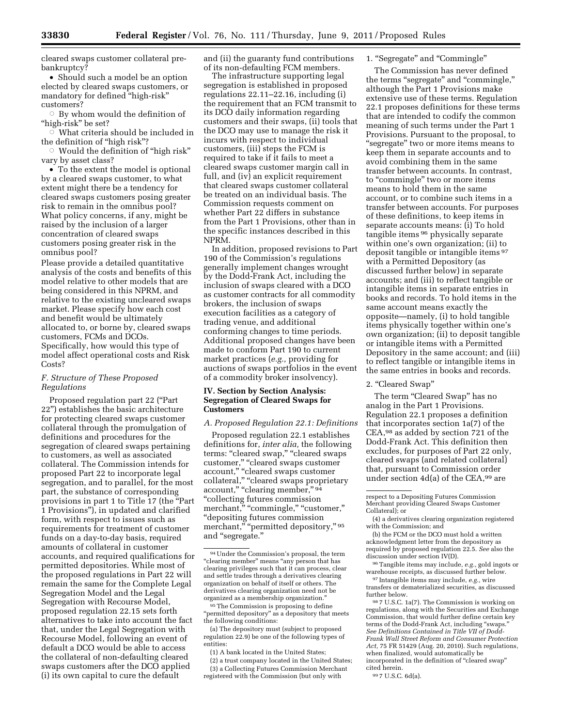• Should such a model be an option elected by cleared swaps customers, or mandatory for defined ''high-risk'' customers?

 $\circ$  By whom would the definition of "high-risk" be set?

 $\breve{\circ}$  What criteria should be included in the definition of ''high risk''?

Æ Would the definition of ''high risk'' vary by asset class?

• To the extent the model is optional by a cleared swaps customer, to what extent might there be a tendency for cleared swaps customers posing greater risk to remain in the omnibus pool? What policy concerns, if any, might be raised by the inclusion of a larger concentration of cleared swaps customers posing greater risk in the omnibus pool?

Please provide a detailed quantitative analysis of the costs and benefits of this model relative to other models that are being considered in this NPRM, and relative to the existing uncleared swaps market. Please specify how each cost and benefit would be ultimately allocated to, or borne by, cleared swaps customers, FCMs and DCOs. Specifically, how would this type of model affect operational costs and Risk Costs?

# *F. Structure of These Proposed Regulations*

Proposed regulation part 22 (''Part 22'') establishes the basic architecture for protecting cleared swaps customer collateral through the promulgation of definitions and procedures for the segregation of cleared swaps pertaining to customers, as well as associated collateral. The Commission intends for proposed Part 22 to incorporate legal segregation, and to parallel, for the most part, the substance of corresponding provisions in part 1 to Title 17 (the ''Part 1 Provisions''), in updated and clarified form, with respect to issues such as requirements for treatment of customer funds on a day-to-day basis, required amounts of collateral in customer accounts, and required qualifications for permitted depositories. While most of the proposed regulations in Part 22 will remain the same for the Complete Legal Segregation Model and the Legal Segregation with Recourse Model, proposed regulation 22.15 sets forth alternatives to take into account the fact that, under the Legal Segregation with Recourse Model, following an event of default a DCO would be able to access the collateral of non-defaulting cleared swaps customers after the DCO applied (i) its own capital to cure the default

and (ii) the guaranty fund contributions of its non-defaulting FCM members.

The infrastructure supporting legal segregation is established in proposed regulations 22.11–22.16, including (i) the requirement that an FCM transmit to its DCO daily information regarding customers and their swaps, (ii) tools that the DCO may use to manage the risk it incurs with respect to individual customers, (iii) steps the FCM is required to take if it fails to meet a cleared swaps customer margin call in full, and (iv) an explicit requirement that cleared swaps customer collateral be treated on an individual basis. The Commission requests comment on whether Part 22 differs in substance from the Part 1 Provisions, other than in the specific instances described in this NPRM.

In addition, proposed revisions to Part 190 of the Commission's regulations generally implement changes wrought by the Dodd-Frank Act, including the inclusion of swaps cleared with a DCO as customer contracts for all commodity brokers, the inclusion of swaps execution facilities as a category of trading venue, and additional conforming changes to time periods. Additional proposed changes have been made to conform Part 190 to current market practices (*e.g.,* providing for auctions of swaps portfolios in the event of a commodity broker insolvency).

# **IV. Section by Section Analysis: Segregation of Cleared Swaps for Customers**

## *A. Proposed Regulation 22.1: Definitions*

Proposed regulation 22.1 establishes definitions for, *inter alia,* the following terms: "cleared swap," "cleared swaps customer,'' ''cleared swaps customer account," "cleared swaps customer collateral," "cleared swaps proprietary account," "clearing member," 94 ''collecting futures commission merchant," "commingle," "customer," ''depositing futures commission merchant," "permitted depository," 95 and ''segregate.''

<sup>95</sup>The Commission is proposing to define 'permitted depository" as a depository that meets the following conditions:

(a) The depository must (subject to proposed regulation 22.9) be one of the following types of entities:

(1) A bank located in the United States;

(2) a trust company located in the United States; (3) a Collecting Futures Commission Merchant registered with the Commission (but only with

1. ''Segregate'' and ''Commingle''

The Commission has never defined the terms ''segregate'' and ''commingle,'' although the Part 1 Provisions make extensive use of these terms. Regulation 22.1 proposes definitions for these terms that are intended to codify the common meaning of such terms under the Part 1 Provisions. Pursuant to the proposal, to "segregate" two or more items means to keep them in separate accounts and to avoid combining them in the same transfer between accounts. In contrast, to "commingle" two or more items means to hold them in the same account, or to combine such items in a transfer between accounts. For purposes of these definitions, to keep items in separate accounts means: (i) To hold tangible items 96 physically separate within one's own organization; (ii) to deposit tangible or intangible items 97 with a Permitted Depository (as discussed further below) in separate accounts; and (iii) to reflect tangible or intangible items in separate entries in books and records. To hold items in the same account means exactly the opposite—namely, (i) to hold tangible items physically together within one's own organization; (ii) to deposit tangible or intangible items with a Permitted Depository in the same account; and (iii) to reflect tangible or intangible items in the same entries in books and records.

2. "Cleared Swap"

The term "Cleared Swap" has no analog in the Part 1 Provisions. Regulation 22.1 proposes a definition that incorporates section 1a(7) of the CEA,98 as added by section 721 of the Dodd-Frank Act. This definition then excludes, for purposes of Part 22 only, cleared swaps (and related collateral) that, pursuant to Commission order under section 4d(a) of the CEA,99 are

(b) the FCM or the DCO must hold a written acknowledgment letter from the depository as required by proposed regulation 22.5. *See* also the discussion under section IV(D).

96Tangible items may include, *e.g.,* gold ingots or warehouse receipts, as discussed further below.

97 Intangible items may include, *e.g.,* wire transfers or dematerialized securities, as discussed further below.

98 7 U.S.C. 1a(7). The Commission is working on regulations, along with the Securities and Exchange Commission, that would further define certain key terms of the Dodd-Frank Act, including "swaps. *See Definitions Contained in Title VII of Dodd-Frank Wall Street Reform and Consumer Protection Act,* 75 FR 51429 (Aug. 20, 2010). Such regulations, when finalized, would automatically be incorporated in the definition of ''cleared swap'' cited herein.

99 7 U.S.C. 6d(a).

<sup>94</sup>Under the Commission's proposal, the term "clearing member" means "any person that has clearing privileges such that it can process, clear and settle trades through a derivatives clearing organization on behalf of itself or others. The derivatives clearing organization need not be organized as a membership organization.''

respect to a Depositing Futures Commission Merchant providing Cleared Swaps Customer Collateral); or

<sup>(4)</sup> a derivatives clearing organization registered with the Commission; and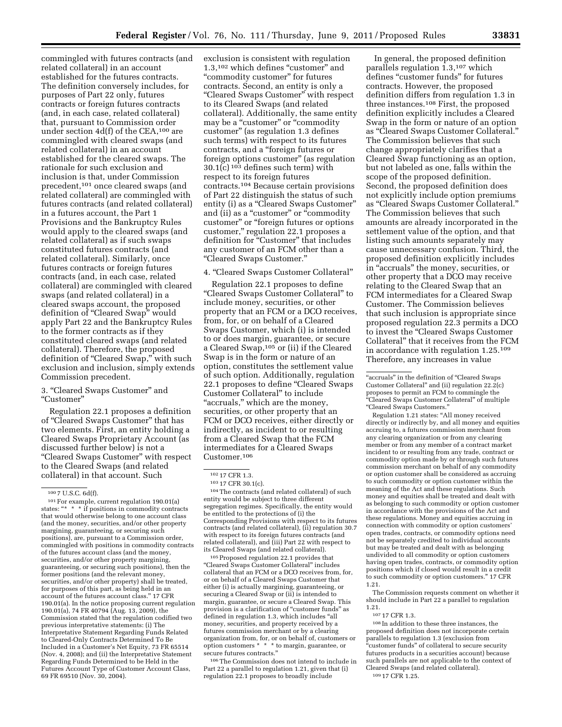commingled with futures contracts (and related collateral) in an account established for the futures contracts. The definition conversely includes, for purposes of Part 22 only, futures contracts or foreign futures contracts (and, in each case, related collateral) that, pursuant to Commission order under section 4d(f) of the CEA,100 are commingled with cleared swaps (and related collateral) in an account established for the cleared swaps. The rationale for such exclusion and inclusion is that, under Commission precedent,101 once cleared swaps (and related collateral) are commingled with futures contracts (and related collateral) in a futures account, the Part 1 Provisions and the Bankruptcy Rules would apply to the cleared swaps (and related collateral) as if such swaps constituted futures contracts (and related collateral). Similarly, once futures contracts or foreign futures contracts (and, in each case, related collateral) are commingled with cleared swaps (and related collateral) in a cleared swaps account, the proposed definition of "Cleared Swap" would apply Part 22 and the Bankruptcy Rules to the former contracts as if they constituted cleared swaps (and related collateral). Therefore, the proposed definition of "Cleared Swap," with such exclusion and inclusion, simply extends Commission precedent.

# 3. ''Cleared Swaps Customer'' and ''Customer''

Regulation 22.1 proposes a definition of ''Cleared Swaps Customer'' that has two elements. First, an entity holding a Cleared Swaps Proprietary Account (as discussed further below) is not a ''Cleared Swaps Customer'' with respect to the Cleared Swaps (and related collateral) in that account. Such

exclusion is consistent with regulation 1.3,<sup>102</sup> which defines "customer" and "commodity customer" for futures contracts. Second, an entity is only a ''Cleared Swaps Customer'' with respect to its Cleared Swaps (and related collateral). Additionally, the same entity may be a "customer" or "commodity" customer'' (as regulation 1.3 defines such terms) with respect to its futures contracts, and a ''foreign futures or foreign options customer'' (as regulation  $30.1(c)$  <sup>103</sup> defines such term) with respect to its foreign futures contracts.104 Because certain provisions of Part 22 distinguish the status of such entity (i) as a "Cleared Swaps Customer" and (ii) as a "customer" or "commodity customer'' or ''foreign futures or options customer,'' regulation 22.1 proposes a definition for "Customer" that includes any customer of an FCM other than a ''Cleared Swaps Customer.''

#### 4. ''Cleared Swaps Customer Collateral''

Regulation 22.1 proposes to define ''Cleared Swaps Customer Collateral'' to include money, securities, or other property that an FCM or a DCO receives, from, for, or on behalf of a Cleared Swaps Customer, which (i) is intended to or does margin, guarantee, or secure a Cleared Swap,105 or (ii) if the Cleared Swap is in the form or nature of an option, constitutes the settlement value of such option. Additionally, regulation 22.1 proposes to define ''Cleared Swaps Customer Collateral'' to include "accruals," which are the money, securities, or other property that an FCM or DCO receives, either directly or indirectly, as incident to or resulting from a Cleared Swap that the FCM intermediates for a Cleared Swaps Customer.106

104The contracts (and related collateral) of such entity would be subject to three different segregation regimes. Specifically, the entity would be entitled to the protections of (i) the Corresponding Provisions with respect to its futures contracts (and related collateral), (ii) regulation 30.7 with respect to its foreign futures contracts (and related collateral), and (iii) Part 22 with respect to its Cleared Swaps (and related collateral).

105Proposed regulation 22.1 provides that ''Cleared Swaps Customer Collateral'' includes collateral that an FCM or a DCO receives from, for, or on behalf of a Cleared Swaps Customer that either (i) is actually margining, guaranteeing, or securing a Cleared Swap or (ii) is intended to margin, guarantee, or secure a Cleared Swap. This provision is a clarification of "customer funds" as defined in regulation 1.3, which includes ''all money, securities, and property received by a futures commission merchant or by a clearing organization from, for, or on behalf of, customers or option customers \* \* \* to margin, guarantee, or secure futures contracts.''

106The Commission does not intend to include in Part 22 a parallel to regulation 1.21, given that (i) regulation 22.1 proposes to broadly include

In general, the proposed definition parallels regulation 1.3,107 which defines "customer funds" for futures contracts. However, the proposed definition differs from regulation 1.3 in three instances.108 First, the proposed definition explicitly includes a Cleared Swap in the form or nature of an option as ''Cleared Swaps Customer Collateral.'' The Commission believes that such change appropriately clarifies that a Cleared Swap functioning as an option, but not labeled as one, falls within the scope of the proposed definition. Second, the proposed definition does not explicitly include option premiums as ''Cleared Swaps Customer Collateral.'' The Commission believes that such amounts are already incorporated in the settlement value of the option, and that listing such amounts separately may cause unnecessary confusion. Third, the proposed definition explicitly includes in ''accruals'' the money, securities, or other property that a DCO may receive relating to the Cleared Swap that an FCM intermediates for a Cleared Swap Customer. The Commission believes that such inclusion is appropriate since proposed regulation 22.3 permits a DCO to invest the ''Cleared Swaps Customer Collateral'' that it receives from the FCM in accordance with regulation 1.25.109 Therefore, any increases in value

Regulation 1.21 states: ''All money received directly or indirectly by, and all money and equities accruing to, a futures commission merchant from any clearing organization or from any clearing member or from any member of a contract market incident to or resulting from any trade, contract or commodity option made by or through such futures commission merchant on behalf of any commodity or option customer shall be considered as accruing to such commodity or option customer within the meaning of the Act and these regulations. Such money and equities shall be treated and dealt with as belonging to such commodity or option customer in accordance with the provisions of the Act and these regulations. Money and equities accruing in connection with commodity or option customers' open trades, contracts, or commodity options need not be separately credited to individual accounts but may be treated and dealt with as belonging undivided to all commodity or option customers having open trades, contracts, or commodity option positions which if closed would result in a credit to such commodity or option customers.'' 17 CFR 1.21.

The Commission requests comment on whether it should include in Part 22 a parallel to regulation 1.21.

108 In addition to these three instances, the proposed definition does not incorporate certain parallels to regulation 1.3 (exclusion from ''customer funds'' of collateral to secure security futures products in a securities account) because such parallels are not applicable to the context of Cleared Swaps (and related collateral). 109 17 CFR 1.25.

 $1007$  U.S.C. 6d(f).

<sup>101</sup>For example, current regulation 190.01(a) states: "\* \* \* if positions in commodity contracts that would otherwise belong to one account class (and the money, securities, and/or other property margining, guaranteeing, or securing such positions), are, pursuant to a Commission order, commingled with positions in commodity contracts of the futures account class (and the money, securities, and/or other property margining, guaranteeing, or securing such positions), then the former positions (and the relevant money, securities, and/or other property) shall be treated, for purposes of this part, as being held in an account of the futures account class.'' 17 CFR 190.01(a). In the notice proposing current regulation 190.01(a), 74 FR 40794 (Aug. 13, 2009), the Commission stated that the regulation codified two previous interpretative statements: (i) The Interpretative Statement Regarding Funds Related to Cleared-Only Contracts Determined To Be Included in a Customer's Net Equity, 73 FR 65514 (Nov. 4, 2008); and (ii) the Interpretative Statement Regarding Funds Determined to be Held in the Futures Account Type of Customer Account Class, 69 FR 69510 (Nov. 30, 2004).

<sup>102</sup> 17 CFR 1.3.

<sup>103</sup> 17 CFR 30.1(c).

<sup>&#</sup>x27;'accruals'' in the definition of ''Cleared Swaps Customer Collateral" and (ii) regulation  $22.\overline{2}(c)$ proposes to permit an FCM to commingle the ''Cleared Swaps Customer Collateral'' of multiple ''Cleared Swaps Customers.''

<sup>107</sup> 17 CFR 1.3.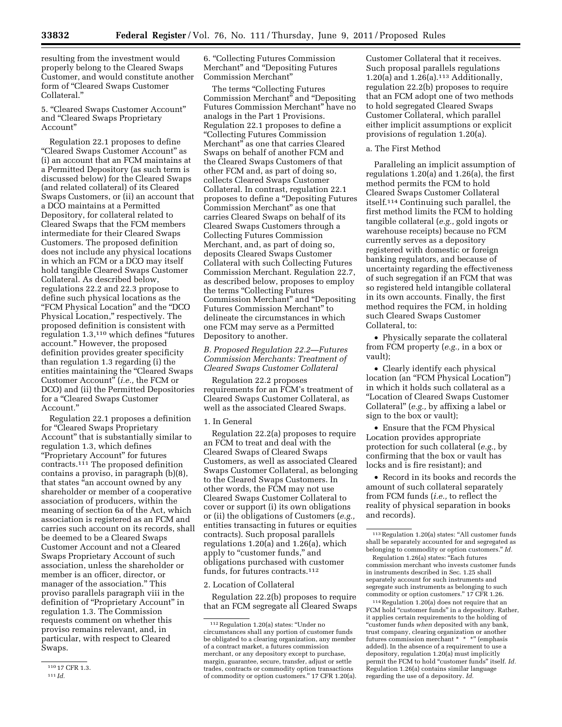resulting from the investment would properly belong to the Cleared Swaps Customer, and would constitute another form of ''Cleared Swaps Customer Collateral.''

5. ''Cleared Swaps Customer Account'' and ''Cleared Swaps Proprietary Account''

Regulation 22.1 proposes to define ''Cleared Swaps Customer Account'' as (i) an account that an FCM maintains at a Permitted Depository (as such term is discussed below) for the Cleared Swaps (and related collateral) of its Cleared Swaps Customers, or (ii) an account that a DCO maintains at a Permitted Depository, for collateral related to Cleared Swaps that the FCM members intermediate for their Cleared Swaps Customers. The proposed definition does not include any physical locations in which an FCM or a DCO may itself hold tangible Cleared Swaps Customer Collateral. As described below, regulations 22.2 and 22.3 propose to define such physical locations as the ''FCM Physical Location'' and the ''DCO Physical Location," respectively. The proposed definition is consistent with regulation 1.3,110 which defines ''futures account.'' However, the proposed definition provides greater specificity than regulation 1.3 regarding (i) the entities maintaining the "Cleared Swaps Customer Account'' (*i.e.,* the FCM or DCO) and (ii) the Permitted Depositories for a ''Cleared Swaps Customer Account.''

Regulation 22.1 proposes a definition for ''Cleared Swaps Proprietary Account'' that is substantially similar to regulation 1.3, which defines ''Proprietary Account'' for futures contracts.111 The proposed definition contains a proviso, in paragraph (b)(8), that states ''an account owned by any shareholder or member of a cooperative association of producers, within the meaning of section 6a of the Act, which association is registered as an FCM and carries such account on its records, shall be deemed to be a Cleared Swaps Customer Account and not a Cleared Swaps Proprietary Account of such association, unless the shareholder or member is an officer, director, or manager of the association.'' This proviso parallels paragraph viii in the definition of ''Proprietary Account'' in regulation 1.3. The Commission requests comment on whether this proviso remains relevant, and, in particular, with respect to Cleared Swaps.

6. ''Collecting Futures Commission Merchant'' and ''Depositing Futures Commission Merchant''

The terms "Collecting Futures" Commission Merchant'' and ''Depositing Futures Commission Merchant'' have no analogs in the Part 1 Provisions. Regulation 22.1 proposes to define a ''Collecting Futures Commission Merchant" as one that carries Cleared Swaps on behalf of another FCM and the Cleared Swaps Customers of that other FCM and, as part of doing so, collects Cleared Swaps Customer Collateral. In contrast, regulation 22.1 proposes to define a ''Depositing Futures Commission Merchant'' as one that carries Cleared Swaps on behalf of its Cleared Swaps Customers through a Collecting Futures Commission Merchant, and, as part of doing so, deposits Cleared Swaps Customer Collateral with such Collecting Futures Commission Merchant. Regulation 22.7, as described below, proposes to employ the terms "Collecting Futures" Commission Merchant'' and ''Depositing Futures Commission Merchant'' to delineate the circumstances in which one FCM may serve as a Permitted Depository to another.

*B. Proposed Regulation 22.2—Futures Commission Merchants: Treatment of Cleared Swaps Customer Collateral* 

Regulation 22.2 proposes requirements for an FCM's treatment of Cleared Swaps Customer Collateral, as well as the associated Cleared Swaps.

#### 1. In General

Regulation 22.2(a) proposes to require an FCM to treat and deal with the Cleared Swaps of Cleared Swaps Customers, as well as associated Cleared Swaps Customer Collateral, as belonging to the Cleared Swaps Customers. In other words, the FCM may not use Cleared Swaps Customer Collateral to cover or support (i) its own obligations or (ii) the obligations of Customers (*e.g.,*  entities transacting in futures or equities contracts). Such proposal parallels regulations 1.20(a) and 1.26(a), which apply to "customer funds," and obligations purchased with customer funds, for futures contracts.112

#### 2. Location of Collateral

Regulation 22.2(b) proposes to require that an FCM segregate all Cleared Swaps

Customer Collateral that it receives. Such proposal parallels regulations 1.20(a) and  $1.26(a)$ .<sup>113</sup> Additionally, regulation 22.2(b) proposes to require that an FCM adopt one of two methods to hold segregated Cleared Swaps Customer Collateral, which parallel either implicit assumptions or explicit provisions of regulation 1.20(a).

#### a. The First Method

Paralleling an implicit assumption of regulations 1.20(a) and 1.26(a), the first method permits the FCM to hold Cleared Swaps Customer Collateral itself.114 Continuing such parallel, the first method limits the FCM to holding tangible collateral (*e.g.,* gold ingots or warehouse receipts) because no FCM currently serves as a depository registered with domestic or foreign banking regulators, and because of uncertainty regarding the effectiveness of such segregation if an FCM that was so registered held intangible collateral in its own accounts. Finally, the first method requires the FCM, in holding such Cleared Swaps Customer Collateral, to:

• Physically separate the collateral from FCM property (*e.g.,* in a box or vault);

• Clearly identify each physical location (an "FCM Physical Location") in which it holds such collateral as a ''Location of Cleared Swaps Customer Collateral'' (*e.g.,* by affixing a label or sign to the box or vault);

• Ensure that the FCM Physical Location provides appropriate protection for such collateral (*e.g.,* by confirming that the box or vault has locks and is fire resistant); and

• Record in its books and records the amount of such collateral separately from FCM funds (*i.e.,* to reflect the reality of physical separation in books and records).

114Regulation 1.20(a) does not require that an FCM hold "customer funds" in a depository. Rather, it applies certain requirements to the holding of ''customer funds *when* deposited with any bank, trust company, clearing organization or another futures commission merchant \* \* \*'' (emphasis added). In the absence of a requirement to use a depository, regulation 1.20(a) must implicitly permit the FCM to hold "customer funds" itself. Id. Regulation 1.26(a) contains similar language regarding the use of a depository. *Id.* 

<sup>110</sup> 17 CFR 1.3.

<sup>111</sup> *Id.* 

<sup>112</sup>Regulation 1.20(a) states: ''Under no circumstances shall any portion of customer funds be obligated to a clearing organization, any member of a contract market, a futures commission merchant, or any depository except to purchase, margin, guarantee, secure, transfer, adjust or settle trades, contracts or commodity option transactions of commodity or option customers.'' 17 CFR 1.20(a).

 $^{\rm 113}\!$  Regulation 1.20(a) states: "All customer funds shall be separately accounted for and segregated as belonging to commodity or option customers.'' *Id.* 

Regulation 1.26(a) states: ''Each futures commission merchant who invests customer funds in instruments described in Sec. 1.25 shall separately account for such instruments and segregate such instruments as belonging to such commodity or option customers.'' 17 CFR 1.26.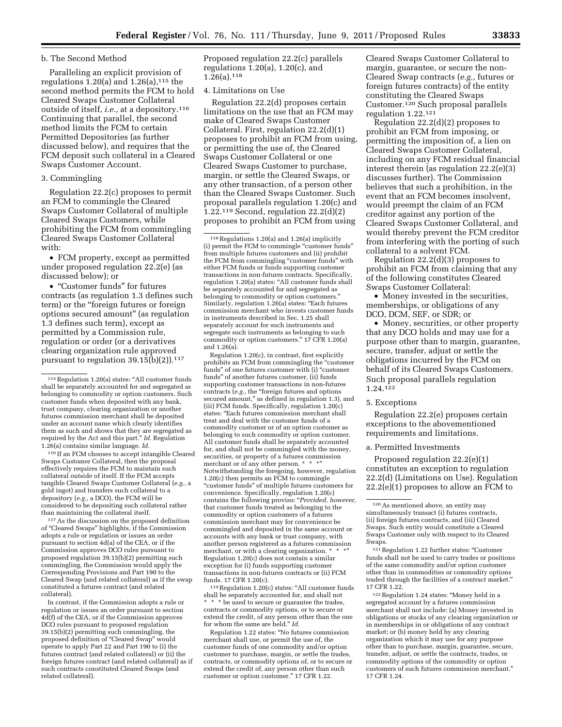## b. The Second Method

Paralleling an explicit provision of regulations  $1.20(a)$  and  $1.26(a)$ ,  $115$  the second method permits the FCM to hold Cleared Swaps Customer Collateral outside of itself, *i.e.,* at a depository.116 Continuing that parallel, the second method limits the FCM to certain Permitted Depositories (as further discussed below), and requires that the FCM deposit such collateral in a Cleared Swaps Customer Account.

## 3. Commingling

Regulation 22.2(c) proposes to permit an FCM to commingle the Cleared Swaps Customer Collateral of multiple Cleared Swaps Customers, while prohibiting the FCM from commingling Cleared Swaps Customer Collateral with:

• FCM property, except as permitted under proposed regulation 22.2(e) (as discussed below); or

• ''Customer funds'' for futures contracts (as regulation 1.3 defines such term) or the ''foreign futures or foreign options secured amount'' (as regulation 1.3 defines such term), except as permitted by a Commission rule, regulation or order (or a derivatives clearing organization rule approved pursuant to regulation  $39.15(b)(2)$ . 117

116 If an FCM chooses to accept intangible Cleared Swaps Customer Collateral, then the proposal effectively requires the FCM to maintain such collateral outside of itself. If the FCM accepts tangible Cleared Swaps Customer Collateral (*e.g.,* a gold ingot) and transfers such collateral to a depository (*e.g.,* a DCO), the FCM will be considered to be depositing such collateral rather than maintaining the collateral itself.

117As the discussion on the proposed definition of ''Cleared Swaps'' highlights, if the Commission adopts a rule or regulation or issues an order pursuant to section 4d(a) of the CEA, or if the Commission approves DCO rules pursuant to proposed regulation 39.15(b)(2) permitting such commingling, the Commission would apply the Corresponding Provisions and Part 190 to the Cleared Swap (and related collateral) as if the swap constituted a futures contract (and related collateral).

In contrast, if the Commission adopts a rule or regulation or issues an order pursuant to section 4d(f) of the CEA, or if the Commission approves DCO rules pursuant to proposed regulation 39.15(b)(2) permitting such commingling, the proposed definition of ''Cleared Swap'' would operate to apply Part 22 and Part 190 to (i) the futures contract (and related collateral) or (ii) the foreign futures contract (and related collateral) as if such contracts constituted Cleared Swaps (and related collateral).

Proposed regulation 22.2(c) parallels regulations 1.20(a), 1.20(c), and  $1.26(a).^{118}$ 

# 4. Limitations on Use

Regulation 22.2(d) proposes certain limitations on the use that an FCM may make of Cleared Swaps Customer Collateral. First, regulation 22.2(d)(1) proposes to prohibit an FCM from using, or permitting the use of, the Cleared Swaps Customer Collateral or one Cleared Swaps Customer to purchase, margin, or settle the Cleared Swaps, or any other transaction, of a person other than the Cleared Swaps Customer. Such proposal parallels regulation 1.20(c) and 1.22.119 Second, regulation 22.2(d)(2) proposes to prohibit an FCM from using

118Regulations 1.20(a) and 1.26(a) implicitly (i) permit the FCM to commingle ''customer funds'' from multiple futures customers and (ii) prohibit the FCM from commingling "customer funds" with either FCM funds or funds supporting customer transactions in non-futures contracts. Specifically, regulation 1.20(a) states: ''All customer funds shall be separately accounted for and segregated as belonging to commodity or option customers.'' Similarly, regulation 1.26(a) states: ''Each futures commission merchant who invests customer funds in instruments described in Sec. 1.25 shall separately account for such instruments and segregate such instruments as belonging to such commodity or option customers.'' 17 CFR 1.20(a) and 1.26(a).

Regulation 1.20(c), in contrast, first explicitly prohibits an FCM from commingling the ''customer funds" of one futures customer with (i) "customer funds'' of another futures customer, (ii) funds supporting customer transactions in non-futures contracts (*e.g.,* the ''foreign futures and options secured amount," as defined in regulation 1.3), and (iii) FCM funds. Specifically, regulation 1.20(c) states: ''Each futures commission merchant shall treat and deal with the customer funds of a commodity customer or of an option customer as belonging to such commodity or option customer. All customer funds shall be separately accounted for, and shall not be commingled with the money, securities, or property of a futures commission merchant or of any other person. \* Notwithstanding the foregoing, however, regulation 1.20(c) then permits an FCM to commingle ''customer funds'' of multiple futures customers for convenience. Specifically, regulation 1.20(c) contains the following proviso: ''*Provided, however,*  that customer funds treated as belonging to the commodity or option customers of a futures commission merchant may for convenience be commingled and deposited in the same account or accounts with any bank or trust company, with another person registered as a futures commission merchant, or with a clearing organization. \* Regulation 1.20(c) does not contain a similar exception for (i) funds supporting customer transactions in non-futures contracts or (ii) FCM funds. 17 CFR 1.20(c).

119Regulation 1.20(c) states: ''All customer funds shall be separately accounted for, and shall not \* \* \* be used to secure or guarantee the trades, contracts or commodity options, or to secure or extend the credit, of any person other than the one for whom the same are held.'' *Id.* 

Regulation 1.22 states: ''No futures commission merchant shall use, or permit the use of, the customer funds of one commodity and/or option customer to purchase, margin, or settle the trades, contracts, or commodity options of, or to secure or extend the credit of, any person other than such customer or option customer.'' 17 CFR 1.22.

Cleared Swaps Customer Collateral to margin, guarantee, or secure the non-Cleared Swap contracts (*e.g.,* futures or foreign futures contracts) of the entity constituting the Cleared Swaps Customer.120 Such proposal parallels regulation 1.22.121

Regulation 22.2(d)(2) proposes to prohibit an FCM from imposing, or permitting the imposition of, a lien on Cleared Swaps Customer Collateral, including on any FCM residual financial interest therein (as regulation 22.2(e)(3) discusses further). The Commission believes that such a prohibition, in the event that an FCM becomes insolvent, would preempt the claim of an FCM creditor against any portion of the Cleared Swaps Customer Collateral, and would thereby prevent the FCM creditor from interfering with the porting of such collateral to a solvent FCM.

Regulation 22.2(d)(3) proposes to prohibit an FCM from claiming that any of the following constitutes Cleared Swaps Customer Collateral:

• Money invested in the securities, memberships, or obligations of any DCO, DCM, SEF, or SDR; or

• Money, securities, or other property that any DCO holds and may use for a purpose other than to margin, guarantee, secure, transfer, adjust or settle the obligations incurred by the FCM on behalf of its Cleared Swaps Customers. Such proposal parallels regulation 1.24.122

5. Exceptions

Regulation 22.2(e) proposes certain exceptions to the abovementioned requirements and limitations.

#### a. Permitted Investments

Proposed regulation 22.2(e)(1) constitutes an exception to regulation 22.2(d) (Limitations on Use). Regulation  $22.2(e)(1)$  proposes to allow an FCM to

122Regulation 1.24 states: ''Money held in a segregated account by a futures commission merchant shall not include: (a) Money invested in obligations or stocks of any clearing organization or in memberships in or obligations of any contract market; or (b) money held by any clearing organization which it may use for any purpose other than to purchase, margin, guarantee, secure, transfer, adjust, or settle the contracts, trades, or commodity options of the commodity or option customers of such futures commission merchant.'' 17 CFR 1.24.

 $^{\rm 115}$  Regulation 1.20(a) states: "All customer funds shall be separately accounted for and segregated as belonging to commodity or option customers. Such customer funds when deposited with any bank, trust company, clearing organization or another futures commission merchant shall be deposited under an account name which clearly identifies them as such and shows that they are segregated as required by the Act and this part.'' *Id.* Regulation 1.26(a) contains similar language. *Id.* 

<sup>120</sup>As mentioned above, an entity may simultaneously transact (i) futures contracts, (ii) foreign futures contracts, and (iii) Cleared Swaps. Such entity would constitute a Cleared Swaps Customer only with respect to its Cleared Swaps.

<sup>121</sup> Regulation 1.22 further states: "Customer funds shall not be used to carry trades or positions of the same commodity and/or option customer other than in commodities or commodity options traded through the facilities of a contract market. 17 CFR 1.22.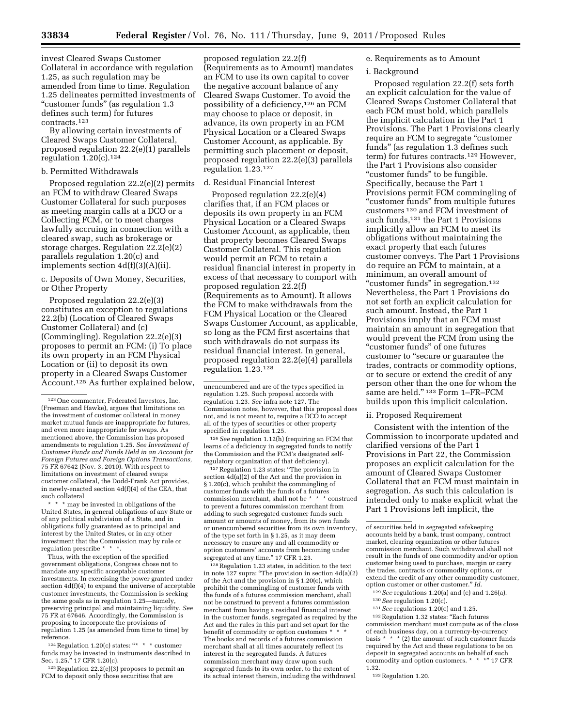invest Cleared Swaps Customer Collateral in accordance with regulation 1.25, as such regulation may be amended from time to time. Regulation 1.25 delineates permitted investments of ''customer funds'' (as regulation 1.3 defines such term) for futures contracts.123

By allowing certain investments of Cleared Swaps Customer Collateral, proposed regulation 22.2(e)(1) parallels regulation 1.20(c).124

## b. Permitted Withdrawals

Proposed regulation 22.2(e)(2) permits an FCM to withdraw Cleared Swaps Customer Collateral for such purposes as meeting margin calls at a DCO or a Collecting FCM, or to meet charges lawfully accruing in connection with a cleared swap, such as brokerage or storage charges. Regulation 22.2(e)(2) parallels regulation 1.20(c) and implements section 4d(f)(3)(A)(ii).

c. Deposits of Own Money, Securities, or Other Property

Proposed regulation 22.2(e)(3) constitutes an exception to regulations 22.2(b) (Location of Cleared Swaps Customer Collateral) and (c) (Commingling). Regulation 22.2(e)(3) proposes to permit an FCM: (i) To place its own property in an FCM Physical Location or (ii) to deposit its own property in a Cleared Swaps Customer Account.125 As further explained below,

\* \* \* may be invested in obligations of the United States, in general obligations of any State or of any political subdivision of a State, and in obligations fully guaranteed as to principal and interest by the United States, or in any other investment that the Commission may by rule or regulation prescribe \* \* \*.

Thus, with the exception of the specified government obligations, Congress chose not to mandate any specific acceptable customer investments. In exercising the power granted under section 4d(f)(4) to expand the universe of acceptable customer investments, the Commission is seeking the same goals as in regulation 1.25—namely, preserving principal and maintaining liquidity. *See*  75 FR at 67646. Accordingly, the Commission is proposing to incorporate the provisions of regulation 1.25 (as amended from time to time) by reference.

<sup>124</sup> Regulation 1.20(c) states: "\* \* \* customer funds may be invested in instruments described in Sec. 1.25.'' 17 CFR 1.20(c).

 $125$  Regulation 22.2(e)(3) proposes to permit an FCM to deposit only those securities that are

proposed regulation 22.2(f) (Requirements as to Amount) mandates an FCM to use its own capital to cover the negative account balance of any Cleared Swaps Customer. To avoid the possibility of a deficiency,126 an FCM may choose to place or deposit, in advance, its own property in an FCM Physical Location or a Cleared Swaps Customer Account, as applicable. By permitting such placement or deposit, proposed regulation 22.2(e)(3) parallels regulation 1.23.127

## d. Residual Financial Interest

Proposed regulation 22.2(e)(4) clarifies that, if an FCM places or deposits its own property in an FCM Physical Location or a Cleared Swaps Customer Account, as applicable, then that property becomes Cleared Swaps Customer Collateral. This regulation would permit an FCM to retain a residual financial interest in property in excess of that necessary to comport with proposed regulation 22.2(f) (Requirements as to Amount). It allows the FCM to make withdrawals from the FCM Physical Location or the Cleared Swaps Customer Account, as applicable, so long as the FCM first ascertains that such withdrawals do not surpass its residual financial interest. In general, proposed regulation 22.2(e)(4) parallels regulation 1.23.128

126*See* regulation 1.12(h) (requiring an FCM that learns of a deficiency in segregated funds to notify the Commission and the FCM's designated selfregulatory organization of that deficiency).

127 Regulation 1.23 states: "The provision in section 4d(a)(2) of the Act and the provision in § 1.20(c), which prohibit the commingling of customer funds with the funds of a futures commission merchant, shall not be \* \* \* construed to prevent a futures commission merchant from adding to such segregated customer funds such amount or amounts of money, from its own funds or unencumbered securities from its own inventory, of the type set forth in § 1.25, as it may deem necessary to ensure any and all commodity or option customers' accounts from becoming under segregated at any time.'' 17 CFR 1.23.

128Regulation 1.23 states, in addition to the text in note 127 supra: ''The provision in section 4d(a)(2) of the Act and the provision in § 1.20(c), which prohibit the commingling of customer funds with the funds of a futures commission merchant, shall not be construed to prevent a futures commission merchant from having a residual financial interest in the customer funds, segregated as required by the Act and the rules in this part and set apart for the benefit of commodity or option customers \* The books and records of a futures commission merchant shall at all times accurately reflect its interest in the segregated funds. A futures commission merchant may draw upon such segregated funds to its own order, to the extent of its actual interest therein, including the withdrawal

# e. Requirements as to Amount

## i. Background

Proposed regulation 22.2(f) sets forth an explicit calculation for the value of Cleared Swaps Customer Collateral that each FCM must hold, which parallels the implicit calculation in the Part 1 Provisions. The Part 1 Provisions clearly require an FCM to segregate ''customer funds'' (as regulation 1.3 defines such term) for futures contracts.129 However, the Part 1 Provisions also consider ''customer funds'' to be fungible. Specifically, because the Part 1 Provisions permit FCM commingling of ''customer funds'' from multiple futures customers 130 and FCM investment of such funds,<sup>131</sup> the Part 1 Provisions implicitly allow an FCM to meet its obligations without maintaining the exact property that each futures customer conveys. The Part 1 Provisions do require an FCM to maintain, at a minimum, an overall amount of "customer funds" in segregation.<sup>132</sup> Nevertheless, the Part 1 Provisions do not set forth an explicit calculation for such amount. Instead, the Part 1 Provisions imply that an FCM must maintain an amount in segregation that would prevent the FCM from using the ''customer funds'' of one futures customer to ''secure or guarantee the trades, contracts or commodity options, or to secure or extend the credit of any person other than the one for whom the same are held."<sup>133</sup> Form 1-FR-FCM builds upon this implicit calculation.

# ii. Proposed Requirement

Consistent with the intention of the Commission to incorporate updated and clarified versions of the Part 1 Provisions in Part 22, the Commission proposes an explicit calculation for the amount of Cleared Swaps Customer Collateral that an FCM must maintain in segregation. As such this calculation is intended only to make explicit what the Part 1 Provisions left implicit, the

<sup>129</sup>*See* regulations 1.20(a) and (c) and 1.26(a). 130*See* regulation 1.20(c). 131*See* regulations 1.20(c) and 1.25.

<sup>132</sup> Regulation 1.32 states: "Each futures commission merchant must compute as of the close of each business day, on a currency-by-currency basis  $* * * (2)$  the amount of such customer funds required by the Act and these regulations to be on deposit in segregated accounts on behalf of such commodity and option customers. \* \* \*" 17 CFR 1.32.

133Regulation 1.20.

<sup>123</sup>One commenter, Federated Investors, Inc. (Freeman and Hawke), argues that limitations on the investment of customer collateral in money market mutual funds are inappropriate for futures, and even more inappropriate for swaps. As mentioned above, the Commission has proposed amendments to regulation 1.25. *See Investment of Customer Funds and Funds Held in an Account for Foreign Futures and Foreign Options Transactions,*  75 FR 67642 (Nov. 3, 2010). With respect to limitations on investment of cleared swaps customer collateral, the Dodd-Frank Act provides, in newly-enacted section 4d(f)(4) of the CEA, that such collateral

unencumbered and are of the types specified in regulation 1.25. Such proposal accords with regulation 1.23. *See* infra note 127. The Commission notes, however, that this proposal does not, and is not meant to, require a DCO to accept all of the types of securities or other property specified in regulation 1.25.

of securities held in segregated safekeeping accounts held by a bank, trust company, contract market, clearing organization or other futures commission merchant. Such withdrawal shall not result in the funds of one commodity and/or option customer being used to purchase, margin or carry the trades, contracts or commodity options, or extend the credit of any other commodity customer, option customer or other customer.'' *Id.*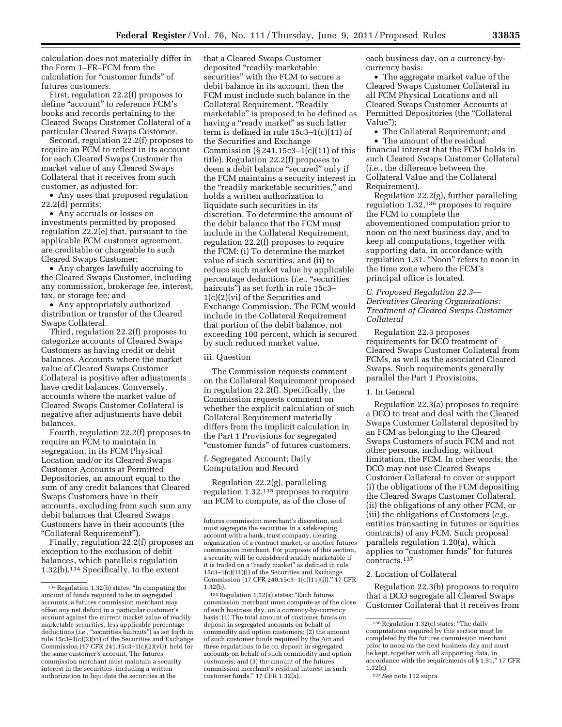calculation does not materially differ in the Form 1–FR–FCM from the calculation for ''customer funds'' of futures customers.

First, regulation 22.2(f) proposes to define "account" to reference FCM's books and records pertaining to the Cleared Swaps Customer Collateral of a particular Cleared Swaps Customer.

Second, regulation 22.2(f) proposes to require an FCM to reflect in its account for each Cleared Swaps Customer the market value of any Cleared Swaps Collateral that it receives from such customer, as adjusted for:

• Any uses that proposed regulation 22.2(d) permits;

• Any accruals or losses on investments permitted by proposed regulation 22.2(e) that, pursuant to the applicable FCM customer agreement, are creditable or chargeable to such Cleared Swaps Customer;

• Any charges lawfully accruing to the Cleared Swaps Customer, including any commission, brokerage fee, interest, tax, or storage fee; and

• Any appropriately authorized distribution or transfer of the Cleared Swaps Collateral.

Third, regulation 22.2(f) proposes to categorize accounts of Cleared Swaps Customers as having credit or debit balances. Accounts where the market value of Cleared Swaps Customer Collateral is positive after adjustments have credit balances. Conversely, accounts where the market value of Cleared Swaps Customer Collateral is negative after adjustments have debit balances.

Fourth, regulation 22.2(f) proposes to require an FCM to maintain in segregation, in its FCM Physical Location and/or its Cleared Swaps Customer Accounts at Permitted Depositories, an amount equal to the sum of any credit balances that Cleared Swaps Customers have in their accounts, excluding from such sum any debit balances that Cleared Swaps Customers have in their accounts (the ''Collateral Requirement'').

Finally, regulation 22.2(f) proposes an exception to the exclusion of debit balances, which parallels regulation 1.32(b).134 Specifically, to the extent

that a Cleared Swaps Customer deposited ''readily marketable securities'' with the FCM to secure a debit balance in its account, then the FCM must include such balance in the Collateral Requirement. ''Readily marketable'' is proposed to be defined as having a "ready market" as such latter term is defined in rule 15c3–1(c)(11) of the Securities and Exchange Commission  $(\S 241.15c3 - 1(c)(11))$  of this title). Regulation 22.2(f) proposes to deem a debit balance ''secured'' only if the FCM maintains a security interest in the "readily marketable securities," and holds a written authorization to liquidate such securities in its discretion. To determine the amount of the debit balance that the FCM must include in the Collateral Requirement, regulation 22.2(f) proposes to require the FCM: (i) To determine the market value of such securities, and (ii) to reduce such market value by applicable percentage deductions (*i.e.,* ''securities haircuts'') as set forth in rule 15c3– 1(c)(2)(vi) of the Securities and Exchange Commission. The FCM would include in the Collateral Requirement that portion of the debit balance, not exceeding 100 percent, which is secured by such reduced market value.

#### iii. Question

The Commission requests comment on the Collateral Requirement proposed in regulation 22.2(f). Specifically, the Commission requests comment on whether the explicit calculation of such Collateral Requirement materially differs from the implicit calculation in the Part 1 Provisions for segregated ''customer funds'' of futures customers.

## f. Segregated Account; Daily Computation and Record

Regulation 22.2(g), paralleling regulation 1.32,135 proposes to require an FCM to compute, as of the close of

each business day, on a currency-bycurrency basis:

• The aggregate market value of the Cleared Swaps Customer Collateral in all FCM Physical Locations and all Cleared Swaps Customer Accounts at Permitted Depositories (the "Collateral Value'');

• The Collateral Requirement; and

• The amount of the residual financial interest that the FCM holds in such Cleared Swaps Customer Collateral (*i.e.,* the difference between the Collateral Value and the Collateral Requirement).

Regulation 22.2(g), further paralleling regulation 1.32,136 proposes to require the FCM to complete the abovementioned computation prior to noon on the next business day, and to keep all computations, together with supporting data, in accordance with regulation 1.31. ''Noon'' refers to noon in the time zone where the FCM's principal office is located.

# *C. Proposed Regulation 22.3— Derivatives Clearing Organizations: Treatment of Cleared Swaps Customer Collateral*

Regulation 22.3 proposes requirements for DCO treatment of Cleared Swaps Customer Collateral from FCMs, as well as the associated Cleared Swaps. Such requirements generally parallel the Part 1 Provisions.

## 1. In General

Regulation 22.3(a) proposes to require a DCO to treat and deal with the Cleared Swaps Customer Collateral deposited by an FCM as belonging to the Cleared Swaps Customers of such FCM and not other persons, including, without limitation, the FCM. In other words, the DCO may not use Cleared Swaps Customer Collateral to cover or support (i) the obligations of the FCM depositing the Cleared Swaps Customer Collateral, (ii) the obligations of any other FCM, or (iii) the obligations of Customers (*e.g.,*  entities transacting in futures or equities contracts) of any FCM. Such proposal parallels regulation 1.20(a), which applies to "customer funds" for futures contracts.137

# 2. Location of Collateral

Regulation 22.3(b) proposes to require that a DCO segregate all Cleared Swaps Customer Collateral that it receives from

<sup>134</sup>Regulation 1.32(b) states: ''In computing the amount of funds required to be in segregated accounts, a futures commission merchant may offset any net deficit in a particular customer's account against the current market value of readily marketable securities, less applicable percentage deductions (*i.e.*, "securities haircuts") as set forth in rule 15c3–1(c)(2)(vi) of the Securities and Exchange Commission (17 CFR 241.15c3–1(c)(2)(vi)), held for the same customer's account. The futures commission merchant must maintain a security interest in the securities, including a written authorization to liquidate the securities at the

futures commission merchant's discretion, and must segregate the securities in a safekeeping account with a bank, trust company, clearing organization of a contract market, or another futures commission merchant. For purposes of this section, a security will be considered readily marketable if it is traded on a "ready market" as defined in rule 15c3–1(c)(11)(i) of the Securities and Exchange Commission (17 CFR 240.15c3–1(c)(11)(i)).'' 17 CFR 1.32(b).

<sup>135</sup>Regulation 1.32(a) states: ''Each futures commission merchant must compute as of the close of each business day, on a currency-by-currency basis: (1) The total amount of customer funds on deposit in segregated accounts on behalf of commodity and option customers; (2) the amount of such customer funds required by the Act and these regulations to be on deposit in segregated accounts on behalf of such commodity and option customers; and (3) the amount of the futures commission merchant's residual interest in such customer funds.'' 17 CFR 1.32(a).

<sup>136</sup>Regulation 1.32(c) states: ''The daily computations required by this section must be completed by the futures commission merchant prior to noon on the next business day and must be kept, together with all supporting data, in accordance with the requirements of § 1.31.'' 17 CFR 1.32(c).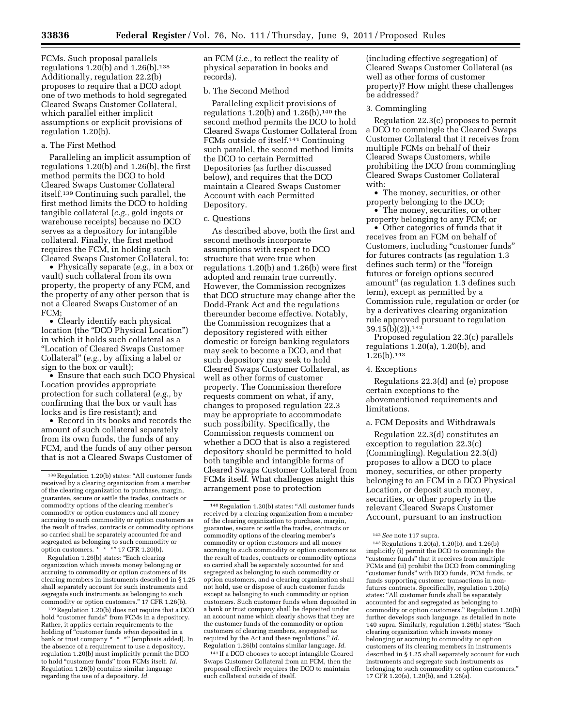FCMs. Such proposal parallels regulations 1.20(b) and 1.26(b).138 Additionally, regulation 22.2(b) proposes to require that a DCO adopt one of two methods to hold segregated Cleared Swaps Customer Collateral, which parallel either implicit assumptions or explicit provisions of regulation 1.20(b).

## a. The First Method

Paralleling an implicit assumption of regulations 1.20(b) and 1.26(b), the first method permits the DCO to hold Cleared Swaps Customer Collateral itself.139 Continuing such parallel, the first method limits the DCO to holding tangible collateral (*e.g.,* gold ingots or warehouse receipts) because no DCO serves as a depository for intangible collateral. Finally, the first method requires the FCM, in holding such Cleared Swaps Customer Collateral, to:

• Physically separate (*e.g.,* in a box or vault) such collateral from its own property, the property of any FCM, and the property of any other person that is not a Cleared Swaps Customer of an FCM;

• Clearly identify each physical location (the "DCO Physical Location") in which it holds such collateral as a ''Location of Cleared Swaps Customer Collateral'' (*e.g.,* by affixing a label or sign to the box or vault);

• Ensure that each such DCO Physical Location provides appropriate protection for such collateral (*e.g.,* by confirming that the box or vault has locks and is fire resistant); and

• Record in its books and records the amount of such collateral separately from its own funds, the funds of any FCM, and the funds of any other person that is not a Cleared Swaps Customer of

Regulation 1.26(b) states: ''Each clearing organization which invests money belonging or accruing to commodity or option customers of its clearing members in instruments described in § 1.25 shall separately account for such instruments and segregate such instruments as belonging to such commodity or option customers.'' 17 CFR 1.26(b).

139Regulation 1.20(b) does not require that a DCO hold "customer funds" from FCMs in a depository. Rather, it applies certain requirements to the holding of ''customer funds *when* deposited in a bank or trust company \* \* \*" (emphasis added). In the absence of a requirement to use a depository, regulation 1.20(b) must implicitly permit the DCO to hold ''customer funds'' from FCMs itself. *Id.*  Regulation 1.26(b) contains similar language regarding the use of a depository. *Id.* 

an FCM (*i.e.,* to reflect the reality of physical separation in books and records).

## b. The Second Method

Paralleling explicit provisions of regulations  $1.20(b)$  and  $1.26(b)$ , <sup>140</sup> the second method permits the DCO to hold Cleared Swaps Customer Collateral from FCMs outside of itself.141 Continuing such parallel, the second method limits the DCO to certain Permitted Depositories (as further discussed below), and requires that the DCO maintain a Cleared Swaps Customer Account with each Permitted Depository.

#### c. Questions

As described above, both the first and second methods incorporate assumptions with respect to DCO structure that were true when regulations 1.20(b) and 1.26(b) were first adopted and remain true currently. However, the Commission recognizes that DCO structure may change after the Dodd-Frank Act and the regulations thereunder become effective. Notably, the Commission recognizes that a depository registered with either domestic or foreign banking regulators may seek to become a DCO, and that such depository may seek to hold Cleared Swaps Customer Collateral, as well as other forms of customer property. The Commission therefore requests comment on what, if any, changes to proposed regulation 22.3 may be appropriate to accommodate such possibility. Specifically, the Commission requests comment on whether a DCO that is also a registered depository should be permitted to hold both tangible and intangible forms of Cleared Swaps Customer Collateral from FCMs itself. What challenges might this arrangement pose to protection

141 If a DCO chooses to accept intangible Cleared Swaps Customer Collateral from an FCM, then the proposal effectively requires the DCO to maintain such collateral outside of itself.

(including effective segregation) of Cleared Swaps Customer Collateral (as well as other forms of customer property)? How might these challenges be addressed?

#### 3. Commingling

Regulation 22.3(c) proposes to permit a DCO to commingle the Cleared Swaps Customer Collateral that it receives from multiple FCMs on behalf of their Cleared Swaps Customers, while prohibiting the DCO from commingling Cleared Swaps Customer Collateral with:

• The money, securities, or other property belonging to the DCO;

• The money, securities, or other property belonging to any FCM; or

• Other categories of funds that it receives from an FCM on behalf of Customers, including "customer funds" for futures contracts (as regulation 1.3 defines such term) or the ''foreign futures or foreign options secured amount'' (as regulation 1.3 defines such term), except as permitted by a Commission rule, regulation or order (or by a derivatives clearing organization rule approved pursuant to regulation 39.15(b)(2)).142

Proposed regulation 22.3(c) parallels regulations 1.20(a), 1.20(b), and  $1.26(b).$ <sup>143</sup>

#### 4. Exceptions

Regulations 22.3(d) and (e) propose certain exceptions to the abovementioned requirements and limitations.

## a. FCM Deposits and Withdrawals

Regulation 22.3(d) constitutes an exception to regulation 22.3(c) (Commingling). Regulation 22.3(d) proposes to allow a DCO to place money, securities, or other property belonging to an FCM in a DCO Physical Location, or deposit such money, securities, or other property in the relevant Cleared Swaps Customer Account, pursuant to an instruction

 $^{138}\!$  Regulation 1.20(b) states: "All customer funds received by a clearing organization from a member of the clearing organization to purchase, margin, guarantee, secure or settle the trades, contracts or commodity options of the clearing member's commodity or option customers and all money accruing to such commodity or option customers as the result of trades, contracts or commodity options so carried shall be separately accounted for and segregated as belonging to such commodity or option customers. \* \* \*'' 17 CFR 1.20(b).

<sup>&</sup>lt;sup>140</sup> Regulation 1.20(b) states: "All customer funds received by a clearing organization from a member of the clearing organization to purchase, margin, guarantee, secure or settle the trades, contracts or commodity options of the clearing member's commodity or option customers and all money accruing to such commodity or option customers as the result of trades, contracts or commodity options so carried shall be separately accounted for and segregated as belonging to such commodity or option customers, and a clearing organization shall not hold, use or dispose of such customer funds except as belonging to such commodity or option customers. Such customer funds when deposited in a bank or trust company shall be deposited under an account name which clearly shows that they are the customer funds of the commodity or option customers of clearing members, segregated as required by the Act and these regulations.'' *Id.*  Regulation 1.26(b) contains similar language. *Id.* 

<sup>142</sup>*See* note 117 supra.

<sup>143</sup>Regulations 1.20(a), 1.20(b), and 1.26(b) implicitly (i) permit the DCO to commingle the "customer funds" that it receives from multiple FCMs and (ii) prohibit the DCO from commingling ''customer funds'' with DCO funds, FCM funds, or funds supporting customer transactions in nonfutures contracts. Specifically, regulation 1.20(a) states: ''All customer funds shall be separately accounted for and segregated as belonging to commodity or option customers.'' Regulation 1.20(b) further develops such language, as detailed in note 140 supra. Similarly, regulation 1.26(b) states: ''Each clearing organization which invests money belonging or accruing to commodity or option customers of its clearing members in instruments described in § 1.25 shall separately account for such instruments and segregate such instruments as belonging to such commodity or option customers.'' 17 CFR 1.20(a), 1.20(b), and 1.26(a).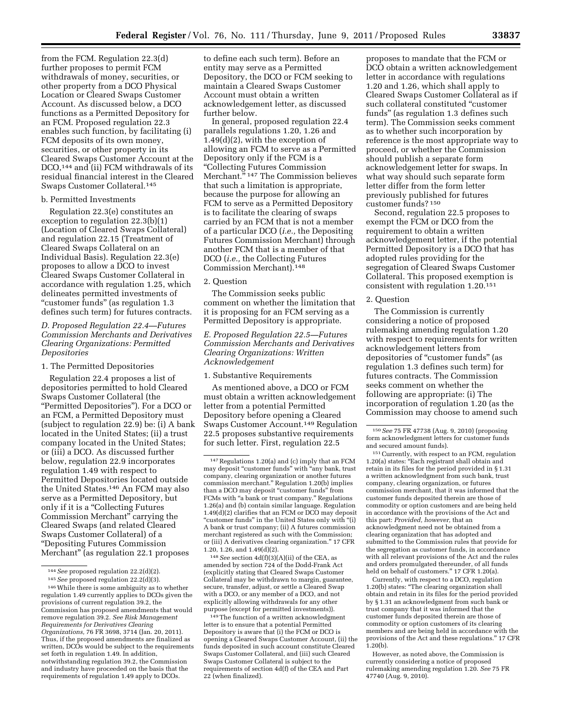from the FCM. Regulation 22.3(d) further proposes to permit FCM withdrawals of money, securities, or other property from a DCO Physical Location or Cleared Swaps Customer Account. As discussed below, a DCO functions as a Permitted Depository for an FCM. Proposed regulation 22.3 enables such function, by facilitating (i) FCM deposits of its own money, securities, or other property in its Cleared Swaps Customer Account at the DCO,<sup>144</sup> and (ii) FCM withdrawals of its residual financial interest in the Cleared Swaps Customer Collateral.145

## b. Permitted Investments

Regulation 22.3(e) constitutes an exception to regulation 22.3(b)(1) (Location of Cleared Swaps Collateral) and regulation 22.15 (Treatment of Cleared Swaps Collateral on an Individual Basis). Regulation 22.3(e) proposes to allow a DCO to invest Cleared Swaps Customer Collateral in accordance with regulation 1.25, which delineates permitted investments of "customer funds" (as regulation 1.3) defines such term) for futures contracts.

# *D. Proposed Regulation 22.4—Futures Commission Merchants and Derivatives Clearing Organizations: Permitted Depositories*

#### 1. The Permitted Depositories

Regulation 22.4 proposes a list of depositories permitted to hold Cleared Swaps Customer Collateral (the ''Permitted Depositories''). For a DCO or an FCM, a Permitted Depository must (subject to regulation 22.9) be: (i) A bank located in the United States; (ii) a trust company located in the United States; or (iii) a DCO. As discussed further below, regulation 22.9 incorporates regulation 1.49 with respect to Permitted Depositories located outside the United States.146 An FCM may also serve as a Permitted Depository, but only if it is a "Collecting Futures Commission Merchant'' carrying the Cleared Swaps (and related Cleared Swaps Customer Collateral) of a ''Depositing Futures Commission Merchant'' (as regulation 22.1 proposes

to define each such term). Before an entity may serve as a Permitted Depository, the DCO or FCM seeking to maintain a Cleared Swaps Customer Account must obtain a written acknowledgement letter, as discussed further below.

In general, proposed regulation 22.4 parallels regulations 1.20, 1.26 and 1.49(d)(2), with the exception of allowing an FCM to serve as a Permitted Depository only if the FCM is a ''Collecting Futures Commission Merchant."<sup>147</sup> The Commission believes that such a limitation is appropriate, because the purpose for allowing an FCM to serve as a Permitted Depository is to facilitate the clearing of swaps carried by an FCM that is not a member of a particular DCO (*i.e.,* the Depositing Futures Commission Merchant) through another FCM that is a member of that DCO (*i.e.,* the Collecting Futures Commission Merchant).148

#### 2. Question

The Commission seeks public comment on whether the limitation that it is proposing for an FCM serving as a Permitted Depository is appropriate.

## *E. Proposed Regulation 22.5—Futures Commission Merchants and Derivatives Clearing Organizations: Written Acknowledgement*

#### 1. Substantive Requirements

As mentioned above, a DCO or FCM must obtain a written acknowledgement letter from a potential Permitted Depository before opening a Cleared Swaps Customer Account.149 Regulation 22.5 proposes substantive requirements for such letter. First, regulation 22.5

148*See* section 4d(f)(3)(A)(ii) of the CEA, as amended by section 724 of the Dodd-Frank Act (explicitly stating that Cleared Swaps Customer Collateral may be withdrawn to margin, guarantee, secure, transfer, adjust, or settle a Cleared Swap with a DCO, or any member of a DCO, and not explicitly allowing withdrawals for any other purpose (except for permitted investments)).

149The function of a written acknowledgment letter is to ensure that a potential Permitted Depository is aware that (i) the FCM or DCO is opening a Cleared Swaps Customer Account, (ii) the funds deposited in such account constitute Cleared Swaps Customer Collateral, and (iii) such Cleared Swaps Customer Collateral is subject to the requirements of section 4d(f) of the CEA and Part 22 (when finalized).

proposes to mandate that the FCM or DCO obtain a written acknowledgement letter in accordance with regulations 1.20 and 1.26, which shall apply to Cleared Swaps Customer Collateral as if such collateral constituted ''customer funds'' (as regulation 1.3 defines such term). The Commission seeks comment as to whether such incorporation by reference is the most appropriate way to proceed, or whether the Commission should publish a separate form acknowledgement letter for swaps. In what way should such separate form letter differ from the form letter previously published for futures customer funds? 150

Second, regulation 22.5 proposes to exempt the FCM or DCO from the requirement to obtain a written acknowledgement letter, if the potential Permitted Depository is a DCO that has adopted rules providing for the segregation of Cleared Swaps Customer Collateral. This proposed exemption is consistent with regulation 1.20.151

#### 2. Question

The Commission is currently considering a notice of proposed rulemaking amending regulation 1.20 with respect to requirements for written acknowledgement letters from depositories of "customer funds" (as regulation 1.3 defines such term) for futures contracts. The Commission seeks comment on whether the following are appropriate: (i) The incorporation of regulation 1.20 (as the Commission may choose to amend such

151Currently, with respect to an FCM, regulation 1.20(a) states: ''Each registrant shall obtain and retain in its files for the period provided in § 1.31 a written acknowledgment from such bank, trust company, clearing organization, or futures commission merchant, that it was informed that the customer funds deposited therein are those of commodity or option customers and are being held in accordance with the provisions of the Act and this part: *Provided, however,* that an acknowledgment need not be obtained from a clearing organization that has adopted and submitted to the Commission rules that provide for the segregation as customer funds, in accordance with all relevant provisions of the Act and the rules and orders promulgated thereunder, of all funds held on behalf of customers.'' 17 CFR 1.20(a).

Currently, with respect to a DCO, regulation 1.20(b) states: ''The clearing organization shall obtain and retain in its files for the period provided by § 1.31 an acknowledgment from such bank or trust company that it was informed that the customer funds deposited therein are those of commodity or option customers of its clearing members and are being held in accordance with the provisions of the Act and these regulations.'' 17 CFR 1.20(b).

However, as noted above, the Commission is currently considering a notice of proposed rulemaking amending regulation 1.20. *See* 75 FR 47740 (Aug. 9, 2010).

<sup>144</sup>*See* proposed regulation 22.2(d)(2).

<sup>145</sup>*See* proposed regulation 22.2(d)(3).

<sup>146</sup>While there is some ambiguity as to whether regulation 1.49 currently applies to DCOs given the provisions of current regulation 39.2, the Commission has proposed amendments that would remove regulation 39.2. *See Risk Management Requirements for Derivatives Clearing Organizations,* 76 FR 3698, 3714 (Jan. 20, 2011). Thus, if the proposed amendments are finalized as written, DCOs would be subject to the requirements set forth in regulation 1.49. In addition, notwithstanding regulation 39.2, the Commission and industry have proceeded on the basis that the requirements of regulation 1.49 apply to DCOs.

<sup>147</sup>Regulations 1.20(a) and (c) imply that an FCM may deposit ''customer funds'' with ''any bank, trust company, clearing organization or another futures commission merchant.'' Regulation 1.20(b) implies than a DCO may deposit "customer funds" from FCMs with "a bank or trust company." Regulations 1.26(a) and (b) contain similar language. Regulation 1.49(d)(2) clarifies that an FCM or DCO may deposit "customer funds" in the United States only with "(i) A bank or trust company; (ii) A futures commission merchant registered as such with the Commission; or (iii) A derivatives clearing organization.'' 17 CFR 1.20, 1.26, and 1.49(d)(2).

<sup>150</sup>*See* 75 FR 47738 (Aug. 9, 2010) (proposing form acknowledgment letters for customer funds and secured amount funds).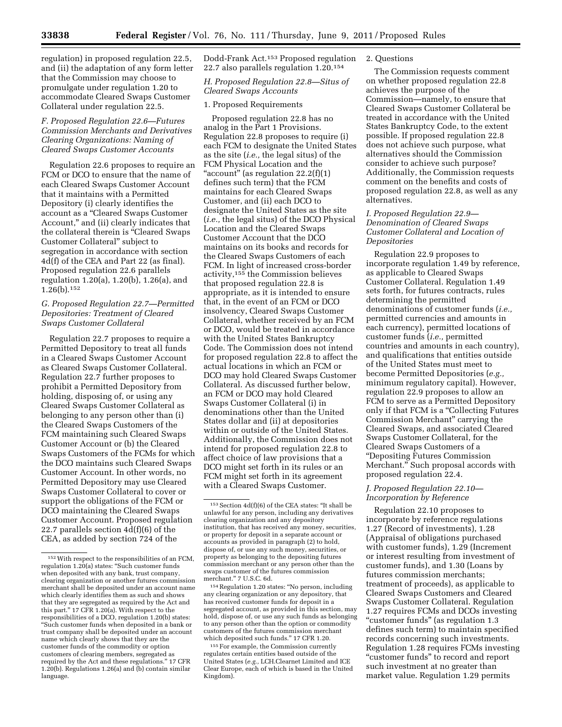regulation) in proposed regulation 22.5, and (ii) the adaptation of any form letter that the Commission may choose to promulgate under regulation 1.20 to accommodate Cleared Swaps Customer Collateral under regulation 22.5.

# *F. Proposed Regulation 22.6—Futures Commission Merchants and Derivatives Clearing Organizations: Naming of Cleared Swaps Customer Accounts*

Regulation 22.6 proposes to require an FCM or DCO to ensure that the name of each Cleared Swaps Customer Account that it maintains with a Permitted Depository (i) clearly identifies the account as a ''Cleared Swaps Customer Account,'' and (ii) clearly indicates that the collateral therein is ''Cleared Swaps Customer Collateral'' subject to segregation in accordance with section 4d(f) of the CEA and Part 22 (as final). Proposed regulation 22.6 parallels regulation 1.20(a), 1.20(b), 1.26(a), and 1.26(b).152

# *G. Proposed Regulation 22.7—Permitted Depositories: Treatment of Cleared Swaps Customer Collateral*

Regulation 22.7 proposes to require a Permitted Depository to treat all funds in a Cleared Swaps Customer Account as Cleared Swaps Customer Collateral. Regulation 22.7 further proposes to prohibit a Permitted Depository from holding, disposing of, or using any Cleared Swaps Customer Collateral as belonging to any person other than (i) the Cleared Swaps Customers of the FCM maintaining such Cleared Swaps Customer Account or (b) the Cleared Swaps Customers of the FCMs for which the DCO maintains such Cleared Swaps Customer Account. In other words, no Permitted Depository may use Cleared Swaps Customer Collateral to cover or support the obligations of the FCM or DCO maintaining the Cleared Swaps Customer Account. Proposed regulation 22.7 parallels section 4d(f)(6) of the CEA, as added by section 724 of the

Dodd-Frank Act.153 Proposed regulation 22.7 also parallels regulation 1.20.154

# *H. Proposed Regulation 22.8—Situs of Cleared Swaps Accounts*

# 1. Proposed Requirements

Proposed regulation 22.8 has no analog in the Part 1 Provisions. Regulation 22.8 proposes to require (i) each FCM to designate the United States as the site (*i.e.,* the legal situs) of the FCM Physical Location and the " $account"$  (as regulation  $22.2(f)(1)$ defines such term) that the FCM maintains for each Cleared Swaps Customer, and (ii) each DCO to designate the United States as the site (*i.e.,* the legal situs) of the DCO Physical Location and the Cleared Swaps Customer Account that the DCO maintains on its books and records for the Cleared Swaps Customers of each FCM. In light of increased cross-border activity,155 the Commission believes that proposed regulation 22.8 is appropriate, as it is intended to ensure that, in the event of an FCM or DCO insolvency, Cleared Swaps Customer Collateral, whether received by an FCM or DCO, would be treated in accordance with the United States Bankruptcy Code. The Commission does not intend for proposed regulation 22.8 to affect the actual locations in which an FCM or DCO may hold Cleared Swaps Customer Collateral. As discussed further below, an FCM or DCO may hold Cleared Swaps Customer Collateral (i) in denominations other than the United States dollar and (ii) at depositories within or outside of the United States. Additionally, the Commission does not intend for proposed regulation 22.8 to affect choice of law provisions that a DCO might set forth in its rules or an FCM might set forth in its agreement with a Cleared Swaps Customer.

154Regulation 1.20 states: ''No person, including any clearing organization or any depository, that has received customer funds for deposit in a segregated account, as provided in this section, may hold, dispose of, or use any such funds as belonging to any person other than the option or commodity customers of the futures commission merchant which deposited such funds.'' 17 CFR 1.20.

155For example, the Commission currently regulates certain entities based outside of the United States (*e.g.,* LCH.Clearnet Limited and ICE Clear Europe, each of which is based in the United Kingdom).

#### 2. Questions

The Commission requests comment on whether proposed regulation 22.8 achieves the purpose of the Commission—namely, to ensure that Cleared Swaps Customer Collateral be treated in accordance with the United States Bankruptcy Code, to the extent possible. If proposed regulation 22.8 does not achieve such purpose, what alternatives should the Commission consider to achieve such purpose? Additionally, the Commission requests comment on the benefits and costs of proposed regulation 22.8, as well as any alternatives.

# *I. Proposed Regulation 22.9— Denomination of Cleared Swaps Customer Collateral and Location of Depositories*

Regulation 22.9 proposes to incorporate regulation 1.49 by reference, as applicable to Cleared Swaps Customer Collateral. Regulation 1.49 sets forth, for futures contracts, rules determining the permitted denominations of customer funds (*i.e.,*  permitted currencies and amounts in each currency), permitted locations of customer funds (*i.e.,* permitted countries and amounts in each country), and qualifications that entities outside of the United States must meet to become Permitted Depositories (*e.g.,*  minimum regulatory capital). However, regulation 22.9 proposes to allow an FCM to serve as a Permitted Depository only if that FCM is a "Collecting Futures" Commission Merchant'' carrying the Cleared Swaps, and associated Cleared Swaps Customer Collateral, for the Cleared Swaps Customers of a ''Depositing Futures Commission Merchant.'' Such proposal accords with proposed regulation 22.4.

# *J. Proposed Regulation 22.10— Incorporation by Reference*

Regulation 22.10 proposes to incorporate by reference regulations 1.27 (Record of investments), 1.28 (Appraisal of obligations purchased with customer funds), 1.29 (Increment or interest resulting from investment of customer funds), and 1.30 (Loans by futures commission merchants; treatment of proceeds), as applicable to Cleared Swaps Customers and Cleared Swaps Customer Collateral. Regulation 1.27 requires FCMs and DCOs investing "customer funds" (as regulation 1.3 defines such term) to maintain specified records concerning such investments. Regulation 1.28 requires FCMs investing ''customer funds'' to record and report such investment at no greater than market value. Regulation 1.29 permits

<sup>152</sup>With respect to the responsibilities of an FCM, regulation 1.20(a) states: ''Such customer funds when deposited with any bank, trust company, clearing organization or another futures commission merchant shall be deposited under an account name which clearly identifies them as such and shows that they are segregated as required by the Act and this part.'' 17 CFR 1.20(a). With respect to the responsibilities of a DCO, regulation 1.20(b) states: ''Such customer funds when deposited in a bank or trust company shall be deposited under an account name which clearly shows that they are the customer funds of the commodity or option customers of clearing members, segregated as required by the Act and these regulations.'' 17 CFR 1.20(b). Regulations 1.26(a) and (b) contain similar language.

<sup>153</sup>Section 4d(f)(6) of the CEA states: ''It shall be unlawful for any person, including any derivatives clearing organization and any depository institution, that has received any money, securities, or property for deposit in a separate account or accounts as provided in paragraph (2) to hold, dispose of, or use any such money, securities, or property as belonging to the depositing futures commission merchant or any person other than the swaps customer of the futures commission merchant.'' 7 U.S.C. 6d.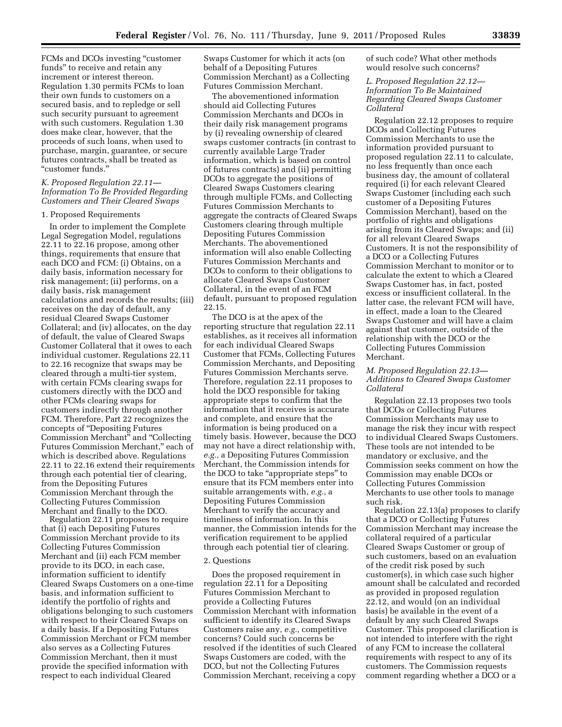FCMs and DCOs investing ''customer funds'' to receive and retain any increment or interest thereon. Regulation 1.30 permits FCMs to loan their own funds to customers on a secured basis, and to repledge or sell such security pursuant to agreement with such customers. Regulation 1.30 does make clear, however, that the proceeds of such loans, when used to purchase, margin, guarantee, or secure futures contracts, shall be treated as ''customer funds.''

## *K. Proposed Regulation 22.11— Information To Be Provided Regarding Customers and Their Cleared Swaps*

#### 1. Proposed Requirements

In order to implement the Complete Legal Segregation Model, regulations 22.11 to 22.16 propose, among other things, requirements that ensure that each DCO and FCM: (i) Obtains, on a daily basis, information necessary for risk management; (ii) performs, on a daily basis, risk management calculations and records the results; (iii) receives on the day of default, any residual Cleared Swaps Customer Collateral; and (iv) allocates, on the day of default, the value of Cleared Swaps Customer Collateral that it owes to each individual customer. Regulations 22.11 to 22.16 recognize that swaps may be cleared through a multi-tier system, with certain FCMs clearing swaps for customers directly with the DCO and other FCMs clearing swaps for customers indirectly through another FCM. Therefore, Part 22 recognizes the concepts of ''Depositing Futures Commission Merchant'' and ''Collecting Futures Commission Merchant,'' each of which is described above. Regulations 22.11 to 22.16 extend their requirements through each potential tier of clearing, from the Depositing Futures Commission Merchant through the Collecting Futures Commission Merchant and finally to the DCO.

Regulation 22.11 proposes to require that (i) each Depositing Futures Commission Merchant provide to its Collecting Futures Commission Merchant and (ii) each FCM member provide to its DCO, in each case, information sufficient to identify Cleared Swaps Customers on a one-time basis, and information sufficient to identify the portfolio of rights and obligations belonging to such customers with respect to their Cleared Swaps on a daily basis. If a Depositing Futures Commission Merchant or FCM member also serves as a Collecting Futures Commission Merchant, then it must provide the specified information with respect to each individual Cleared

Swaps Customer for which it acts (on behalf of a Depositing Futures Commission Merchant) as a Collecting Futures Commission Merchant.

The abovementioned information should aid Collecting Futures Commission Merchants and DCOs in their daily risk management programs by (i) revealing ownership of cleared swaps customer contracts (in contrast to currently available Large Trader information, which is based on control of futures contracts) and (ii) permitting DCOs to aggregate the positions of Cleared Swaps Customers clearing through multiple FCMs, and Collecting Futures Commission Merchants to aggregate the contracts of Cleared Swaps Customers clearing through multiple Depositing Futures Commission Merchants. The abovementioned information will also enable Collecting Futures Commission Merchants and DCOs to conform to their obligations to allocate Cleared Swaps Customer Collateral, in the event of an FCM default, pursuant to proposed regulation 22.15.

The DCO is at the apex of the reporting structure that regulation 22.11 establishes, as it receives all information for each individual Cleared Swaps Customer that FCMs, Collecting Futures Commission Merchants, and Depositing Futures Commission Merchants serve. Therefore, regulation 22.11 proposes to hold the DCO responsible for taking appropriate steps to confirm that the information that it receives is accurate and complete, and ensure that the information is being produced on a timely basis. However, because the DCO may not have a direct relationship with, *e.g.,* a Depositing Futures Commission Merchant, the Commission intends for the DCO to take ''appropriate steps'' to ensure that its FCM members enter into suitable arrangements with, *e.g.,* a Depositing Futures Commission Merchant to verify the accuracy and timeliness of information. In this manner, the Commission intends for the verification requirement to be applied through each potential tier of clearing.

#### 2. Questions

Does the proposed requirement in regulation 22.11 for a Depositing Futures Commission Merchant to provide a Collecting Futures Commission Merchant with information sufficient to identify its Cleared Swaps Customers raise any, *e.g.,* competitive concerns? Could such concerns be resolved if the identities of such Cleared Swaps Customers are coded, with the DCO, but not the Collecting Futures Commission Merchant, receiving a copy

of such code? What other methods would resolve such concerns?

*L. Proposed Regulation 22.12— Information To Be Maintained Regarding Cleared Swaps Customer Collateral* 

Regulation 22.12 proposes to require DCOs and Collecting Futures Commission Merchants to use the information provided pursuant to proposed regulation 22.11 to calculate, no less frequently than once each business day, the amount of collateral required (i) for each relevant Cleared Swaps Customer (including each such customer of a Depositing Futures Commission Merchant), based on the portfolio of rights and obligations arising from its Cleared Swaps; and (ii) for all relevant Cleared Swaps Customers. It is not the responsibility of a DCO or a Collecting Futures Commission Merchant to monitor or to calculate the extent to which a Cleared Swaps Customer has, in fact, posted excess or insufficient collateral. In the latter case, the relevant FCM will have, in effect, made a loan to the Cleared Swaps Customer and will have a claim against that customer, outside of the relationship with the DCO or the Collecting Futures Commission Merchant.

## *M. Proposed Regulation 22.13— Additions to Cleared Swaps Customer Collateral*

Regulation 22.13 proposes two tools that DCOs or Collecting Futures Commission Merchants may use to manage the risk they incur with respect to individual Cleared Swaps Customers. These tools are not intended to be mandatory or exclusive, and the Commission seeks comment on how the Commission may enable DCOs or Collecting Futures Commission Merchants to use other tools to manage such risk.

Regulation 22.13(a) proposes to clarify that a DCO or Collecting Futures Commission Merchant may increase the collateral required of a particular Cleared Swaps Customer or group of such customers, based on an evaluation of the credit risk posed by such customer(s), in which case such higher amount shall be calculated and recorded as provided in proposed regulation 22.12, and would (on an individual basis) be available in the event of a default by any such Cleared Swaps Customer. This proposed clarification is not intended to interfere with the right of any FCM to increase the collateral requirements with respect to any of its customers. The Commission requests comment regarding whether a DCO or a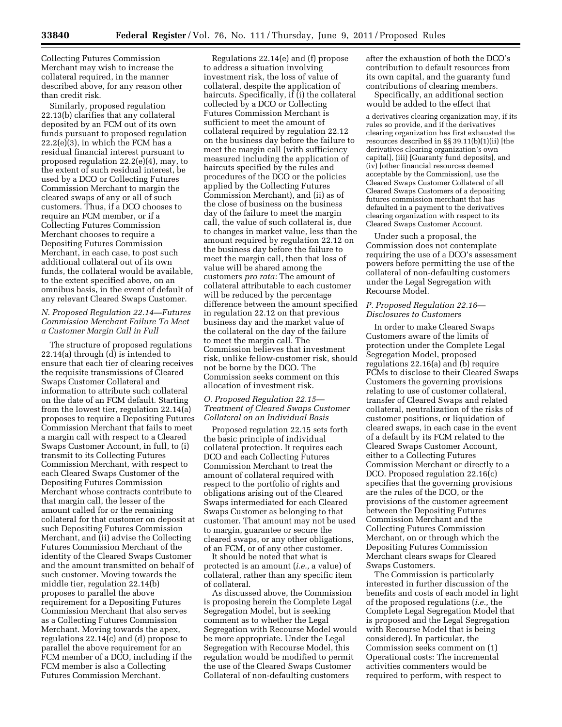Collecting Futures Commission Merchant may wish to increase the collateral required, in the manner described above, for any reason other than credit risk.

Similarly, proposed regulation 22.13(b) clarifies that any collateral deposited by an FCM out of its own funds pursuant to proposed regulation  $22.2(e)(3)$ , in which the FCM has a residual financial interest pursuant to proposed regulation 22.2(e)(4), may, to the extent of such residual interest, be used by a DCO or Collecting Futures Commission Merchant to margin the cleared swaps of any or all of such customers. Thus, if a DCO chooses to require an FCM member, or if a Collecting Futures Commission Merchant chooses to require a Depositing Futures Commission Merchant, in each case, to post such additional collateral out of its own funds, the collateral would be available, to the extent specified above, on an omnibus basis, in the event of default of any relevant Cleared Swaps Customer.

# *N. Proposed Regulation 22.14—Futures Commission Merchant Failure To Meet a Customer Margin Call in Full*

The structure of proposed regulations 22.14(a) through (d) is intended to ensure that each tier of clearing receives the requisite transmissions of Cleared Swaps Customer Collateral and information to attribute such collateral on the date of an FCM default. Starting from the lowest tier, regulation 22.14(a) proposes to require a Depositing Futures Commission Merchant that fails to meet a margin call with respect to a Cleared Swaps Customer Account, in full, to (i) transmit to its Collecting Futures Commission Merchant, with respect to each Cleared Swaps Customer of the Depositing Futures Commission Merchant whose contracts contribute to that margin call, the lesser of the amount called for or the remaining collateral for that customer on deposit at such Depositing Futures Commission Merchant, and (ii) advise the Collecting Futures Commission Merchant of the identity of the Cleared Swaps Customer and the amount transmitted on behalf of such customer. Moving towards the middle tier, regulation 22.14(b) proposes to parallel the above requirement for a Depositing Futures Commission Merchant that also serves as a Collecting Futures Commission Merchant. Moving towards the apex, regulations 22.14(c) and (d) propose to parallel the above requirement for an FCM member of a DCO, including if the FCM member is also a Collecting Futures Commission Merchant.

Regulations 22.14(e) and (f) propose to address a situation involving investment risk, the loss of value of collateral, despite the application of haircuts. Specifically, if (i) the collateral collected by a DCO or Collecting Futures Commission Merchant is sufficient to meet the amount of collateral required by regulation 22.12 on the business day before the failure to meet the margin call (with sufficiency measured including the application of haircuts specified by the rules and procedures of the DCO or the policies applied by the Collecting Futures Commission Merchant), and (ii) as of the close of business on the business day of the failure to meet the margin call, the value of such collateral is, due to changes in market value, less than the amount required by regulation 22.12 on the business day before the failure to meet the margin call, then that loss of value will be shared among the customers *pro rata:* The amount of collateral attributable to each customer will be reduced by the percentage difference between the amount specified in regulation 22.12 on that previous business day and the market value of the collateral on the day of the failure to meet the margin call. The Commission believes that investment risk, unlike fellow-customer risk, should not be borne by the DCO. The Commission seeks comment on this allocation of investment risk.

# *O. Proposed Regulation 22.15— Treatment of Cleared Swaps Customer Collateral on an Individual Basis*

Proposed regulation 22.15 sets forth the basic principle of individual collateral protection. It requires each DCO and each Collecting Futures Commission Merchant to treat the amount of collateral required with respect to the portfolio of rights and obligations arising out of the Cleared Swaps intermediated for each Cleared Swaps Customer as belonging to that customer. That amount may not be used to margin, guarantee or secure the cleared swaps, or any other obligations, of an FCM, or of any other customer.

It should be noted that what is protected is an amount (*i.e.,* a value) of collateral, rather than any specific item of collateral.

As discussed above, the Commission is proposing herein the Complete Legal Segregation Model, but is seeking comment as to whether the Legal Segregation with Recourse Model would be more appropriate. Under the Legal Segregation with Recourse Model, this regulation would be modified to permit the use of the Cleared Swaps Customer Collateral of non-defaulting customers

after the exhaustion of both the DCO's contribution to default resources from its own capital, and the guaranty fund contributions of clearing members.

Specifically, an additional section would be added to the effect that

a derivatives clearing organization may, if its rules so provide, and if the derivatives clearing organization has first exhausted the resources described in §§ 39.11(b)(1)(ii) [the derivatives clearing organization's own capital], (iii) [Guaranty fund deposits], and (iv) [other financial resources deemed acceptable by the Commission], use the Cleared Swaps Customer Collateral of all Cleared Swaps Customers of a depositing futures commission merchant that has defaulted in a payment to the derivatives clearing organization with respect to its Cleared Swaps Customer Account.

Under such a proposal, the Commission does not contemplate requiring the use of a DCO's assessment powers before permitting the use of the collateral of non-defaulting customers under the Legal Segregation with Recourse Model.

# *P. Proposed Regulation 22.16— Disclosures to Customers*

In order to make Cleared Swaps Customers aware of the limits of protection under the Complete Legal Segregation Model, proposed regulations 22.16(a) and (b) require FCMs to disclose to their Cleared Swaps Customers the governing provisions relating to use of customer collateral, transfer of Cleared Swaps and related collateral, neutralization of the risks of customer positions, or liquidation of cleared swaps, in each case in the event of a default by its FCM related to the Cleared Swaps Customer Account, either to a Collecting Futures Commission Merchant or directly to a DCO. Proposed regulation 22.16(c) specifies that the governing provisions are the rules of the DCO, or the provisions of the customer agreement between the Depositing Futures Commission Merchant and the Collecting Futures Commission Merchant, on or through which the Depositing Futures Commission Merchant clears swaps for Cleared Swaps Customers.

The Commission is particularly interested in further discussion of the benefits and costs of each model in light of the proposed regulations (*i.e.,* the Complete Legal Segregation Model that is proposed and the Legal Segregation with Recourse Model that is being considered). In particular, the Commission seeks comment on (1) Operational costs: The incremental activities commenters would be required to perform, with respect to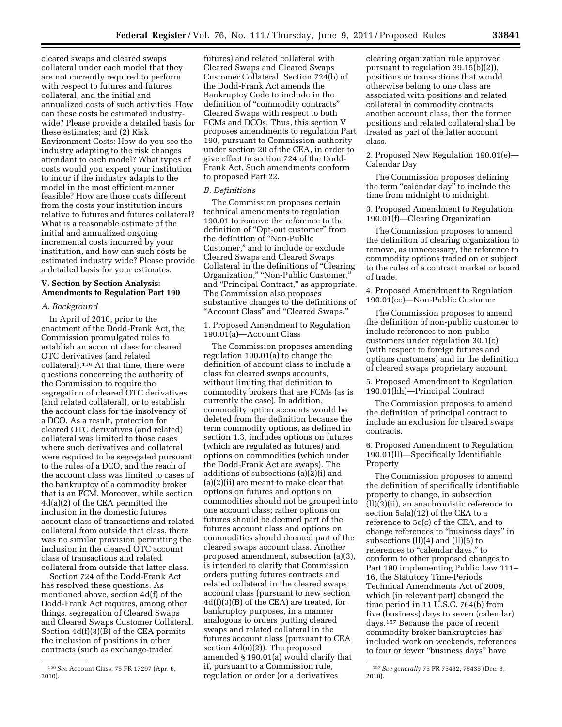cleared swaps and cleared swaps collateral under each model that they are not currently required to perform with respect to futures and futures collateral, and the initial and annualized costs of such activities. How can these costs be estimated industrywide? Please provide a detailed basis for these estimates; and (2) Risk Environment Costs: How do you see the industry adapting to the risk changes attendant to each model? What types of costs would you expect your institution to incur if the industry adapts to the model in the most efficient manner feasible? How are those costs different from the costs your institution incurs relative to futures and futures collateral? What is a reasonable estimate of the initial and annualized ongoing incremental costs incurred by your institution, and how can such costs be estimated industry wide? Please provide a detailed basis for your estimates.

# **V. Section by Section Analysis: Amendments to Regulation Part 190**

## *A. Background*

In April of 2010, prior to the enactment of the Dodd-Frank Act, the Commission promulgated rules to establish an account class for cleared OTC derivatives (and related collateral).156 At that time, there were questions concerning the authority of the Commission to require the segregation of cleared OTC derivatives (and related collateral), or to establish the account class for the insolvency of a DCO. As a result, protection for cleared OTC derivatives (and related) collateral was limited to those cases where such derivatives and collateral were required to be segregated pursuant to the rules of a DCO, and the reach of the account class was limited to cases of the bankruptcy of a commodity broker that is an FCM. Moreover, while section 4d(a)(2) of the CEA permitted the inclusion in the domestic futures account class of transactions and related collateral from outside that class, there was no similar provision permitting the inclusion in the cleared OTC account class of transactions and related collateral from outside that latter class.

Section 724 of the Dodd-Frank Act has resolved these questions. As mentioned above, section 4d(f) of the Dodd-Frank Act requires, among other things, segregation of Cleared Swaps and Cleared Swaps Customer Collateral. Section 4d(f)(3)(B) of the CEA permits the inclusion of positions in other contracts (such as exchange-traded

futures) and related collateral with Cleared Swaps and Cleared Swaps Customer Collateral. Section 724(b) of the Dodd-Frank Act amends the Bankruptcy Code to include in the definition of "commodity contracts" Cleared Swaps with respect to both FCMs and DCOs. Thus, this section V proposes amendments to regulation Part 190, pursuant to Commission authority under section 20 of the CEA, in order to give effect to section 724 of the Dodd-Frank Act. Such amendments conform to proposed Part 22.

# *B. Definitions*

The Commission proposes certain technical amendments to regulation 190.01 to remove the reference to the definition of "Opt-out customer" from the definition of ''Non-Public Customer,'' and to include or exclude Cleared Swaps and Cleared Swaps Collateral in the definitions of ''Clearing Organization,'' ''Non-Public Customer,'' and ''Principal Contract,'' as appropriate. The Commission also proposes substantive changes to the definitions of ''Account Class'' and ''Cleared Swaps.''

1. Proposed Amendment to Regulation 190.01(a)—Account Class

The Commission proposes amending regulation 190.01(a) to change the definition of account class to include a class for cleared swaps accounts, without limiting that definition to commodity brokers that are FCMs (as is currently the case). In addition, commodity option accounts would be deleted from the definition because the term commodity options, as defined in section 1.3, includes options on futures (which are regulated as futures) and options on commodities (which under the Dodd-Frank Act are swaps). The additions of subsections (a)(2)(i) and (a)(2)(ii) are meant to make clear that options on futures and options on commodities should not be grouped into one account class; rather options on futures should be deemed part of the futures account class and options on commodities should deemed part of the cleared swaps account class. Another proposed amendment, subsection (a)(3), is intended to clarify that Commission orders putting futures contracts and related collateral in the cleared swaps account class (pursuant to new section 4d(f)(3)(B) of the CEA) are treated, for bankruptcy purposes, in a manner analogous to orders putting cleared swaps and related collateral in the futures account class (pursuant to CEA section 4d(a)(2)). The proposed amended § 190.01(a) would clarify that if, pursuant to a Commission rule, regulation or order (or a derivatives

clearing organization rule approved pursuant to regulation 39.15(b)(2)), positions or transactions that would otherwise belong to one class are associated with positions and related collateral in commodity contracts another account class, then the former positions and related collateral shall be treated as part of the latter account class.

2. Proposed New Regulation 190.01(e)— Calendar Day

The Commission proposes defining the term "calendar day" to include the time from midnight to midnight.

3. Proposed Amendment to Regulation 190.01(f)—Clearing Organization

The Commission proposes to amend the definition of clearing organization to remove, as unnecessary, the reference to commodity options traded on or subject to the rules of a contract market or board of trade.

4. Proposed Amendment to Regulation 190.01(cc)—Non-Public Customer

The Commission proposes to amend the definition of non-public customer to include references to non-public customers under regulation 30.1(c) (with respect to foreign futures and options customers) and in the definition of cleared swaps proprietary account.

5. Proposed Amendment to Regulation 190.01(hh)—Principal Contract

The Commission proposes to amend the definition of principal contract to include an exclusion for cleared swaps contracts.

6. Proposed Amendment to Regulation 190.01(ll)—Specifically Identifiable Property

The Commission proposes to amend the definition of specifically identifiable property to change, in subsection  $(11)(2)(ii)$ , an anachronistic reference to section 5a(a)(12) of the CEA to a reference to 5c(c) of the CEA, and to change references to "business days" in subsections (ll)(4) and (ll)(5) to references to "calendar days," to conform to other proposed changes to Part 190 implementing Public Law 111– 16, the Statutory Time-Periods Technical Amendments Act of 2009, which (in relevant part) changed the time period in 11 U.S.C. 764(b) from five (business) days to seven (calendar) days.157 Because the pace of recent commodity broker bankruptcies has included work on weekends, references to four or fewer ''business days'' have

<sup>156</sup>*See* Account Class, 75 FR 17297 (Apr. 6, 2010).

<sup>157</sup>*See generally* 75 FR 75432, 75435 (Dec. 3, 2010).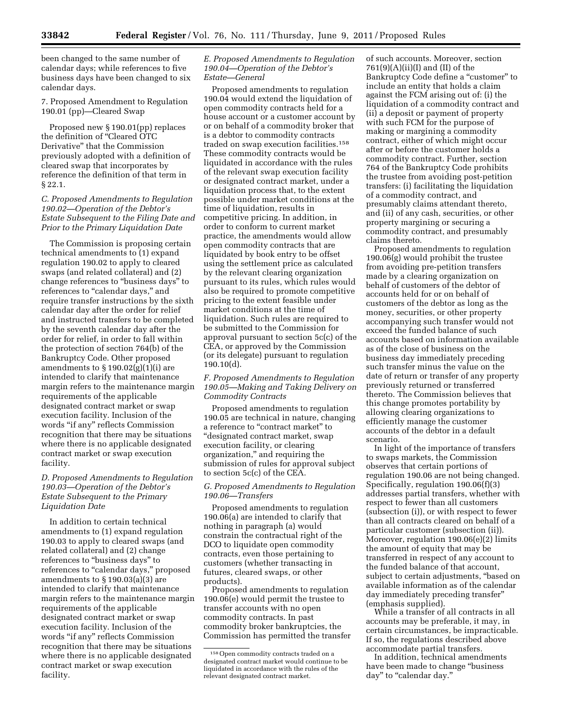been changed to the same number of calendar days; while references to five business days have been changed to six calendar days.

7. Proposed Amendment to Regulation 190.01 (pp)—Cleared Swap

Proposed new § 190.01(pp) replaces the definition of ''Cleared OTC Derivative'' that the Commission previously adopted with a definition of cleared swap that incorporates by reference the definition of that term in § 22.1.

# *C. Proposed Amendments to Regulation 190.02—Operation of the Debtor's Estate Subsequent to the Filing Date and Prior to the Primary Liquidation Date*

The Commission is proposing certain technical amendments to (1) expand regulation 190.02 to apply to cleared swaps (and related collateral) and (2) change references to "business days" to references to "calendar days," and require transfer instructions by the sixth calendar day after the order for relief and instructed transfers to be completed by the seventh calendar day after the order for relief, in order to fall within the protection of section 764(b) of the Bankruptcy Code. Other proposed amendments to  $\S 190.02(g)(1)(i)$  are intended to clarify that maintenance margin refers to the maintenance margin requirements of the applicable designated contract market or swap execution facility. Inclusion of the words ''if any'' reflects Commission recognition that there may be situations where there is no applicable designated contract market or swap execution facility.

# *D. Proposed Amendments to Regulation 190.03—Operation of the Debtor's Estate Subsequent to the Primary Liquidation Date*

In addition to certain technical amendments to (1) expand regulation 190.03 to apply to cleared swaps (and related collateral) and (2) change references to "business days" to references to "calendar days," proposed amendments to § 190.03(a)(3) are intended to clarify that maintenance margin refers to the maintenance margin requirements of the applicable designated contract market or swap execution facility. Inclusion of the words ''if any'' reflects Commission recognition that there may be situations where there is no applicable designated contract market or swap execution facility.

## *E. Proposed Amendments to Regulation 190.04—Operation of the Debtor's Estate—General*

Proposed amendments to regulation 190.04 would extend the liquidation of open commodity contracts held for a house account or a customer account by or on behalf of a commodity broker that is a debtor to commodity contracts traded on swap execution facilities.158 These commodity contracts would be liquidated in accordance with the rules of the relevant swap execution facility or designated contract market, under a liquidation process that, to the extent possible under market conditions at the time of liquidation, results in competitive pricing. In addition, in order to conform to current market practice, the amendments would allow open commodity contracts that are liquidated by book entry to be offset using the settlement price as calculated by the relevant clearing organization pursuant to its rules, which rules would also be required to promote competitive pricing to the extent feasible under market conditions at the time of liquidation. Such rules are required to be submitted to the Commission for approval pursuant to section 5c(c) of the CEA, or approved by the Commission (or its delegate) pursuant to regulation 190.10(d).

*F. Proposed Amendments to Regulation 190.05—Making and Taking Delivery on Commodity Contracts* 

Proposed amendments to regulation 190.05 are technical in nature, changing a reference to "contract market" to ''designated contract market, swap execution facility, or clearing organization,'' and requiring the submission of rules for approval subject to section 5c(c) of the CEA.

## *G. Proposed Amendments to Regulation 190.06—Transfers*

Proposed amendments to regulation 190.06(a) are intended to clarify that nothing in paragraph (a) would constrain the contractual right of the DCO to liquidate open commodity contracts, even those pertaining to customers (whether transacting in futures, cleared swaps, or other products).

Proposed amendments to regulation 190.06(e) would permit the trustee to transfer accounts with no open commodity contracts. In past commodity broker bankruptcies, the Commission has permitted the transfer of such accounts. Moreover, section 761(9)(A)(ii)(I) and (II) of the Bankruptcy Code define a "customer" to include an entity that holds a claim against the FCM arising out of: (i) the liquidation of a commodity contract and (ii) a deposit or payment of property with such FCM for the purpose of making or margining a commodity contract, either of which might occur after or before the customer holds a commodity contract. Further, section 764 of the Bankruptcy Code prohibits the trustee from avoiding post-petition transfers: (i) facilitating the liquidation of a commodity contract, and presumably claims attendant thereto, and (ii) of any cash, securities, or other property margining or securing a commodity contract, and presumably claims thereto.

Proposed amendments to regulation 190.06(g) would prohibit the trustee from avoiding pre-petition transfers made by a clearing organization on behalf of customers of the debtor of accounts held for or on behalf of customers of the debtor as long as the money, securities, or other property accompanying such transfer would not exceed the funded balance of such accounts based on information available as of the close of business on the business day immediately preceding such transfer minus the value on the date of return or transfer of any property previously returned or transferred thereto. The Commission believes that this change promotes portability by allowing clearing organizations to efficiently manage the customer accounts of the debtor in a default scenario.

In light of the importance of transfers to swaps markets, the Commission observes that certain portions of regulation 190.06 are not being changed. Specifically, regulation 190.06(f)(3) addresses partial transfers, whether with respect to fewer than all customers (subsection (i)), or with respect to fewer than all contracts cleared on behalf of a particular customer (subsection (ii)). Moreover, regulation 190.06(e)(2) limits the amount of equity that may be transferred in respect of any account to the funded balance of that account, subject to certain adjustments, ''based on available information as of the calendar day immediately preceding transfer'' (emphasis supplied).

While a transfer of all contracts in all accounts may be preferable, it may, in certain circumstances, be impracticable. If so, the regulations described above accommodate partial transfers.

In addition, technical amendments have been made to change ''business day" to "calendar day."

<sup>158</sup>Open commodity contracts traded on a designated contract market would continue to be liquidated in accordance with the rules of the relevant designated contract market.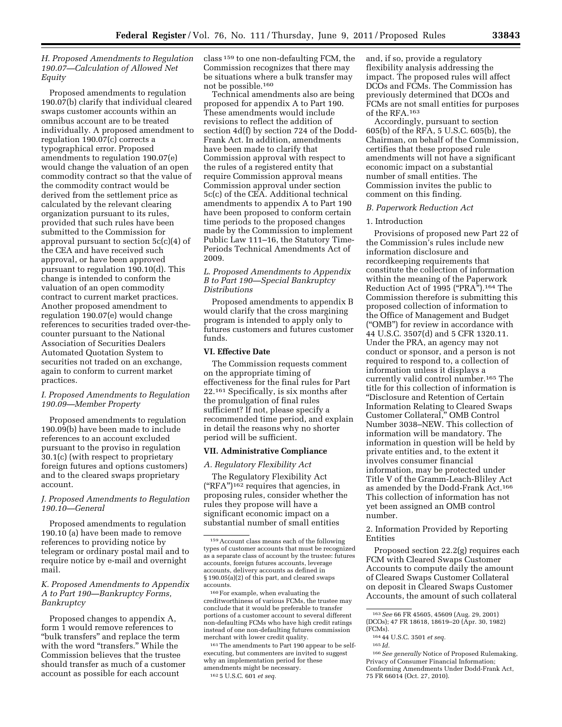# *H. Proposed Amendments to Regulation 190.07—Calculation of Allowed Net Equity*

Proposed amendments to regulation 190.07(b) clarify that individual cleared swaps customer accounts within an omnibus account are to be treated individually. A proposed amendment to regulation 190.07(c) corrects a typographical error. Proposed amendments to regulation 190.07(e) would change the valuation of an open commodity contract so that the value of the commodity contract would be derived from the settlement price as calculated by the relevant clearing organization pursuant to its rules, provided that such rules have been submitted to the Commission for approval pursuant to section 5c(c)(4) of the CEA and have received such approval, or have been approved pursuant to regulation 190.10(d). This change is intended to conform the valuation of an open commodity contract to current market practices. Another proposed amendment to regulation 190.07(e) would change references to securities traded over-thecounter pursuant to the National Association of Securities Dealers Automated Quotation System to securities not traded on an exchange, again to conform to current market practices.

## *I. Proposed Amendments to Regulation 190.09—Member Property*

Proposed amendments to regulation 190.09(b) have been made to include references to an account excluded pursuant to the proviso in regulation 30.1(c) (with respect to proprietary foreign futures and options customers) and to the cleared swaps proprietary account.

## *J. Proposed Amendments to Regulation 190.10—General*

Proposed amendments to regulation 190.10 (a) have been made to remove references to providing notice by telegram or ordinary postal mail and to require notice by e-mail and overnight mail.

## *K. Proposed Amendments to Appendix A to Part 190—Bankruptcy Forms, Bankruptcy*

Proposed changes to appendix A, form 1 would remove references to ''bulk transfers'' and replace the term with the word "transfers." While the Commission believes that the trustee should transfer as much of a customer account as possible for each account

class 159 to one non-defaulting FCM, the Commission recognizes that there may be situations where a bulk transfer may not be possible.160

Technical amendments also are being proposed for appendix A to Part 190. These amendments would include revisions to reflect the addition of section 4d(f) by section 724 of the Dodd-Frank Act. In addition, amendments have been made to clarify that Commission approval with respect to the rules of a registered entity that require Commission approval means Commission approval under section 5c(c) of the CEA. Additional technical amendments to appendix A to Part 190 have been proposed to conform certain time periods to the proposed changes made by the Commission to implement Public Law 111–16, the Statutory Time-Periods Technical Amendments Act of 2009.

# *L. Proposed Amendments to Appendix B to Part 190—Special Bankruptcy Distributions*

Proposed amendments to appendix B would clarify that the cross margining program is intended to apply only to futures customers and futures customer funds.

## **VI. Effective Date**

The Commission requests comment on the appropriate timing of effectiveness for the final rules for Part 22.161 Specifically, is six months after the promulgation of final rules sufficient? If not, please specify a recommended time period, and explain in detail the reasons why no shorter period will be sufficient.

#### **VII. Administrative Compliance**

## *A. Regulatory Flexibility Act*

The Regulatory Flexibility Act (''RFA'')162 requires that agencies, in proposing rules, consider whether the rules they propose will have a significant economic impact on a substantial number of small entities

160For example, when evaluating the creditworthiness of various FCMs, the trustee may conclude that it would be preferable to transfer portions of a customer account to several different non-defaulting FCMs who have high credit ratings instead of one non-defaulting futures commission merchant with lower credit quality.

161The amendments to Part 190 appear to be selfexecuting, but commenters are invited to suggest why an implementation period for these amendments might be necessary.

162 5 U.S.C. 601 *et seq.* 

and, if so, provide a regulatory flexibility analysis addressing the impact. The proposed rules will affect DCOs and FCMs. The Commission has previously determined that DCOs and FCMs are not small entities for purposes of the RFA.163

Accordingly, pursuant to section 605(b) of the RFA, 5 U.S.C. 605(b), the Chairman, on behalf of the Commission, certifies that these proposed rule amendments will not have a significant economic impact on a substantial number of small entities. The Commission invites the public to comment on this finding.

## *B. Paperwork Reduction Act*

## 1. Introduction

Provisions of proposed new Part 22 of the Commission's rules include new information disclosure and recordkeeping requirements that constitute the collection of information within the meaning of the Paperwork Reduction Act of 1995 (''PRA'').164 The Commission therefore is submitting this proposed collection of information to the Office of Management and Budget (''OMB'') for review in accordance with 44 U.S.C. 3507(d) and 5 CFR 1320.11. Under the PRA, an agency may not conduct or sponsor, and a person is not required to respond to, a collection of information unless it displays a currently valid control number.165 The title for this collection of information is ''Disclosure and Retention of Certain Information Relating to Cleared Swaps Customer Collateral,'' OMB Control Number 3038–NEW. This collection of information will be mandatory. The information in question will be held by private entities and, to the extent it involves consumer financial information, may be protected under Title V of the Gramm-Leach-Bliley Act as amended by the Dodd-Frank Act.166 This collection of information has not yet been assigned an OMB control number.

# 2. Information Provided by Reporting Entities

Proposed section 22.2(g) requires each FCM with Cleared Swaps Customer Accounts to compute daily the amount of Cleared Swaps Customer Collateral on deposit in Cleared Swaps Customer Accounts, the amount of such collateral

<sup>159</sup>Account class means each of the following types of customer accounts that must be recognized as a separate class of account by the trustee: futures accounts, foreign futures accounts, leverage accounts, delivery accounts as defined in § 190.05(a)(2) of this part, and cleared swaps accounts.

<sup>163</sup>*See* 66 FR 45605, 45609 (Aug. 29, 2001) (DCOs); 47 FR 18618, 18619–20 (Apr. 30, 1982) (FCMs).

<sup>164</sup> 44 U.S.C. 3501 *et seq.* 

<sup>165</sup> *Id.* 

<sup>166</sup>*See generally* Notice of Proposed Rulemaking, Privacy of Consumer Financial Information; Conforming Amendments Under Dodd-Frank Act, 75 FR 66014 (Oct. 27, 2010).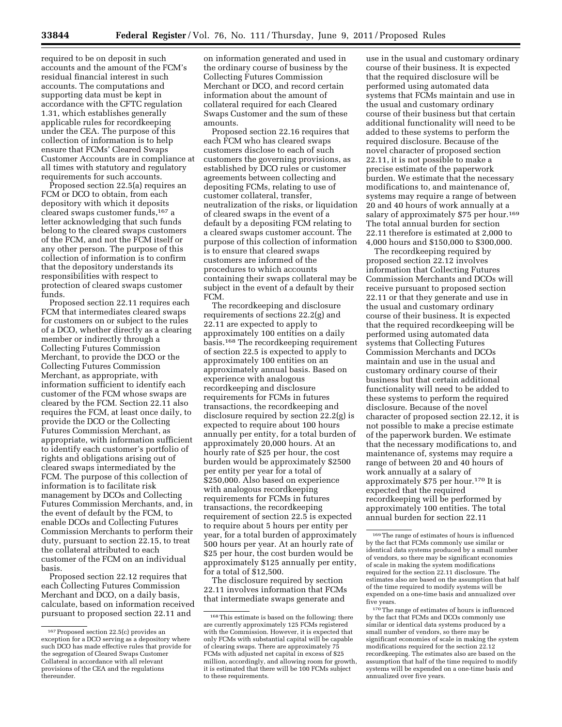required to be on deposit in such accounts and the amount of the FCM's residual financial interest in such accounts. The computations and supporting data must be kept in accordance with the CFTC regulation 1.31, which establishes generally applicable rules for recordkeeping under the CEA. The purpose of this collection of information is to help ensure that FCMs' Cleared Swaps Customer Accounts are in compliance at all times with statutory and regulatory requirements for such accounts.

Proposed section 22.5(a) requires an FCM or DCO to obtain, from each depository with which it deposits cleared swaps customer funds,167 a letter acknowledging that such funds belong to the cleared swaps customers of the FCM, and not the FCM itself or any other person. The purpose of this collection of information is to confirm that the depository understands its responsibilities with respect to protection of cleared swaps customer funds.

Proposed section 22.11 requires each FCM that intermediates cleared swaps for customers on or subject to the rules of a DCO, whether directly as a clearing member or indirectly through a Collecting Futures Commission Merchant, to provide the DCO or the Collecting Futures Commission Merchant, as appropriate, with information sufficient to identify each customer of the FCM whose swaps are cleared by the FCM. Section 22.11 also requires the FCM, at least once daily, to provide the DCO or the Collecting Futures Commission Merchant, as appropriate, with information sufficient to identify each customer's portfolio of rights and obligations arising out of cleared swaps intermediated by the FCM. The purpose of this collection of information is to facilitate risk management by DCOs and Collecting Futures Commission Merchants, and, in the event of default by the FCM, to enable DCOs and Collecting Futures Commission Merchants to perform their duty, pursuant to section 22.15, to treat the collateral attributed to each customer of the FCM on an individual basis.

Proposed section 22.12 requires that each Collecting Futures Commission Merchant and DCO, on a daily basis, calculate, based on information received pursuant to proposed section 22.11 and

on information generated and used in the ordinary course of business by the Collecting Futures Commission Merchant or DCO, and record certain information about the amount of collateral required for each Cleared Swaps Customer and the sum of these amounts.

Proposed section 22.16 requires that each FCM who has cleared swaps customers disclose to each of such customers the governing provisions, as established by DCO rules or customer agreements between collecting and depositing FCMs, relating to use of customer collateral, transfer, neutralization of the risks, or liquidation of cleared swaps in the event of a default by a depositing FCM relating to a cleared swaps customer account. The purpose of this collection of information is to ensure that cleared swaps customers are informed of the procedures to which accounts containing their swaps collateral may be subject in the event of a default by their FCM.

The recordkeeping and disclosure requirements of sections 22.2(g) and 22.11 are expected to apply to approximately 100 entities on a daily basis.168 The recordkeeping requirement of section 22.5 is expected to apply to approximately 100 entities on an approximately annual basis. Based on experience with analogous recordkeeping and disclosure requirements for FCMs in futures transactions, the recordkeeping and disclosure required by section 22.2(g) is expected to require about 100 hours annually per entity, for a total burden of approximately 20,000 hours. At an hourly rate of \$25 per hour, the cost burden would be approximately \$2500 per entity per year for a total of \$250,000. Also based on experience with analogous recordkeeping requirements for FCMs in futures transactions, the recordkeeping requirement of section 22.5 is expected to require about 5 hours per entity per year, for a total burden of approximately 500 hours per year. At an hourly rate of \$25 per hour, the cost burden would be approximately \$125 annually per entity, for a total of \$12,500.

The disclosure required by section 22.11 involves information that FCMs that intermediate swaps generate and

use in the usual and customary ordinary course of their business. It is expected that the required disclosure will be performed using automated data systems that FCMs maintain and use in the usual and customary ordinary course of their business but that certain additional functionality will need to be added to these systems to perform the required disclosure. Because of the novel character of proposed section 22.11, it is not possible to make a precise estimate of the paperwork burden. We estimate that the necessary modifications to, and maintenance of, systems may require a range of between 20 and 40 hours of work annually at a salary of approximately \$75 per hour.<sup>169</sup> The total annual burden for section 22.11 therefore is estimated at 2,000 to 4,000 hours and \$150,000 to \$300,000.

The recordkeeping required by proposed section 22.12 involves information that Collecting Futures Commission Merchants and DCOs will receive pursuant to proposed section 22.11 or that they generate and use in the usual and customary ordinary course of their business. It is expected that the required recordkeeping will be performed using automated data systems that Collecting Futures Commission Merchants and DCOs maintain and use in the usual and customary ordinary course of their business but that certain additional functionality will need to be added to these systems to perform the required disclosure. Because of the novel character of proposed section 22.12, it is not possible to make a precise estimate of the paperwork burden. We estimate that the necessary modifications to, and maintenance of, systems may require a range of between 20 and 40 hours of work annually at a salary of approximately \$75 per hour.170 It is expected that the required recordkeeping will be performed by approximately 100 entities. The total annual burden for section 22.11

170The range of estimates of hours is influenced by the fact that FCMs and DCOs commonly use similar or identical data systems produced by a small number of vendors, so there may be significant economies of scale in making the system modifications required for the section 22.12 recordkeeping. The estimates also are based on the assumption that half of the time required to modify systems will be expended on a one-time basis and annualized over five years.

<sup>167</sup>Proposed section 22.5(c) provides an exception for a DCO serving as a depository where such DCO has made effective rules that provide for the segregation of Cleared Swaps Customer Collateral in accordance with all relevant provisions of the CEA and the regulations thereunder.

<sup>168</sup>This estimate is based on the following: there are currently approximately 125 FCMs registered with the Commission. However, it is expected that only FCMs with substantial capital will be capable of clearing swaps. There are approximately 75 FCMs with adjusted net capital in excess of \$25 million, accordingly, and allowing room for growth, it is estimated that there will be 100 FCMs subject to these requirements.

<sup>169</sup>The range of estimates of hours is influenced by the fact that FCMs commonly use similar or identical data systems produced by a small number of vendors, so there may be significant economies of scale in making the system modifications required for the section 22.11 disclosure. The estimates also are based on the assumption that half of the time required to modify systems will be expended on a one-time basis and annualized over five years.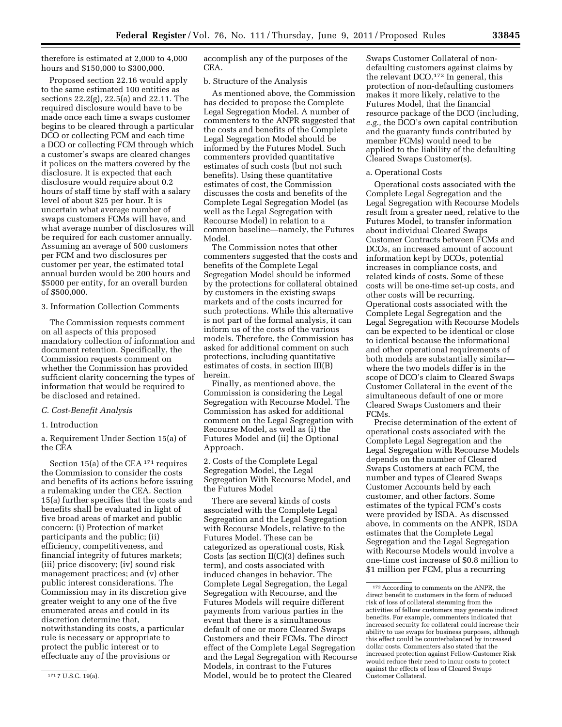therefore is estimated at 2,000 to 4,000 hours and \$150,000 to \$300,000.

Proposed section 22.16 would apply to the same estimated 100 entities as sections 22.2(g), 22.5(a) and 22.11. The required disclosure would have to be made once each time a swaps customer begins to be cleared through a particular DCO or collecting FCM and each time a DCO or collecting FCM through which a customer's swaps are cleared changes it polices on the matters covered by the disclosure. It is expected that each disclosure would require about 0.2 hours of staff time by staff with a salary level of about \$25 per hour. It is uncertain what average number of swaps customers FCMs will have, and what average number of disclosures will be required for each customer annually. Assuming an average of 500 customers per FCM and two disclosures per customer per year, the estimated total annual burden would be 200 hours and \$5000 per entity, for an overall burden of \$500,000.

## 3. Information Collection Comments

The Commission requests comment on all aspects of this proposed mandatory collection of information and document retention. Specifically, the Commission requests comment on whether the Commission has provided sufficient clarity concerning the types of information that would be required to be disclosed and retained.

## *C. Cost-Benefit Analysis*

1. Introduction

a. Requirement Under Section 15(a) of the CEA

Section 15(a) of the CEA<sup>171</sup> requires the Commission to consider the costs and benefits of its actions before issuing a rulemaking under the CEA. Section 15(a) further specifies that the costs and benefits shall be evaluated in light of five broad areas of market and public concern: (i) Protection of market participants and the public; (ii) efficiency, competitiveness, and financial integrity of futures markets; (iii) price discovery; (iv) sound risk management practices; and (v) other public interest considerations. The Commission may in its discretion give greater weight to any one of the five enumerated areas and could in its discretion determine that, notwithstanding its costs, a particular rule is necessary or appropriate to protect the public interest or to effectuate any of the provisions or

accomplish any of the purposes of the CEA.

#### b. Structure of the Analysis

As mentioned above, the Commission has decided to propose the Complete Legal Segregation Model. A number of commenters to the ANPR suggested that the costs and benefits of the Complete Legal Segregation Model should be informed by the Futures Model. Such commenters provided quantitative estimates of such costs (but not such benefits). Using these quantitative estimates of cost, the Commission discusses the costs and benefits of the Complete Legal Segregation Model (as well as the Legal Segregation with Recourse Model) in relation to a common baseline—namely, the Futures Model.

The Commission notes that other commenters suggested that the costs and benefits of the Complete Legal Segregation Model should be informed by the protections for collateral obtained by customers in the existing swaps markets and of the costs incurred for such protections. While this alternative is not part of the formal analysis, it can inform us of the costs of the various models. Therefore, the Commission has asked for additional comment on such protections, including quantitative estimates of costs, in section III(B) herein.

Finally, as mentioned above, the Commission is considering the Legal Segregation with Recourse Model. The Commission has asked for additional comment on the Legal Segregation with Recourse Model, as well as (i) the Futures Model and (ii) the Optional Approach.

2. Costs of the Complete Legal Segregation Model, the Legal Segregation With Recourse Model, and the Futures Model

There are several kinds of costs associated with the Complete Legal Segregation and the Legal Segregation with Recourse Models, relative to the Futures Model. These can be categorized as operational costs, Risk Costs (as section II(C)(3) defines such term), and costs associated with induced changes in behavior. The Complete Legal Segregation, the Legal Segregation with Recourse, and the Futures Models will require different payments from various parties in the event that there is a simultaneous default of one or more Cleared Swaps Customers and their FCMs. The direct effect of the Complete Legal Segregation and the Legal Segregation with Recourse Models, in contrast to the Futures Model, would be to protect the Cleared

Swaps Customer Collateral of nondefaulting customers against claims by the relevant DCO.172 In general, this protection of non-defaulting customers makes it more likely, relative to the Futures Model, that the financial resource package of the DCO (including, *e.g.,* the DCO's own capital contribution and the guaranty funds contributed by member FCMs) would need to be applied to the liability of the defaulting Cleared Swaps Customer(s).

#### a. Operational Costs

Operational costs associated with the Complete Legal Segregation and the Legal Segregation with Recourse Models result from a greater need, relative to the Futures Model, to transfer information about individual Cleared Swaps Customer Contracts between FCMs and DCOs, an increased amount of account information kept by DCOs, potential increases in compliance costs, and related kinds of costs. Some of these costs will be one-time set-up costs, and other costs will be recurring. Operational costs associated with the Complete Legal Segregation and the Legal Segregation with Recourse Models can be expected to be identical or close to identical because the informational and other operational requirements of both models are substantially similar where the two models differ is in the scope of DCO's claim to Cleared Swaps Customer Collateral in the event of the simultaneous default of one or more Cleared Swaps Customers and their FCMs.

Precise determination of the extent of operational costs associated with the Complete Legal Segregation and the Legal Segregation with Recourse Models depends on the number of Cleared Swaps Customers at each FCM, the number and types of Cleared Swaps Customer Accounts held by each customer, and other factors. Some estimates of the typical FCM's costs were provided by ISDA. As discussed above, in comments on the ANPR, ISDA estimates that the Complete Legal Segregation and the Legal Segregation with Recourse Models would involve a one-time cost increase of \$0.8 million to \$1 million per FCM, plus a recurring

<sup>171</sup> 7 U.S.C. 19(a).

<sup>172</sup>According to comments on the ANPR, the direct benefit to customers in the form of reduced risk of loss of collateral stemming from the activities of fellow customers may generate indirect benefits. For example, commenters indicated that increased security for collateral could increase their ability to use swaps for business purposes, although this effect could be counterbalanced by increased dollar costs. Commenters also stated that the increased protection against Fellow-Customer Risk would reduce their need to incur costs to protect against the effects of loss of Cleared Swaps Customer Collateral.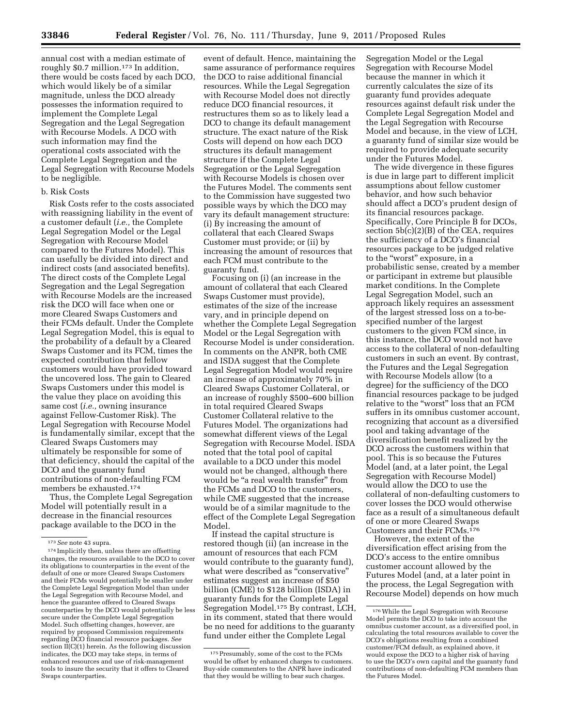annual cost with a median estimate of roughly \$0.7 million.<sup>173</sup> In addition, there would be costs faced by each DCO, which would likely be of a similar magnitude, unless the DCO already possesses the information required to implement the Complete Legal Segregation and the Legal Segregation with Recourse Models. A DCO with such information may find the operational costs associated with the Complete Legal Segregation and the Legal Segregation with Recourse Models to be negligible.

# b. Risk Costs

Risk Costs refer to the costs associated with reassigning liability in the event of a customer default (*i.e.,* the Complete Legal Segregation Model or the Legal Segregation with Recourse Model compared to the Futures Model). This can usefully be divided into direct and indirect costs (and associated benefits). The direct costs of the Complete Legal Segregation and the Legal Segregation with Recourse Models are the increased risk the DCO will face when one or more Cleared Swaps Customers and their FCMs default. Under the Complete Legal Segregation Model, this is equal to the probability of a default by a Cleared Swaps Customer and its FCM, times the expected contribution that fellow customers would have provided toward the uncovered loss. The gain to Cleared Swaps Customers under this model is the value they place on avoiding this same cost (*i.e.,* owning insurance against Fellow-Customer Risk). The Legal Segregation with Recourse Model is fundamentally similar, except that the Cleared Swaps Customers may ultimately be responsible for some of that deficiency, should the capital of the DCO and the guaranty fund contributions of non-defaulting FCM members be exhausted.174

Thus, the Complete Legal Segregation Model will potentially result in a decrease in the financial resources package available to the DCO in the

event of default. Hence, maintaining the same assurance of performance requires the DCO to raise additional financial resources. While the Legal Segregation with Recourse Model does not directly reduce DCO financial resources, it restructures them so as to likely lead a DCO to change its default management structure. The exact nature of the Risk Costs will depend on how each DCO structures its default management structure if the Complete Legal Segregation or the Legal Segregation with Recourse Models is chosen over the Futures Model. The comments sent to the Commission have suggested two possible ways by which the DCO may vary its default management structure: (i) By increasing the amount of collateral that each Cleared Swaps Customer must provide; or (ii) by increasing the amount of resources that each FCM must contribute to the guaranty fund.

Focusing on (i) (an increase in the amount of collateral that each Cleared Swaps Customer must provide), estimates of the size of the increase vary, and in principle depend on whether the Complete Legal Segregation Model or the Legal Segregation with Recourse Model is under consideration. In comments on the ANPR, both CME and ISDA suggest that the Complete Legal Segregation Model would require an increase of approximately 70% in Cleared Swaps Customer Collateral, or an increase of roughly \$500–600 billion in total required Cleared Swaps Customer Collateral relative to the Futures Model. The organizations had somewhat different views of the Legal Segregation with Recourse Model. ISDA noted that the total pool of capital available to a DCO under this model would not be changed, although there would be ''a real wealth transfer'' from the FCMs and DCO to the customers, while CME suggested that the increase would be of a similar magnitude to the effect of the Complete Legal Segregation Model.

If instead the capital structure is restored though (ii) (an increase in the amount of resources that each FCM would contribute to the guaranty fund), what were described as "conservative" estimates suggest an increase of \$50 billion (CME) to \$128 billion (ISDA) in guaranty funds for the Complete Legal Segregation Model.175 By contrast, LCH, in its comment, stated that there would be no need for additions to the guaranty fund under either the Complete Legal

Segregation Model or the Legal Segregation with Recourse Model because the manner in which it currently calculates the size of its guaranty fund provides adequate resources against default risk under the Complete Legal Segregation Model and the Legal Segregation with Recourse Model and because, in the view of LCH, a guaranty fund of similar size would be required to provide adequate security under the Futures Model.

The wide divergence in these figures is due in large part to different implicit assumptions about fellow customer behavior, and how such behavior should affect a DCO's prudent design of its financial resources package. Specifically, Core Principle B for DCOs, section 5b(c)(2)(B) of the CEA, requires the sufficiency of a DCO's financial resources package to be judged relative to the ''worst'' exposure, in a probabilistic sense, created by a member or participant in extreme but plausible market conditions. In the Complete Legal Segregation Model, such an approach likely requires an assessment of the largest stressed loss on a to-bespecified number of the largest customers to the given FCM since, in this instance, the DCO would not have access to the collateral of non-defaulting customers in such an event. By contrast, the Futures and the Legal Segregation with Recourse Models allow (to a degree) for the sufficiency of the DCO financial resources package to be judged relative to the ''worst'' loss that an FCM suffers in its omnibus customer account, recognizing that account as a diversified pool and taking advantage of the diversification benefit realized by the DCO across the customers within that pool. This is so because the Futures Model (and, at a later point, the Legal Segregation with Recourse Model) would allow the DCO to use the collateral of non-defaulting customers to cover losses the DCO would otherwise face as a result of a simultaneous default of one or more Cleared Swaps Customers and their FCMs.176

However, the extent of the diversification effect arising from the DCO's access to the entire omnibus customer account allowed by the Futures Model (and, at a later point in the process, the Legal Segregation with Recourse Model) depends on how much

<sup>173</sup>*See* note 43 supra.

 $^{\rm 174}$  Implicitly then, unless there are offsetting changes, the resources available to the DCO to cover its obligations to counterparties in the event of the default of one or more Cleared Swaps Customers and their FCMs would potentially be smaller under the Complete Legal Segregation Model than under the Legal Segregation with Recourse Model, and hence the guarantee offered to Cleared Swaps counterparties by the DCO would potentially be less secure under the Complete Legal Segregation Model. Such offsetting changes, however, are required by proposed Commission requirements regarding DCO financial resource packages. *See*  section  $\overline{II}(C)(1)$  herein. As the following discussion indicates, the DCO may take steps, in terms of enhanced resources and use of risk-management tools to insure the security that it offers to Cleared Swaps counterparties.

<sup>175</sup>Presumably, some of the cost to the FCMs would be offset by enhanced charges to customers. Buy-side commenters to the ANPR have indicated that they would be willing to bear such charges.

 $^{176}\rm{While}$  the Legal Segregation with Recourse Model permits the DCO to take into account the omnibus customer account, as a diversified pool, in calculating the total resources available to cover the DCO's obligations resulting from a combined customer/FCM default, as explained above, it would expose the DCO to a higher risk of having to use the DCO's own capital and the guaranty fund contributions of non-defaulting FCM members than the Futures Model.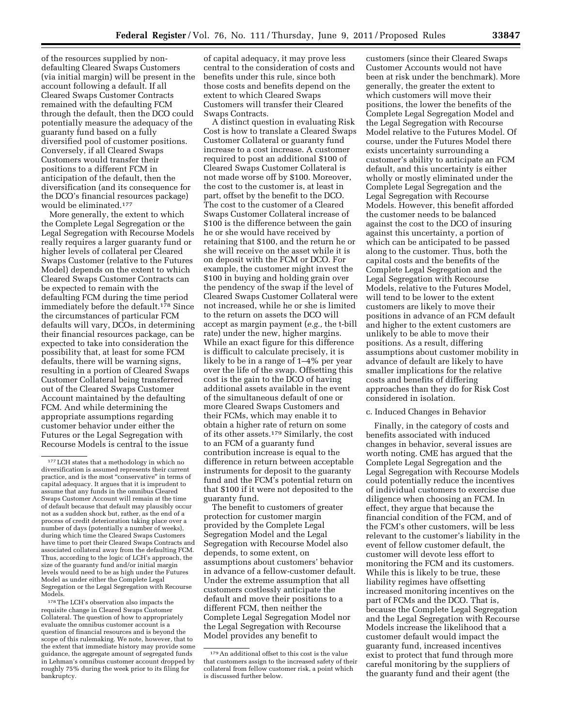of the resources supplied by nondefaulting Cleared Swaps Customers (via initial margin) will be present in the account following a default. If all Cleared Swaps Customer Contracts remained with the defaulting FCM through the default, then the DCO could potentially measure the adequacy of the guaranty fund based on a fully diversified pool of customer positions. Conversely, if all Cleared Swaps Customers would transfer their positions to a different FCM in anticipation of the default, then the diversification (and its consequence for the DCO's financial resources package) would be eliminated.177

More generally, the extent to which the Complete Legal Segregation or the Legal Segregation with Recourse Models really requires a larger guaranty fund or higher levels of collateral per Cleared Swaps Customer (relative to the Futures Model) depends on the extent to which Cleared Swaps Customer Contracts can be expected to remain with the defaulting FCM during the time period immediately before the default.<sup>178</sup> Since the circumstances of particular FCM defaults will vary, DCOs, in determining their financial resources package, can be expected to take into consideration the possibility that, at least for some FCM defaults, there will be warning signs, resulting in a portion of Cleared Swaps Customer Collateral being transferred out of the Cleared Swaps Customer Account maintained by the defaulting FCM. And while determining the appropriate assumptions regarding customer behavior under either the Futures or the Legal Segregation with Recourse Models is central to the issue

178The LCH's observation also impacts the requisite change in Cleared Swaps Customer Collateral. The question of how to appropriately evaluate the omnibus customer account is a question of financial resources and is beyond the scope of this rulemaking. We note, however, that to the extent that immediate history may provide some guidance, the aggregate amount of segregated funds in Lehman's omnibus customer account dropped by roughly 75% during the week prior to its filing for bankruptcy.

of capital adequacy, it may prove less central to the consideration of costs and benefits under this rule, since both those costs and benefits depend on the extent to which Cleared Swaps Customers will transfer their Cleared Swaps Contracts.

A distinct question in evaluating Risk Cost is how to translate a Cleared Swaps Customer Collateral or guaranty fund increase to a cost increase. A customer required to post an additional \$100 of Cleared Swaps Customer Collateral is not made worse off by \$100. Moreover, the cost to the customer is, at least in part, offset by the benefit to the DCO. The cost to the customer of a Cleared Swaps Customer Collateral increase of \$100 is the difference between the gain he or she would have received by retaining that \$100, and the return he or she will receive on the asset while it is on deposit with the FCM or DCO. For example, the customer might invest the \$100 in buying and holding grain over the pendency of the swap if the level of Cleared Swaps Customer Collateral were not increased, while he or she is limited to the return on assets the DCO will accept as margin payment (*e.g.,* the t-bill rate) under the new, higher margins. While an exact figure for this difference is difficult to calculate precisely, it is likely to be in a range of 1–4% per year over the life of the swap. Offsetting this cost is the gain to the DCO of having additional assets available in the event of the simultaneous default of one or more Cleared Swaps Customers and their FCMs, which may enable it to obtain a higher rate of return on some of its other assets.179 Similarly, the cost to an FCM of a guaranty fund contribution increase is equal to the difference in return between acceptable instruments for deposit to the guaranty fund and the FCM's potential return on that \$100 if it were not deposited to the guaranty fund.

The benefit to customers of greater protection for customer margin provided by the Complete Legal Segregation Model and the Legal Segregation with Recourse Model also depends, to some extent, on assumptions about customers' behavior in advance of a fellow-customer default. Under the extreme assumption that all customers costlessly anticipate the default and move their positions to a different FCM, then neither the Complete Legal Segregation Model nor the Legal Segregation with Recourse Model provides any benefit to

customers (since their Cleared Swaps Customer Accounts would not have been at risk under the benchmark). More generally, the greater the extent to which customers will move their positions, the lower the benefits of the Complete Legal Segregation Model and the Legal Segregation with Recourse Model relative to the Futures Model. Of course, under the Futures Model there exists uncertainty surrounding a customer's ability to anticipate an FCM default, and this uncertainty is either wholly or mostly eliminated under the Complete Legal Segregation and the Legal Segregation with Recourse Models. However, this benefit afforded the customer needs to be balanced against the cost to the DCO of insuring against this uncertainty, a portion of which can be anticipated to be passed along to the customer. Thus, both the capital costs and the benefits of the Complete Legal Segregation and the Legal Segregation with Recourse Models, relative to the Futures Model, will tend to be lower to the extent customers are likely to move their positions in advance of an FCM default and higher to the extent customers are unlikely to be able to move their positions. As a result, differing assumptions about customer mobility in advance of default are likely to have smaller implications for the relative costs and benefits of differing approaches than they do for Risk Cost considered in isolation.

#### c. Induced Changes in Behavior

Finally, in the category of costs and benefits associated with induced changes in behavior, several issues are worth noting. CME has argued that the Complete Legal Segregation and the Legal Segregation with Recourse Models could potentially reduce the incentives of individual customers to exercise due diligence when choosing an FCM. In effect, they argue that because the financial condition of the FCM, and of the FCM's other customers, will be less relevant to the customer's liability in the event of fellow customer default, the customer will devote less effort to monitoring the FCM and its customers. While this is likely to be true, these liability regimes have offsetting increased monitoring incentives on the part of FCMs and the DCO. That is, because the Complete Legal Segregation and the Legal Segregation with Recourse Models increase the likelihood that a customer default would impact the guaranty fund, increased incentives exist to protect that fund through more careful monitoring by the suppliers of the guaranty fund and their agent (the

<sup>177</sup>LCH states that a methodology in which no diversification is assumed represents their current practice, and is the most "conservative" in terms of capital adequacy. It argues that it is imprudent to assume that any funds in the omnibus Cleared Swaps Customer Account will remain at the time of default because that default may plausibly occur not as a sudden shock but, rather, as the end of a process of credit deterioration taking place over a number of days (potentially a number of weeks), during which time the Cleared Swaps Customers have time to port their Cleared Swaps Contracts and associated collateral away from the defaulting FCM. Thus, according to the logic of LCH's approach, the size of the guaranty fund and/or initial margin levels would need to be as high under the Futures Model as under either the Complete Legal Segregation or the Legal Segregation with Recourse Models.

<sup>179</sup>An additional offset to this cost is the value that customers assign to the increased safety of their collateral from fellow customer risk, a point which is discussed further below.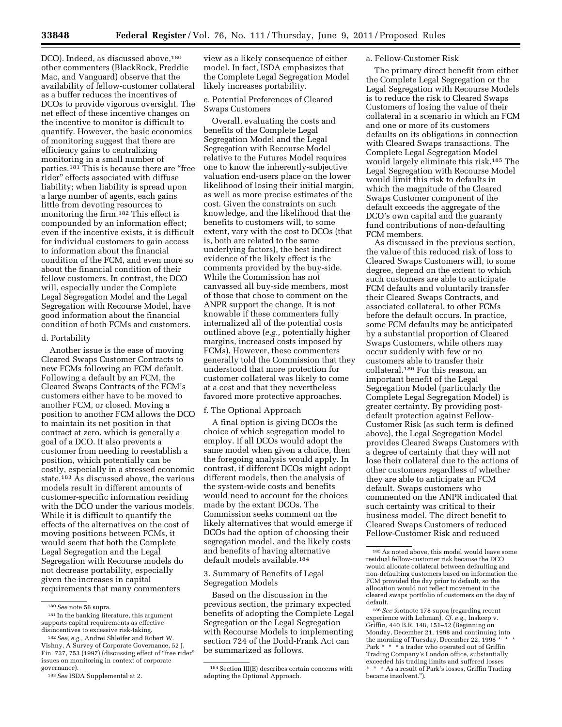DCO). Indeed, as discussed above,<sup>180</sup> other commenters (BlackRock, Freddie Mac, and Vanguard) observe that the availability of fellow-customer collateral as a buffer reduces the incentives of DCOs to provide vigorous oversight. The net effect of these incentive changes on the incentive to monitor is difficult to quantify. However, the basic economics of monitoring suggest that there are efficiency gains to centralizing monitoring in a small number of parties.181 This is because there are ''free rider'' effects associated with diffuse liability; when liability is spread upon a large number of agents, each gains little from devoting resources to monitoring the firm.182 This effect is compounded by an information effect; even if the incentive exists, it is difficult for individual customers to gain access to information about the financial condition of the FCM, and even more so about the financial condition of their fellow customers. In contrast, the DCO will, especially under the Complete Legal Segregation Model and the Legal Segregation with Recourse Model, have good information about the financial condition of both FCMs and customers.

#### d. Portability

Another issue is the ease of moving Cleared Swaps Customer Contracts to new FCMs following an FCM default. Following a default by an FCM, the Cleared Swaps Contracts of the FCM's customers either have to be moved to another FCM, or closed. Moving a position to another FCM allows the DCO to maintain its net position in that contract at zero, which is generally a goal of a DCO. It also prevents a customer from needing to reestablish a position, which potentially can be costly, especially in a stressed economic state.<sup>183</sup> As discussed above, the various models result in different amounts of customer-specific information residing with the DCO under the various models. While it is difficult to quantify the effects of the alternatives on the cost of moving positions between FCMs, it would seem that both the Complete Legal Segregation and the Legal Segregation with Recourse models do not decrease portability, especially given the increases in capital requirements that many commenters

view as a likely consequence of either model. In fact, ISDA emphasizes that the Complete Legal Segregation Model likely increases portability.

# e. Potential Preferences of Cleared Swaps Customers

Overall, evaluating the costs and benefits of the Complete Legal Segregation Model and the Legal Segregation with Recourse Model relative to the Futures Model requires one to know the inherently-subjective valuation end-users place on the lower likelihood of losing their initial margin, as well as more precise estimates of the cost. Given the constraints on such knowledge, and the likelihood that the benefits to customers will, to some extent, vary with the cost to DCOs (that is, both are related to the same underlying factors), the best indirect evidence of the likely effect is the comments provided by the buy-side. While the Commission has not canvassed all buy-side members, most of those that chose to comment on the ANPR support the change. It is not knowable if these commenters fully internalized all of the potential costs outlined above (*e.g.,* potentially higher margins, increased costs imposed by FCMs). However, these commenters generally told the Commission that they understood that more protection for customer collateral was likely to come at a cost and that they nevertheless favored more protective approaches.

## f. The Optional Approach

A final option is giving DCOs the choice of which segregation model to employ. If all DCOs would adopt the same model when given a choice, then the foregoing analysis would apply. In contrast, if different DCOs might adopt different models, then the analysis of the system-wide costs and benefits would need to account for the choices made by the extant DCOs. The Commission seeks comment on the likely alternatives that would emerge if DCOs had the option of choosing their segregation model, and the likely costs and benefits of having alternative default models available.184

# 3. Summary of Benefits of Legal Segregation Models

Based on the discussion in the previous section, the primary expected benefits of adopting the Complete Legal Segregation or the Legal Segregation with Recourse Models to implementing section 724 of the Dodd-Frank Act can be summarized as follows.

## a. Fellow-Customer Risk

The primary direct benefit from either the Complete Legal Segregation or the Legal Segregation with Recourse Models is to reduce the risk to Cleared Swaps Customers of losing the value of their collateral in a scenario in which an FCM and one or more of its customers defaults on its obligations in connection with Cleared Swaps transactions. The Complete Legal Segregation Model would largely eliminate this risk.185 The Legal Segregation with Recourse Model would limit this risk to defaults in which the magnitude of the Cleared Swaps Customer component of the default exceeds the aggregate of the DCO's own capital and the guaranty fund contributions of non-defaulting FCM members.

As discussed in the previous section, the value of this reduced risk of loss to Cleared Swaps Customers will, to some degree, depend on the extent to which such customers are able to anticipate FCM defaults and voluntarily transfer their Cleared Swaps Contracts, and associated collateral, to other FCMs before the default occurs. In practice, some FCM defaults may be anticipated by a substantial proportion of Cleared Swaps Customers, while others may occur suddenly with few or no customers able to transfer their collateral.186 For this reason, an important benefit of the Legal Segregation Model (particularly the Complete Legal Segregation Model) is greater certainty. By providing postdefault protection against Fellow-Customer Risk (as such term is defined above), the Legal Segregation Model provides Cleared Swaps Customers with a degree of certainty that they will not lose their collateral due to the actions of other customers regardless of whether they are able to anticipate an FCM default. Swaps customers who commented on the ANPR indicated that such certainty was critical to their business model. The direct benefit to Cleared Swaps Customers of reduced Fellow-Customer Risk and reduced

<sup>180</sup>*See* note 56 supra.

<sup>181</sup> In the banking literature, this argument supports capital requirements as effective disincentives to excessive risk-taking.

<sup>182</sup>*See*, *e.g.,* Andrei Shleifer and Robert W. Vishny, A Survey of Corporate Governance, 52 J. Fin. 737, 753 (1997) (discussing effect of "free rider" issues on monitoring in context of corporate governance).

<sup>183</sup>*See* ISDA Supplemental at 2.

<sup>&</sup>lt;sup>184</sup> Section III(E) describes certain concerns with adopting the Optional Approach.

<sup>185</sup>As noted above, this model would leave some residual fellow-customer risk because the DCO would allocate collateral between defaulting and non-defaulting customers based on information the FCM provided the day prior to default, so the allocation would not reflect movement in the cleared swaps portfolio of customers on the day of default.

<sup>186</sup>*See* footnote 178 supra (regarding recent experience with Lehman). *Cf. e.g.,* Inskeep v. Griffin, 440 B.R. 148, 151–52 (Beginning on Monday, December 21, 1998 and continuing into the morning of Tuesday, December 22, 1998 \* Park \* \* \* a trader who operated out of Griffin Trading Company's London office, substantially exceeded his trading limits and suffered losses \* \* \* As a result of Park's losses, Griffin Trading became insolvent.'').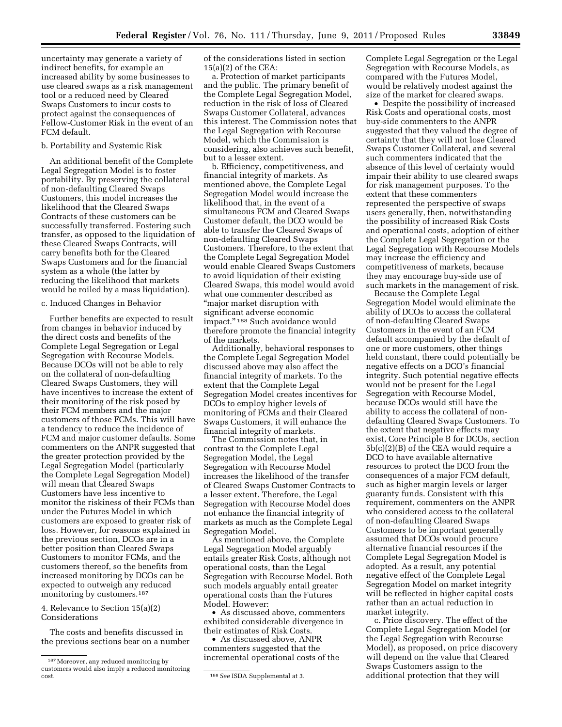uncertainty may generate a variety of indirect benefits, for example an increased ability by some businesses to use cleared swaps as a risk management tool or a reduced need by Cleared Swaps Customers to incur costs to protect against the consequences of Fellow-Customer Risk in the event of an FCM default.

## b. Portability and Systemic Risk

An additional benefit of the Complete Legal Segregation Model is to foster portability. By preserving the collateral of non-defaulting Cleared Swaps Customers, this model increases the likelihood that the Cleared Swaps Contracts of these customers can be successfully transferred. Fostering such transfer, as opposed to the liquidation of these Cleared Swaps Contracts, will carry benefits both for the Cleared Swaps Customers and for the financial system as a whole (the latter by reducing the likelihood that markets would be roiled by a mass liquidation).

# c. Induced Changes in Behavior

Further benefits are expected to result from changes in behavior induced by the direct costs and benefits of the Complete Legal Segregation or Legal Segregation with Recourse Models. Because DCOs will not be able to rely on the collateral of non-defaulting Cleared Swaps Customers, they will have incentives to increase the extent of their monitoring of the risk posed by their FCM members and the major customers of those FCMs. This will have a tendency to reduce the incidence of FCM and major customer defaults. Some commenters on the ANPR suggested that the greater protection provided by the Legal Segregation Model (particularly the Complete Legal Segregation Model) will mean that Cleared Swaps Customers have less incentive to monitor the riskiness of their FCMs than under the Futures Model in which customers are exposed to greater risk of loss. However, for reasons explained in the previous section, DCOs are in a better position than Cleared Swaps Customers to monitor FCMs, and the customers thereof, so the benefits from increased monitoring by DCOs can be expected to outweigh any reduced monitoring by customers.<sup>187</sup>

4. Relevance to Section 15(a)(2) Considerations

The costs and benefits discussed in the previous sections bear on a number of the considerations listed in section 15(a)(2) of the CEA:

a. Protection of market participants and the public. The primary benefit of the Complete Legal Segregation Model, reduction in the risk of loss of Cleared Swaps Customer Collateral, advances this interest. The Commission notes that the Legal Segregation with Recourse Model, which the Commission is considering, also achieves such benefit, but to a lesser extent.

b. Efficiency, competitiveness, and financial integrity of markets. As mentioned above, the Complete Legal Segregation Model would increase the likelihood that, in the event of a simultaneous FCM and Cleared Swaps Customer default, the DCO would be able to transfer the Cleared Swaps of non-defaulting Cleared Swaps Customers. Therefore, to the extent that the Complete Legal Segregation Model would enable Cleared Swaps Customers to avoid liquidation of their existing Cleared Swaps, this model would avoid what one commenter described as ''major market disruption with significant adverse economic impact.'' 188 Such avoidance would therefore promote the financial integrity of the markets.

Additionally, behavioral responses to the Complete Legal Segregation Model discussed above may also affect the financial integrity of markets. To the extent that the Complete Legal Segregation Model creates incentives for DCOs to employ higher levels of monitoring of FCMs and their Cleared Swaps Customers, it will enhance the financial integrity of markets.

The Commission notes that, in contrast to the Complete Legal Segregation Model, the Legal Segregation with Recourse Model increases the likelihood of the transfer of Cleared Swaps Customer Contracts to a lesser extent. Therefore, the Legal Segregation with Recourse Model does not enhance the financial integrity of markets as much as the Complete Legal Segregation Model.

As mentioned above, the Complete Legal Segregation Model arguably entails greater Risk Costs, although not operational costs, than the Legal Segregation with Recourse Model. Both such models arguably entail greater operational costs than the Futures Model. However:

• As discussed above, commenters exhibited considerable divergence in their estimates of Risk Costs.

• As discussed above, ANPR commenters suggested that the incremental operational costs of the Complete Legal Segregation or the Legal Segregation with Recourse Models, as compared with the Futures Model, would be relatively modest against the size of the market for cleared swaps.

• Despite the possibility of increased Risk Costs and operational costs, most buy-side commenters to the ANPR suggested that they valued the degree of certainty that they will not lose Cleared Swaps Customer Collateral, and several such commenters indicated that the absence of this level of certainty would impair their ability to use cleared swaps for risk management purposes. To the extent that these commenters represented the perspective of swaps users generally, then, notwithstanding the possibility of increased Risk Costs and operational costs, adoption of either the Complete Legal Segregation or the Legal Segregation with Recourse Models may increase the efficiency and competitiveness of markets, because they may encourage buy-side use of such markets in the management of risk.

Because the Complete Legal Segregation Model would eliminate the ability of DCOs to access the collateral of non-defaulting Cleared Swaps Customers in the event of an FCM default accompanied by the default of one or more customers, other things held constant, there could potentially be negative effects on a DCO's financial integrity. Such potential negative effects would not be present for the Legal Segregation with Recourse Model, because DCOs would still have the ability to access the collateral of nondefaulting Cleared Swaps Customers. To the extent that negative effects may exist, Core Principle B for DCOs, section 5b(c)(2)(B) of the CEA would require a DCO to have available alternative resources to protect the DCO from the consequences of a major FCM default, such as higher margin levels or larger guaranty funds. Consistent with this requirement, commenters on the ANPR who considered access to the collateral of non-defaulting Cleared Swaps Customers to be important generally assumed that DCOs would procure alternative financial resources if the Complete Legal Segregation Model is adopted. As a result, any potential negative effect of the Complete Legal Segregation Model on market integrity will be reflected in higher capital costs rather than an actual reduction in market integrity.

c. Price discovery. The effect of the Complete Legal Segregation Model (or the Legal Segregation with Recourse Model), as proposed, on price discovery will depend on the value that Cleared Swaps Customers assign to the additional protection that they will

<sup>187</sup>Moreover, any reduced monitoring by customers would also imply a reduced monitoring

<sup>&</sup>lt;sup>188</sup> See ISDA Supplemental at 3.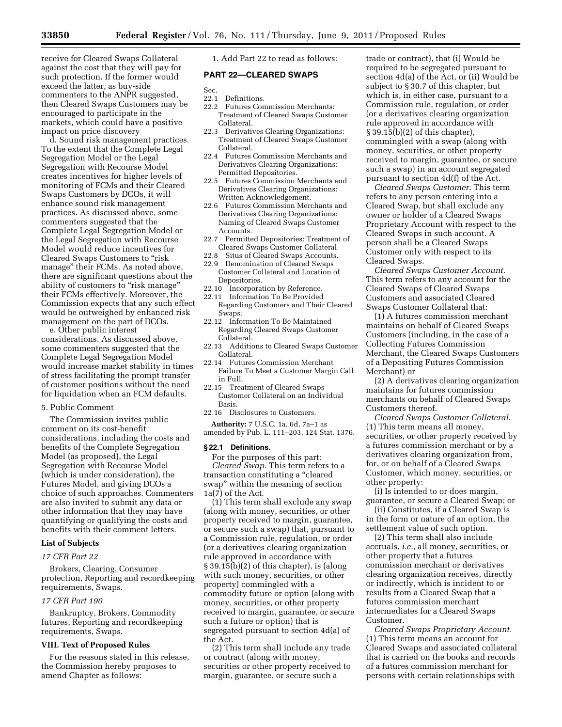receive for Cleared Swaps Collateral against the cost that they will pay for such protection. If the former would exceed the latter, as buy-side commenters to the ANPR suggested, then Cleared Swaps Customers may be encouraged to participate in the markets, which could have a positive impact on price discovery

d. Sound risk management practices. To the extent that the Complete Legal Segregation Model or the Legal Segregation with Recourse Model creates incentives for higher levels of monitoring of FCMs and their Cleared Swaps Customers by DCOs, it will enhance sound risk management practices. As discussed above, some commenters suggested that the Complete Legal Segregation Model or the Legal Segregation with Recourse Model would reduce incentives for Cleared Swaps Customers to "risk manage'' their FCMs. As noted above, there are significant questions about the ability of customers to "risk manage" their FCMs effectively. Moreover, the Commission expects that any such effect would be outweighed by enhanced risk management on the part of DCOs.

e. Other public interest considerations. As discussed above, some commenters suggested that the Complete Legal Segregation Model would increase market stability in times of stress facilitating the prompt transfer of customer positions without the need for liquidation when an FCM defaults.

#### 5. Public Comment

The Commission invites public comment on its cost-benefit considerations, including the costs and benefits of the Complete Segregation Model (as proposed), the Legal Segregation with Recourse Model (which is under consideration), the Futures Model, and giving DCOs a choice of such approaches. Commenters are also invited to submit any data or other information that they may have quantifying or qualifying the costs and benefits with their comment letters.

#### **List of Subjects**

#### *17 CFR Part 22*

Brokers, Clearing, Consumer protection, Reporting and recordkeeping requirements, Swaps.

## *17 CFR Part 190*

Bankruptcy, Brokers, Commodity futures, Reporting and recordkeeping requirements, Swaps.

## **VIII. Text of Proposed Rules**

For the reasons stated in this release, the Commission hereby proposes to amend Chapter as follows:

1. Add Part 22 to read as follows:

## **PART 22—CLEARED SWAPS**

Sec.

- 22.1 Definitions.
- 22.2 Futures Commission Merchants: Treatment of Cleared Swaps Customer Collateral.
- 22.3 Derivatives Clearing Organizations: Treatment of Cleared Swaps Customer Collateral.
- 22.4 Futures Commission Merchants and Derivatives Clearing Organizations: Permitted Depositories.
- 22.5 Futures Commission Merchants and Derivatives Clearing Organizations: Written Acknowledgement.
- 22.6 Futures Commission Merchants and Derivatives Clearing Organizations: Naming of Cleared Swaps Customer Accounts.
- 22.7 Permitted Depositories: Treatment of Cleared Swaps Customer Collateral
- 22.8 Situs of Cleared Swaps Accounts.
- 22.9 Denomination of Cleared Swaps Customer Collateral and Location of Depositories.
- 22.10 Incorporation by Reference.
- 22.11 Information To Be Provided Regarding Customers and Their Cleared Swaps.
- 22.12 Information To Be Maintained Regarding Cleared Swaps Customer Collateral.
- 22.13 Additions to Cleared Swaps Customer Collateral.
- 22.14 Futures Commission Merchant Failure To Meet a Customer Margin Call in Full.
- 22.15 Treatment of Cleared Swaps Customer Collateral on an Individual Basis.
- 22.16 Disclosures to Customers.

**Authority:** 7 U.S.C. 1a, 6d, 7a–1 as amended by Pub. L. 111–203, 124 Stat. 1376.

#### **§ 22.1 Definitions.**

For the purposes of this part: *Cleared Swap.* This term refers to a transaction constituting a ''cleared swap'' within the meaning of section 1a(7) of the Act.

(1) This term shall exclude any swap (along with money, securities, or other property received to margin, guarantee, or secure such a swap) that, pursuant to a Commission rule, regulation, or order (or a derivatives clearing organization rule approved in accordance with § 39.15(b)(2) of this chapter), is (along with such money, securities, or other property) commingled with a commodity future or option (along with money, securities, or other property received to margin, guarantee, or secure such a future or option) that is segregated pursuant to section 4d(a) of the Act.

(2) This term shall include any trade or contract (along with money, securities or other property received to margin, guarantee, or secure such a

trade or contract), that (i) Would be required to be segregated pursuant to section 4d(a) of the Act, or (ii) Would be subject to § 30.7 of this chapter, but which is, in either case, pursuant to a Commission rule, regulation, or order (or a derivatives clearing organization rule approved in accordance with § 39.15(b)(2) of this chapter), commingled with a swap (along with money, securities, or other property received to margin, guarantee, or secure such a swap) in an account segregated pursuant to section 4d(f) of the Act.

*Cleared Swaps Customer.* This term refers to any person entering into a Cleared Swap, but shall exclude any owner or holder of a Cleared Swaps Proprietary Account with respect to the Cleared Swaps in such account. A person shall be a Cleared Swaps Customer only with respect to its Cleared Swaps.

*Cleared Swaps Customer Account.*  This term refers to any account for the Cleared Swaps of Cleared Swaps Customers and associated Cleared Swaps Customer Collateral that:

(1) A futures commission merchant maintains on behalf of Cleared Swaps Customers (including, in the case of a Collecting Futures Commission Merchant, the Cleared Swaps Customers of a Depositing Futures Commission Merchant) or

(2) A derivatives clearing organization maintains for futures commission merchants on behalf of Cleared Swaps Customers thereof.

*Cleared Swaps Customer Collateral.*  (1) This term means all money, securities, or other property received by a futures commission merchant or by a derivatives clearing organization from, for, or on behalf of a Cleared Swaps Customer, which money, securities, or other property:

(i) Is intended to or does margin, guarantee, or secure a Cleared Swap; or

(ii) Constitutes, if a Cleared Swap is in the form or nature of an option, the settlement value of such option.

(2) This term shall also include accruals, *i.e.,* all money, securities, or other property that a futures commission merchant or derivatives clearing organization receives, directly or indirectly, which is incident to or results from a Cleared Swap that a futures commission merchant intermediates for a Cleared Swaps Customer.

*Cleared Swaps Proprietary Account.*  (1) This term means an account for Cleared Swaps and associated collateral that is carried on the books and records of a futures commission merchant for persons with certain relationships with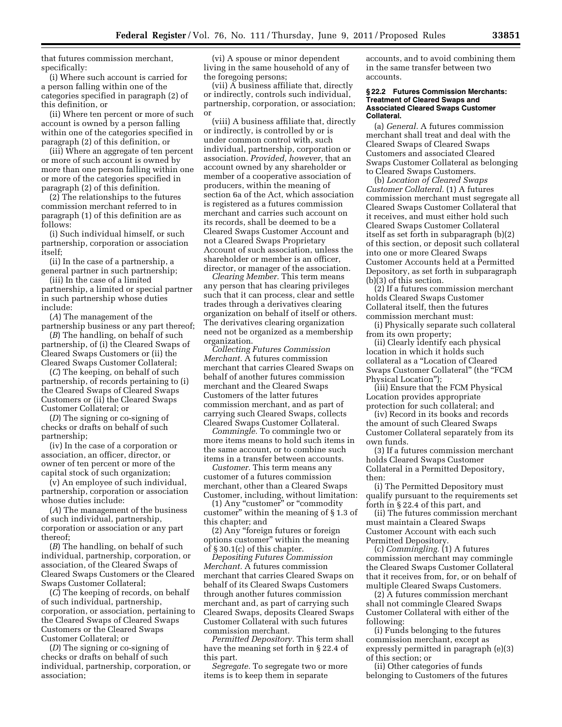that futures commission merchant, specifically:

(i) Where such account is carried for a person falling within one of the categories specified in paragraph (2) of this definition, or

(ii) Where ten percent or more of such account is owned by a person falling within one of the categories specified in paragraph (2) of this definition, or

(iii) Where an aggregate of ten percent or more of such account is owned by more than one person falling within one or more of the categories specified in paragraph (2) of this definition.

(2) The relationships to the futures commission merchant referred to in paragraph (1) of this definition are as follows:

(i) Such individual himself, or such partnership, corporation or association itself;

(ii) In the case of a partnership, a general partner in such partnership;

(iii) In the case of a limited partnership, a limited or special partner in such partnership whose duties include:

(*A*) The management of the partnership business or any part thereof;

(*B*) The handling, on behalf of such partnership, of (i) the Cleared Swaps of Cleared Swaps Customers or (ii) the Cleared Swaps Customer Collateral;

(*C*) The keeping, on behalf of such partnership, of records pertaining to (i) the Cleared Swaps of Cleared Swaps Customers or (ii) the Cleared Swaps Customer Collateral; or

(*D*) The signing or co-signing of checks or drafts on behalf of such partnership;

(iv) In the case of a corporation or association, an officer, director, or owner of ten percent or more of the capital stock of such organization;

(v) An employee of such individual, partnership, corporation or association whose duties include:

(*A*) The management of the business of such individual, partnership, corporation or association or any part thereof;

(*B*) The handling, on behalf of such individual, partnership, corporation, or association, of the Cleared Swaps of Cleared Swaps Customers or the Cleared Swaps Customer Collateral;

(*C*) The keeping of records, on behalf of such individual, partnership, corporation, or association, pertaining to the Cleared Swaps of Cleared Swaps Customers or the Cleared Swaps Customer Collateral; or

(*D*) The signing or co-signing of checks or drafts on behalf of such individual, partnership, corporation, or association;

(vi) A spouse or minor dependent living in the same household of any of the foregoing persons;

(vii) A business affiliate that, directly or indirectly, controls such individual, partnership, corporation, or association; or

(viii) A business affiliate that, directly or indirectly, is controlled by or is under common control with, such individual, partnership, corporation or association. *Provided, however,* that an account owned by any shareholder or member of a cooperative association of producers, within the meaning of section 6a of the Act, which association is registered as a futures commission merchant and carries such account on its records, shall be deemed to be a Cleared Swaps Customer Account and not a Cleared Swaps Proprietary Account of such association, unless the shareholder or member is an officer, director, or manager of the association.

*Clearing Member.* This term means any person that has clearing privileges such that it can process, clear and settle trades through a derivatives clearing organization on behalf of itself or others. The derivatives clearing organization need not be organized as a membership organization.

*Collecting Futures Commission Merchant.* A futures commission merchant that carries Cleared Swaps on behalf of another futures commission merchant and the Cleared Swaps Customers of the latter futures commission merchant, and as part of carrying such Cleared Swaps, collects Cleared Swaps Customer Collateral.

*Commingle.* To commingle two or more items means to hold such items in the same account, or to combine such items in a transfer between accounts.

*Customer.* This term means any customer of a futures commission merchant, other than a Cleared Swaps Customer, including, without limitation:

(1) Any "customer" or "commodity customer'' within the meaning of § 1.3 of this chapter; and

(2) Any ''foreign futures or foreign options customer'' within the meaning of § 30.1(c) of this chapter.

*Depositing Futures Commission Merchant.* A futures commission merchant that carries Cleared Swaps on behalf of its Cleared Swaps Customers through another futures commission merchant and, as part of carrying such Cleared Swaps, deposits Cleared Swaps Customer Collateral with such futures commission merchant.

*Permitted Depository.* This term shall have the meaning set forth in § 22.4 of this part.

*Segregate.* To segregate two or more items is to keep them in separate

accounts, and to avoid combining them in the same transfer between two accounts.

#### **§ 22.2 Futures Commission Merchants: Treatment of Cleared Swaps and Associated Cleared Swaps Customer Collateral.**

(a) *General.* A futures commission merchant shall treat and deal with the Cleared Swaps of Cleared Swaps Customers and associated Cleared Swaps Customer Collateral as belonging to Cleared Swaps Customers.

(b) *Location of Cleared Swaps Customer Collateral.* (1) A futures commission merchant must segregate all Cleared Swaps Customer Collateral that it receives, and must either hold such Cleared Swaps Customer Collateral itself as set forth in subparagraph (b)(2) of this section, or deposit such collateral into one or more Cleared Swaps Customer Accounts held at a Permitted Depository, as set forth in subparagraph (b)(3) of this section.

(2) If a futures commission merchant holds Cleared Swaps Customer Collateral itself, then the futures commission merchant must:

(i) Physically separate such collateral from its own property;

(ii) Clearly identify each physical location in which it holds such collateral as a ''Location of Cleared Swaps Customer Collateral'' (the ''FCM Physical Location'');

(iii) Ensure that the FCM Physical Location provides appropriate protection for such collateral; and

(iv) Record in its books and records the amount of such Cleared Swaps Customer Collateral separately from its own funds.

(3) If a futures commission merchant holds Cleared Swaps Customer Collateral in a Permitted Depository, then:

(i) The Permitted Depository must qualify pursuant to the requirements set forth in § 22.4 of this part, and

(ii) The futures commission merchant must maintain a Cleared Swaps Customer Account with each such Permitted Depository.

(c) *Commingling.* (1) A futures commission merchant may commingle the Cleared Swaps Customer Collateral that it receives from, for, or on behalf of multiple Cleared Swaps Customers.

(2) A futures commission merchant shall not commingle Cleared Swaps Customer Collateral with either of the following:

(i) Funds belonging to the futures commission merchant, except as expressly permitted in paragraph (e)(3) of this section; or

(ii) Other categories of funds belonging to Customers of the futures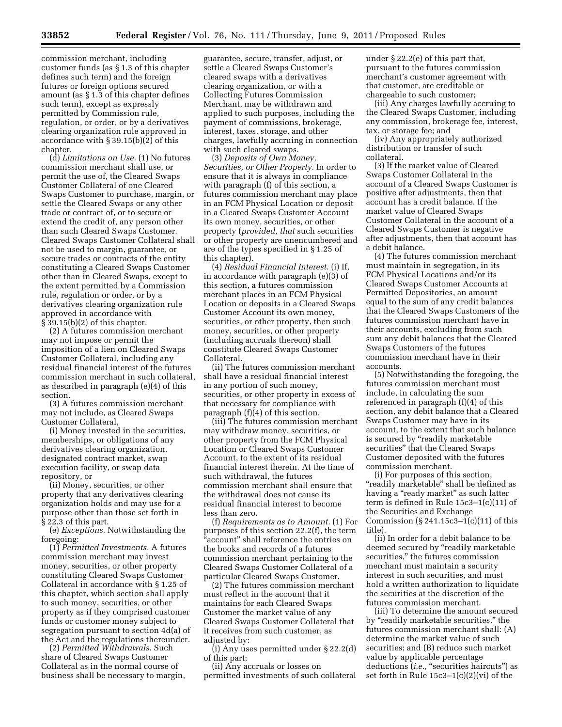commission merchant, including customer funds (as § 1.3 of this chapter defines such term) and the foreign futures or foreign options secured amount (as § 1.3 of this chapter defines such term), except as expressly permitted by Commission rule, regulation, or order, or by a derivatives clearing organization rule approved in accordance with § 39.15(b)(2) of this chapter.

(d) *Limitations on Use.* (1) No futures commission merchant shall use, or permit the use of, the Cleared Swaps Customer Collateral of one Cleared Swaps Customer to purchase, margin, or settle the Cleared Swaps or any other trade or contract of, or to secure or extend the credit of, any person other than such Cleared Swaps Customer. Cleared Swaps Customer Collateral shall not be used to margin, guarantee, or secure trades or contracts of the entity constituting a Cleared Swaps Customer other than in Cleared Swaps, except to the extent permitted by a Commission rule, regulation or order, or by a derivatives clearing organization rule approved in accordance with § 39.15(b)(2) of this chapter.

(2) A futures commission merchant may not impose or permit the imposition of a lien on Cleared Swaps Customer Collateral, including any residual financial interest of the futures commission merchant in such collateral, as described in paragraph (e)(4) of this section.

(3) A futures commission merchant may not include, as Cleared Swaps Customer Collateral,

(i) Money invested in the securities, memberships, or obligations of any derivatives clearing organization, designated contract market, swap execution facility, or swap data repository, or

(ii) Money, securities, or other property that any derivatives clearing organization holds and may use for a purpose other than those set forth in § 22.3 of this part.

(e) *Exceptions.* Notwithstanding the foregoing:

(1) *Permitted Investments.* A futures commission merchant may invest money, securities, or other property constituting Cleared Swaps Customer Collateral in accordance with § 1.25 of this chapter, which section shall apply to such money, securities, or other property as if they comprised customer funds or customer money subject to segregation pursuant to section 4d(a) of the Act and the regulations thereunder.

(2) *Permitted Withdrawals.* Such share of Cleared Swaps Customer Collateral as in the normal course of business shall be necessary to margin,

guarantee, secure, transfer, adjust, or settle a Cleared Swaps Customer's cleared swaps with a derivatives clearing organization, or with a Collecting Futures Commission Merchant, may be withdrawn and applied to such purposes, including the payment of commissions, brokerage, interest, taxes, storage, and other charges, lawfully accruing in connection with such cleared swaps.

(3) *Deposits of Own Money, Securities, or Other Property.* In order to ensure that it is always in compliance with paragraph (f) of this section, a futures commission merchant may place in an FCM Physical Location or deposit in a Cleared Swaps Customer Account its own money, securities, or other property (*provided, that* such securities or other property are unencumbered and are of the types specified in § 1.25 of this chapter).

(4) *Residual Financial Interest.* (i) If, in accordance with paragraph (e)(3) of this section, a futures commission merchant places in an FCM Physical Location or deposits in a Cleared Swaps Customer Account its own money, securities, or other property, then such money, securities, or other property (including accruals thereon) shall constitute Cleared Swaps Customer Collateral.

(ii) The futures commission merchant shall have a residual financial interest in any portion of such money, securities, or other property in excess of that necessary for compliance with paragraph (f)(4) of this section.

(iii) The futures commission merchant may withdraw money, securities, or other property from the FCM Physical Location or Cleared Swaps Customer Account, to the extent of its residual financial interest therein. At the time of such withdrawal, the futures commission merchant shall ensure that the withdrawal does not cause its residual financial interest to become less than zero.

(f) *Requirements as to Amount.* (1) For purposes of this section 22.2(f), the term ''account'' shall reference the entries on the books and records of a futures commission merchant pertaining to the Cleared Swaps Customer Collateral of a particular Cleared Swaps Customer.

(2) The futures commission merchant must reflect in the account that it maintains for each Cleared Swaps Customer the market value of any Cleared Swaps Customer Collateral that it receives from such customer, as adjusted by:

(i) Any uses permitted under § 22.2(d) of this part;

(ii) Any accruals or losses on permitted investments of such collateral under § 22.2(e) of this part that, pursuant to the futures commission merchant's customer agreement with that customer, are creditable or chargeable to such customer;

(iii) Any charges lawfully accruing to the Cleared Swaps Customer, including any commission, brokerage fee, interest, tax, or storage fee; and

(iv) Any appropriately authorized distribution or transfer of such collateral.

(3) If the market value of Cleared Swaps Customer Collateral in the account of a Cleared Swaps Customer is positive after adjustments, then that account has a credit balance. If the market value of Cleared Swaps Customer Collateral in the account of a Cleared Swaps Customer is negative after adjustments, then that account has a debit balance.

(4) The futures commission merchant must maintain in segregation, in its FCM Physical Locations and/or its Cleared Swaps Customer Accounts at Permitted Depositories, an amount equal to the sum of any credit balances that the Cleared Swaps Customers of the futures commission merchant have in their accounts, excluding from such sum any debit balances that the Cleared Swaps Customers of the futures commission merchant have in their accounts.

(5) Notwithstanding the foregoing, the futures commission merchant must include, in calculating the sum referenced in paragraph (f)(4) of this section, any debit balance that a Cleared Swaps Customer may have in its account, to the extent that such balance is secured by "readily marketable securities'' that the Cleared Swaps Customer deposited with the futures commission merchant.

(i) For purposes of this section, ''readily marketable'' shall be defined as having a "ready market" as such latter term is defined in Rule 15c3–1(c)(11) of the Securities and Exchange Commission  $(\S 241.15c3 - 1(c)(11))$  of this title).

(ii) In order for a debit balance to be deemed secured by ''readily marketable securities," the futures commission merchant must maintain a security interest in such securities, and must hold a written authorization to liquidate the securities at the discretion of the futures commission merchant.

(iii) To determine the amount secured by ''readily marketable securities,'' the futures commission merchant shall: (A) determine the market value of such securities; and (B) reduce such market value by applicable percentage deductions *(i.e.,* "securities haircuts") as set forth in Rule 15c3–1(c)(2)(vi) of the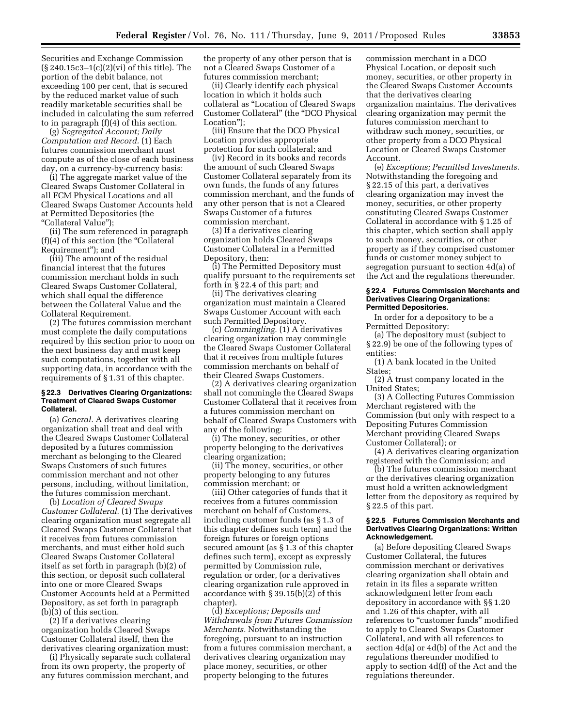Securities and Exchange Commission (§ 240.15c3–1(c)(2)(vi) of this title). The portion of the debit balance, not exceeding 100 per cent, that is secured by the reduced market value of such readily marketable securities shall be included in calculating the sum referred to in paragraph (f)(4) of this section.

(g) *Segregated Account; Daily Computation and Record.* (1) Each futures commission merchant must compute as of the close of each business day, on a currency-by-currency basis:

(i) The aggregate market value of the Cleared Swaps Customer Collateral in all FCM Physical Locations and all Cleared Swaps Customer Accounts held at Permitted Depositories (the ''Collateral Value'');

(ii) The sum referenced in paragraph  $(f)(4)$  of this section (the "Collateral" Requirement''); and

(iii) The amount of the residual financial interest that the futures commission merchant holds in such Cleared Swaps Customer Collateral, which shall equal the difference between the Collateral Value and the Collateral Requirement.

(2) The futures commission merchant must complete the daily computations required by this section prior to noon on the next business day and must keep such computations, together with all supporting data, in accordance with the requirements of § 1.31 of this chapter.

#### **§ 22.3 Derivatives Clearing Organizations: Treatment of Cleared Swaps Customer Collateral.**

(a) *General.* A derivatives clearing organization shall treat and deal with the Cleared Swaps Customer Collateral deposited by a futures commission merchant as belonging to the Cleared Swaps Customers of such futures commission merchant and not other persons, including, without limitation, the futures commission merchant.

(b) *Location of Cleared Swaps Customer Collateral.* (1) The derivatives clearing organization must segregate all Cleared Swaps Customer Collateral that it receives from futures commission merchants, and must either hold such Cleared Swaps Customer Collateral itself as set forth in paragraph (b)(2) of this section, or deposit such collateral into one or more Cleared Swaps Customer Accounts held at a Permitted Depository, as set forth in paragraph (b)(3) of this section.

(2) If a derivatives clearing organization holds Cleared Swaps Customer Collateral itself, then the derivatives clearing organization must:

(i) Physically separate such collateral from its own property, the property of any futures commission merchant, and

the property of any other person that is not a Cleared Swaps Customer of a futures commission merchant;

(ii) Clearly identify each physical location in which it holds such collateral as ''Location of Cleared Swaps Customer Collateral'' (the ''DCO Physical Location'');

(iii) Ensure that the DCO Physical Location provides appropriate protection for such collateral; and

(iv) Record in its books and records the amount of such Cleared Swaps Customer Collateral separately from its own funds, the funds of any futures commission merchant, and the funds of any other person that is not a Cleared Swaps Customer of a futures commission merchant.

(3) If a derivatives clearing organization holds Cleared Swaps Customer Collateral in a Permitted Depository, then:

(i) The Permitted Depository must qualify pursuant to the requirements set forth in § 22.4 of this part; and

(ii) The derivatives clearing organization must maintain a Cleared Swaps Customer Account with each such Permitted Depository.

(c) *Commingling.* (1) A derivatives clearing organization may commingle the Cleared Swaps Customer Collateral that it receives from multiple futures commission merchants on behalf of their Cleared Swaps Customers.

(2) A derivatives clearing organization shall not commingle the Cleared Swaps Customer Collateral that it receives from a futures commission merchant on behalf of Cleared Swaps Customers with any of the following:

(i) The money, securities, or other property belonging to the derivatives clearing organization;

(ii) The money, securities, or other property belonging to any futures commission merchant; or

(iii) Other categories of funds that it receives from a futures commission merchant on behalf of Customers, including customer funds (as § 1.3 of this chapter defines such term) and the foreign futures or foreign options secured amount (as § 1.3 of this chapter defines such term), except as expressly permitted by Commission rule, regulation or order, (or a derivatives clearing organization rule approved in accordance with § 39.15(b)(2) of this chapter).

(d) *Exceptions; Deposits and Withdrawals from Futures Commission Merchants.* Notwithstanding the foregoing, pursuant to an instruction from a futures commission merchant, a derivatives clearing organization may place money, securities, or other property belonging to the futures

commission merchant in a DCO Physical Location, or deposit such money, securities, or other property in the Cleared Swaps Customer Accounts that the derivatives clearing organization maintains. The derivatives clearing organization may permit the futures commission merchant to withdraw such money, securities, or other property from a DCO Physical Location or Cleared Swaps Customer Account.

(e) *Exceptions; Permitted Investments.*  Notwithstanding the foregoing and § 22.15 of this part, a derivatives clearing organization may invest the money, securities, or other property constituting Cleared Swaps Customer Collateral in accordance with § 1.25 of this chapter, which section shall apply to such money, securities, or other property as if they comprised customer funds or customer money subject to segregation pursuant to section 4d(a) of the Act and the regulations thereunder.

#### **§ 22.4 Futures Commission Merchants and Derivatives Clearing Organizations: Permitted Depositories.**

In order for a depository to be a Permitted Depository:

(a) The depository must (subject to § 22.9) be one of the following types of entities:

(1) A bank located in the United States;

(2) A trust company located in the United States;

(3) A Collecting Futures Commission Merchant registered with the Commission (but only with respect to a Depositing Futures Commission Merchant providing Cleared Swaps Customer Collateral); or

(4) A derivatives clearing organization registered with the Commission; and

(b) The futures commission merchant or the derivatives clearing organization must hold a written acknowledgment letter from the depository as required by § 22.5 of this part.

## **§ 22.5 Futures Commission Merchants and Derivatives Clearing Organizations: Written Acknowledgement.**

(a) Before depositing Cleared Swaps Customer Collateral, the futures commission merchant or derivatives clearing organization shall obtain and retain in its files a separate written acknowledgment letter from each depository in accordance with §§ 1.20 and 1.26 of this chapter, with all references to "customer funds" modified to apply to Cleared Swaps Customer Collateral, and with all references to section 4d(a) or 4d(b) of the Act and the regulations thereunder modified to apply to section 4d(f) of the Act and the regulations thereunder.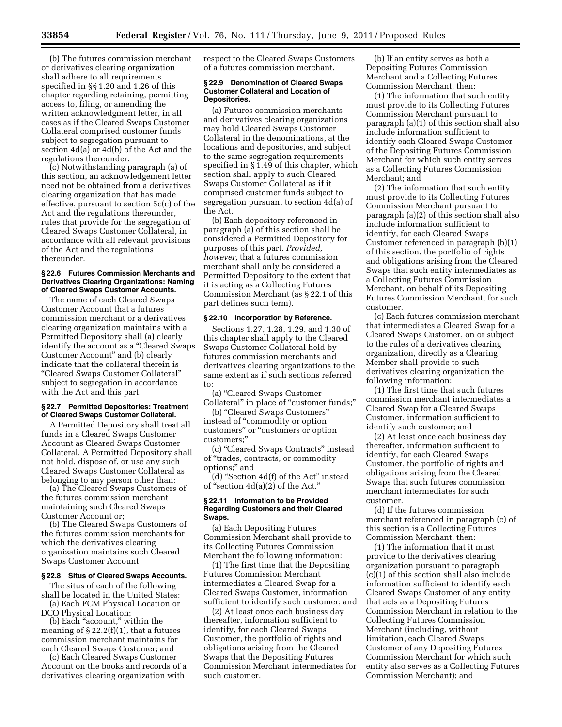(b) The futures commission merchant or derivatives clearing organization shall adhere to all requirements specified in §§ 1.20 and 1.26 of this chapter regarding retaining, permitting access to, filing, or amending the written acknowledgment letter, in all cases as if the Cleared Swaps Customer Collateral comprised customer funds subject to segregation pursuant to section 4d(a) or 4d(b) of the Act and the regulations thereunder.

(c) Notwithstanding paragraph (a) of this section, an acknowledgement letter need not be obtained from a derivatives clearing organization that has made effective, pursuant to section 5c(c) of the Act and the regulations thereunder, rules that provide for the segregation of Cleared Swaps Customer Collateral, in accordance with all relevant provisions of the Act and the regulations thereunder.

#### **§ 22.6 Futures Commission Merchants and Derivatives Clearing Organizations: Naming of Cleared Swaps Customer Accounts.**

The name of each Cleared Swaps Customer Account that a futures commission merchant or a derivatives clearing organization maintains with a Permitted Depository shall (a) clearly identify the account as a ''Cleared Swaps Customer Account'' and (b) clearly indicate that the collateral therein is ''Cleared Swaps Customer Collateral'' subject to segregation in accordance with the Act and this part.

## **§ 22.7 Permitted Depositories: Treatment of Cleared Swaps Customer Collateral.**

A Permitted Depository shall treat all funds in a Cleared Swaps Customer Account as Cleared Swaps Customer Collateral. A Permitted Depository shall not hold, dispose of, or use any such Cleared Swaps Customer Collateral as belonging to any person other than:

(a) The Cleared Swaps Customers of the futures commission merchant maintaining such Cleared Swaps Customer Account or;

(b) The Cleared Swaps Customers of the futures commission merchants for which the derivatives clearing organization maintains such Cleared Swaps Customer Account.

# **§ 22.8 Situs of Cleared Swaps Accounts.**

The situs of each of the following shall be located in the United States: (a) Each FCM Physical Location or

DCO Physical Location; (b) Each ''account,'' within the

meaning of  $\S 22.2(f)(1)$ , that a futures commission merchant maintains for each Cleared Swaps Customer; and

(c) Each Cleared Swaps Customer Account on the books and records of a derivatives clearing organization with

respect to the Cleared Swaps Customers of a futures commission merchant.

#### **§ 22.9 Denomination of Cleared Swaps Customer Collateral and Location of Depositories.**

(a) Futures commission merchants and derivatives clearing organizations may hold Cleared Swaps Customer Collateral in the denominations, at the locations and depositories, and subject to the same segregation requirements specified in § 1.49 of this chapter, which section shall apply to such Cleared Swaps Customer Collateral as if it comprised customer funds subject to segregation pursuant to section 4d(a) of the Act.

(b) Each depository referenced in paragraph (a) of this section shall be considered a Permitted Depository for purposes of this part. *Provided, however,* that a futures commission merchant shall only be considered a Permitted Depository to the extent that it is acting as a Collecting Futures Commission Merchant (as § 22.1 of this part defines such term).

#### **§ 22.10 Incorporation by Reference.**

Sections 1.27, 1.28, 1.29, and 1.30 of this chapter shall apply to the Cleared Swaps Customer Collateral held by futures commission merchants and derivatives clearing organizations to the same extent as if such sections referred to:

(a) ''Cleared Swaps Customer Collateral" in place of "customer funds;"

(b) ''Cleared Swaps Customers'' instead of ''commodity or option customers'' or ''customers or option customers;''

(c) ''Cleared Swaps Contracts'' instead of ''trades, contracts, or commodity options;'' and

(d) ''Section 4d(f) of the Act'' instead of "section  $4d(a)(2)$  of the Act."

#### **§ 22.11 Information to be Provided Regarding Customers and their Cleared Swaps.**

(a) Each Depositing Futures Commission Merchant shall provide to its Collecting Futures Commission Merchant the following information:

(1) The first time that the Depositing Futures Commission Merchant intermediates a Cleared Swap for a Cleared Swaps Customer, information sufficient to identify such customer; and

(2) At least once each business day thereafter, information sufficient to identify, for each Cleared Swaps Customer, the portfolio of rights and obligations arising from the Cleared Swaps that the Depositing Futures Commission Merchant intermediates for such customer.

(b) If an entity serves as both a Depositing Futures Commission Merchant and a Collecting Futures Commission Merchant, then:

(1) The information that such entity must provide to its Collecting Futures Commission Merchant pursuant to paragraph (a)(1) of this section shall also include information sufficient to identify each Cleared Swaps Customer of the Depositing Futures Commission Merchant for which such entity serves as a Collecting Futures Commission Merchant; and

(2) The information that such entity must provide to its Collecting Futures Commission Merchant pursuant to paragraph (a)(2) of this section shall also include information sufficient to identify, for each Cleared Swaps Customer referenced in paragraph (b)(1) of this section, the portfolio of rights and obligations arising from the Cleared Swaps that such entity intermediates as a Collecting Futures Commission Merchant, on behalf of its Depositing Futures Commission Merchant, for such customer.

(c) Each futures commission merchant that intermediates a Cleared Swap for a Cleared Swaps Customer, on or subject to the rules of a derivatives clearing organization, directly as a Clearing Member shall provide to such derivatives clearing organization the following information:

(1) The first time that such futures commission merchant intermediates a Cleared Swap for a Cleared Swaps Customer, information sufficient to identify such customer; and

(2) At least once each business day thereafter, information sufficient to identify, for each Cleared Swaps Customer, the portfolio of rights and obligations arising from the Cleared Swaps that such futures commission merchant intermediates for such customer.

(d) If the futures commission merchant referenced in paragraph (c) of this section is a Collecting Futures Commission Merchant, then:

(1) The information that it must provide to the derivatives clearing organization pursuant to paragraph (c)(1) of this section shall also include information sufficient to identify each Cleared Swaps Customer of any entity that acts as a Depositing Futures Commission Merchant in relation to the Collecting Futures Commission Merchant (including, without limitation, each Cleared Swaps Customer of any Depositing Futures Commission Merchant for which such entity also serves as a Collecting Futures Commission Merchant); and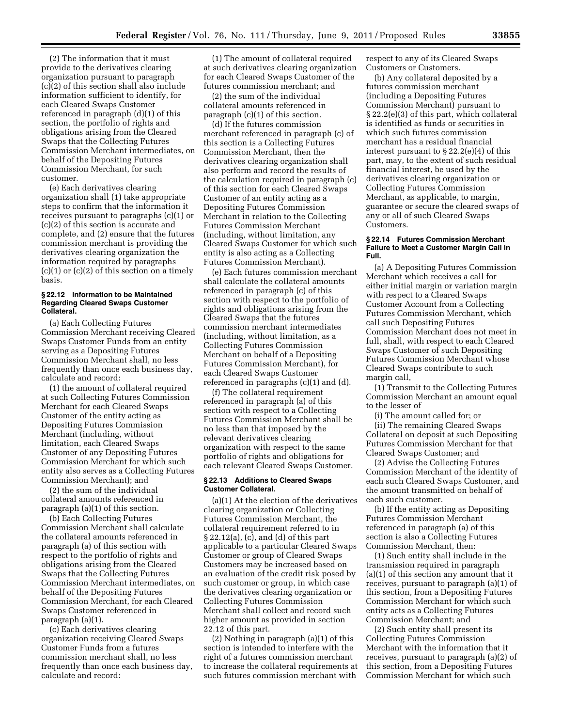(2) The information that it must provide to the derivatives clearing organization pursuant to paragraph (c)(2) of this section shall also include information sufficient to identify, for each Cleared Swaps Customer referenced in paragraph (d)(1) of this section, the portfolio of rights and obligations arising from the Cleared Swaps that the Collecting Futures Commission Merchant intermediates, on behalf of the Depositing Futures Commission Merchant, for such customer.

(e) Each derivatives clearing organization shall (1) take appropriate steps to confirm that the information it receives pursuant to paragraphs (c)(1) or (c)(2) of this section is accurate and complete, and (2) ensure that the futures commission merchant is providing the derivatives clearing organization the information required by paragraphs  $(c)(1)$  or  $(c)(2)$  of this section on a timely basis.

#### **§ 22.12 Information to be Maintained Regarding Cleared Swaps Customer Collateral.**

(a) Each Collecting Futures Commission Merchant receiving Cleared Swaps Customer Funds from an entity serving as a Depositing Futures Commission Merchant shall, no less frequently than once each business day, calculate and record:

(1) the amount of collateral required at such Collecting Futures Commission Merchant for each Cleared Swaps Customer of the entity acting as Depositing Futures Commission Merchant (including, without limitation, each Cleared Swaps Customer of any Depositing Futures Commission Merchant for which such entity also serves as a Collecting Futures Commission Merchant); and

(2) the sum of the individual collateral amounts referenced in paragraph (a)(1) of this section.

(b) Each Collecting Futures Commission Merchant shall calculate the collateral amounts referenced in paragraph (a) of this section with respect to the portfolio of rights and obligations arising from the Cleared Swaps that the Collecting Futures Commission Merchant intermediates, on behalf of the Depositing Futures Commission Merchant, for each Cleared Swaps Customer referenced in paragraph (a)(1).

(c) Each derivatives clearing organization receiving Cleared Swaps Customer Funds from a futures commission merchant shall, no less frequently than once each business day, calculate and record:

(1) The amount of collateral required at such derivatives clearing organization for each Cleared Swaps Customer of the futures commission merchant; and

(2) the sum of the individual collateral amounts referenced in paragraph (c)(1) of this section.

(d) If the futures commission merchant referenced in paragraph (c) of this section is a Collecting Futures Commission Merchant, then the derivatives clearing organization shall also perform and record the results of the calculation required in paragraph (c) of this section for each Cleared Swaps Customer of an entity acting as a Depositing Futures Commission Merchant in relation to the Collecting Futures Commission Merchant (including, without limitation, any Cleared Swaps Customer for which such entity is also acting as a Collecting Futures Commission Merchant).

(e) Each futures commission merchant shall calculate the collateral amounts referenced in paragraph (c) of this section with respect to the portfolio of rights and obligations arising from the Cleared Swaps that the futures commission merchant intermediates (including, without limitation, as a Collecting Futures Commission Merchant on behalf of a Depositing Futures Commission Merchant), for each Cleared Swaps Customer referenced in paragraphs (c)(1) and (d).

(f) The collateral requirement referenced in paragraph (a) of this section with respect to a Collecting Futures Commission Merchant shall be no less than that imposed by the relevant derivatives clearing organization with respect to the same portfolio of rights and obligations for each relevant Cleared Swaps Customer.

# **§ 22.13 Additions to Cleared Swaps Customer Collateral.**

(a)(1) At the election of the derivatives clearing organization or Collecting Futures Commission Merchant, the collateral requirement referred to in § 22.12(a), (c), and (d) of this part applicable to a particular Cleared Swaps Customer or group of Cleared Swaps Customers may be increased based on an evaluation of the credit risk posed by such customer or group, in which case the derivatives clearing organization or Collecting Futures Commission Merchant shall collect and record such higher amount as provided in section 22.12 of this part.

(2) Nothing in paragraph (a)(1) of this section is intended to interfere with the right of a futures commission merchant to increase the collateral requirements at such futures commission merchant with

respect to any of its Cleared Swaps Customers or Customers.

(b) Any collateral deposited by a futures commission merchant (including a Depositing Futures Commission Merchant) pursuant to § 22.2(e)(3) of this part, which collateral is identified as funds or securities in which such futures commission merchant has a residual financial interest pursuant to § 22.2(e)(4) of this part, may, to the extent of such residual financial interest, be used by the derivatives clearing organization or Collecting Futures Commission Merchant, as applicable, to margin, guarantee or secure the cleared swaps of any or all of such Cleared Swaps Customers.

## **§ 22.14 Futures Commission Merchant Failure to Meet a Customer Margin Call in Full.**

(a) A Depositing Futures Commission Merchant which receives a call for either initial margin or variation margin with respect to a Cleared Swaps Customer Account from a Collecting Futures Commission Merchant, which call such Depositing Futures Commission Merchant does not meet in full, shall, with respect to each Cleared Swaps Customer of such Depositing Futures Commission Merchant whose Cleared Swaps contribute to such margin call,

(1) Transmit to the Collecting Futures Commission Merchant an amount equal to the lesser of

(i) The amount called for; or (ii) The remaining Cleared Swaps Collateral on deposit at such Depositing Futures Commission Merchant for that Cleared Swaps Customer; and

(2) Advise the Collecting Futures Commission Merchant of the identity of each such Cleared Swaps Customer, and the amount transmitted on behalf of each such customer.

(b) If the entity acting as Depositing Futures Commission Merchant referenced in paragraph (a) of this section is also a Collecting Futures Commission Merchant, then:

(1) Such entity shall include in the transmission required in paragraph (a)(1) of this section any amount that it receives, pursuant to paragraph (a)(1) of this section, from a Depositing Futures Commission Merchant for which such entity acts as a Collecting Futures Commission Merchant; and

(2) Such entity shall present its Collecting Futures Commission Merchant with the information that it receives, pursuant to paragraph (a)(2) of this section, from a Depositing Futures Commission Merchant for which such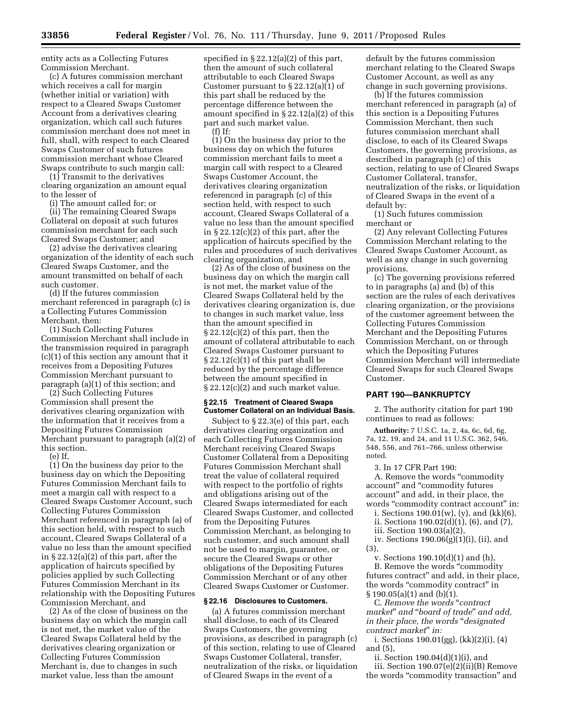entity acts as a Collecting Futures Commission Merchant.

(c) A futures commission merchant which receives a call for margin (whether initial or variation) with respect to a Cleared Swaps Customer Account from a derivatives clearing organization, which call such futures commission merchant does not meet in full, shall, with respect to each Cleared Swaps Customer of such futures commission merchant whose Cleared Swaps contribute to such margin call:

(1) Transmit to the derivatives clearing organization an amount equal to the lesser of

(i) The amount called for; or

(ii) The remaining Cleared Swaps Collateral on deposit at such futures commission merchant for each such Cleared Swaps Customer; and

(2) advise the derivatives clearing organization of the identity of each such Cleared Swaps Customer, and the amount transmitted on behalf of each such customer.

(d) If the futures commission merchant referenced in paragraph (c) is a Collecting Futures Commission Merchant, then:

(1) Such Collecting Futures Commission Merchant shall include in the transmission required in paragraph (c)(1) of this section any amount that it receives from a Depositing Futures Commission Merchant pursuant to paragraph (a)(1) of this section; and

(2) Such Collecting Futures Commission shall present the derivatives clearing organization with the information that it receives from a Depositing Futures Commission Merchant pursuant to paragraph (a)(2) of this section.

(e) If,

(1) On the business day prior to the business day on which the Depositing Futures Commission Merchant fails to meet a margin call with respect to a Cleared Swaps Customer Account, such Collecting Futures Commission Merchant referenced in paragraph (a) of this section held, with respect to such account, Cleared Swaps Collateral of a value no less than the amount specified in § 22.12(a)(2) of this part, after the application of haircuts specified by policies applied by such Collecting Futures Commission Merchant in its relationship with the Depositing Futures Commission Merchant, and

(2) As of the close of business on the business day on which the margin call is not met, the market value of the Cleared Swaps Collateral held by the derivatives clearing organization or Collecting Futures Commission Merchant is, due to changes in such market value, less than the amount

specified in § 22.12(a)(2) of this part, then the amount of such collateral attributable to each Cleared Swaps Customer pursuant to § 22.12(a)(1) of this part shall be reduced by the percentage difference between the amount specified in § 22.12(a)(2) of this part and such market value. (f) If:

(1) On the business day prior to the business day on which the futures commission merchant fails to meet a margin call with respect to a Cleared Swaps Customer Account, the derivatives clearing organization referenced in paragraph (c) of this section held, with respect to such account, Cleared Swaps Collateral of a value no less than the amount specified in § 22.12(c)(2) of this part, after the application of haircuts specified by the rules and procedures of such derivatives clearing organization, and

(2) As of the close of business on the business day on which the margin call is not met, the market value of the Cleared Swaps Collateral held by the derivatives clearing organization is, due to changes in such market value, less than the amount specified in  $\S 22.12(c)(2)$  of this part, then the amount of collateral attributable to each Cleared Swaps Customer pursuant to § 22.12(c)(1) of this part shall be reduced by the percentage difference between the amount specified in § 22.12(c)(2) and such market value.

#### **§ 22.15 Treatment of Cleared Swaps Customer Collateral on an Individual Basis.**

Subject to § 22.3(e) of this part, each derivatives clearing organization and each Collecting Futures Commission Merchant receiving Cleared Swaps Customer Collateral from a Depositing Futures Commission Merchant shall treat the value of collateral required with respect to the portfolio of rights and obligations arising out of the Cleared Swaps intermediated for each Cleared Swaps Customer, and collected from the Depositing Futures Commission Merchant, as belonging to such customer, and such amount shall not be used to margin, guarantee, or secure the Cleared Swaps or other obligations of the Depositing Futures Commission Merchant or of any other Cleared Swaps Customer or Customer.

## **§ 22.16 Disclosures to Customers.**

(a) A futures commission merchant shall disclose, to each of its Cleared Swaps Customers, the governing provisions, as described in paragraph (c) of this section, relating to use of Cleared Swaps Customer Collateral, transfer, neutralization of the risks, or liquidation of Cleared Swaps in the event of a

default by the futures commission merchant relating to the Cleared Swaps Customer Account, as well as any change in such governing provisions.

(b) If the futures commission merchant referenced in paragraph (a) of this section is a Depositing Futures Commission Merchant, then such futures commission merchant shall disclose, to each of its Cleared Swaps Customers, the governing provisions, as described in paragraph (c) of this section, relating to use of Cleared Swaps Customer Collateral, transfer, neutralization of the risks, or liquidation of Cleared Swaps in the event of a default by:

(1) Such futures commission merchant or

(2) Any relevant Collecting Futures Commission Merchant relating to the Cleared Swaps Customer Account, as well as any change in such governing provisions.

(c) The governing provisions referred to in paragraphs (a) and (b) of this section are the rules of each derivatives clearing organization, or the provisions of the customer agreement between the Collecting Futures Commission Merchant and the Depositing Futures Commission Merchant, on or through which the Depositing Futures Commission Merchant will intermediate Cleared Swaps for such Cleared Swaps Customer.

## **PART 190—BANKRUPTCY**

2. The authority citation for part 190 continues to read as follows:

**Authority:** 7 U.S.C. 1a, 2, 4a, 6c, 6d, 6g, 7a, 12, 19, and 24, and 11 U.S.C. 362, 546, 548, 556, and 761–766, unless otherwise noted.

3. In 17 CFR Part 190:

A. Remove the words ''commodity account'' and ''commodity futures account'' and add, in their place, the words ''commodity contract account'' in:

i. Sections  $190.01(w)$ , (y), and (kk)(6),

ii. Sections 190.02(d)(1), (6), and (7), iii. Section 190.03(a)(2),

iv. Sections 190.06(g)(1)(i), (ii), and

(3),

v. Sections 190.10(d)(1) and (h), B. Remove the words ''commodity futures contract'' and add, in their place, the words "commodity contract" in § 190.05(a)(1) and (b)(1).

C. *Remove the words* ''*contract market*'' *and* ''*board of trade*'' *and add, in their place, the words* ''*designated contract market*'' *in:* 

i. Sections 190.01(gg), (kk)(2)(i), (4) and (5),

ii. Section 190.04(d)(1)(i), and

iii. Section 190.07(e)(2)(ii)(B) Remove the words "commodity transaction" and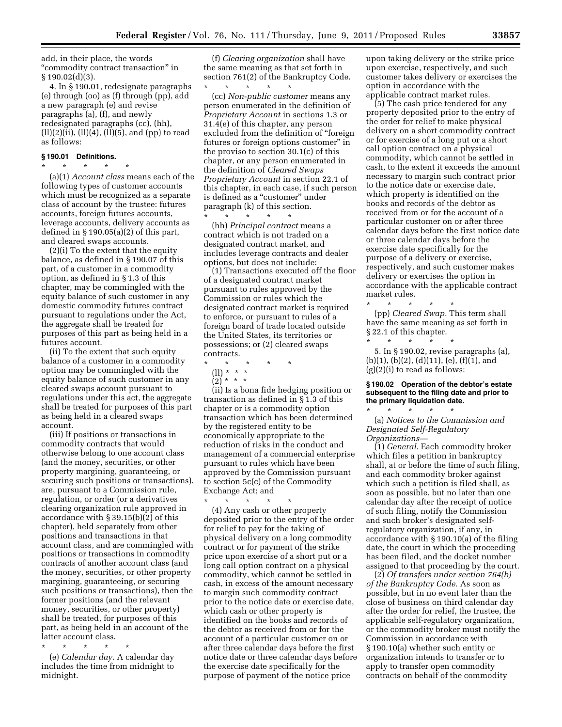add, in their place, the words ''commodity contract transaction'' in  $§ 190.02(d)(3).$ 

4. In § 190.01, redesignate paragraphs (e) through (oo) as (f) through (pp), add a new paragraph (e) and revise paragraphs (a), (f), and newly redesignated paragraphs (cc), (hh), (ll)(2)(ii), (ll)(4), (ll)(5), and (pp) to read as follows:

# **§ 190.01 Definitions.**

\* \* \* \* \* (a)(1) *Account class* means each of the following types of customer accounts which must be recognized as a separate class of account by the trustee: futures accounts, foreign futures accounts, leverage accounts, delivery accounts as defined in  $\S 190.05(a)(2)$  of this part, and cleared swaps accounts.

(2)(i) To the extent that the equity balance, as defined in § 190.07 of this part, of a customer in a commodity option, as defined in § 1.3 of this chapter, may be commingled with the equity balance of such customer in any domestic commodity futures contract pursuant to regulations under the Act, the aggregate shall be treated for purposes of this part as being held in a futures account.

(ii) To the extent that such equity balance of a customer in a commodity option may be commingled with the equity balance of such customer in any cleared swaps account pursuant to regulations under this act, the aggregate shall be treated for purposes of this part as being held in a cleared swaps account.

(iii) If positions or transactions in commodity contracts that would otherwise belong to one account class (and the money, securities, or other property margining, guaranteeing, or securing such positions or transactions), are, pursuant to a Commission rule, regulation, or order (or a derivatives clearing organization rule approved in accordance with § 39.15(b)(2) of this chapter), held separately from other positions and transactions in that account class, and are commingled with positions or transactions in commodity contracts of another account class (and the money, securities, or other property margining, guaranteeing, or securing such positions or transactions), then the former positions (and the relevant money, securities, or other property) shall be treated, for purposes of this part, as being held in an account of the latter account class.

\* \* \* \* \*

(e) *Calendar day.* A calendar day includes the time from midnight to midnight.

(f) *Clearing organization* shall have the same meaning as that set forth in section 761(2) of the Bankruptcy Code.

\* \* \* \* \* (cc) *Non-public customer* means any person enumerated in the definition of *Proprietary Account* in sections 1.3 or 31.4(e) of this chapter, any person excluded from the definition of ''foreign futures or foreign options customer'' in the proviso to section 30.1(c) of this chapter, or any person enumerated in the definition of *Cleared Swaps Proprietary Account* in section 22.1 of this chapter, in each case, if such person is defined as a "customer" under paragraph (k) of this section. \* \* \* \* \*

(hh) *Principal contract* means a contract which is not traded on a designated contract market, and includes leverage contracts and dealer options, but does not include:

(1) Transactions executed off the floor of a designated contract market pursuant to rules approved by the Commission or rules which the designated contract market is required to enforce, or pursuant to rules of a foreign board of trade located outside the United States, its territories or possessions; or (2) cleared swaps contracts.

- \* \* \* \* \*
	- (ll) \* \* \*  $(2) * * * *$
	-

(ii) Is a bona fide hedging position or transaction as defined in § 1.3 of this chapter or is a commodity option transaction which has been determined by the registered entity to be economically appropriate to the reduction of risks in the conduct and management of a commercial enterprise pursuant to rules which have been approved by the Commission pursuant to section 5c(c) of the Commodity Exchange Act; and

\* \* \* \* \* (4) Any cash or other property deposited prior to the entry of the order for relief to pay for the taking of physical delivery on a long commodity contract or for payment of the strike price upon exercise of a short put or a long call option contract on a physical commodity, which cannot be settled in cash, in excess of the amount necessary to margin such commodity contract prior to the notice date or exercise date, which cash or other property is identified on the books and records of the debtor as received from or for the account of a particular customer on or after three calendar days before the first notice date or three calendar days before the exercise date specifically for the purpose of payment of the notice price

upon taking delivery or the strike price upon exercise, respectively, and such customer takes delivery or exercises the option in accordance with the applicable contract market rules.

(5) The cash price tendered for any property deposited prior to the entry of the order for relief to make physical delivery on a short commodity contract or for exercise of a long put or a short call option contract on a physical commodity, which cannot be settled in cash, to the extent it exceeds the amount necessary to margin such contract prior to the notice date or exercise date, which property is identified on the books and records of the debtor as received from or for the account of a particular customer on or after three calendar days before the first notice date or three calendar days before the exercise date specifically for the purpose of a delivery or exercise, respectively, and such customer makes delivery or exercises the option in accordance with the applicable contract market rules.

(pp) *Cleared Swap.* This term shall have the same meaning as set forth in § 22.1 of this chapter.

 $*$  \*

\* \* \* \* \* 5. In § 190.02, revise paragraphs (a),  $(b)(1), (b)(2), (d)(11), (e), (f)(1), and$  $(g)(2)(i)$  to read as follows:

#### **§ 190.02 Operation of the debtor's estate subsequent to the filing date and prior to the primary liquidation date.**  \* \* \* \* \*

(a) *Notices to the Commission and Designated Self-Regulatory Organizations*—

(1) *General.* Each commodity broker which files a petition in bankruptcy shall, at or before the time of such filing, and each commodity broker against which such a petition is filed shall, as soon as possible, but no later than one calendar day after the receipt of notice of such filing, notify the Commission and such broker's designated selfregulatory organization, if any, in accordance with § 190.10(a) of the filing date, the court in which the proceeding has been filed, and the docket number assigned to that proceeding by the court.

(2) *Of transfers under section 764(b) of the Bankruptcy Code.* As soon as possible, but in no event later than the close of business on third calendar day after the order for relief, the trustee, the applicable self-regulatory organization, or the commodity broker must notify the Commission in accordance with § 190.10(a) whether such entity or organization intends to transfer or to apply to transfer open commodity contracts on behalf of the commodity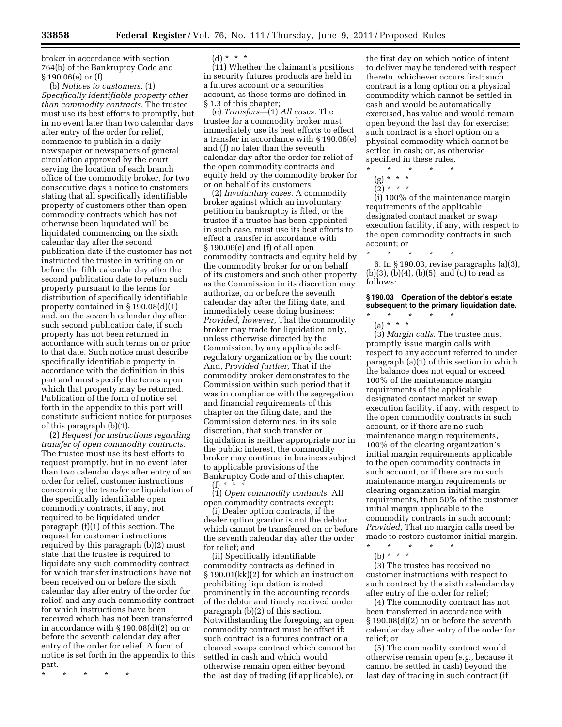broker in accordance with section 764(b) of the Bankruptcy Code and § 190.06(e) or (f).

(b) *Notices to customers.* (1) *Specifically identifiable property other than commodity contracts.* The trustee must use its best efforts to promptly, but in no event later than two calendar days after entry of the order for relief, commence to publish in a daily newspaper or newspapers of general circulation approved by the court serving the location of each branch office of the commodity broker, for two consecutive days a notice to customers stating that all specifically identifiable property of customers other than open commodity contracts which has not otherwise been liquidated will be liquidated commencing on the sixth calendar day after the second publication date if the customer has not instructed the trustee in writing on or before the fifth calendar day after the second publication date to return such property pursuant to the terms for distribution of specifically identifiable property contained in § 190.08(d)(1) and, on the seventh calendar day after such second publication date, if such property has not been returned in accordance with such terms on or prior to that date. Such notice must describe specifically identifiable property in accordance with the definition in this part and must specify the terms upon which that property may be returned. Publication of the form of notice set forth in the appendix to this part will constitute sufficient notice for purposes of this paragraph (b)(1).

(2) *Request for instructions regarding transfer of open commodity contracts.*  The trustee must use its best efforts to request promptly, but in no event later than two calendar days after entry of an order for relief, customer instructions concerning the transfer or liquidation of the specifically identifiable open commodity contracts, if any, not required to be liquidated under paragraph (f)(1) of this section. The request for customer instructions required by this paragraph (b)(2) must state that the trustee is required to liquidate any such commodity contract for which transfer instructions have not been received on or before the sixth calendar day after entry of the order for relief, and any such commodity contract for which instructions have been received which has not been transferred in accordance with § 190.08(d)(2) on or before the seventh calendar day after entry of the order for relief. A form of notice is set forth in the appendix to this part.

\* \* \* \* \*

 $(d) * * * *$ 

(11) Whether the claimant's positions in security futures products are held in a futures account or a securities account, as these terms are defined in § 1.3 of this chapter;

(e) *Transfers*—(1) *All cases.* The trustee for a commodity broker must immediately use its best efforts to effect a transfer in accordance with § 190.06(e) and (f) no later than the seventh calendar day after the order for relief of the open commodity contracts and equity held by the commodity broker for or on behalf of its customers.

(2) *Involuntary cases.* A commodity broker against which an involuntary petition in bankruptcy is filed, or the trustee if a trustee has been appointed in such case, must use its best efforts to effect a transfer in accordance with § 190.06(e) and (f) of all open commodity contracts and equity held by the commodity broker for or on behalf of its customers and such other property as the Commission in its discretion may authorize, on or before the seventh calendar day after the filing date, and immediately cease doing business: *Provided, however,* That the commodity broker may trade for liquidation only, unless otherwise directed by the Commission, by any applicable selfregulatory organization or by the court: And, *Provided further,* That if the commodity broker demonstrates to the Commission within such period that it was in compliance with the segregation and financial requirements of this chapter on the filing date, and the Commission determines, in its sole discretion, that such transfer or liquidation is neither appropriate nor in the public interest, the commodity broker may continue in business subject to applicable provisions of the Bankruptcy Code and of this chapter. (f) *\* \* \** 

(1) *Open commodity contracts.* All open commodity contracts except:

(i) Dealer option contracts, if the dealer option grantor is not the debtor, which cannot be transferred on or before the seventh calendar day after the order for relief; and

(ii) Specifically identifiable commodity contracts as defined in § 190.01(kk)(2) for which an instruction prohibiting liquidation is noted prominently in the accounting records of the debtor and timely received under paragraph (b)(2) of this section. Notwithstanding the foregoing, an open commodity contract must be offset if: such contract is a futures contract or a cleared swaps contract which cannot be settled in cash and which would otherwise remain open either beyond the last day of trading (if applicable), or

the first day on which notice of intent to deliver may be tendered with respect thereto, whichever occurs first; such contract is a long option on a physical commodity which cannot be settled in cash and would be automatically exercised, has value and would remain open beyond the last day for exercise; such contract is a short option on a physical commodity which cannot be settled in cash; or, as otherwise specified in these rules.

- \* \* \* \* \*
	- (g) \* \* \*  $(2) * * * *$
	-

(i) 100% of the maintenance margin requirements of the applicable designated contact market or swap execution facility, if any, with respect to the open commodity contracts in such account; or

\* \* \* \* \*

6. In § 190.03, revise paragraphs (a)(3), (b)(3), (b)(4), (b)(5), and (c) to read as follows:

# **§ 190.03 Operation of the debtor's estate subsequent to the primary liquidation date.**

\* \* \* \* \* (a) \* \* \*

(3) *Margin calls.* The trustee must promptly issue margin calls with respect to any account referred to under paragraph (a)(1) of this section in which the balance does not equal or exceed 100% of the maintenance margin requirements of the applicable designated contact market or swap execution facility, if any, with respect to the open commodity contracts in such account, or if there are no such maintenance margin requirements, 100% of the clearing organization's initial margin requirements applicable to the open commodity contracts in such account, or if there are no such maintenance margin requirements or clearing organization initial margin requirements, then 50% of the customer initial margin applicable to the commodity contracts in such account: *Provided,* That no margin calls need be made to restore customer initial margin. \* \* \* \* \*

(b) \* \* \*

(3) The trustee has received no customer instructions with respect to such contract by the sixth calendar day after entry of the order for relief;

(4) The commodity contract has not been transferred in accordance with § 190.08(d)(2) on or before the seventh calendar day after entry of the order for relief; or

(5) The commodity contract would otherwise remain open (*e.g.,* because it cannot be settled in cash) beyond the last day of trading in such contract (if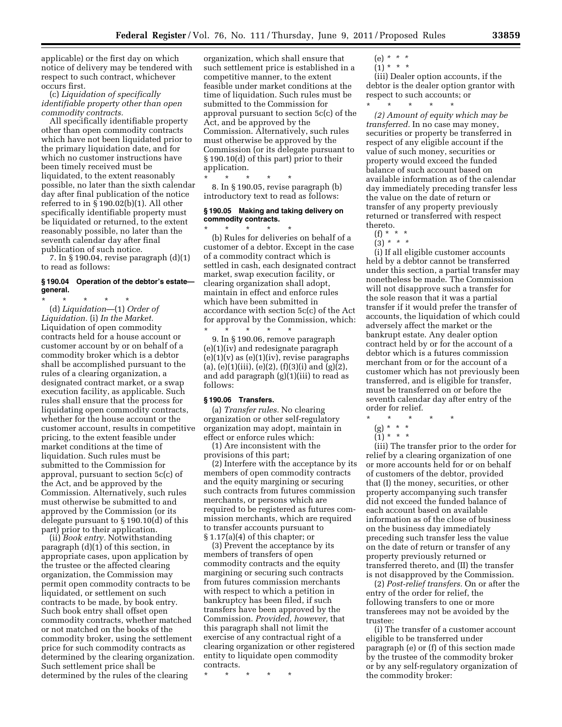applicable) or the first day on which notice of delivery may be tendered with respect to such contract, whichever occurs first.

(c) *Liquidation of specifically identifiable property other than open commodity contracts.* 

All specifically identifiable property other than open commodity contracts which have not been liquidated prior to the primary liquidation date, and for which no customer instructions have been timely received must be liquidated, to the extent reasonably possible, no later than the sixth calendar day after final publication of the notice referred to in § 190.02(b)(1). All other specifically identifiable property must be liquidated or returned, to the extent reasonably possible, no later than the seventh calendar day after final publication of such notice.

7. In § 190.04, revise paragraph (d)(1) to read as follows:

## **§ 190.04 Operation of the debtor's estate general.**

\* \* \* \* \* (d) *Liquidation*—(1) *Order of Liquidation.* (i) *In the Market.*  Liquidation of open commodity contracts held for a house account or customer account by or on behalf of a commodity broker which is a debtor shall be accomplished pursuant to the rules of a clearing organization, a designated contract market, or a swap execution facility, as applicable. Such rules shall ensure that the process for liquidating open commodity contracts, whether for the house account or the customer account, results in competitive pricing, to the extent feasible under market conditions at the time of liquidation. Such rules must be submitted to the Commission for approval, pursuant to section 5c(c) of the Act, and be approved by the Commission. Alternatively, such rules must otherwise be submitted to and approved by the Commission (or its delegate pursuant to § 190.10(d) of this part) prior to their application.

(ii) *Book entry.* Notwithstanding paragraph (d)(1) of this section, in appropriate cases, upon application by the trustee or the affected clearing organization, the Commission may permit open commodity contracts to be liquidated, or settlement on such contracts to be made, by book entry. Such book entry shall offset open commodity contracts, whether matched or not matched on the books of the commodity broker, using the settlement price for such commodity contracts as determined by the clearing organization. Such settlement price shall be determined by the rules of the clearing

organization, which shall ensure that such settlement price is established in a competitive manner, to the extent feasible under market conditions at the time of liquidation. Such rules must be submitted to the Commission for approval pursuant to section 5c(c) of the Act, and be approved by the Commission. Alternatively, such rules must otherwise be approved by the Commission (or its delegate pursuant to § 190.10(d) of this part) prior to their application.

\* \* \* \* \* 8. In § 190.05, revise paragraph (b) introductory text to read as follows:

## **§ 190.05 Making and taking delivery on commodity contracts.**

\* \* \* \* \* (b) Rules for deliveries on behalf of a customer of a debtor. Except in the case of a commodity contract which is settled in cash, each designated contract market, swap execution facility, or clearing organization shall adopt, maintain in effect and enforce rules which have been submitted in accordance with section 5c(c) of the Act for approval by the Commission, which:

\* \* \* \* \* 9. In § 190.06, remove paragraph (e)(1)(iv) and redesignate paragraph  $(e)(1)(v)$  as  $(e)(1)(iv)$ , revise paragraphs (a), (e)(1)(iii), (e)(2), (f)(3)(i) and (g)(2), and add paragraph (g)(1)(iii) to read as follows:

## **§ 190.06 Transfers.**

(a) *Transfer rules.* No clearing organization or other self-regulatory organization may adopt, maintain in effect or enforce rules which:

(1) Are inconsistent with the provisions of this part;

(2) Interfere with the acceptance by its members of open commodity contracts and the equity margining or securing such contracts from futures commission merchants, or persons which are required to be registered as futures commission merchants, which are required to transfer accounts pursuant to § 1.17(a)(4) of this chapter; or

(3) Prevent the acceptance by its members of transfers of open commodity contracts and the equity margining or securing such contracts from futures commission merchants with respect to which a petition in bankruptcy has been filed, if such transfers have been approved by the Commission. *Provided, however,* that this paragraph shall not limit the exercise of any contractual right of a clearing organization or other registered entity to liquidate open commodity contracts.

\* \* \* \* \*

(e) *\* \* \**   $(1) * * * *$ 

(iii) Dealer option accounts, if the debtor is the dealer option grantor with respect to such accounts; or \* \* \* \* \*

*(2) Amount of equity which may be transferred.* In no case may money, securities or property be transferred in respect of any eligible account if the value of such money, securities or property would exceed the funded balance of such account based on available information as of the calendar day immediately preceding transfer less the value on the date of return or transfer of any property previously returned or transferred with respect thereto.

- (f) \* \* \*
- (3) *\* \* \**

(i) If all eligible customer accounts held by a debtor cannot be transferred under this section, a partial transfer may nonetheless be made. The Commission will not disapprove such a transfer for the sole reason that it was a partial transfer if it would prefer the transfer of accounts, the liquidation of which could adversely affect the market or the bankrupt estate. Any dealer option contract held by or for the account of a debtor which is a futures commission merchant from or for the account of a customer which has not previously been transferred, and is eligible for transfer, must be transferred on or before the seventh calendar day after entry of the order for relief.<br>\* \* \* \*

- \* \* \* \* \*
- (g) \* \* \*
- $(1) * * * *$

(iii) The transfer prior to the order for relief by a clearing organization of one or more accounts held for or on behalf of customers of the debtor, provided that (I) the money, securities, or other property accompanying such transfer did not exceed the funded balance of each account based on available information as of the close of business on the business day immediately preceding such transfer less the value on the date of return or transfer of any property previously returned or transferred thereto, and (II) the transfer is not disapproved by the Commission.

(2) *Post-relief transfers.* On or after the entry of the order for relief, the following transfers to one or more transferees may not be avoided by the trustee:

(i) The transfer of a customer account eligible to be transferred under paragraph (e) or (f) of this section made by the trustee of the commodity broker or by any self-regulatory organization of the commodity broker: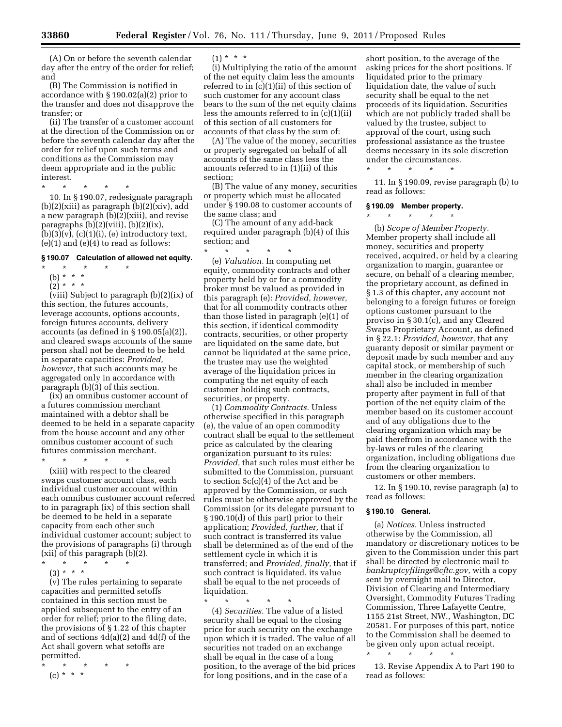(A) On or before the seventh calendar day after the entry of the order for relief; and

(B) The Commission is notified in accordance with § 190.02(a)(2) prior to the transfer and does not disapprove the transfer; or

(ii) The transfer of a customer account at the direction of the Commission on or before the seventh calendar day after the order for relief upon such terms and conditions as the Commission may deem appropriate and in the public interest.

\* \* \* \* \*

10. In § 190.07, redesignate paragraph  $(b)(2)(xiii)$  as paragraph  $(b)(2)(xiv)$ , add a new paragraph (b)(2)(xiii), and revise paragraphs  $(b)(2)(viii)$ ,  $(b)(2)(ix)$ ,  $(b)(3)(v)$ ,  $(c)(1)(i)$ ,  $(e)$  introductory text,  $(e)(1)$  and  $(e)(4)$  to read as follows:

# **§ 190.07 Calculation of allowed net equity.**

- \* \* \* \* \*
	- (b) \* \* \*
	- $(2) * * * *$

(viii) Subject to paragraph (b)(2)(ix) of this section, the futures accounts, leverage accounts, options accounts, foreign futures accounts, delivery accounts (as defined in § 190.05(a)(2)), and cleared swaps accounts of the same person shall not be deemed to be held in separate capacities: *Provided, however,* that such accounts may be aggregated only in accordance with paragraph (b)(3) of this section.

(ix) an omnibus customer account of a futures commission merchant maintained with a debtor shall be deemed to be held in a separate capacity from the house account and any other omnibus customer account of such futures commission merchant.

\* \* \* \* \*

(xiii) with respect to the cleared swaps customer account class, each individual customer account within each omnibus customer account referred to in paragraph (ix) of this section shall be deemed to be held in a separate capacity from each other such individual customer account; subject to the provisions of paragraphs (i) through (xii) of this paragraph (b)(2).

 $\star$   $\qquad$   $\star$   $\qquad$   $\star$   $\qquad$   $\star$ 

(3) \* \* \*

(v) The rules pertaining to separate capacities and permitted setoffs contained in this section must be applied subsequent to the entry of an order for relief; prior to the filing date, the provisions of § 1.22 of this chapter and of sections 4d(a)(2) and 4d(f) of the Act shall govern what setoffs are permitted.

\* \* \* \* \*

 $(c) * * * *$ 

#### $(1) * * * *$

(i) Multiplying the ratio of the amount of the net equity claim less the amounts referred to in (c)(1)(ii) of this section of such customer for any account class bears to the sum of the net equity claims less the amounts referred to in (c)(1)(ii) of this section of all customers for accounts of that class by the sum of:

(A) The value of the money, securities or property segregated on behalf of all accounts of the same class less the amounts referred to in (1)(ii) of this section;

(B) The value of any money, securities or property which must be allocated under § 190.08 to customer accounts of the same class; and

(C) The amount of any add-back required under paragraph (b)(4) of this section; and

\* \* \* \* \* (e) *Valuation.* In computing net equity, commodity contracts and other property held by or for a commodity broker must be valued as provided in this paragraph (e): *Provided, however,*  that for all commodity contracts other than those listed in paragraph (e)(1) of this section, if identical commodity contracts, securities, or other property are liquidated on the same date, but cannot be liquidated at the same price, the trustee may use the weighted average of the liquidation prices in computing the net equity of each customer holding such contracts, securities, or property.

(1) *Commodity Contracts.* Unless otherwise specified in this paragraph (e), the value of an open commodity contract shall be equal to the settlement price as calculated by the clearing organization pursuant to its rules: *Provided,* that such rules must either be submitted to the Commission, pursuant to section 5c(c)(4) of the Act and be approved by the Commission, or such rules must be otherwise approved by the Commission (or its delegate pursuant to § 190.10(d) of this part) prior to their application; *Provided, further,* that if such contract is transferred its value shall be determined as of the end of the settlement cycle in which it is transferred; and *Provided, finally,* that if such contract is liquidated, its value shall be equal to the net proceeds of liquidation.

\* \* \* \* \* (4) *Securities.* The value of a listed security shall be equal to the closing price for such security on the exchange upon which it is traded. The value of all securities not traded on an exchange shall be equal in the case of a long position, to the average of the bid prices for long positions, and in the case of a

short position, to the average of the asking prices for the short positions. If liquidated prior to the primary liquidation date, the value of such security shall be equal to the net proceeds of its liquidation. Securities which are not publicly traded shall be valued by the trustee, subject to approval of the court, using such professional assistance as the trustee deems necessary in its sole discretion under the circumstances.

11. In § 190.09, revise paragraph (b) to read as follows:

## **§ 190.09 Member property.**

\* \* \* \* \*

\* \* \* \* \*

(b) *Scope of Member Property.*  Member property shall include all money, securities and property received, acquired, or held by a clearing organization to margin, guarantee or secure, on behalf of a clearing member, the proprietary account, as defined in § 1.3 of this chapter, any account not belonging to a foreign futures or foreign options customer pursuant to the proviso in § 30.1(c), and any Cleared Swaps Proprietary Account, as defined in § 22.1: *Provided, however,* that any guaranty deposit or similar payment or deposit made by such member and any capital stock, or membership of such member in the clearing organization shall also be included in member property after payment in full of that portion of the net equity claim of the member based on its customer account and of any obligations due to the clearing organization which may be paid therefrom in accordance with the by-laws or rules of the clearing organization, including obligations due from the clearing organization to customers or other members.

12. In § 190.10, revise paragraph (a) to read as follows:

## **§ 190.10 General.**

(a) *Notices.* Unless instructed otherwise by the Commission, all mandatory or discretionary notices to be given to the Commission under this part shall be directed by electronic mail to *[bankruptcyfilings@cftc.gov](mailto:bankruptcyfilings@cftc.gov)*, with a copy sent by overnight mail to Director, Division of Clearing and Intermediary Oversight, Commodity Futures Trading Commission, Three Lafayette Centre, 1155 21st Street, NW., Washington, DC 20581. For purposes of this part, notice to the Commission shall be deemed to be given only upon actual receipt. \* \* \* \* \*

13. Revise Appendix A to Part 190 to read as follows: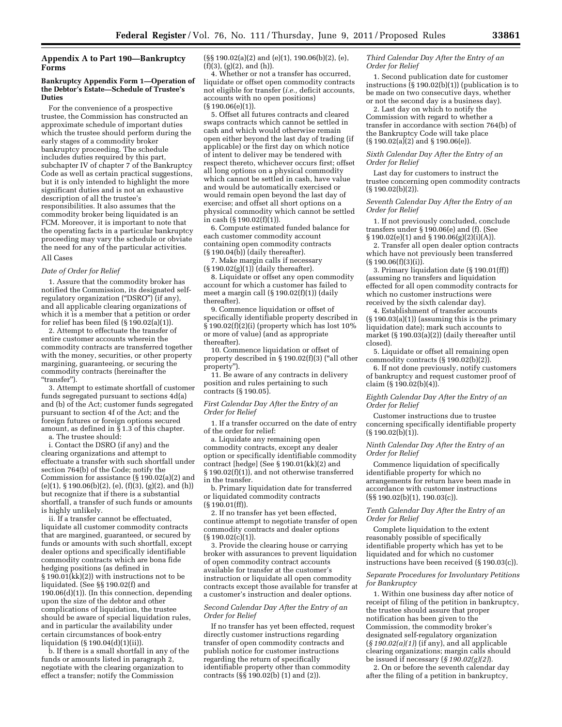# **Appendix A to Part 190—Bankruptcy Forms**

## **Bankruptcy Appendix Form 1—Operation of the Debtor's Estate—Schedule of Trustee's Duties**

For the convenience of a prospective trustee, the Commission has constructed an approximate schedule of important duties which the trustee should perform during the early stages of a commodity broker bankruptcy proceeding. The schedule includes duties required by this part, subchapter IV of chapter 7 of the Bankruptcy Code as well as certain practical suggestions, but it is only intended to highlight the more significant duties and is not an exhaustive description of all the trustee's responsibilities. It also assumes that the commodity broker being liquidated is an FCM. Moreover, it is important to note that the operating facts in a particular bankruptcy proceeding may vary the schedule or obviate the need for any of the particular activities.

# All Cases

#### *Date of Order for Relief*

1. Assure that the commodity broker has notified the Commission, its designated selfregulatory organization ("DSRO") (if any), and all applicable clearing organizations of which it is a member that a petition or order for relief has been filed  $(\S 190.02(a)(1))$ .

2. Attempt to effectuate the transfer of entire customer accounts wherein the commodity contracts are transferred together with the money, securities, or other property margining, guaranteeing, or securing the commodity contracts (hereinafter the "transfer").

3. Attempt to estimate shortfall of customer funds segregated pursuant to sections 4d(a) and (b) of the Act; customer funds segregated pursuant to section 4f of the Act; and the foreign futures or foreign options secured amount, as defined in  $\S 1.3$  of this chapter. a. The trustee should:

i. Contact the DSRO (if any) and the clearing organizations and attempt to effectuate a transfer with such shortfall under section 764(b) of the Code; notify the Commission for assistance (§ 190.02(a)(2) and  $(e)(1), \, \S 190.06(b)(2), (e), (f)(3), (g)(2), \text{and } (h))$ but recognize that if there is a substantial shortfall, a transfer of such funds or amounts is highly unlikely.

ii. If a transfer cannot be effectuated, liquidate all customer commodity contracts that are margined, guaranteed, or secured by funds or amounts with such shortfall, except dealer options and specifically identifiable commodity contracts which are bona fide hedging positions (as defined in § 190.01(kk)(2)) with instructions not to be liquidated. (See §§ 190.02(f) and 190.06(d)(1)). (In this connection, depending upon the size of the debtor and other complications of liquidation, the trustee should be aware of special liquidation rules, and in particular the availability under certain circumstances of book-entry liquidation (§ 190.04(d)(1)(ii)).

b. If there is a small shortfall in any of the funds or amounts listed in paragraph 2, negotiate with the clearing organization to effect a transfer; notify the Commission

(§§ 190.02(a)(2) and (e)(1), 190.06(b)(2), (e),  $(f)(3)$ ,  $(g)(2)$ , and  $(h)$ ).

4. Whether or not a transfer has occurred, liquidate or offset open commodity contracts not eligible for transfer (*i.e.,* deficit accounts, accounts with no open positions) (§ 190.06(e)(1)).

5. Offset all futures contracts and cleared swaps contracts which cannot be settled in cash and which would otherwise remain open either beyond the last day of trading (if applicable) or the first day on which notice of intent to deliver may be tendered with respect thereto, whichever occurs first; offset all long options on a physical commodity which cannot be settled in cash, have value and would be automatically exercised or would remain open beyond the last day of exercise; and offset all short options on a physical commodity which cannot be settled in cash (§ 190.02(f)(1)).

6. Compute estimated funded balance for each customer commodity account containing open commodity contracts  $(\S 190.04(\check{b}))$  (daily thereafter).

7. Make margin calls if necessary  $(\S 190.02(g)(1))$  (daily thereafter).

8. Liquidate or offset any open commodity account for which a customer has failed to meet a margin call (§ 190.02(f)(1)) (daily thereafter).

9. Commence liquidation or offset of specifically identifiable property described in § 190.02(f)(2)(i) (property which has lost 10% or more of value) (and as appropriate thereafter).

10. Commence liquidation or offset of property described in  $\S 190.02(f)(3)$  ("all other property'').

11. Be aware of any contracts in delivery position and rules pertaining to such contracts (§ 190.05).

#### *First Calendar Day After the Entry of an Order for Relief*

1. If a transfer occurred on the date of entry of the order for relief:

a. Liquidate any remaining open commodity contracts, except any dealer option or specifically identifiable commodity contract [hedge] (See § 190.01(kk)(2) and § 190.02(f)(1)), and not otherwise transferred in the transfer.

b. Primary liquidation date for transferred or liquidated commodity contracts (§ 190.01(ff)).

2. If no transfer has yet been effected, continue attempt to negotiate transfer of open commodity contracts and dealer options  $(S 190.02(c)(1))$ .

3. Provide the clearing house or carrying broker with assurances to prevent liquidation of open commodity contract accounts available for transfer at the customer's instruction or liquidate all open commodity contracts except those available for transfer at a customer's instruction and dealer options.

#### *Second Calendar Day After the Entry of an Order for Relief*

If no transfer has yet been effected, request directly customer instructions regarding transfer of open commodity contracts and publish notice for customer instructions regarding the return of specifically identifiable property other than commodity contracts ( $\S$ § 190.02(b) (1) and (2)).

*Third Calendar Day After the Entry of an Order for Relief* 

1. Second publication date for customer instructions  $(S190.02(b)(1))$  (publication is to be made on two consecutive days, whether or not the second day is a business day).

2. Last day on which to notify the Commission with regard to whether a transfer in accordance with section 764(b) of the Bankruptcy Code will take place (§ 190.02(a)(2) and § 190.06(e)).

*Sixth Calendar Day After the Entry of an Order for Relief* 

Last day for customers to instruct the trustee concerning open commodity contracts (§ 190.02(b)(2)).

*Seventh Calendar Day After the Entry of an Order for Relief* 

1. If not previously concluded, conclude transfers under § 190.06(e) and (f). (See § 190.02(e)(1) and § 190.06(g)(2)(i)(A)).

2. Transfer all open dealer option contracts which have not previously been transferred  $(\S 190.06(f)(3)(i))$ .

3. Primary liquidation date (§ 190.01(ff)) (assuming no transfers and liquidation effected for all open commodity contracts for which no customer instructions were received by the sixth calendar day).

4. Establishment of transfer accounts (§ 190.03(a)(1)) (assuming this is the primary liquidation date); mark such accounts to market (§ 190.03(a)(2)) (daily thereafter until closed).

5. Liquidate or offset all remaining open commodity contracts  $(\S 190.02(b)(2))$ .

6. If not done previously, notify customers of bankruptcy and request customer proof of claim (§ 190.02(b)(4)).

*Eighth Calendar Day After the Entry of an Order for Relief* 

Customer instructions due to trustee concerning specifically identifiable property (§ 190.02(b)(1)).

## *Ninth Calendar Day After the Entry of an Order for Relief*

Commence liquidation of specifically identifiable property for which no arrangements for return have been made in accordance with customer instructions  $(S\$  190.02(b)(1), 190.03(c)).

#### *Tenth Calendar Day After the Entry of an Order for Relief*

Complete liquidation to the extent reasonably possible of specifically identifiable property which has yet to be liquidated and for which no customer instructions have been received (§ 190.03(c)).

#### *Separate Procedures for Involuntary Petitions for Bankruptcy*

1. Within one business day after notice of receipt of filing of the petition in bankruptcy, the trustee should assure that proper notification has been given to the Commission, the commodity broker's designated self-regulatory organization (*§ 190.02(a)(1)*) (if any), and all applicable clearing organizations; margin calls should be issued if necessary (*§ 190.02(g)(2)*).

2. On or before the seventh calendar day after the filing of a petition in bankruptcy,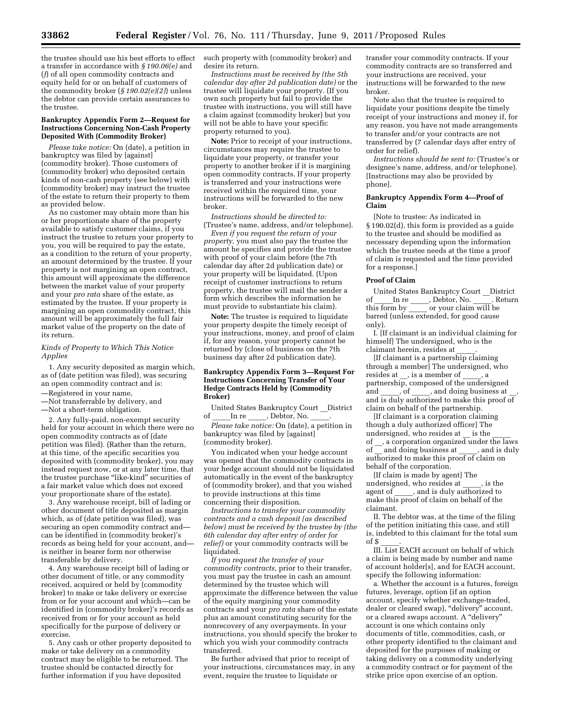the trustee should use his best efforts to effect a transfer in accordance with *§ 190.06(e)* and (*f*) of all open commodity contracts and equity held for or on behalf of customers of the commodity broker (*§ 190.02(e)(2)*) unless the debtor can provide certain assurances to the trustee.

#### **Bankruptcy Appendix Form 2—Request for Instructions Concerning Non-Cash Property Deposited With (Commodity Broker)**

*Please take notice:* On (date), a petition in bankruptcy was filed by [against] (commodity broker). Those customers of (commodity broker) who deposited certain kinds of non-cash property (see below) with (commodity broker) may instruct the trustee of the estate to return their property to them as provided below.

As no customer may obtain more than his or her proportionate share of the property available to satisfy customer claims, if you instruct the trustee to return your property to you, you will be required to pay the estate, as a condition to the return of your property, an amount determined by the trustee. If your property is not margining an open contract, this amount will approximate the difference between the market value of your property and your *pro rata* share of the estate, as estimated by the trustee. If your property is margining an open commodity contract, this amount will be approximately the full fair market value of the property on the date of its return.

#### *Kinds of Property to Which This Notice Applies*

1. Any security deposited as margin which, as of (date petition was filed), was securing an open commodity contract and is:

—Registered in your name,

—Not transferrable by delivery, and —Not a short-term obligation.

2. Any fully-paid, non-exempt security held for your account in which there were no open commodity contracts as of (date petition was filed). (Rather than the return, at this time, of the specific securities you deposited with (commodity broker), you may instead request now, or at any later time, that the trustee purchase "like-kind" securities of a fair market value which does not exceed your proportionate share of the estate).

3. Any warehouse receipt, bill of lading or other document of title deposited as margin which, as of (date petition was filed), was securing an open commodity contract and can be identified in (commodity broker)'s records as being held for your account, and is neither in bearer form nor otherwise transferable by delivery.

4. Any warehouse receipt bill of lading or other document of title, or any commodity received, acquired or held by (commodity broker) to make or take delivery or exercise from or for your account and which—can be identified in (commodity broker)'s records as received from or for your account as held specifically for the purpose of delivery or exercise.

5. Any cash or other property deposited to make or take delivery on a commodity contract may be eligible to be returned. The trustee should be contacted directly for further information if you have deposited

such property with (commodity broker) and desire its return.

*Instructions must be received by (the 5th calendar day after 2d publication date)* or the trustee will liquidate your property. (If you own such property but fail to provide the trustee with instructions, you will still have a claim against (commodity broker) but you will not be able to have your specific property returned to you).

**Note:** Prior to receipt of your instructions, circumstances may require the trustee to liquidate your property, or transfer your property to another broker if it is margining open commodity contracts. If your property is transferred and your instructions were received within the required time, your instructions will be forwarded to the new broker.

*Instructions should be directed to:*  (Trustee's name, address, and/or telephone).

*Even if you request the return of your property,* you must also pay the trustee the amount he specifies and provide the trustee with proof of your claim before (the 7th calendar day after 2d publication date) or your property will be liquidated. (Upon receipt of customer instructions to return property, the trustee will mail the sender a form which describes the information he must provide to substantiate his claim).

**Note:** The trustee is required to liquidate your property despite the timely receipt of your instructions, money, and proof of claim if, for any reason, your property cannot be returned by (close of business on the 7th business day after 2d publication date).

#### **Bankruptcy Appendix Form 3—Request For Instructions Concerning Transfer of Your Hedge Contracts Held by (Commodity Broker)**

United States Bankruptcy Court \_\_District of  $\_\_\_\$ In re  $\_\_\_\$ , Debtor, No.  $\_\_\$ 

*Please take notice:* On (date), a petition in bankruptcy was filed by [against] (commodity broker).

You indicated when your hedge account was opened that the commodity contracts in your hedge account should not be liquidated automatically in the event of the bankruptcy of (commodity broker), and that you wished to provide instructions at this time concerning their disposition.

*Instructions to transfer your commodity contracts and a cash deposit (as described below) must be received by the trustee by (the 6th calendar day after entry of order for relief)* or your commodity contracts will be liquidated.

*If you request the transfer of your commodity contracts,* prior to their transfer, you must pay the trustee in cash an amount determined by the trustee which will approximate the difference between the value of the equity margining your commodity contracts and your *pro rata* share of the estate plus an amount constituting security for the nonrecovery of any overpayments. In your instructions, you should specify the broker to which you wish your commodity contracts transferred.

Be further advised that prior to receipt of your instructions, circumstances may, in any event, require the trustee to liquidate or

transfer your commodity contracts. If your commodity contracts are so transferred and your instructions are received, your instructions will be forwarded to the new broker.

Note also that the trustee is required to liquidate your positions despite the timely receipt of your instructions and money if, for any reason, you have not made arrangements to transfer and/or your contracts are not transferred by (7 calendar days after entry of order for relief).

*Instructions should be sent to:* (Trustee's or designee's name, address, and/or telephone). [Instructions may also be provided by phone].

#### **Bankruptcy Appendix Form 4—Proof of Claim**

[Note to trustee: As indicated in § 190.02(d), this form is provided as a guide to the trustee and should be modified as necessary depending upon the information which the trustee needs at the time a proof of claim is requested and the time provided for a response.]

#### **Proof of Claim**

United States Bankruptcy Court \_\_District of \_\_\_\_\_In re \_\_\_\_, Debtor, No. \_\_\_\_. Return<br>this form by \_\_\_\_\_\_or your claim will be  $\frac{1}{\sqrt{2}}$  or your claim will be barred (unless extended, for good cause only).

I. [If claimant is an individual claiming for himself] The undersigned, who is the claimant herein, resides at \_\_\_\_\_.

[If claimant is a partnership claiming through a member] The undersigned, who resides at  $\quad$ , is a member of  $\quad$ , a partnership, composed of the undersigned<br>and of cand doing business at  $a$ , of  $\underline{\hspace{1cm}}$ , and doing business at and is duly authorized to make this proof of claim on behalf of the partnership.

[If claimant is a corporation claiming though a duly authorized officer] The undersigned, who resides at \_\_ is the \_\_\_\_\_ of \_, a corporation organized under the laws of and doing business at , and is duly authorized to make this proof of claim on behalf of the corporation.

[If claim is made by agent] The undersigned, who resides at \_\_\_\_\_, is the agent of  $\qquad$ , and is duly authorized to make this proof of claim on behalf of the claimant.

II. The debtor was, at the time of the filing of the petition initiating this case, and still is, indebted to this claimant for the total sum of \$ \_\_\_\_\_.

III. List EACH account on behalf of which a claim is being made by number and name of account holder[s], and for EACH account, specify the following information:

a. Whether the account is a futures, foreign futures, leverage, option (if an option account, specify whether exchange-traded, dealer or cleared swap), "delivery" account, or a cleared swaps account. A ''delivery'' account is one which contains only documents of title, commodities, cash, or other property identified to the claimant and deposited for the purposes of making or taking delivery on a commodity underlying a commodity contract or for payment of the strike price upon exercise of an option.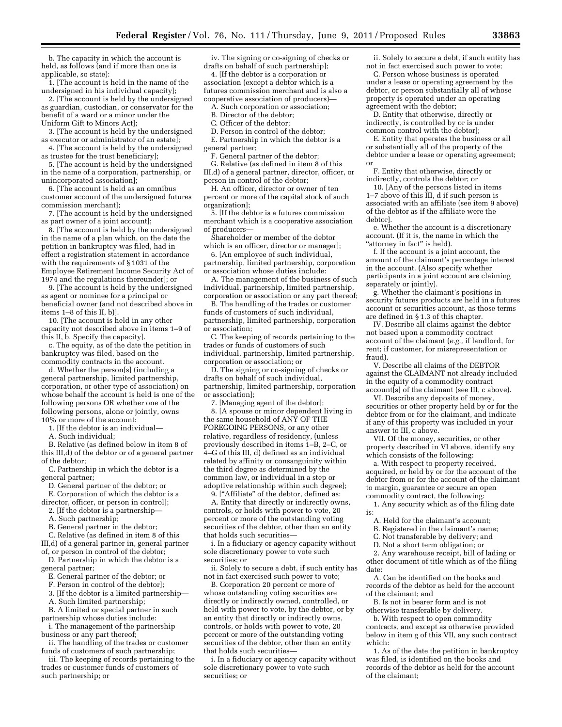b. The capacity in which the account is held, as follows (and if more than one is applicable, so state):

1. [The account is held in the name of the undersigned in his individual capacity];

2. [The account is held by the undersigned as guardian, custodian, or conservator for the benefit of a ward or a minor under the Uniform Gift to Minors Act];

3. [The account is held by the undersigned as executor or administrator of an estate];

4. [The account is held by the undersigned as trustee for the trust beneficiary];

5. [The account is held by the undersigned in the name of a corporation, partnership, or unincorporated association];

6. [The account is held as an omnibus customer account of the undersigned futures commission merchant];

7. [The account is held by the undersigned as part owner of a joint account];

8. [The account is held by the undersigned in the name of a plan which, on the date the petition in bankruptcy was filed, had in effect a registration statement in accordance with the requirements of § 1031 of the Employee Retirement Income Security Act of 1974 and the regulations thereunder]; or

9. [The account is held by the undersigned as agent or nominee for a principal or beneficial owner (and not described above in items 1–8 of this II, b)].

10. [The account is held in any other capacity not described above in items 1–9 of this II, b. Specify the capacity].

c. The equity, as of the date the petition in bankruptcy was filed, based on the commodity contracts in the account.

d. Whether the person[s] (including a general partnership, limited partnership, corporation, or other type of association) on whose behalf the account is held is one of the following persons OR whether one of the following persons, alone or jointly, owns 10% or more of the account:

1. [If the debtor is an individual—

A. Such individual;

B. Relative (as defined below in item 8 of this III,d) of the debtor or of a general partner of the debtor;

C. Partnership in which the debtor is a general partner;

D. General partner of the debtor; or

E. Corporation of which the debtor is a

director, officer, or person in control]; 2. [If the debtor is a partnership—

A. Such partnership;

B. General partner in the debtor;

C. Relative (as defined in item 8 of this III,d) of a general partner in, general partner

of, or person in control of the debtor; D. Partnership in which the debtor is a

general partner;

E. General partner of the debtor; or

F. Person in control of the debtor];

3. [If the debtor is a limited partnership—

A. Such limited partnership;

B. A limited or special partner in such partnership whose duties include:

i. The management of the partnership business or any part thereof;

ii. The handling of the trades or customer funds of customers of such partnership;

iii. The keeping of records pertaining to the trades or customer funds of customers of such partnership; or

iv. The signing or co-signing of checks or drafts on behalf of such partnership];

4. [If the debtor is a corporation or association (except a debtor which is a futures commission merchant and is also a cooperative association of producers)—

A. Such corporation or association;

B. Director of the debtor;

C. Officer of the debtor;

D. Person in control of the debtor;

E. Partnership in which the debtor is a general partner;

F. General partner of the debtor;

G. Relative (as defined in item 8 of this III,d) of a general partner, director, officer, or person in control of the debtor;

H. An officer, director or owner of ten percent or more of the capital stock of such organization];

5. [If the debtor is a futures commission merchant which is a cooperative association of producers—

Shareholder or member of the debtor

which is an officer, director or manager]; 6. [An employee of such individual,

partnership, limited partnership, corporation or association whose duties include:

A. The management of the business of such individual, partnership, limited partnership, corporation or association or any part thereof;

B. The handling of the trades or customer funds of customers of such individual, partnership, limited partnership, corporation or association;

C. The keeping of records pertaining to the trades or funds of customers of such individual, partnership, limited partnership, corporation or association; or

D. The signing or co-signing of checks or drafts on behalf of such individual, partnership, limited partnership, corporation or association];

7. [Managing agent of the debtor];

8. [A spouse or minor dependent living in the same household of ANY OF THE FOREGOING PERSONS, or any other relative, regardless of residency, (unless previously described in items 1–B, 2–C, or 4–G of this III, d) defined as an individual related by affinity or consanguinity within the third degree as determined by the common law, or individual in a step or adoptive relationship within such degree]; 9. [''Affiliate'' of the debtor, defined as:

A. Entity that directly or indirectly owns, controls, or holds with power to vote, 20 percent or more of the outstanding voting securities of the debtor, other than an entity that holds such securities—

i. In a fiduciary or agency capacity without sole discretionary power to vote such securities; or

ii. Solely to secure a debt, if such entity has not in fact exercised such power to vote;

B. Corporation 20 percent or more of whose outstanding voting securities are directly or indirectly owned, controlled, or held with power to vote, by the debtor, or by an entity that directly or indirectly owns, controls, or holds with power to vote, 20 percent or more of the outstanding voting securities of the debtor, other than an entity that holds such securities—

i. In a fiduciary or agency capacity without sole discretionary power to vote such securities; or

ii. Solely to secure a debt, if such entity has not in fact exercised such power to vote;

C. Person whose business is operated under a lease or operating agreement by the debtor, or person substantially all of whose property is operated under an operating agreement with the debtor;

D. Entity that otherwise, directly or indirectly, is controlled by or is under common control with the debtor];

E. Entity that operates the business or all or substantially all of the property of the debtor under a lease or operating agreement; or

F. Entity that otherwise, directly or indirectly, controls the debtor; or

10. [Any of the persons listed in items 1–7 above of this III, d if such person is associated with an affiliate (see item 9 above) of the debtor as if the affiliate were the debtor].

e. Whether the account is a discretionary account. (If it is, the name in which the "attorney in fact" is held).

f. If the account is a joint account, the amount of the claimant's percentage interest in the account. (Also specify whether participants in a joint account are claiming separately or jointly).

g. Whether the claimant's positions in security futures products are held in a futures account or securities account, as those terms are defined in § 1.3 of this chapter.

IV. Describe all claims against the debtor not based upon a commodity contract account of the claimant (*e.g.,* if landlord, for rent; if customer, for misrepresentation or fraud).

V. Describe all claims of the DEBTOR against the CLAIMANT not already included in the equity of a commodity contract account[s] of the claimant (see III, c above).

VI. Describe any deposits of money, securities or other property held by or for the debtor from or for the claimant, and indicate if any of this property was included in your answer to III, c above.

VII. Of the money, securities, or other property described in VI above, identify any which consists of the following:

a. With respect to property received, acquired, or held by or for the account of the debtor from or for the account of the claimant to margin, guarantee or secure an open commodity contract, the following:

1. Any security which as of the filing date is:

- A. Held for the claimant's account;
- B. Registered in the claimant's name;
- C. Not transferable by delivery; and
- D. Not a short term obligation; or

2. Any warehouse receipt, bill of lading or other document of title which as of the filing date:

A. Can be identified on the books and records of the debtor as held for the account of the claimant; and

B. Is not in bearer form and is not otherwise transferable by delivery.

b. With respect to open commodity contracts, and except as otherwise provided below in item g of this VII, any such contract which:

1. As of the date the petition in bankruptcy was filed, is identified on the books and records of the debtor as held for the account of the claimant;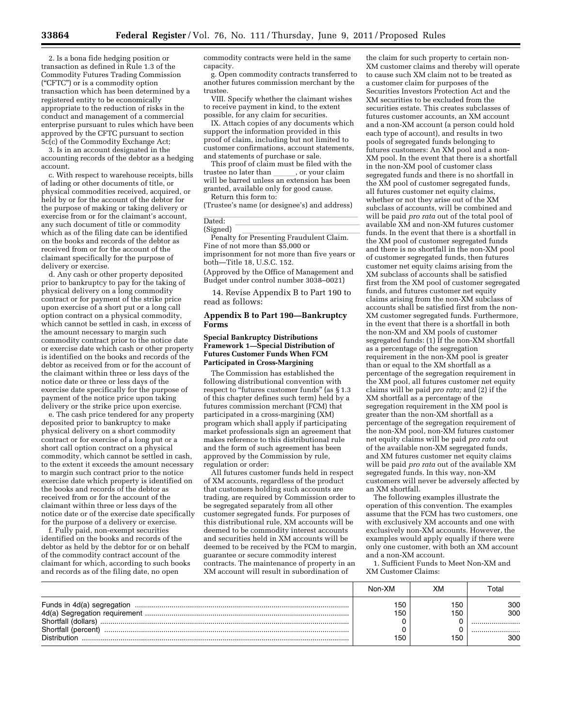2. Is a bona fide hedging position or transaction as defined in Rule 1.3 of the Commodity Futures Trading Commission (''CFTC'') or is a commodity option transaction which has been determined by a registered entity to be economically appropriate to the reduction of risks in the conduct and management of a commercial enterprise pursuant to rules which have been approved by the CFTC pursuant to section 5c(c) of the Commodity Exchange Act;

3. Is in an account designated in the accounting records of the debtor as a hedging account.

c. With respect to warehouse receipts, bills of lading or other documents of title, or physical commodities received, acquired, or held by or for the account of the debtor for the purpose of making or taking delivery or exercise from or for the claimant's account, any such document of title or commodity which as of the filing date can be identified on the books and records of the debtor as received from or for the account of the claimant specifically for the purpose of delivery or exercise.

d. Any cash or other property deposited prior to bankruptcy to pay for the taking of physical delivery on a long commodity contract or for payment of the strike price upon exercise of a short put or a long call option contract on a physical commodity, which cannot be settled in cash, in excess of the amount necessary to margin such commodity contract prior to the notice date or exercise date which cash or other property is identified on the books and records of the debtor as received from or for the account of the claimant within three or less days of the notice date or three or less days of the exercise date specifically for the purpose of payment of the notice price upon taking delivery or the strike price upon exercise.

e. The cash price tendered for any property deposited prior to bankruptcy to make physical delivery on a short commodity contract or for exercise of a long put or a short call option contract on a physical commodity, which cannot be settled in cash, to the extent it exceeds the amount necessary to margin such contract prior to the notice exercise date which property is identified on the books and records of the debtor as received from or for the account of the claimant within three or less days of the notice date or of the exercise date specifically for the purpose of a delivery or exercise.

f. Fully paid, non-exempt securities identified on the books and records of the debtor as held by the debtor for or on behalf of the commodity contract account of the claimant for which, according to such books and records as of the filing date, no open

commodity contracts were held in the same capacity.

g. Open commodity contracts transferred to another futures commission merchant by the trustee.

VIII. Specify whether the claimant wishes to receive payment in kind, to the extent possible, for any claim for securities.

IX. Attach copies of any documents which support the information provided in this proof of claim, including but not limited to customer confirmations, account statements, and statements of purchase or sale.

This proof of claim must be filed with the trustee no later than , or your claim trustee no later than \_\_\_\_\_\_, or your claim<br>will be barred unless an extension has been granted, available only for good cause. Return this form to:

(Trustee's name (or designee's) and address)

#### Dated: Dated: lllllllllllllllll

(Signed)<br>Penalty for Presenting Fraudulent Claim. Fine of not more than \$5,000 or imprisonment for not more than five years or both—Title 18, U.S.C. 152.

(Approved by the Office of Management and Budget under control number 3038–0021)

14. Revise Appendix B to Part 190 to read as follows:

## **Appendix B to Part 190—Bankruptcy Forms**

#### **Special Bankruptcy Distributions Framework 1—Special Distribution of Futures Customer Funds When FCM Participated in Cross-Margining**

The Commission has established the following distributional convention with respect to "futures customer funds" (as § 1.3 of this chapter defines such term) held by a futures commission merchant (FCM) that participated in a cross-margining (XM) program which shall apply if participating market professionals sign an agreement that makes reference to this distributional rule and the form of such agreement has been approved by the Commission by rule, regulation or order:

All futures customer funds held in respect of XM accounts, regardless of the product that customers holding such accounts are trading, are required by Commission order to be segregated separately from all other customer segregated funds. For purposes of this distributional rule, XM accounts will be deemed to be commodity interest accounts and securities held in XM accounts will be deemed to be received by the FCM to margin, guarantee or secure commodity interest contracts. The maintenance of property in an XM account will result in subordination of

the claim for such property to certain non-XM customer claims and thereby will operate to cause such XM claim not to be treated as a customer claim for purposes of the Securities Investors Protection Act and the XM securities to be excluded from the securities estate. This creates subclasses of futures customer accounts, an XM account and a non-XM account (a person could hold each type of account), and results in two pools of segregated funds belonging to futures customers: An XM pool and a non-XM pool. In the event that there is a shortfall in the non-XM pool of customer class segregated funds and there is no shortfall in the XM pool of customer segregated funds, all futures customer net equity claims, whether or not they arise out of the XM subclass of accounts, will be combined and will be paid *pro rata* out of the total pool of available XM and non-XM futures customer funds. In the event that there is a shortfall in the XM pool of customer segregated funds and there is no shortfall in the non-XM pool of customer segregated funds, then futures customer net equity claims arising from the XM subclass of accounts shall be satisfied first from the XM pool of customer segregated funds, and futures customer net equity claims arising from the non-XM subclass of accounts shall be satisfied first from the non-XM customer segregated funds. Furthermore, in the event that there is a shortfall in both the non-XM and XM pools of customer segregated funds: (1) If the non-XM shortfall as a percentage of the segregation requirement in the non-XM pool is greater than or equal to the XM shortfall as a percentage of the segregation requirement in the XM pool, all futures customer net equity claims will be paid *pro rata;* and (2) if the XM shortfall as a percentage of the segregation requirement in the XM pool is greater than the non-XM shortfall as a percentage of the segregation requirement of the non-XM pool, non-XM futures customer net equity claims will be paid *pro rata* out of the available non-XM segregated funds, and XM futures customer net equity claims will be paid *pro rata* out of the available XM segregated funds. In this way, non-XM customers will never be adversely affected by an XM shortfall.

The following examples illustrate the operation of this convention. The examples assume that the FCM has two customers, one with exclusively XM accounts and one with exclusively non-XM accounts. However, the examples would apply equally if there were only one customer, with both an XM account and a non-XM account.

1. Sufficient Funds to Meet Non-XM and XM Customer Claims:

|                                                                                          | Non-XM            | XМ                | Гоtal                     |
|------------------------------------------------------------------------------------------|-------------------|-------------------|---------------------------|
| Funds in 4d(a) segregation<br>Shortfall (dollars)<br>Shortfall (percent)<br>Distribution | 150<br>150<br>150 | 150<br>150<br>150 | 300<br>300<br><br><br>300 |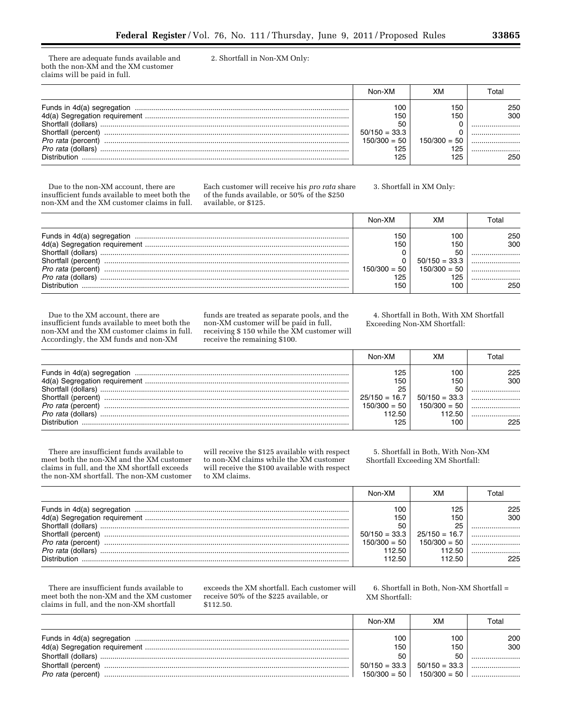There are adequate funds available and both the non-XM and the XM customer claims will be paid in full.

2. Shortfall in Non-XM Only:

|                                                                                                                                            | Non-XM                                                              | XΜ                                         | Гоtаl                             |
|--------------------------------------------------------------------------------------------------------------------------------------------|---------------------------------------------------------------------|--------------------------------------------|-----------------------------------|
| Funds in 4d(a) segregation<br>Shortfall (dollars)<br>Shortfall (percent<br>Pro rata (percent)<br>Pro rata (dollars)<br><b>Distribution</b> | 100<br>150<br>50<br>$50/150 = 33.3$<br>$150/300 = 50$<br>125<br>125 | 150<br>150<br>$150/300 = 50$<br>125<br>125 | 250<br>300<br><br><br><br><br>250 |

Due to the non-XM account, there are insufficient funds available to meet both the non-XM and the XM customer claims in full.

Each customer will receive his *pro rata* share of the funds available, or 50% of the \$250 available, or \$125.

3. Shortfall in XM Only:

|                            | Non-XM         | XN              | Гоtal |
|----------------------------|----------------|-----------------|-------|
| Funds in 4d(a) segregation | 150            | 100             | 250   |
|                            | 150            | 150             | 300   |
| Shortfall (dollars)        |                | 50              |       |
| Shortfall (percent)        |                | $50/150 = 33.3$ |       |
| <i>Pro rata (percent)</i>  | $150/300 = 50$ | $150/300 = 50$  |       |
| <i>Pro rata (dollars)</i>  | 125            | 125             |       |
| <b>Distribution</b>        | 150            | 100             | 250   |

Due to the XM account, there are insufficient funds available to meet both the non-XM and the XM customer claims in full. Accordingly, the XM funds and non-XM

funds are treated as separate pools, and the non-XM customer will be paid in full, receiving \$ 150 while the XM customer will receive the remaining \$100.

4. Shortfall in Both, With XM Shortfall Exceeding Non-XM Shortfall:

|                           | Non-XM          | XМ              | Гоtаl |
|---------------------------|-----------------|-----------------|-------|
|                           | 125             | 100             | 225   |
|                           | 150             | 150             | 300   |
| Shortfall (dollars)       | 25              | 50              |       |
| Shortfall (percent)       | $25/150 = 16.7$ | $50/150 = 33.3$ |       |
| <i>Pro rata (percent)</i> | $150/300 = 50$  | $150/300 = 50$  |       |
| <i>Pro rata (dollars)</i> | 112.50          | 112.50          |       |
| Distribution              | 125             | 100             | 225   |

There are insufficient funds available to meet both the non-XM and the XM customer claims in full, and the XM shortfall exceeds the non-XM shortfall. The non-XM customer

will receive the \$125 available with respect to non-XM claims while the XM customer will receive the \$100 available with respect to XM claims.

5. Shortfall in Both, With Non-XM Shortfall Exceeding XM Shortfall:

|                            | Non-XM          |                 | Гоtаl |
|----------------------------|-----------------|-----------------|-------|
| Funds in 4d(a) segregation | 1 O.C           | 125             | 225   |
|                            | 150             | 150             | 300   |
|                            | 50              |                 |       |
| Shortfall (percent)        | $50/150 = 33.3$ | $25/150 = 16.7$ |       |
| <i>Pro rata (percent)</i>  | $150/300 = 50$  | $150/300 = 50$  |       |
| <i>Pro rata (dollars)</i>  | 12.50           | 112.50          |       |
| <b>Distribution</b>        | 112.50.         | 112.50          | 225   |

There are insufficient funds available to meet both the non-XM and the XM customer claims in full, and the non-XM shortfall

exceeds the XM shortfall. Each customer will receive 50% of the \$225 available, or \$112.50.

6. Shortfall in Both, Non-XM Shortfall = XM Shortfall:

|                           | Non-XM          | xм                              | Total |
|---------------------------|-----------------|---------------------------------|-------|
|                           | 100             | 10C                             | 200   |
|                           | 150             | 150                             | 300   |
|                           | 50              | 50                              |       |
| Shortfall (percent)       | $50/150 = 33.3$ | $50/150 = 33.3$                 |       |
| <i>Pro rata (percent)</i> |                 | $150/300 = 50$   $150/300 = 50$ |       |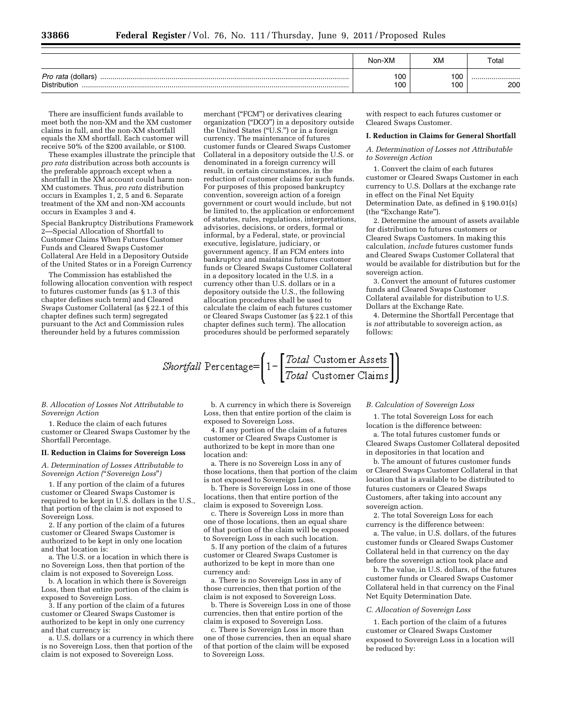|                                           | Non-XM     | XM         | Total   |
|-------------------------------------------|------------|------------|---------|
| <i>Pro rata</i> (dollars)<br>Distribution | 100<br>100 | 100<br>100 | <br>200 |

There are insufficient funds available to meet both the non-XM and the XM customer claims in full, and the non-XM shortfall equals the XM shortfall. Each customer will receive 50% of the \$200 available, or \$100.

These examples illustrate the principle that *pro rata* distribution across both accounts is the preferable approach except when a shortfall in the XM account could harm non-XM customers. Thus, *pro rata* distribution occurs in Examples 1, 2, 5 and 6. Separate treatment of the XM and non-XM accounts occurs in Examples 3 and 4.

Special Bankruptcy Distributions Framework 2—Special Allocation of Shortfall to Customer Claims When Futures Customer Funds and Cleared Swaps Customer Collateral Are Held in a Depository Outside of the United States or in a Foreign Currency

The Commission has established the following allocation convention with respect to futures customer funds (as § 1.3 of this chapter defines such term) and Cleared Swaps Customer Collateral (as § 22.1 of this chapter defines such term) segregated pursuant to the Act and Commission rules thereunder held by a futures commission

merchant ("FCM") or derivatives clearing organization (''DCO'') in a depository outside the United States ("U.S.") or in a foreign currency. The maintenance of futures customer funds or Cleared Swaps Customer Collateral in a depository outside the U.S. or denominated in a foreign currency will result, in certain circumstances, in the reduction of customer claims for such funds. For purposes of this proposed bankruptcy convention, sovereign action of a foreign government or court would include, but not be limited to, the application or enforcement of statutes, rules, regulations, interpretations, advisories, decisions, or orders, formal or informal, by a Federal, state, or provincial executive, legislature, judiciary, or government agency. If an FCM enters into bankruptcy and maintains futures customer funds or Cleared Swaps Customer Collateral in a depository located in the U.S. in a currency other than U.S. dollars or in a depository outside the U.S., the following allocation procedures shall be used to calculate the claim of each futures customer or Cleared Swaps Customer (as § 22.1 of this chapter defines such term). The allocation procedures should be performed separately

with respect to each futures customer or Cleared Swaps Customer.

#### **I. Reduction in Claims for General Shortfall**

*A. Determination of Losses not Attributable to Sovereign Action* 

1. Convert the claim of each futures customer or Cleared Swaps Customer in each currency to U.S. Dollars at the exchange rate in effect on the Final Net Equity Determination Date, as defined in § 190.01(s) (the "Exchange Rate").

2. Determine the amount of assets available for distribution to futures customers or Cleared Swaps Customers. In making this calculation, *include* futures customer funds and Cleared Swaps Customer Collateral that would be available for distribution but for the sovereign action.

3. Convert the amount of futures customer funds and Cleared Swaps Customer Collateral available for distribution to U.S. Dollars at the Exchange Rate.

4. Determine the Shortfall Percentage that is *not* attributable to sovereign action, as follows:

$$
Shortfall\ Percentage = \left(1 - \left[\frac{Total\ Customer\ Assets}{Total\ Customer\ Claus}\right]\right)
$$

*B. Allocation of Losses Not Attributable to Sovereign Action* 

1. Reduce the claim of each futures customer or Cleared Swaps Customer by the Shortfall Percentage.

#### **II. Reduction in Claims for Sovereign Loss**

*A. Determination of Losses Attributable to Sovereign Action (*''*Sovereign Loss*''*)* 

1. If any portion of the claim of a futures customer or Cleared Swaps Customer is required to be kept in U.S. dollars in the U.S., that portion of the claim is not exposed to Sovereign Loss.

2. If any portion of the claim of a futures customer or Cleared Swaps Customer is authorized to be kept in only one location and that location is:

a. The U.S. or a location in which there is no Sovereign Loss, then that portion of the claim is not exposed to Sovereign Loss.

b. A location in which there is Sovereign Loss, then that entire portion of the claim is exposed to Sovereign Loss.

3. If any portion of the claim of a futures customer or Cleared Swaps Customer is authorized to be kept in only one currency and that currency is:

a. U.S. dollars or a currency in which there is no Sovereign Loss, then that portion of the claim is not exposed to Sovereign Loss.

b. A currency in which there is Sovereign Loss, then that entire portion of the claim is exposed to Sovereign Loss.

4. If any portion of the claim of a futures customer or Cleared Swaps Customer is authorized to be kept in more than one location and:

a. There is no Sovereign Loss in any of those locations, then that portion of the claim is not exposed to Sovereign Loss.

b. There is Sovereign Loss in one of those locations, then that entire portion of the claim is exposed to Sovereign Loss.

c. There is Sovereign Loss in more than one of those locations, then an equal share of that portion of the claim will be exposed to Sovereign Loss in each such location.

5. If any portion of the claim of a futures customer or Cleared Swaps Customer is authorized to be kept in more than one currency and:

a. There is no Sovereign Loss in any of those currencies, then that portion of the claim is not exposed to Sovereign Loss.

b. There is Sovereign Loss in one of those currencies, then that entire portion of the claim is exposed to Sovereign Loss.

c. There is Sovereign Loss in more than one of those currencies, then an equal share of that portion of the claim will be exposed to Sovereign Loss.

#### *B. Calculation of Sovereign Loss*

1. The total Sovereign Loss for each location is the difference between:

a. The total futures customer funds or Cleared Swaps Customer Collateral deposited in depositories in that location and

b. The amount of futures customer funds or Cleared Swaps Customer Collateral in that location that is available to be distributed to futures customers or Cleared Swaps Customers, after taking into account any sovereign action.

2. The total Sovereign Loss for each currency is the difference between:

a. The value, in U.S. dollars, of the futures customer funds or Cleared Swaps Customer Collateral held in that currency on the day before the sovereign action took place and

b. The value, in U.S. dollars, of the futures customer funds or Cleared Swaps Customer Collateral held in that currency on the Final Net Equity Determination Date.

#### *C. Allocation of Sovereign Loss*

1. Each portion of the claim of a futures customer or Cleared Swaps Customer exposed to Sovereign Loss in a location will be reduced by: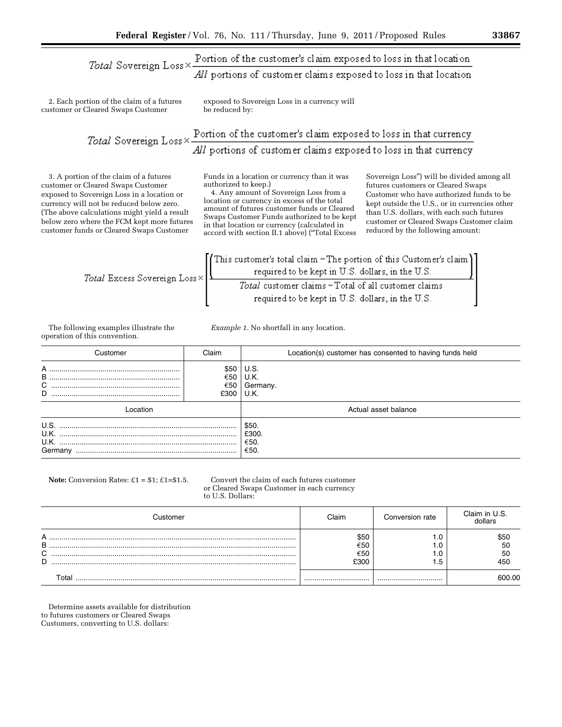# Total Sovereign Loss  $\times$  Portion of the customer's claim exposed to loss in that location All portions of customer claims exposed to loss in that location

2. Each portion of the claim of a futures customer or Cleared Swaps Customer

exposed to Sovereign Loss in a currency will be reduced by:

*Total* Sovereign Loss  $\times$  Portion of the customer's claim exposed to loss in that currency All portions of customer claims exposed to loss in that currency

3. A portion of the claim of a futures customer or Cleared Swaps Customer exposed to Sovereign Loss in a location or currency will not be reduced below zero. (The above calculations might yield a result below zero where the FCM kept more futures customer funds or Cleared Swaps Customer

Funds in a location or currency than it was authorized to keep.)

4. Any amount of Sovereign Loss from a location or currency in excess of the total amount of futures customer funds or Cleared Swaps Customer Funds authorized to be kept in that location or currency (calculated in accord with section II.1 above) (''Total Excess

Sovereign Loss'') will be divided among all futures customers or Cleared Swaps Customer who have authorized funds to be kept outside the U.S., or in currencies other than U.S. dollars, with each such futures customer or Cleared Swaps Customer claim reduced by the following amount:

Total Excess Sovereign Loss 
$$
\times \left[\begin{array}{c}\n\text{This customer's total claim} - \text{The portion of this Customer's claim} \\
\text{required to be kept in U.S. dollars, in the U.S.} \\
\hline \text{Total customer claims} - \text{Total of all customer claims} \\
\text{required to be kept in U.S. dollars, in the U.S.}\n\end{array}\right]
$$

*Example 1.* No shortfall in any location.

The following examples illustrate the operation of this convention.

Customer Claim Location(s) customer has consented to having funds held A ................................................................ \$50 U.S. B ................................................................ Ö50 U.K. C ............................................................... Ö50 Germany. D ............................................................... £300 U.K. Location **Actual asset balance Actual asset balance Actual asset balance** U.S. ....................................................................................... \$50. U.K. ....................................................................................... £300. U.K. ....................................................................................... Ö50. Germany ............................................................................... Ö50.

#### **Note:** Conversion Rates:  $\pounds 1 = \pounds 1$ ;  $\pounds 1 = \pounds 1$ . Convert the claim of each futures customer or Cleared Swaps Customer in each currency to U.S. Dollars:

| Customer                   | Claim                      | Conversion rate | Claim in U.S.<br>dollars |
|----------------------------|----------------------------|-----------------|--------------------------|
| А<br>B<br>$\sim$<br>◡<br>D | \$50<br>€50<br>€50<br>£300 | - 14<br>. .5    | \$50<br>50<br>50<br>450  |
| ⊺otal                      |                            |                 | 600.00                   |

Determine assets available for distribution to futures customers or Cleared Swaps Customers, converting to U.S. dollars: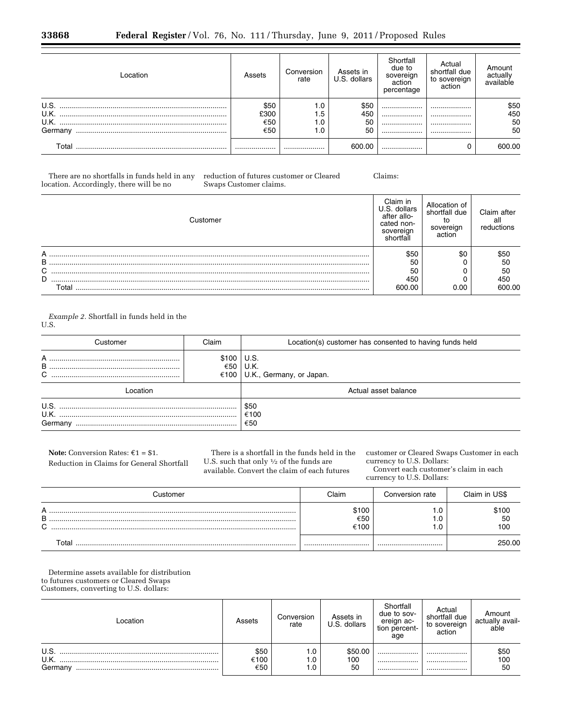| Location | Assets | Conversion<br>rate | Assets in<br>U.S. dollars | Shortfall<br>due to<br>sovereign<br>action<br>percentage | Actual<br>shortfall due<br>to sovereign<br>action | Amount<br>actually<br>available |
|----------|--------|--------------------|---------------------------|----------------------------------------------------------|---------------------------------------------------|---------------------------------|
| U.S.     | \$50   | 1.0                | \$50                      |                                                          |                                                   | \$50                            |
| U.K.     | £300   | 1.5                | 450                       |                                                          |                                                   | 450                             |
| U.K.     | €50    | 1.0                | 50                        |                                                          |                                                   | 50                              |
| Germany  | €50    | 1.0                | 50                        |                                                          |                                                   | 50                              |
| Total    |        |                    | 600.00                    |                                                          |                                                   | 600.00                          |

There are no shortfalls in funds held in any location. Accordingly, there will be no

reduction of futures customer or Cleared Swaps Customer claims.

Claims:

| Customer | Claim in<br>dollars<br>LS.<br>after allo-<br>cated non-<br>sovereign<br>shortfall | Allocation of<br>shortfall due<br>sovereign<br>action | Claim after<br>all<br>reductions |
|----------|-----------------------------------------------------------------------------------|-------------------------------------------------------|----------------------------------|
|          | \$50                                                                              | \$0                                                   | \$50                             |
| B        | 50                                                                                |                                                       | 50                               |
| C        | 50                                                                                |                                                       | 50                               |
| D        | 450                                                                               |                                                       | 450                              |
| Total    | 600.00                                                                            | 0.00                                                  | 600.00                           |

*Example 2.* Shortfall in funds held in the U.S.

| Customer    | Claim | Location(s) customer has consented to having funds held |  |  |
|-------------|-------|---------------------------------------------------------|--|--|
| A<br>В<br>C | \$100 | U.S.<br>€50 U.K.<br>€100   U.K., Germany, or Japan.     |  |  |
| ∟ocation    |       | Actual asset balance                                    |  |  |
| Germany     |       | \$50<br>€100<br>€50                                     |  |  |

**Note:** Conversion Rates:  $\epsilon$ 1 = \$1. Reduction in Claims for General Shortfall

There is a shortfall in the funds held in the U.S. such that only 1⁄2 of the funds are available. Convert the claim of each futures

customer or Cleared Swaps Customer in each currency to U.S. Dollars:

Convert each customer's claim in each currency to U.S. Dollars:

| Customer              | Claim                | Conversion rate   | Claim in US\$      |
|-----------------------|----------------------|-------------------|--------------------|
| А<br>B<br>$\sim$<br>ັ | \$100<br>€50<br>€100 | . .0<br>. 0<br>.0 | \$100<br>50<br>100 |
| Total                 |                      |                   | 250.00             |

Determine assets available for distribution to futures customers or Cleared Swaps Customers, converting to U.S. dollars:

| _ocation                | Assets              | Conversion<br>rate | Assets in<br>U.S. dollars | Shortfall<br>due to sov-<br>ereign ac-<br>tion percent-<br>age | Actual<br>shortfall due<br>to sovereign<br>action | Amount<br>actually avail-<br>able |
|-------------------------|---------------------|--------------------|---------------------------|----------------------------------------------------------------|---------------------------------------------------|-----------------------------------|
| U.S.<br>U.K.<br>Germany | \$50<br>€100<br>€50 | 1.0<br>1.0<br>1.0  | \$50.00<br>100<br>50      | <br><br>                                                       | <br><br>                                          | \$50<br>100<br>50                 |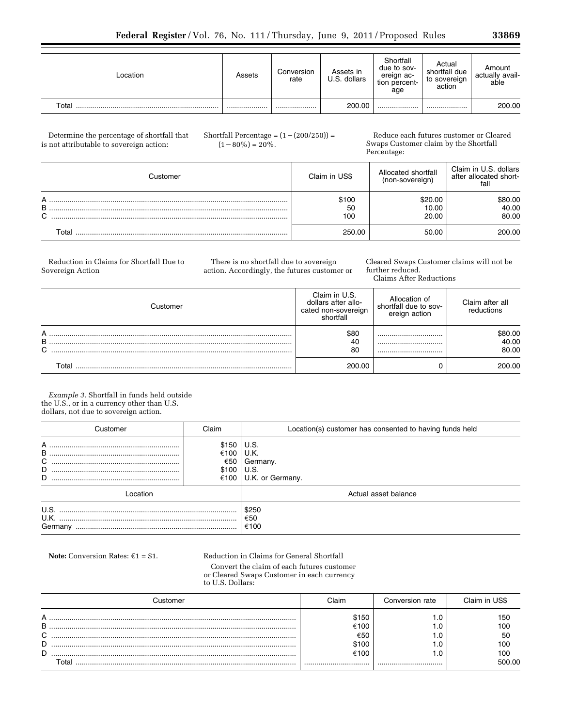| Location | Assets | Conversion<br>rate | Assets in<br>U.S. dollars | Shortfall<br>due to sov-<br>ereign ac-<br>tion percent-<br>age | Actual<br>shortfall due<br>to sovereign<br>action | Amount<br>actually avail-<br>able |
|----------|--------|--------------------|---------------------------|----------------------------------------------------------------|---------------------------------------------------|-----------------------------------|
| Total    |        |                    | 200.00                    |                                                                |                                                   | 200.00                            |

Determine the percentage of shortfall that is not attributable to sovereign action:

Shortfall Percentage =  $(1-(200/250))$  =  $(1-80\%) = 20\%$ .

Reduce each futures customer or Cleared Swaps Customer claim by the Shortfall Percentage:

|             | Customer | Claim in US\$      | Allocated shortfall<br>(non-sovereign) | Claim in U.S. dollars<br>after allocated short-<br>fall |
|-------------|----------|--------------------|----------------------------------------|---------------------------------------------------------|
| A<br>B<br>⌒ |          | \$100<br>50<br>100 | \$20.00<br>10.00<br>20.00              | \$80.00<br>40.00<br>80.00                               |
|             | ⊤otal    | 250.00             | 50.00                                  | 200.00                                                  |

Reduction in Claims for Shortfall Due to Sovereign Action

There is no shortfall due to sovereign action. Accordingly, the futures customer or Cleared Swaps Customer claims will not be further reduced.

Claims After Reductions

| ∖⊔stomer              | Claim in U.S.<br>dollars after allo-<br>cated non-sovereign<br>shortfall | Allocation of<br>shortfall due to sov-<br>ereign action | Claim after all<br>reductions |
|-----------------------|--------------------------------------------------------------------------|---------------------------------------------------------|-------------------------------|
| A<br>B<br>$\sim$<br>ັ | \$80<br>-40<br>80                                                        | <br><br>                                                | \$80.00<br>40.00<br>80.00     |
| Total                 | 200.00                                                                   |                                                         | 200.00                        |

*Example 3.* Shortfall in funds held outside the U.S., or in a currency other than U.S. dollars, not due to sovereign action.

| Customer                | Claim                         | Location(s) customer has consented to having funds held     |  |  |
|-------------------------|-------------------------------|-------------------------------------------------------------|--|--|
| A<br>B<br>C<br>D<br>D   | \$150<br>€100<br>€50<br>\$100 | U.S.<br>U.K.<br>Germany.<br>U.S.<br>€100   U.K. or Germany. |  |  |
| ocation                 |                               | Actual asset balance                                        |  |  |
| U.S.<br>U.K.<br>Germany |                               | \$250<br>€50<br>€100                                        |  |  |

**Note:** Conversion Rates:  $\epsilon_1 = \epsilon_1$ . Reduction in Claims for General Shortfall

Convert the claim of each futures customer or Cleared Swaps Customer in each currency to U.S. Dollars:

| <i>astomer</i> | Claim | Conversion rate | Claim in US\$ |
|----------------|-------|-----------------|---------------|
| А              | \$150 |                 | 150           |
| в              | €100  |                 | 100           |
| C              | €50   |                 | 50            |
| D              | \$100 |                 | 100           |
| D              | €100  |                 | 100           |
| $\tau$ otal    |       |                 | 500.00        |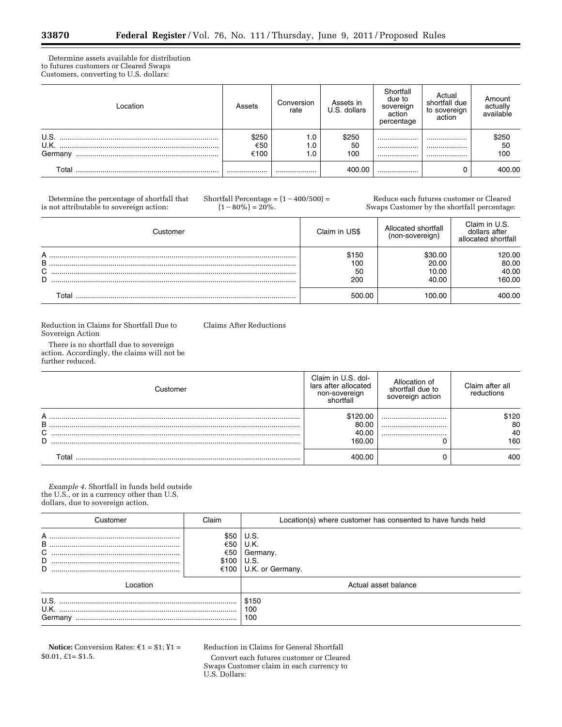۳

Determine assets available for distribution to futures customers or Cleared Swaps Customers, converting to U.S. dollars:

| Location        | Assets               | Conversion<br>rate | Assets in<br>U.S. dollars | Shortfall<br>due to<br>sovereign<br>action<br>percentage | Actual<br>shortfall due<br>to sovereign<br>action | Amount<br>actually<br>available |
|-----------------|----------------------|--------------------|---------------------------|----------------------------------------------------------|---------------------------------------------------|---------------------------------|
| U.S.<br>Germany | \$250<br>€50<br>€100 | 1.0<br>1.0<br>0. ا | \$250<br>50<br>100        | <br><br>                                                 | <br><br>                                          | \$250<br>50<br>100              |
| Total           |                      |                    | 400.00                    |                                                          |                                                   | 400.00                          |

Determine the percentage of shortfall that is not attributable to sovereign action:

Shortfall Percentage =  $(1-400/500)$  =  $(1-80\%) = 20\%$ .

Reduce each futures customer or Cleared Swaps Customer by the shortfall percentage:

|   | Customer | Claim in US\$ | Allocated shortfall<br>(non-sovereign) | Claim in U.S.<br>dollars after<br>allocated shortfall |
|---|----------|---------------|----------------------------------------|-------------------------------------------------------|
| А |          | \$150         | \$30.00                                | 120.00                                                |
|   |          |               |                                        |                                                       |
| B |          | 100           | 20.00                                  | 80.00                                                 |
| C |          | 50            | 10.00                                  | 40.00                                                 |
| D |          | 200           | 40.00                                  | 160.00                                                |
|   | Total    | 500.00        | 100.00                                 | 400.00                                                |

Reduction in Claims for Shortfall Due to Sovereign Action

Claims After Reductions

There is no shortfall due to sovereign action. Accordingly, the claims will not be further reduced.

| Customer | Claim in U.S. dol-<br>lars after allocated<br>non-sovereign<br>shortfall | Allocation of<br>shortfall due to<br>sovereign action | Claim after all<br>reductions |
|----------|--------------------------------------------------------------------------|-------------------------------------------------------|-------------------------------|
| А        | \$120.00                                                                 |                                                       | \$120                         |
| B        | 80.00                                                                    |                                                       | 80                            |
| C        | 40.00                                                                    |                                                       | 40                            |
| D        | 160.00                                                                   |                                                       | 160                           |
| Гоtal    | LNN NN                                                                   |                                                       | 400                           |

*Example 4.* Shortfall in funds held outside the U.S., or in a currency other than U.S. dollars, due to sovereign action.

| Customer                | Claim                               | Location(s) where customer has consented to have funds held |
|-------------------------|-------------------------------------|-------------------------------------------------------------|
| в<br>С<br>D<br>D        | \$50<br>€50<br>€50<br>\$100<br>€100 | U.S.<br>U.K.<br>Germany.<br>U.S.<br>U.K. or Germany.        |
| Location                |                                     | Actual asset balance                                        |
| U.S.<br>U.K.<br>Germany |                                     | \$150<br>100<br>100                                         |

**Notice:** Conversion Rates:  $\epsilon$ 1 = \$1; ¥1 = \$0.01, £1= \$1.5.

Reduction in Claims for General Shortfall

Convert each futures customer or Cleared Swaps Customer claim in each currency to U.S. Dollars: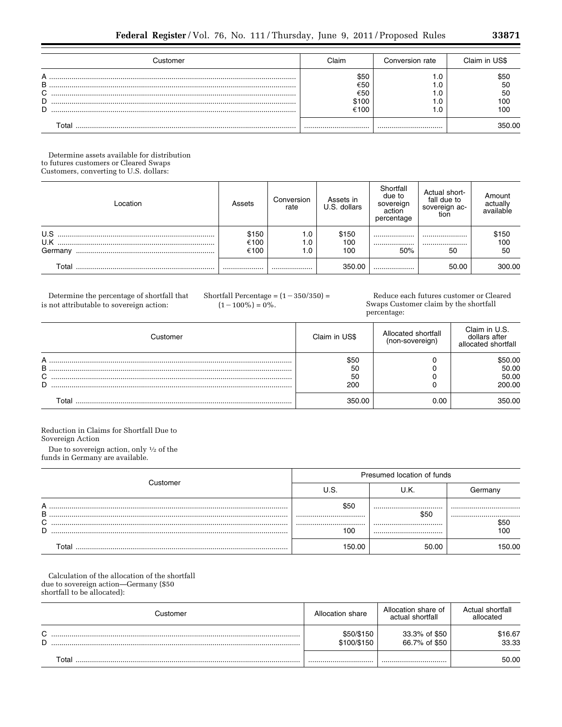Determine assets available for distribution to futures customers or Cleared Swaps Customers, converting to U.S. dollars:

| Location              | Assets                | Conversion<br>rate  | Assets in<br>U.S. dollars | Shortfall<br>due to<br>sovereign<br>action<br>percentage | Actual short-<br>fall due to<br>sovereign ac-<br>tion | Amount<br>actually<br>available |
|-----------------------|-----------------------|---------------------|---------------------------|----------------------------------------------------------|-------------------------------------------------------|---------------------------------|
| U.S<br>U.K<br>Germany | \$150<br>€100<br>€100 | 1.0<br>0. ا<br>0. ا | \$150<br>100<br>100       | <br><br>50%                                              | <br><br>50                                            | \$150<br>100<br>50              |
| Total                 |                       |                     | 350.00                    |                                                          | 50.00                                                 | 300.00                          |

Determine the percentage of shortfall that is not attributable to sovereign action:

Shortfall Percentage =  $(1 - 350/350)$  =  $(1-100\%) = 0\%.$ 

Reduce each futures customer or Cleared Swaps Customer claim by the shortfall percentage:

| Customer         | Claim in US\$           | Allocated shortfall<br>(non-sovereign) | Claim in U.S.<br>dollars after<br>allocated shortfall |
|------------------|-------------------------|----------------------------------------|-------------------------------------------------------|
| А<br>B<br>C<br>D | \$50<br>50<br>50<br>200 |                                        | 50.00<br>50.00<br>50.00<br>200.00                     |
| Гоtal            | 350.00                  | 0.00                                   | 50.OO                                                 |

Reduction in Claims for Shortfall Due to Sovereign Action

Due to sovereign action, only  $\frac{1}{2}$  of the funds in Germany are available.

|             | Customer | Presumed location of funds |              |             |  |
|-------------|----------|----------------------------|--------------|-------------|--|
|             |          |                            | J.K.         | Germany     |  |
| А<br>B<br>C |          | \$50<br><br>               | <br>\$50<br> | <br><br>S5C |  |
| D           |          | 100                        |              | 10C         |  |
|             | ⊺ิ∩†ล    | 150.00                     | 50.00        | 50 NO       |  |

Calculation of the allocation of the shortfall due to sovereign action-Germany (\$50 shortfall to be allocated):

| Customer         | Allocation share          | Allocation share of<br>actual shortfall | Actual shortfall<br>allocated |
|------------------|---------------------------|-----------------------------------------|-------------------------------|
| $\sim$<br>ັ<br>D | \$50/\$150<br>\$100/\$150 | 33.3% of \$50<br>66.7% of \$50          | \$16.67<br>33.33              |
| Total            |                           |                                         | 50.00                         |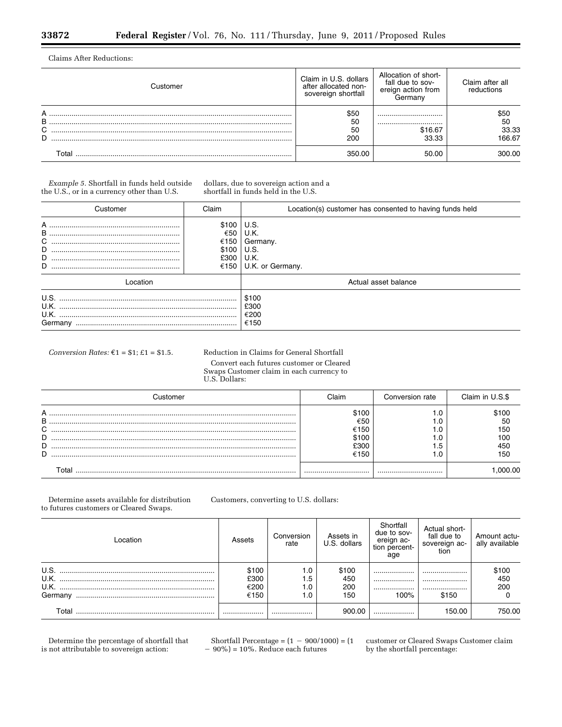Ξ

Claims After Reductions:

| <b>Justomer</b>  | Claim in U.S. dollars<br>after allocated non-<br>sovereign shortfall | Allocation of short-<br>fall due to sov-<br>ereign action from<br>Germany | Claim after all<br>reductions |
|------------------|----------------------------------------------------------------------|---------------------------------------------------------------------------|-------------------------------|
| А<br>B<br>C<br>D | \$50<br>50<br>50<br>200                                              | <br><br>\$16.67<br>33.33                                                  | \$50<br>50<br>33.33<br>166.67 |
|                  | 350.00                                                               | 50.00                                                                     | 300.00.                       |

*Example 5.* Shortfall in funds held outside the U.S., or in a currency other than U.S.

dollars, due to sovereign action and a shortfall in funds held in the U.S.

| Customer                   | Claim                                         | Location(s) customer has consented to having funds held      |
|----------------------------|-----------------------------------------------|--------------------------------------------------------------|
| A<br>B<br>С<br>D<br>D<br>D | \$100<br>€50<br>€150<br>\$100<br>£300<br>€150 | U.S.<br>U.K.<br>Germany.<br>U.S.<br>U.K.<br>U.K. or Germany. |
| Location                   |                                               | Actual asset balance                                         |
| U.S.<br>U.K.<br>Germany    |                                               | \$100<br>£300<br>€200<br>€150                                |

*Conversion Rates:*  $\epsilon_1$  = \$1;  $\epsilon_1$  = \$1.5. Reduction in Claims for General Shortfall Convert each futures customer or Cleared Swaps Customer claim in each currency to U.S. Dollars:

| astomer -             | Claim                                         | Conversion rate | Claim in U.S.\$                        |
|-----------------------|-----------------------------------------------|-----------------|----------------------------------------|
| А<br>В<br>C<br>D<br>D | \$100<br>€50<br>€150<br>\$100<br>£300<br>€150 | .5              | 100ء<br>50<br>150<br>10C<br>450<br>15C |
|                       |                                               |                 |                                        |

Determine assets available for distribution to futures customers or Cleared Swaps.

Customers, converting to U.S. dollars:

| Location | Assets | Conversion<br>rate | Assets in<br>U.S. dollars | Shortfall<br>due to sov-<br>ereign ac-<br>tion percent-<br>age | Actual short-<br>fall due to<br>sovereign ac-<br>tion | Amount actu-<br>ally available |
|----------|--------|--------------------|---------------------------|----------------------------------------------------------------|-------------------------------------------------------|--------------------------------|
| U.S.     | \$100  | 1.0                | \$100                     |                                                                |                                                       | $$100$<br>450                  |
| U.K.     | £300   | l .5               | 450                       |                                                                |                                                       |                                |
| U.K.     | €200   | 0. ا               | 200                       |                                                                |                                                       | 200                            |
| Germany  | €150   | l.O                | 150                       | 100%                                                           | \$150                                                 |                                |
| Total    | .      |                    | 900.00                    |                                                                | 150.00                                                | 750.00                         |

Determine the percentage of shortfall that is not attributable to sovereign action:

Shortfall Percentage =  $(1 - 900/1000) = (1$  $-90\%$  = 10%. Reduce each futures

customer or Cleared Swaps Customer claim by the shortfall percentage: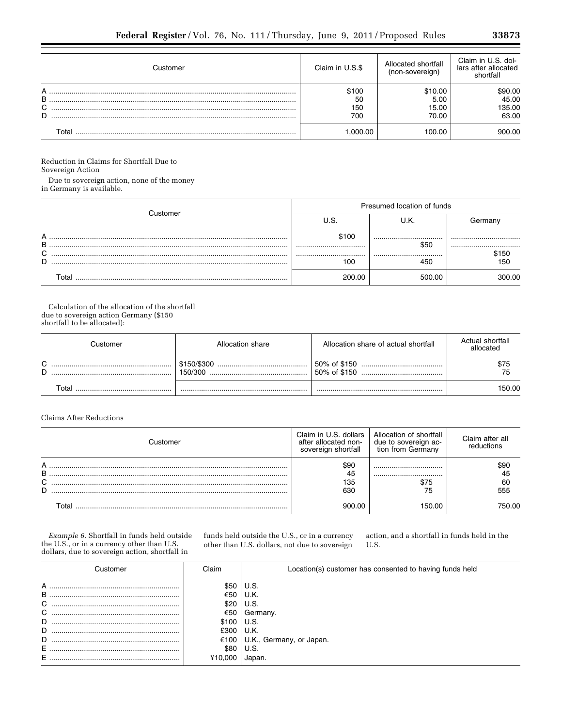| Customer         | Claim in U.S.\$           | Allocated shortfall<br>(non-sovereign) | Claim in U.S. dol-<br>lars after allocated<br>shortfall |
|------------------|---------------------------|----------------------------------------|---------------------------------------------------------|
| А<br>B<br>C<br>D | \$100<br>50<br>150<br>700 | \$10.00<br>5.00<br>15.00<br>70.00      | \$90.00<br>45.00<br>135.00<br>63.00                     |
| Total            | .000.00                   | 100.00                                 | 900.00                                                  |

Reduction in Claims for Shortfall Due to

Sovereign Action

Due to sovereign action, none of the money<br>in Germany is available.

|        | ⊇ustomer | Presumed location of funds |          |              |  |
|--------|----------|----------------------------|----------|--------------|--|
|        |          |                            |          | Germanv      |  |
| А<br>B |          | \$100<br>                  | <br>\$50 | <br>         |  |
| C<br>D |          | <br>l OC                   | <br>450  | \$150<br>150 |  |
|        | ั∩tal    | ንበበ በበ                     | 500.00   | იი იი        |  |

Calculation of the allocation of the shortfall due to sovereign action Germany (\$150 shortfall to be allocated):

|                  | Customer | Allocation share       | Allocation share of actual shortfall | Actual shortfall<br>allocated |
|------------------|----------|------------------------|--------------------------------------|-------------------------------|
| $\sim$<br>ັ<br>D |          | \$150/\$300<br>150/300 |                                      | \$75<br>75                    |
|                  | ⊺otal    |                        |                                      | 50.00                         |

# **Claims After Reductions**

| Customer         | Claim in U.S. dollars<br>after allocated non-<br>sovereign shortfall | Allocation of shortfall<br>due to sovereign ac-<br>tion from Germany | Claim after all<br>reductions |
|------------------|----------------------------------------------------------------------|----------------------------------------------------------------------|-------------------------------|
| А<br>B<br>C<br>D | \$90<br>45<br>135<br>630                                             | <br><br>\$75<br>75                                                   | \$90<br>45<br>60<br>555       |
| Г∩tal            | 900 OO                                                               | 150.00                                                               | '50 OO                        |

 $Example\ 6.$  Shortfall in funds held outside the U.S., or in a currency other than U.S. dollars, due to sovereign action, shortfall in

funds held outside the U.S., or in a currency other than U.S. dollars, not due to sovereign

action, and a shortfall in funds held in the U.S.

| Customer                             | Claim                                               | Location(s) customer has consented to having funds held                      |
|--------------------------------------|-----------------------------------------------------|------------------------------------------------------------------------------|
| А<br>B<br>C<br>C<br>D<br>D<br>D<br>E | \$50<br>€50<br>\$20<br>€50<br>\$100<br>£300<br>€100 | U.S.<br>U.K.<br>U.S.<br>Germany.<br>U.S.<br>U.K.<br>U.K., Germany, or Japan. |
|                                      | \$80<br>710.000                                     | U.S.<br>Japan                                                                |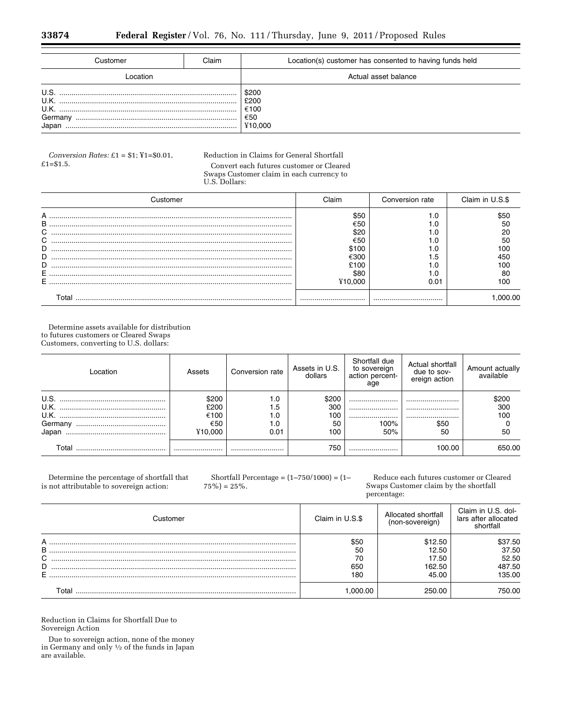| Customer                                 | Claim | Location(s) customer has consented to having funds held |
|------------------------------------------|-------|---------------------------------------------------------|
| ∣ ocation.                               |       | Actual asset balance                                    |
| U.S.<br>U.K.<br>U.K.<br>Germany<br>Japan |       | \$200<br>£200<br>€100<br>€50<br>¥10.000                 |

*Conversion Rates:* £1 = \$1; ¥1=\$0.01, £1=\$1.5.

# Reduction in Claims for General Shortfall Convert each futures customer or Cleared Swaps Customer claim in each currency to

U.S. Dollars:

| Customer | :laim       | Conversion rate | Claim in U.S.\$ |
|----------|-------------|-----------------|-----------------|
| A<br>В   | \$5C<br>€50 |                 |                 |
| C        | \$20        |                 |                 |
| С<br>D   | €50         |                 | 5С<br>10C       |
| D        | €300        | . . 5           |                 |
| D        | 610O        |                 |                 |
| Е        | \$80        |                 | 10C             |
|          |             |                 |                 |

Determine assets available for distribution to futures customers or Cleared Swaps Customers, converting to U.S. dollars:

| Location | Assets                | Conversion rate   | Assets in U.S.<br>dollars | Shortfall due<br>to sovereign<br>action percent-<br>age | Actual shortfall<br>due to sov-<br>ereign action | Amount actually<br>available |
|----------|-----------------------|-------------------|---------------------------|---------------------------------------------------------|--------------------------------------------------|------------------------------|
| U.S.     | \$200<br>£200<br>€100 | 1.0<br>1.5<br>1.0 | \$200<br>300<br>100       | <br>                                                    | <br>                                             | \$200<br>300<br>100          |
|          | €50                   | 1.0               | 50                        | <br>100%                                                | <br>\$50                                         |                              |
|          | ¥10.000               | 0.01              | 100                       | 50%                                                     | 50                                               | 50                           |
| Total    |                       |                   | 750                       |                                                         | 100.00                                           | 650.00                       |

Determine the percentage of shortfall that is not attributable to sovereign action:

Shortfall Percentage = (1–750/1000) = (1–  $75\%$ ) =  $25\%$ .

Reduce each futures customer or Cleared Swaps Customer claim by the shortfall percentage:

| <b>Justomer</b> | Claim in U.S.\$ | Allocated shortfall<br>(non-sovereign) | Claim in U.S. dol-<br>lars after allocated<br>shortfall |
|-----------------|-----------------|----------------------------------------|---------------------------------------------------------|
| А<br>B          | \$50<br>50      | \$12.50<br>12.50                       | \$37.50<br>37.50                                        |
| C               | 70              | 17.50                                  | 52.50                                                   |
| D               | 650             | 162.50                                 | 487.50                                                  |
| E               | 180             | 45.00                                  | 135.00                                                  |
| Total           | .000.00         | 250.00                                 | 750.00                                                  |

Reduction in Claims for Shortfall Due to Sovereign Action

Due to sovereign action, none of the money in Germany and only 1⁄2 of the funds in Japan are available.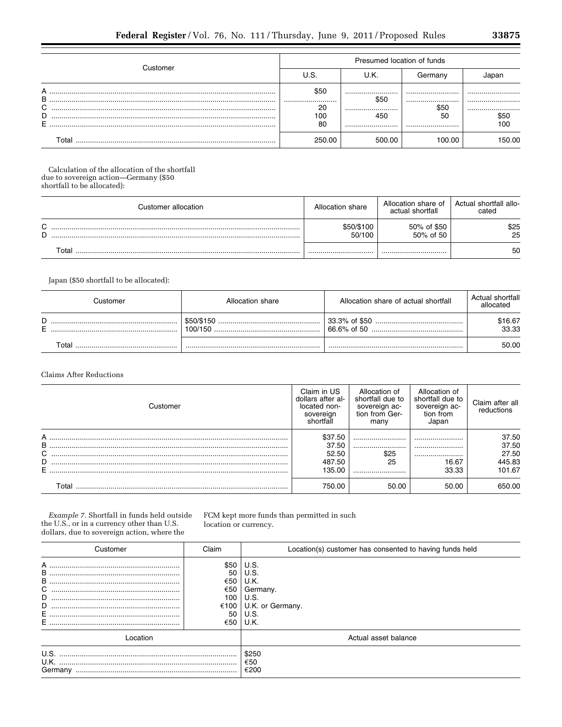| ⊇ustomer          | Presumed location of funds  |                         |                        |                         |  |  |
|-------------------|-----------------------------|-------------------------|------------------------|-------------------------|--|--|
|                   | U.S.                        | U.K.                    | Germany                | Japan                   |  |  |
| B<br>C.<br>D<br>E | \$50<br><br>20<br>100<br>80 | <br>\$50<br><br>450<br> | <br><br>\$50<br>50<br> | <br><br><br>\$50<br>100 |  |  |
| ⊺otal             | 250.00                      | 500.00                  | 100.00                 | 50.00                   |  |  |

Calculation of the allocation of the shortfall due to sovereign action-Germany (\$50 shortfall to be allocated):

| Customer allocation | Allocation share     | Allocation share of<br>actual shortfall | Actual shortfall allo-<br>cated |
|---------------------|----------------------|-----------------------------------------|---------------------------------|
| $\sim$<br>ີ<br>D    | \$50/\$100<br>50/100 | 50% of \$50<br>50% of 50                | \$25<br>25                      |
| Total               |                      |                                         | 50                              |

Japan (\$50 shortfall to be allocated):

| Customer | Allocation share      | Allocation share of actual shortfall | Actual shortfall<br>allocated |
|----------|-----------------------|--------------------------------------|-------------------------------|
| D<br>⊏   | \$50/\$150<br>100/150 | 33.3% of \$50                        | \$16.67<br>33.33              |
| Total    |                       |                                      | 50.00                         |

Claims After Reductions

| Customer              | Claim in US<br>dollars after al-<br>located non-<br>sovereign<br>shortfall | Allocation of<br>shortfall due to<br>sovereign ac-<br>tion from Ger-<br>many | Allocation of<br>shortfall due to<br>sovereign ac-<br>tion from<br>Japan | Claim after all<br>reductions               |
|-----------------------|----------------------------------------------------------------------------|------------------------------------------------------------------------------|--------------------------------------------------------------------------|---------------------------------------------|
| A<br>B<br>C<br>D<br>E | \$37.50<br>37.50<br>52.50<br>487.50<br>135.00                              | <br><br>\$25<br>25<br>                                                       | <br><br><br>16.67<br>33.33                                               | 37.50<br>37.50<br>27.50<br>445.83<br>101.67 |
| Total                 | 750.00                                                                     | 50.00                                                                        | 50.00                                                                    | 650.OO                                      |

 $Example~7.$  Shortfall in funds held outside the U.S., or in a currency other than U.S. dollars, due to sovereign action, where the

FCM kept more funds than permitted in such location or currency.

| Customer               | Claim                                                | Location(s) customer has consented to having funds held                      |  |
|------------------------|------------------------------------------------------|------------------------------------------------------------------------------|--|
| B<br>В<br>C.<br>D<br>D | \$50<br>50<br>€50<br>€50<br>100<br>€100<br>50<br>€50 | U.S.<br>U.S.<br>U.K.<br>Germany.<br>U.S.<br>U.K. or Germany.<br>U.S.<br>U.K. |  |
| l ocation.             |                                                      | Actual asset balance                                                         |  |
| U.S.<br>U.K.           |                                                      | \$250<br>€50<br>€200                                                         |  |

٠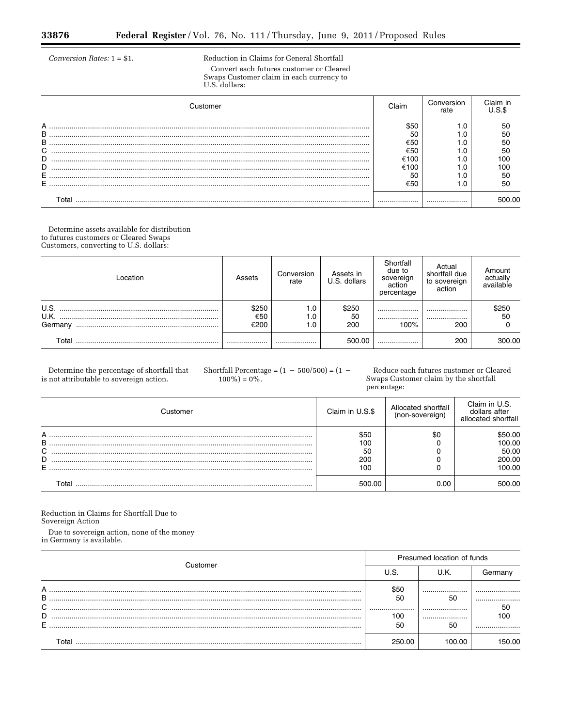Ξ

Conversion Rates:  $1 = $1$ .

Reduction in Claims for General Shortfall Convert each futures customer or Cleared Swaps Customer claim in each currency to U.S. dollars:

| Customer                   | Claim                                          | Conversion<br>rate |              |
|----------------------------|------------------------------------------------|--------------------|--------------|
| А<br>в<br>B<br>C<br>D<br>D | \$50<br>50<br>€50<br>€50<br>€100<br>€100<br>50 |                    | 50           |
| Гоtal                      | €50                                            |                    | 50<br>500.00 |

Determine assets available for distribution to futures customers or Cleared Swaps Customers, converting to U.S. dollars:

| Location                | Assets               | Conversion<br>rate | Assets in<br>U.S. dollars | Shortfall<br>due to<br>sovereign<br>action<br>percentage | Actual<br>shortfall due<br>to sovereign<br>action | Amount<br>actually<br>available |
|-------------------------|----------------------|--------------------|---------------------------|----------------------------------------------------------|---------------------------------------------------|---------------------------------|
| U.S.<br>U.K.<br>Germany | \$250<br>€50<br>€200 | 1.0<br>1.0<br>1.0  | \$250<br>50<br>200        | <br><br>100%                                             | <br><br>200                                       | \$250<br>50                     |
| Total                   |                      |                    | 500.00                    |                                                          | 200                                               | 300.00                          |

Determine the percentage of shortfall that is not attributable to sovereign action.

Shortfall Percentage =  $(1 - 500/500) = (1 100\% = 0\%.$ 

Reduce each futures customer or Cleared Swaps Customer claim by the shortfall percentage:

|   | Customer | Claim in U.S.\$ | Allocated shortfall<br>(non-sovereign) | Claim in U.S.<br>dollars after<br>allocated shortfall |
|---|----------|-----------------|----------------------------------------|-------------------------------------------------------|
| А |          | \$50            | \$0                                    | \$50.00                                               |
| B |          | 100             |                                        | 100.00                                                |
| C |          | 50              |                                        | 50.00                                                 |
| D |          | 200             |                                        | 200.00                                                |
|   |          | 100             |                                        | 100.00                                                |
|   | ั∩tal    | 500.00          | 0.00                                   | 500.00                                                |

Reduction in Claims for Shortfall Due to Sovereign Action

Due to sovereign action, none of the money in Germany is available.

| Customer              | Presumed location of funds  |                      |                      |  |  |
|-----------------------|-----------------------------|----------------------|----------------------|--|--|
|                       | J.S.                        | U.K.                 |                      |  |  |
| А<br>B<br>C<br>D<br>E | \$50<br>50<br><br>100<br>50 | <br>50<br><br><br>50 | <br><br>50<br>oc<br> |  |  |
|                       | 250.00                      |                      | 50.00                |  |  |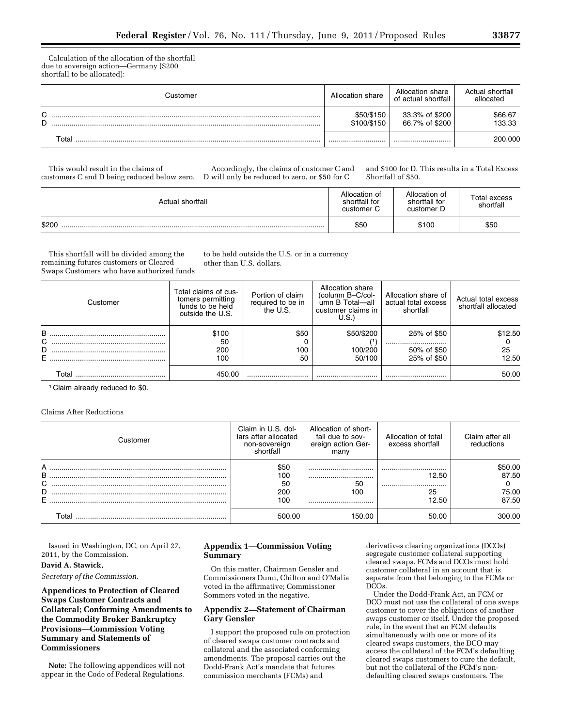Calculation of the allocation of the shortfall due to sovereign action—Germany (\$200 shortfall to be allocated):

|                  | Customer | Allocation share          | Allocation share<br>of actual shortfall | Actual shortfall<br>allocated |
|------------------|----------|---------------------------|-----------------------------------------|-------------------------------|
| $\sim$<br>◡<br>D |          | \$50/\$150<br>\$100/\$150 | 33.3% of \$200<br>66.7% of \$200        | \$66.67<br>133.33             |
|                  | Total    |                           |                                         | 200.000                       |

This would result in the claims of customers C and D being reduced below zero.

Accordingly, the claims of customer C and D will only be reduced to zero, or \$50 for C

and \$100 for D. This results in a Total Excess Shortfall of \$50.

| Actual shortfall | Allocation of<br>shortfall for<br>customer C | Allocation of<br>shortfall for<br>customer D | Total excess<br>shortfall |
|------------------|----------------------------------------------|----------------------------------------------|---------------------------|
| \$200            | \$50                                         | \$100                                        | \$50                      |

This shortfall will be divided among the remaining futures customers or Cleared Swaps Customers who have authorized funds to be held outside the U.S. or in a currency other than U.S. dollars.

| Customer         | Total claims of cus-<br>tomers permitting<br>funds to be held<br>outside the U.S. | Portion of claim<br>required to be in<br>the U.S. | Allocation share<br>(column B-C/col-<br>umn B Total-all<br>customer claims in<br>U.S. | Allocation share of<br>actual total excess<br>shortfall | Actual total excess<br>shortfall allocated |
|------------------|-----------------------------------------------------------------------------------|---------------------------------------------------|---------------------------------------------------------------------------------------|---------------------------------------------------------|--------------------------------------------|
| B<br>С<br>D<br>Е | \$100<br>50<br>200<br>100                                                         | \$50<br>100<br>50                                 | \$50/\$200<br>100/200<br>50/100                                                       | 25% of \$50<br><br>50% of \$50<br>25% of \$50           | \$12.50<br>25<br>12.50                     |
| Гоtаl            | 450.00                                                                            |                                                   |                                                                                       |                                                         | 50.00                                      |

1 Claim already reduced to \$0.

Claims After Reductions

| Customer | Claim in U.S. dol-<br>lars after allocated<br>non-sovereign<br>shortfall | Allocation of short-<br>fall due to sov-<br>ereign action Ger-<br>many | Allocation of total<br>excess shortfall | Claim after all<br>reductions |
|----------|--------------------------------------------------------------------------|------------------------------------------------------------------------|-----------------------------------------|-------------------------------|
| A        | \$50                                                                     |                                                                        |                                         | \$50.00                       |
| В        | 100                                                                      |                                                                        | 12.50                                   | 87.50                         |
| C        | 50                                                                       | 50                                                                     |                                         |                               |
| D        | 200                                                                      | 100                                                                    | 25                                      | 75.00                         |
| Е        | 100                                                                      |                                                                        | 12.50                                   | 87.50                         |
|          | 500.00                                                                   | 150.00                                                                 | 50.00                                   | 300.00                        |

Issued in Washington, DC, on April 27, 2011, by the Commission.

# **David A. Stawick,**

*Secretary of the Commission.* 

**Appendices to Protection of Cleared Swaps Customer Contracts and Collateral; Conforming Amendments to the Commodity Broker Bankruptcy Provisions—Commission Voting Summary and Statements of Commissioners** 

**Note:** The following appendices will not appear in the Code of Federal Regulations.

# **Appendix 1—Commission Voting Summary**

On this matter, Chairman Gensler and Commissioners Dunn, Chilton and O'Malia voted in the affirmative; Commissioner Sommers voted in the negative.

# **Appendix 2—Statement of Chairman Gary Gensler**

I support the proposed rule on protection of cleared swaps customer contracts and collateral and the associated conforming amendments. The proposal carries out the Dodd-Frank Act's mandate that futures commission merchants (FCMs) and

derivatives clearing organizations (DCOs) segregate customer collateral supporting cleared swaps. FCMs and DCOs must hold customer collateral in an account that is separate from that belonging to the FCMs or DCOs.

Under the Dodd-Frank Act, an FCM or DCO must not use the collateral of one swaps customer to cover the obligations of another swaps customer or itself. Under the proposed rule, in the event that an FCM defaults simultaneously with one or more of its cleared swaps customers, the DCO may access the collateral of the FCM's defaulting cleared swaps customers to cure the default, but not the collateral of the FCM's nondefaulting cleared swaps customers. The